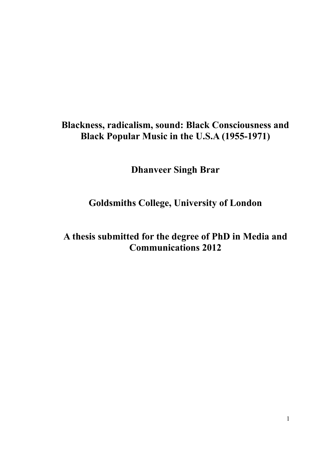# **Blackness, radicalism, sound: Black Consciousness and Black Popular Music in the U.S.A (1955-1971)**

**Dhanveer Singh Brar**

**Goldsmiths College, University of London**

# **A thesis submitted for the degree of PhD in Media and Communications 2012**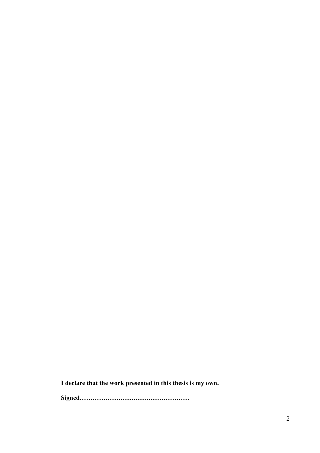**I declare that the work presented in this thesis is my own.**

**Signed……………………………………………**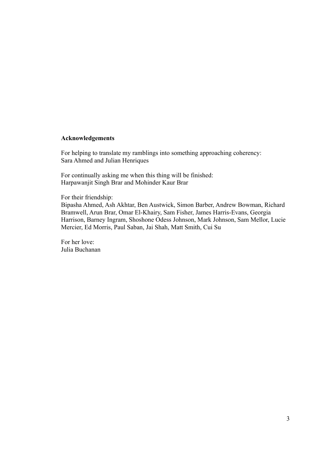## **Acknowledgements**

For helping to translate my ramblings into something approaching coherency: Sara Ahmed and Julian Henriques

For continually asking me when this thing will be finished: Harpawanjit Singh Brar and Mohinder Kaur Brar

For their friendship:

Bipasha Ahmed, Ash Akhtar, Ben Austwick, Simon Barber, Andrew Bowman, Richard Bramwell, Arun Brar, Omar El-Khairy, Sam Fisher, James Harris-Evans, Georgia Harrison, Barney Ingram, Shoshone Odess Johnson, Mark Johnson, Sam Mellor, Lucie Mercier, Ed Morris, Paul Saban, Jai Shah, Matt Smith, Cui Su

For her love: Julia Buchanan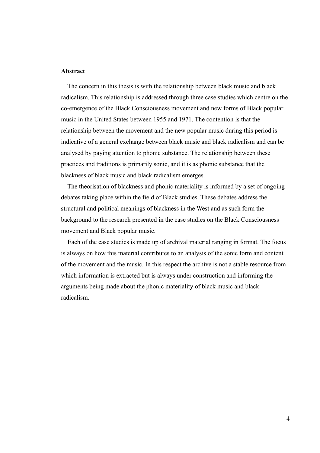#### **Abstract**

 The concern in this thesis is with the relationship between black music and black radicalism. This relationship is addressed through three case studies which centre on the co-emergence of the Black Consciousness movement and new forms of Black popular music in the United States between 1955 and 1971. The contention is that the relationship between the movement and the new popular music during this period is indicative of a general exchange between black music and black radicalism and can be analysed by paying attention to phonic substance. The relationship between these practices and traditions is primarily sonic, and it is as phonic substance that the blackness of black music and black radicalism emerges.

 The theorisation of blackness and phonic materiality is informed by a set of ongoing debates taking place within the field of Black studies. These debates address the structural and political meanings of blackness in the West and as such form the background to the research presented in the case studies on the Black Consciousness movement and Black popular music.

 Each of the case studies is made up of archival material ranging in format. The focus is always on how this material contributes to an analysis of the sonic form and content of the movement and the music. In this respect the archive is not a stable resource from which information is extracted but is always under construction and informing the arguments being made about the phonic materiality of black music and black radicalism.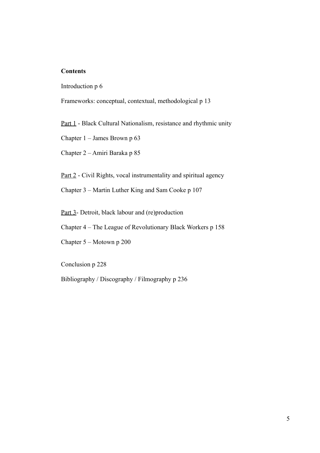## **Contents**

Introduction p 6

Frameworks: conceptual, contextual, methodological p 13

Part 1 - Black Cultural Nationalism, resistance and rhythmic unity

Chapter 1 – James Brown p 63

Chapter 2 – Amiri Baraka p 85

Part 2 - Civil Rights, vocal instrumentality and spiritual agency

Chapter 3 – Martin Luther King and Sam Cooke p 107

Part 3- Detroit, black labour and (re)production

Chapter 4 – The League of Revolutionary Black Workers p 158

Chapter 5 – Motown p 200

Conclusion p 228

Bibliography / Discography / Filmography p 236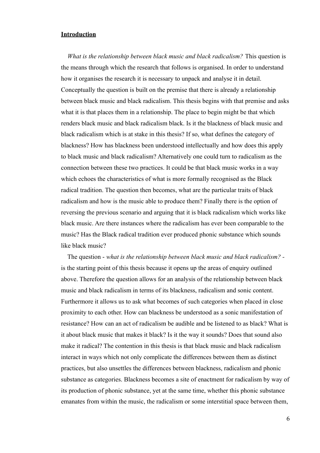## **Introduction**

 *What is the relationship between black music and black radicalism?* This question is the means through which the research that follows is organised. In order to understand how it organises the research it is necessary to unpack and analyse it in detail. Conceptually the question is built on the premise that there is already a relationship between black music and black radicalism. This thesis begins with that premise and asks what it is that places them in a relationship. The place to begin might be that which renders black music and black radicalism black. Is it the blackness of black music and black radicalism which is at stake in this thesis? If so, what defines the category of blackness? How has blackness been understood intellectually and how does this apply to black music and black radicalism? Alternatively one could turn to radicalism as the connection between these two practices. It could be that black music works in a way which echoes the characteristics of what is more formally recognised as the Black radical tradition. The question then becomes, what are the particular traits of black radicalism and how is the music able to produce them? Finally there is the option of reversing the previous scenario and arguing that it is black radicalism which works like black music. Are there instances where the radicalism has ever been comparable to the music? Has the Black radical tradition ever produced phonic substance which sounds like black music?

 The question - *what is the relationship between black music and black radicalism?*  is the starting point of this thesis because it opens up the areas of enquiry outlined above. Therefore the question allows for an analysis of the relationship between black music and black radicalism in terms of its blackness, radicalism and sonic content. Furthermore it allows us to ask what becomes of such categories when placed in close proximity to each other. How can blackness be understood as a sonic manifestation of resistance? How can an act of radicalism be audible and be listened to as black? What is it about black music that makes it black? Is it the way it sounds? Does that sound also make it radical? The contention in this thesis is that black music and black radicalism interact in ways which not only complicate the differences between them as distinct practices, but also unsettles the differences between blackness, radicalism and phonic substance as categories. Blackness becomes a site of enactment for radicalism by way of its production of phonic substance, yet at the same time, whether this phonic substance emanates from within the music, the radicalism or some interstitial space between them,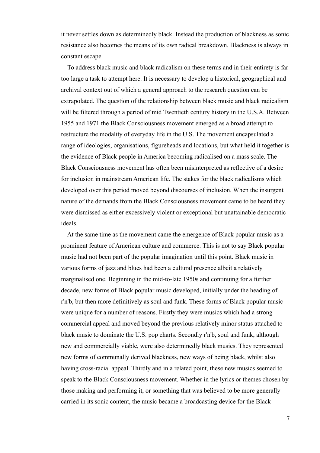it never settles down as determinedly black. Instead the production of blackness as sonic resistance also becomes the means of its own radical breakdown. Blackness is always in constant escape.

 To address black music and black radicalism on these terms and in their entirety is far too large a task to attempt here. It is necessary to develop a historical, geographical and archival context out of which a general approach to the research question can be extrapolated. The question of the relationship between black music and black radicalism will be filtered through a period of mid Twentieth century history in the U.S.A. Between 1955 and 1971 the Black Consciousness movement emerged as a broad attempt to restructure the modality of everyday life in the U.S. The movement encapsulated a range of ideologies, organisations, figureheads and locations, but what held it together is the evidence of Black people in America becoming radicalised on a mass scale. The Black Consciousness movement has often been misinterpreted as reflective of a desire for inclusion in mainstream American life. The stakes for the black radicalisms which developed over this period moved beyond discourses of inclusion. When the insurgent nature of the demands from the Black Consciousness movement came to be heard they were dismissed as either excessively violent or exceptional but unattainable democratic ideals.

 At the same time as the movement came the emergence of Black popular music as a prominent feature of American culture and commerce. This is not to say Black popular music had not been part of the popular imagination until this point. Black music in various forms of jazz and blues had been a cultural presence albeit a relatively marginalised one. Beginning in the mid-to-late 1950s and continuing for a further decade, new forms of Black popular music developed, initially under the heading of r'n'b, but then more definitively as soul and funk. These forms of Black popular music were unique for a number of reasons. Firstly they were musics which had a strong commercial appeal and moved beyond the previous relatively minor status attached to black music to dominate the U.S. pop charts. Secondly r'n'b, soul and funk, although new and commercially viable, were also determinedly black musics. They represented new forms of communally derived blackness, new ways of being black, whilst also having cross-racial appeal. Thirdly and in a related point, these new musics seemed to speak to the Black Consciousness movement. Whether in the lyrics or themes chosen by those making and performing it, or something that was believed to be more generally carried in its sonic content, the music became a broadcasting device for the Black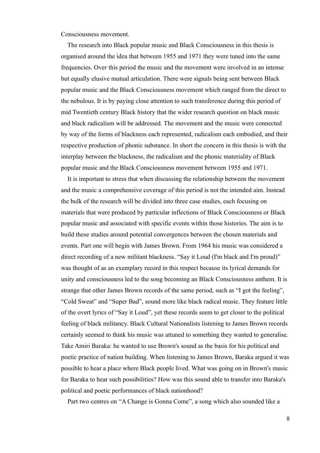Consciousness movement.

 The research into Black popular music and Black Consciousness in this thesis is organised around the idea that between 1955 and 1971 they were tuned into the same frequencies. Over this period the music and the movement were involved in an intense but equally elusive mutual articulation. There were signals being sent between Black popular music and the Black Consciousness movement which ranged from the direct to the nebulous. It is by paying close attention to such transference during this period of mid Twentieth century Black history that the wider research question on black music and black radicalism will be addressed. The movement and the music were connected by way of the forms of blackness each represented, radicalism each embodied, and their respective production of phonic substance. In short the concern in this thesis is with the interplay between the blackness, the radicalism and the phonic materiality of Black popular music and the Black Consciousness movement between 1955 and 1971.

 It is important to stress that when discussing the relationship between the movement and the music a comprehensive coverage of this period is not the intended aim. Instead the bulk of the research will be divided into three case studies, each focusing on materials that were produced by particular inflections of Black Consciousness or Black popular music and associated with specific events within those histories. The aim is to build these studies around potential convergences between the chosen materials and events. Part one will begin with James Brown. From 1964 his music was considered a direct recording of a new militant blackness. "Say it Loud (I'm black and I'm proud)" was thought of as an exemplary record in this respect because its lyrical demands for unity and consciousness led to the song becoming an Black Consciousness anthem. It is strange that other James Brown records of the same period, such as "I got the feeling", "Cold Sweat" and "Super Bad", sound more like black radical music. They feature little of the overt lyrics of "Say it Loud", yet these records seem to get closer to the political feeling of black militancy. Black Cultural Nationalists listening to James Brown records certainly seemed to think his music was attuned to something they wanted to generalise. Take Amiri Baraka: he wanted to use Brown's sound as the basis for his political and poetic practice of nation building. When listening to James Brown, Baraka argued it was possible to hear a place where Black people lived. What was going on in Brown's music for Baraka to hear such possibilities? How was this sound able to transfer into Baraka's political and poetic performances of black nationhood?

Part two centres on "A Change is Gonna Come", a song which also sounded like a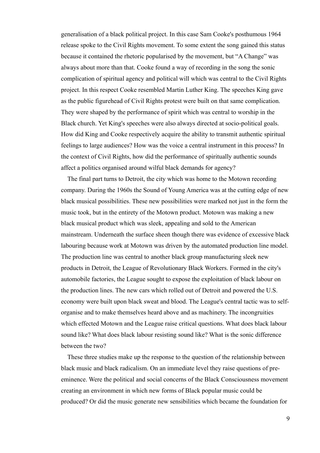generalisation of a black political project. In this case Sam Cooke's posthumous 1964 release spoke to the Civil Rights movement. To some extent the song gained this status because it contained the rhetoric popularised by the movement, but "A Change" was always about more than that. Cooke found a way of recording in the song the sonic complication of spiritual agency and political will which was central to the Civil Rights project. In this respect Cooke resembled Martin Luther King. The speeches King gave as the public figurehead of Civil Rights protest were built on that same complication. They were shaped by the performance of spirit which was central to worship in the Black church. Yet King's speeches were also always directed at socio-political goals. How did King and Cooke respectively acquire the ability to transmit authentic spiritual feelings to large audiences? How was the voice a central instrument in this process? In the context of Civil Rights, how did the performance of spiritually authentic sounds affect a politics organised around wilful black demands for agency?

 The final part turns to Detroit, the city which was home to the Motown recording company. During the 1960s the Sound of Young America was at the cutting edge of new black musical possibilities. These new possibilities were marked not just in the form the music took, but in the entirety of the Motown product. Motown was making a new black musical product which was sleek, appealing and sold to the American mainstream. Underneath the surface sheen though there was evidence of excessive black labouring because work at Motown was driven by the automated production line model. The production line was central to another black group manufacturing sleek new products in Detroit, the League of Revolutionary Black Workers. Formed in the city's automobile factories, the League sought to expose the exploitation of black labour on the production lines. The new cars which rolled out of Detroit and powered the U.S. economy were built upon black sweat and blood. The League's central tactic was to selforganise and to make themselves heard above and as machinery. The incongruities which effected Motown and the League raise critical questions. What does black labour sound like? What does black labour resisting sound like? What is the sonic difference between the two?

 These three studies make up the response to the question of the relationship between black music and black radicalism. On an immediate level they raise questions of preeminence. Were the political and social concerns of the Black Consciousness movement creating an environment in which new forms of Black popular music could be produced? Or did the music generate new sensibilities which became the foundation for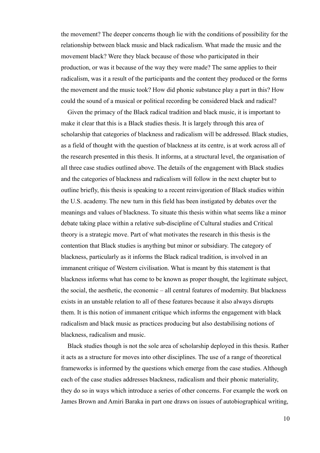the movement? The deeper concerns though lie with the conditions of possibility for the relationship between black music and black radicalism. What made the music and the movement black? Were they black because of those who participated in their production, or was it because of the way they were made? The same applies to their radicalism, was it a result of the participants and the content they produced or the forms the movement and the music took? How did phonic substance play a part in this? How could the sound of a musical or political recording be considered black and radical?

 Given the primacy of the Black radical tradition and black music, it is important to make it clear that this is a Black studies thesis. It is largely through this area of scholarship that categories of blackness and radicalism will be addressed. Black studies, as a field of thought with the question of blackness at its centre, is at work across all of the research presented in this thesis. It informs, at a structural level, the organisation of all three case studies outlined above. The details of the engagement with Black studies and the categories of blackness and radicalism will follow in the next chapter but to outline briefly, this thesis is speaking to a recent reinvigoration of Black studies within the U.S. academy. The new turn in this field has been instigated by debates over the meanings and values of blackness. To situate this thesis within what seems like a minor debate taking place within a relative sub-discipline of Cultural studies and Critical theory is a strategic move. Part of what motivates the research in this thesis is the contention that Black studies is anything but minor or subsidiary. The category of blackness, particularly as it informs the Black radical tradition, is involved in an immanent critique of Western civilisation. What is meant by this statement is that blackness informs what has come to be known as proper thought, the legitimate subject, the social, the aesthetic, the economic – all central features of modernity. But blackness exists in an unstable relation to all of these features because it also always disrupts them. It is this notion of immanent critique which informs the engagement with black radicalism and black music as practices producing but also destabilising notions of blackness, radicalism and music.

 Black studies though is not the sole area of scholarship deployed in this thesis. Rather it acts as a structure for moves into other disciplines. The use of a range of theoretical frameworks is informed by the questions which emerge from the case studies. Although each of the case studies addresses blackness, radicalism and their phonic materiality, they do so in ways which introduce a series of other concerns. For example the work on James Brown and Amiri Baraka in part one draws on issues of autobiographical writing,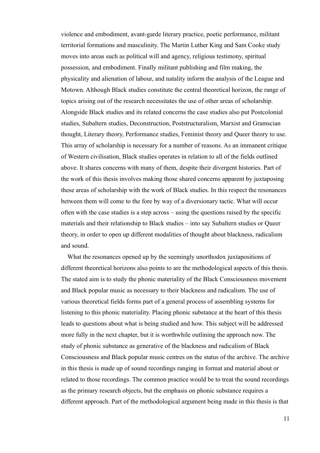violence and embodiment, avant-garde literary practice, poetic performance, militant territorial formations and masculinity. The Martin Luther King and Sam Cooke study moves into areas such as political will and agency, religious testimony, spiritual possession, and embodiment. Finally militant publishing and film making, the physicality and alienation of labour, and natality inform the analysis of the League and Motown. Although Black studies constitute the central theoretical horizon, the range of topics arising out of the research necessitates the use of other areas of scholarship. Alongside Black studies and its related concerns the case studies also put Postcolonial studies, Subaltern studies, Deconstruction, Poststructuralism, Marxist and Gramscian thought, Literary theory, Performance studies, Feminist theory and Queer theory to use. This array of scholarship is necessary for a number of reasons. As an immanent critique of Western civilisation, Black studies operates in relation to all of the fields outlined above. It shares concerns with many of them, despite their divergent histories. Part of the work of this thesis involves making those shared concerns apparent by juxtaposing these areas of scholarship with the work of Black studies. In this respect the resonances between them will come to the fore by way of a diversionary tactic. What will occur often with the case studies is a step across – using the questions raised by the specific materials and their relationship to Black studies – into say Subaltern studies or Queer theory, in order to open up different modalities of thought about blackness, radicalism and sound.

What the resonances opened up by the seemingly unorthodox juxtapositions of different theoretical horizons also points to are the methodological aspects of this thesis. The stated aim is to study the phonic materiality of the Black Consciousness movement and Black popular music as necessary to their blackness and radicalism. The use of various theoretical fields forms part of a general process of assembling systems for listening to this phonic materiality. Placing phonic substance at the heart of this thesis leads to questions about what is being studied and how. This subject will be addressed more fully in the next chapter, but it is worthwhile outlining the approach now. The study of phonic substance as generative of the blackness and radicalism of Black Consciousness and Black popular music centres on the status of the archive. The archive in this thesis is made up of sound recordings ranging in format and material about or related to those recordings. The common practice would be to treat the sound recordings as the primary research objects, but the emphasis on phonic substance requires a different approach. Part of the methodological argument being made in this thesis is that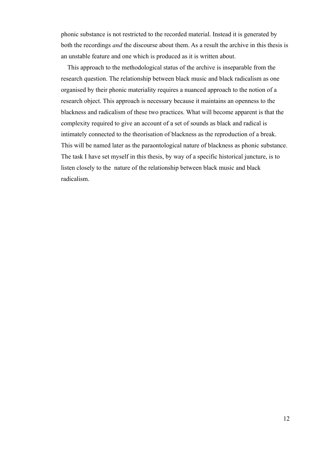phonic substance is not restricted to the recorded material. Instead it is generated by both the recordings *and* the discourse about them. As a result the archive in this thesis is an unstable feature and one which is produced as it is written about.

 This approach to the methodological status of the archive is inseparable from the research question. The relationship between black music and black radicalism as one organised by their phonic materiality requires a nuanced approach to the notion of a research object. This approach is necessary because it maintains an openness to the blackness and radicalism of these two practices. What will become apparent is that the complexity required to give an account of a set of sounds as black and radical is intimately connected to the theorisation of blackness as the reproduction of a break. This will be named later as the paraontological nature of blackness as phonic substance. The task I have set myself in this thesis, by way of a specific historical juncture, is to listen closely to the nature of the relationship between black music and black radicalism.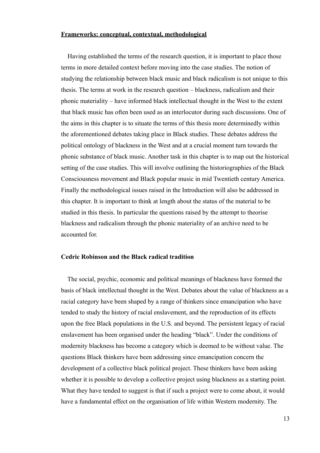# **Frameworks: conceptual, contextual, methodological**

 Having established the terms of the research question, it is important to place those terms in more detailed context before moving into the case studies. The notion of studying the relationship between black music and black radicalism is not unique to this thesis. The terms at work in the research question – blackness, radicalism and their phonic materiality – have informed black intellectual thought in the West to the extent that black music has often been used as an interlocutor during such discussions. One of the aims in this chapter is to situate the terms of this thesis more determinedly within the aforementioned debates taking place in Black studies. These debates address the political ontology of blackness in the West and at a crucial moment turn towards the phonic substance of black music. Another task in this chapter is to map out the historical setting of the case studies. This will involve outlining the historiographies of the Black Consciousness movement and Black popular music in mid Twentieth century America. Finally the methodological issues raised in the Introduction will also be addressed in this chapter. It is important to think at length about the status of the material to be studied in this thesis. In particular the questions raised by the attempt to theorise blackness and radicalism through the phonic materiality of an archive need to be accounted for.

## **Cedric Robinson and the Black radical tradition**

 The social, psychic, economic and political meanings of blackness have formed the basis of black intellectual thought in the West. Debates about the value of blackness as a racial category have been shaped by a range of thinkers since emancipation who have tended to study the history of racial enslavement, and the reproduction of its effects upon the free Black populations in the U.S. and beyond. The persistent legacy of racial enslavement has been organised under the heading "black". Under the conditions of modernity blackness has become a category which is deemed to be without value. The questions Black thinkers have been addressing since emancipation concern the development of a collective black political project. These thinkers have been asking whether it is possible to develop a collective project using blackness as a starting point. What they have tended to suggest is that if such a project were to come about, it would have a fundamental effect on the organisation of life within Western modernity. The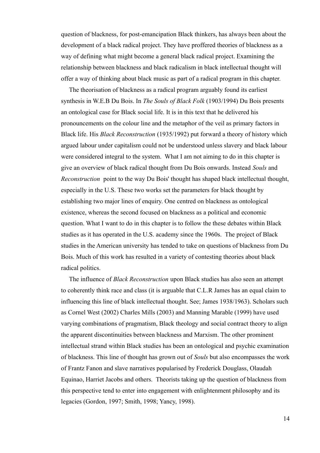question of blackness, for post-emancipation Black thinkers, has always been about the development of a black radical project. They have proffered theories of blackness as a way of defining what might become a general black radical project. Examining the relationship between blackness and black radicalism in black intellectual thought will offer a way of thinking about black music as part of a radical program in this chapter.

 The theorisation of blackness as a radical program arguably found its earliest synthesis in W.E.B Du Bois. In *The Souls of Black Folk* (1903/1994) Du Bois presents an ontological case for Black social life. It is in this text that he delivered his pronouncements on the colour line and the metaphor of the veil as primary factors in Black life. His *Black Reconstruction* (1935/1992) put forward a theory of history which argued labour under capitalism could not be understood unless slavery and black labour were considered integral to the system. What I am not aiming to do in this chapter is give an overview of black radical thought from Du Bois onwards. Instead *Souls* and *Reconstruction* point to the way Du Bois' thought has shaped black intellectual thought, especially in the U.S. These two works set the parameters for black thought by establishing two major lines of enquiry. One centred on blackness as ontological existence, whereas the second focused on blackness as a political and economic question. What I want to do in this chapter is to follow the these debates within Black studies as it has operated in the U.S. academy since the 1960s. The project of Black studies in the American university has tended to take on questions of blackness from Du Bois. Much of this work has resulted in a variety of contesting theories about black radical politics.

 The influence of *Black Reconstruction* upon Black studies has also seen an attempt to coherently think race and class (it is arguable that C.L.R James has an equal claim to influencing this line of black intellectual thought. See; James 1938/1963). Scholars such as Cornel West (2002) Charles Mills (2003) and Manning Marable (1999) have used varying combinations of pragmatism, Black theology and social contract theory to align the apparent discontinuities between blackness and Marxism. The other prominent intellectual strand within Black studies has been an ontological and psychic examination of blackness. This line of thought has grown out of *Souls* but also encompasses the work of Frantz Fanon and slave narratives popularised by Frederick Douglass, Olaudah Equinao, Harriet Jacobs and others. Theorists taking up the question of blackness from this perspective tend to enter into engagement with enlightenment philosophy and its legacies (Gordon, 1997; Smith, 1998; Yancy, 1998).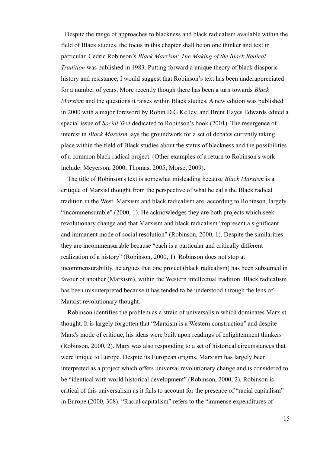Despite the range of approaches to blackness and black radicalism available within the field of Black studies, the focus in this chapter shall be on one thinker and text in particular. Cedric Robinson's *Black Marxism: The Making of the Black Radical Tradition* was published in 1983. Putting forward a unique theory of black diasporic history and resistance, I would suggest that Robinson's text has been underappreciated for a number of years. More recently though there has been a turn towards *Black Marxism* and the questions it raises within Black studies. A new edition was published in 2000 with a major foreword by Robin D.G Kelley, and Brent Hayes Edwards edited a special issue of *Social Text* dedicated to Robinson's book (2001). The resurgence of interest in *Black Marxism* lays the groundwork for a set of debates currently taking place within the field of Black studies about the status of blackness and the possibilities of a common black radical project. (Other examples of a return to Robinson's work include: Meyerson, 2000; Thomas, 2005; Morse, 2009).

 The title of Robinson's text is somewhat misleading because *Black Marxism* is a critique of Marxist thought from the perspective of what he calls the Black radical tradition in the West. Marxism and black radicalism are, according to Robinson, largely "incommensurable" (2000, 1). He acknowledges they are both projects which seek revolutionary change and that Marxism and black radicalism "represent a significant and immanent mode of social resolution" (Robinson, 2000, 1). Despite the similarities they are incommensurable because "each is a particular and critically different realization of a history" (Robinson, 2000, 1). Robinson does not stop at incommensurability, he argues that one project (black radicalism) has been subsumed in favour of another (Marxism), within the Western intellectual tradition. Black radicalism has been misinterpreted because it has tended to be understood through the lens of Marxist revolutionary thought.

 Robinson identifies the problem as a strain of universalism which dominates Marxist thought. It is largely forgotten that "Marxism is a Western construction" and despite Marx's mode of critique, his ideas were built upon readings of enlightenment thinkers (Robinson, 2000, 2). Marx was also responding to a set of historical circumstances that were unique to Europe. Despite its European origins, Marxism has largely been interpreted as a project which offers universal revolutionary change and is considered to be "identical with world historical development" (Robinson, 2000, 2). Robinson is critical of this universalism as it fails to account for the presence of "racial capitalism" in Europe (2000, 308). "Racial capitalism" refers to the "immense expenditures of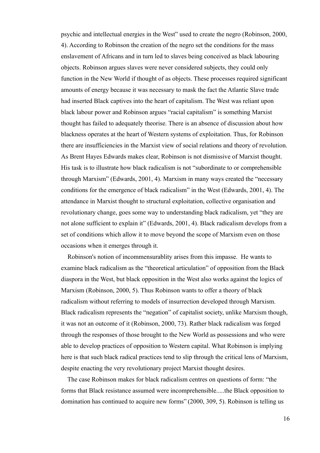psychic and intellectual energies in the West" used to create the negro (Robinson, 2000, 4). According to Robinson the creation of the negro set the conditions for the mass enslavement of Africans and in turn led to slaves being conceived as black labouring objects. Robinson argues slaves were never considered subjects, they could only function in the New World if thought of as objects. These processes required significant amounts of energy because it was necessary to mask the fact the Atlantic Slave trade had inserted Black captives into the heart of capitalism. The West was reliant upon black labour power and Robinson argues "racial capitalism" is something Marxist thought has failed to adequately theorise. There is an absence of discussion about how blackness operates at the heart of Western systems of exploitation. Thus, for Robinson there are insufficiencies in the Marxist view of social relations and theory of revolution. As Brent Hayes Edwards makes clear, Robinson is not dismissive of Marxist thought. His task is to illustrate how black radicalism is not "subordinate to or comprehensible through Marxism" (Edwards, 2001, 4). Marxism in many ways created the "necessary conditions for the emergence of black radicalism" in the West (Edwards, 2001, 4). The attendance in Marxist thought to structural exploitation, collective organisation and revolutionary change, goes some way to understanding black radicalism, yet "they are not alone sufficient to explain it" (Edwards, 2001, 4). Black radicalism develops from a set of conditions which allow it to move beyond the scope of Marxism even on those occasions when it emerges through it.

 Robinson's notion of incommensurablity arises from this impasse. He wants to examine black radicalism as the "theoretical articulation" of opposition from the Black diaspora in the West, but black opposition in the West also works against the logics of Marxism (Robinson, 2000, 5). Thus Robinson wants to offer a theory of black radicalism without referring to models of insurrection developed through Marxism. Black radicalism represents the "negation" of capitalist society, unlike Marxism though, it was not an outcome of it (Robinson, 2000, 73). Rather black radicalism was forged through the responses of those brought to the New World as possessions and who were able to develop practices of opposition to Western capital. What Robinson is implying here is that such black radical practices tend to slip through the critical lens of Marxism, despite enacting the very revolutionary project Marxist thought desires.

 The case Robinson makes for black radicalism centres on questions of form: "the forms that Black resistance assumed were incomprehensible.....the Black opposition to domination has continued to acquire new forms" (2000, 309, 5). Robinson is telling us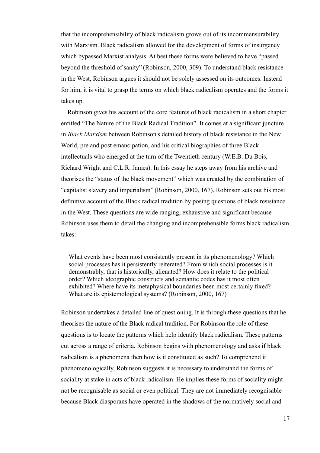that the incomprehensibility of black radicalism grows out of its incommensurability with Marxism. Black radicalism allowed for the development of forms of insurgency which bypassed Marxist analysis. At best these forms were believed to have "passed beyond the threshold of sanity" (Robinson, 2000, 309). To understand black resistance in the West, Robinson argues it should not be solely assessed on its outcomes. Instead for him, it is vital to grasp the terms on which black radicalism operates and the forms it takes up.

 Robinson gives his account of the core features of black radicalism in a short chapter entitled "The Nature of the Black Radical Tradition". It comes at a significant juncture in *Black Marxism* between Robinson's detailed history of black resistance in the New World, pre and post emancipation, and his critical biographies of three Black intellectuals who emerged at the turn of the Twentieth century (W.E.B. Du Bois, Richard Wright and C.L.R. James). In this essay he steps away from his archive and theorises the "status of the black movement" which was created by the combination of "capitalist slavery and imperialism" (Robinson, 2000, 167). Robinson sets out his most definitive account of the Black radical tradition by posing questions of black resistance in the West. These questions are wide ranging, exhaustive and significant because Robinson uses them to detail the changing and incomprehensible forms black radicalism takes:

What events have been most consistently present in its phenomenology? Which social processes has it persistently reiterated? From which social processes is it demonstrably, that is historically, alienated? How does it relate to the political order? Which ideographic constructs and semantic codes has it most often exhibited? Where have its metaphysical boundaries been most certainly fixed? What are its epistemological systems? (Robinson, 2000, 167)

Robinson undertakes a detailed line of questioning. It is through these questions that he theorises the nature of the Black radical tradition. For Robinson the role of these questions is to locate the patterns which help identify black radicalism. These patterns cut across a range of criteria. Robinson begins with phenomenology and asks if black radicalism is a phenomena then how is it constituted as such? To comprehend it phenomenologically, Robinson suggests it is necessary to understand the forms of sociality at stake in acts of black radicalism. He implies these forms of sociality might not be recognisable as social or even political. They are not immediately recognisable because Black diasporans have operated in the shadows of the normatively social and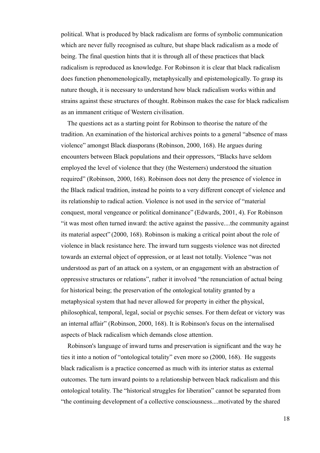political. What is produced by black radicalism are forms of symbolic communication which are never fully recognised as culture, but shape black radicalism as a mode of being. The final question hints that it is through all of these practices that black radicalism is reproduced as knowledge. For Robinson it is clear that black radicalism does function phenomenologically, metaphysically and epistemologically. To grasp its nature though, it is necessary to understand how black radicalism works within and strains against these structures of thought. Robinson makes the case for black radicalism as an immanent critique of Western civilisation.

 The questions act as a starting point for Robinson to theorise the nature of the tradition. An examination of the historical archives points to a general "absence of mass violence" amongst Black diasporans (Robinson, 2000, 168). He argues during encounters between Black populations and their oppressors, "Blacks have seldom employed the level of violence that they (the Westerners) understood the situation required" (Robinson, 2000, 168). Robinson does not deny the presence of violence in the Black radical tradition, instead he points to a very different concept of violence and its relationship to radical action. Violence is not used in the service of "material conquest, moral vengeance or political dominance" (Edwards, 2001, 4). For Robinson "it was most often turned inward: the active against the passive....the community against its material aspect" (2000, 168). Robinson is making a critical point about the role of violence in black resistance here. The inward turn suggests violence was not directed towards an external object of oppression, or at least not totally. Violence "was not understood as part of an attack on a system, or an engagement with an abstraction of oppressive structures or relations", rather it involved "the renunciation of actual being for historical being; the preservation of the ontological totality granted by a metaphysical system that had never allowed for property in either the physical, philosophical, temporal, legal, social or psychic senses. For them defeat or victory was an internal affair" (Robinson, 2000, 168). It is Robinson's focus on the internalised aspects of black radicalism which demands close attention.

 Robinson's language of inward turns and preservation is significant and the way he ties it into a notion of "ontological totality" even more so (2000, 168). He suggests black radicalism is a practice concerned as much with its interior status as external outcomes. The turn inward points to a relationship between black radicalism and this ontological totality. The "historical struggles for liberation" cannot be separated from "the continuing development of a collective consciousness....motivated by the shared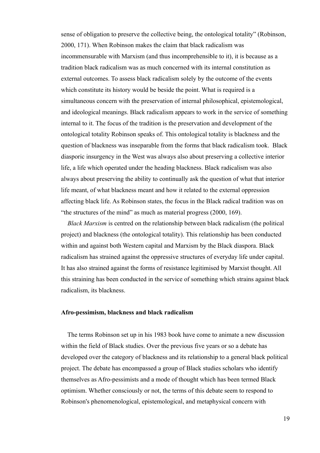sense of obligation to preserve the collective being, the ontological totality" (Robinson, 2000, 171). When Robinson makes the claim that black radicalism was incommensurable with Marxism (and thus incomprehensible to it), it is because as a tradition black radicalism was as much concerned with its internal constitution as external outcomes. To assess black radicalism solely by the outcome of the events which constitute its history would be beside the point. What is required is a simultaneous concern with the preservation of internal philosophical, epistemological, and ideological meanings. Black radicalism appears to work in the service of something internal to it. The focus of the tradition is the preservation and development of the ontological totality Robinson speaks of. This ontological totality is blackness and the question of blackness was inseparable from the forms that black radicalism took. Black diasporic insurgency in the West was always also about preserving a collective interior life, a life which operated under the heading blackness. Black radicalism was also always about preserving the ability to continually ask the question of what that interior life meant, of what blackness meant and how it related to the external oppression affecting black life. As Robinson states, the focus in the Black radical tradition was on "the structures of the mind" as much as material progress (2000, 169).

 *Black Marxism* is centred on the relationship between black radicalism (the political project) and blackness (the ontological totality). This relationship has been conducted within and against both Western capital and Marxism by the Black diaspora. Black radicalism has strained against the oppressive structures of everyday life under capital. It has also strained against the forms of resistance legitimised by Marxist thought. All this straining has been conducted in the service of something which strains against black radicalism, its blackness.

### **Afro-pessimism, blackness and black radicalism**

 The terms Robinson set up in his 1983 book have come to animate a new discussion within the field of Black studies. Over the previous five years or so a debate has developed over the category of blackness and its relationship to a general black political project. The debate has encompassed a group of Black studies scholars who identify themselves as Afro-pessimists and a mode of thought which has been termed Black optimism. Whether consciously or not, the terms of this debate seem to respond to Robinson's phenomenological, epistemological, and metaphysical concern with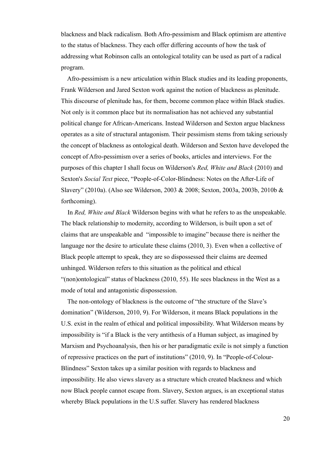blackness and black radicalism. Both Afro-pessimism and Black optimism are attentive to the status of blackness. They each offer differing accounts of how the task of addressing what Robinson calls an ontological totality can be used as part of a radical program.

 Afro-pessimism is a new articulation within Black studies and its leading proponents, Frank Wilderson and Jared Sexton work against the notion of blackness as plenitude. This discourse of plenitude has, for them, become common place within Black studies. Not only is it common place but its normalisation has not achieved any substantial political change for African-Americans. Instead Wilderson and Sexton argue blackness operates as a site of structural antagonism. Their pessimism stems from taking seriously the concept of blackness as ontological death. Wilderson and Sexton have developed the concept of Afro-pessimism over a series of books, articles and interviews. For the purposes of this chapter I shall focus on Wilderson's *Red, White and Black* (2010) and Sexton's *Social Text* piece, "People-of-Color-Blindness: Notes on the After-Life of Slavery" (2010a). (Also see Wilderson, 2003 & 2008; Sexton, 2003a, 2003b, 2010b & forthcoming).

 In *Red, White and Black* Wilderson begins with what he refers to as the unspeakable. The black relationship to modernity, according to Wilderson, is built upon a set of claims that are unspeakable and "impossible to imagine" because there is neither the language nor the desire to articulate these claims (2010, 3). Even when a collective of Black people attempt to speak, they are so dispossessed their claims are deemed unhinged. Wilderson refers to this situation as the political and ethical "(non)ontological" status of blackness (2010, 55). He sees blackness in the West as a mode of total and antagonistic dispossession.

 The non-ontology of blackness is the outcome of "the structure of the Slave's domination" (Wilderson, 2010, 9). For Wilderson, it means Black populations in the U.S. exist in the realm of ethical and political impossibility. What Wilderson means by impossibility is "if a Black is the very antithesis of a Human subject, as imagined by Marxism and Psychoanalysis, then his or her paradigmatic exile is not simply a function of repressive practices on the part of institutions" (2010, 9). In "People-of-Colour-Blindness" Sexton takes up a similar position with regards to blackness and impossibility. He also views slavery as a structure which created blackness and which now Black people cannot escape from. Slavery, Sexton argues, is an exceptional status whereby Black populations in the U.S suffer. Slavery has rendered blackness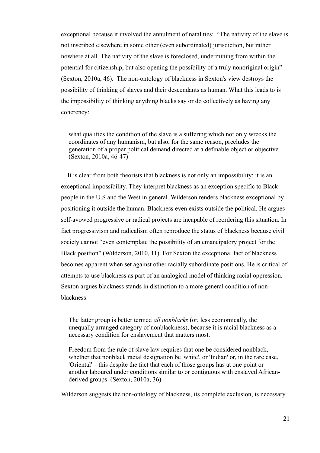exceptional because it involved the annulment of natal ties: "The nativity of the slave is not inscribed elsewhere in some other (even subordinated) jurisdiction, but rather nowhere at all. The nativity of the slave is foreclosed, undermining from within the potential for citizenship, but also opening the possibility of a truly nonoriginal origin" (Sexton, 2010a, 46). The non-ontology of blackness in Sexton's view destroys the possibility of thinking of slaves and their descendants as human. What this leads to is the impossibility of thinking anything blacks say or do collectively as having any coherency:

what qualifies the condition of the slave is a suffering which not only wrecks the coordinates of any humanism, but also, for the same reason, precludes the generation of a proper political demand directed at a definable object or objective. (Sexton, 2010a, 46-47)

 It is clear from both theorists that blackness is not only an impossibility; it is an exceptional impossibility. They interpret blackness as an exception specific to Black people in the U.S and the West in general. Wilderson renders blackness exceptional by positioning it outside the human. Blackness even exists outside the political. He argues self-avowed progressive or radical projects are incapable of reordering this situation. In fact progressivism and radicalism often reproduce the status of blackness because civil society cannot "even contemplate the possibility of an emancipatory project for the Black position" (Wilderson, 2010, 11). For Sexton the exceptional fact of blackness becomes apparent when set against other racially subordinate positions. He is critical of attempts to use blackness as part of an analogical model of thinking racial oppression. Sexton argues blackness stands in distinction to a more general condition of nonblackness:

The latter group is better termed *all nonblacks* (or, less economically, the unequally arranged category of nonblackness), because it is racial blackness as a necessary condition for enslavement that matters most.

Freedom from the rule of slave law requires that one be considered nonblack, whether that nonblack racial designation be 'white', or 'Indian' or, in the rare case, 'Oriental' – this despite the fact that each of those groups has at one point or another laboured under conditions similar to or contiguous with enslaved Africanderived groups. (Sexton, 2010a, 36)

Wilderson suggests the non-ontology of blackness, its complete exclusion, is necessary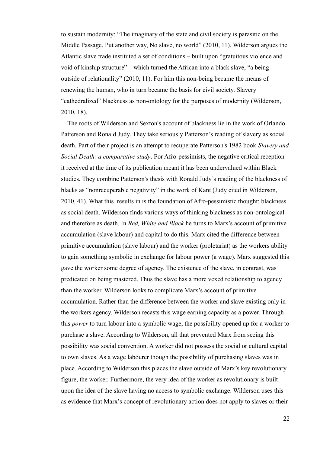to sustain modernity: "The imaginary of the state and civil society is parasitic on the Middle Passage. Put another way, No slave, no world" (2010, 11). Wilderson argues the Atlantic slave trade instituted a set of conditions – built upon "gratuitous violence and void of kinship structure" – which turned the African into a black slave, "a being outside of relationality" (2010, 11). For him this non-being became the means of renewing the human, who in turn became the basis for civil society. Slavery "cathedralized" blackness as non-ontology for the purposes of modernity (Wilderson, 2010, 18).

 The roots of Wilderson and Sexton's account of blackness lie in the work of Orlando Patterson and Ronald Judy. They take seriously Patterson's reading of slavery as social death. Part of their project is an attempt to recuperate Patterson's 1982 book *Slavery and Social Death: a comparative study*. For Afro-pessimists, the negative critical reception it received at the time of its publication meant it has been undervalued within Black studies. They combine Patterson's thesis with Ronald Judy's reading of the blackness of blacks as "nonrecuperable negativity" in the work of Kant (Judy cited in Wilderson, 2010, 41). What this results in is the foundation of Afro-pessimistic thought: blackness as social death. Wilderson finds various ways of thinking blackness as non-ontological and therefore as death. In *Red, White and Black* he turns to Marx's account of primitive accumulation (slave labour) and capital to do this. Marx cited the difference between primitive accumulation (slave labour) and the worker (proletariat) as the workers ability to gain something symbolic in exchange for labour power (a wage). Marx suggested this gave the worker some degree of agency. The existence of the slave, in contrast, was predicated on being mastered. Thus the slave has a more vexed relationship to agency than the worker. Wilderson looks to complicate Marx's account of primitive accumulation. Rather than the difference between the worker and slave existing only in the workers agency, Wilderson recasts this wage earning capacity as a power. Through this *power* to turn labour into a symbolic wage, the possibility opened up for a worker to purchase a slave. According to Wilderson, all that prevented Marx from seeing this possibility was social convention. A worker did not possess the social or cultural capital to own slaves. As a wage labourer though the possibility of purchasing slaves was in place. According to Wilderson this places the slave outside of Marx's key revolutionary figure, the worker. Furthermore, the very idea of the worker as revolutionary is built upon the idea of the slave having no access to symbolic exchange. Wilderson uses this as evidence that Marx's concept of revolutionary action does not apply to slaves or their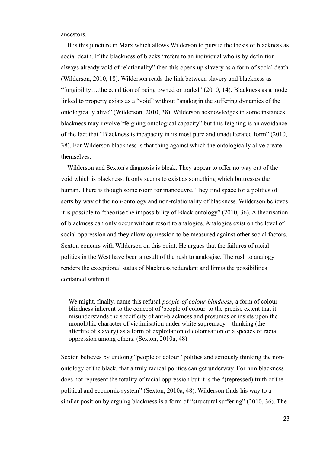ancestors.

 It is this juncture in Marx which allows Wilderson to pursue the thesis of blackness as social death. If the blackness of blacks "refers to an individual who is by definition always already void of relationality" then this opens up slavery as a form of social death (Wilderson, 2010, 18). Wilderson reads the link between slavery and blackness as "fungibility….the condition of being owned or traded" (2010, 14). Blackness as a mode linked to property exists as a "void" without "analog in the suffering dynamics of the ontologically alive" (Wilderson, 2010, 38). Wilderson acknowledges in some instances blackness may involve "feigning ontological capacity" but this feigning is an avoidance of the fact that "Blackness is incapacity in its most pure and unadulterated form" (2010, 38). For Wilderson blackness is that thing against which the ontologically alive create themselves.

 Wilderson and Sexton's diagnosis is bleak. They appear to offer no way out of the void which is blackness. It only seems to exist as something which buttresses the human. There is though some room for manoeuvre. They find space for a politics of sorts by way of the non-ontology and non-relationality of blackness. Wilderson believes it is possible to "theorise the impossibility of Black ontology" (2010, 36). A theorisation of blackness can only occur without resort to analogies. Analogies exist on the level of social oppression and they allow oppression to be measured against other social factors. Sexton concurs with Wilderson on this point. He argues that the failures of racial politics in the West have been a result of the rush to analogise. The rush to analogy renders the exceptional status of blackness redundant and limits the possibilities contained within it:

We might, finally, name this refusal *people-of-colour-blindness*, a form of colour blindness inherent to the concept of 'people of colour' to the precise extent that it misunderstands the specificity of anti-blackness and presumes or insists upon the monolithic character of victimisation under white supremacy – thinking (the afterlife of slavery) as a form of exploitation of colonisation or a species of racial oppression among others. (Sexton, 2010a, 48)

Sexton believes by undoing "people of colour" politics and seriously thinking the nonontology of the black, that a truly radical politics can get underway. For him blackness does not represent the totality of racial oppression but it is the "(repressed) truth of the political and economic system" (Sexton, 2010a, 48). Wilderson finds his way to a similar position by arguing blackness is a form of "structural suffering" (2010, 36). The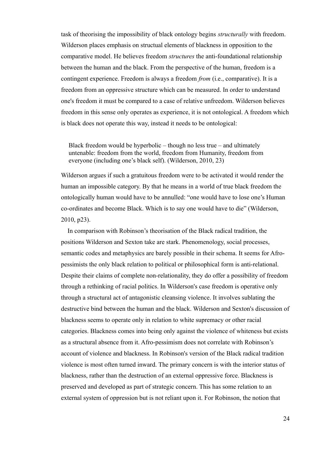task of theorising the impossibility of black ontology begins *structurally* with freedom. Wilderson places emphasis on structual elements of blackness in opposition to the comparative model. He believes freedom *structures* the anti-foundational relationship between the human and the black. From the perspective of the human, freedom is a contingent experience. Freedom is always a freedom *from* (i.e., comparative). It is a freedom from an oppressive structure which can be measured. In order to understand one's freedom it must be compared to a case of relative unfreedom. Wilderson believes freedom in this sense only operates as experience, it is not ontological. A freedom which is black does not operate this way, instead it needs to be ontological:

Black freedom would be hyperbolic – though no less true – and ultimately untenable: freedom from the world, freedom from Humanity, freedom from everyone (including one's black self). (Wilderson, 2010, 23)

Wilderson argues if such a gratuitous freedom were to be activated it would render the human an impossible category. By that he means in a world of true black freedom the ontologically human would have to be annulled: "one would have to lose one's Human co-ordinates and become Black. Which is to say one would have to die" (Wilderson, 2010, p23).

In comparison with Robinson's theorisation of the Black radical tradition, the positions Wilderson and Sexton take are stark. Phenomenology, social processes, semantic codes and metaphysics are barely possible in their schema. It seems for Afropessimists the only black relation to political or philosophical form is anti-relational. Despite their claims of complete non-relationality, they do offer a possibility of freedom through a rethinking of racial politics. In Wilderson's case freedom is operative only through a structural act of antagonistic cleansing violence. It involves sublating the destructive bind between the human and the black. Wilderson and Sexton's discussion of blackness seems to operate only in relation to white supremacy or other racial categories. Blackness comes into being only against the violence of whiteness but exists as a structural absence from it. Afro-pessimism does not correlate with Robinson's account of violence and blackness. In Robinson's version of the Black radical tradition violence is most often turned inward. The primary concern is with the interior status of blackness, rather than the destruction of an external oppressive force. Blackness is preserved and developed as part of strategic concern. This has some relation to an external system of oppression but is not reliant upon it. For Robinson, the notion that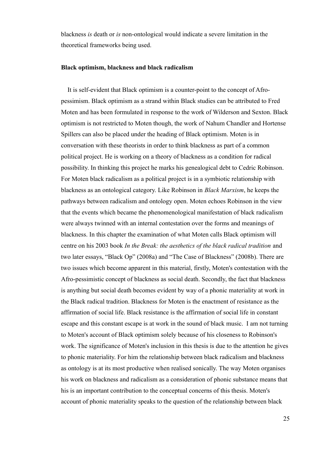blackness *is* death or *is* non-ontological would indicate a severe limitation in the theoretical frameworks being used.

## **Black optimism, blackness and black radicalism**

 It is self-evident that Black optimism is a counter-point to the concept of Afropessimism. Black optimism as a strand within Black studies can be attributed to Fred Moten and has been formulated in response to the work of Wilderson and Sexton. Black optimism is not restricted to Moten though, the work of Nahum Chandler and Hortense Spillers can also be placed under the heading of Black optimism. Moten is in conversation with these theorists in order to think blackness as part of a common political project. He is working on a theory of blackness as a condition for radical possibility. In thinking this project he marks his genealogical debt to Cedric Robinson. For Moten black radicalism as a political project is in a symbiotic relationship with blackness as an ontological category. Like Robinson in *Black Marxism*, he keeps the pathways between radicalism and ontology open. Moten echoes Robinson in the view that the events which became the phenomenological manifestation of black radicalism were always twinned with an internal contestation over the forms and meanings of blackness. In this chapter the examination of what Moten calls Black optimism will centre on his 2003 book *In the Break: the aesthetics of the black radical tradition* and two later essays, "Black Op" (2008a) and "The Case of Blackness" (2008b). There are two issues which become apparent in this material, firstly, Moten's contestation with the Afro-pessimistic concept of blackness as social death. Secondly, the fact that blackness is anything but social death becomes evident by way of a phonic materiality at work in the Black radical tradition. Blackness for Moten is the enactment of resistance as the affirmation of social life. Black resistance is the affirmation of social life in constant escape and this constant escape is at work in the sound of black music. I am not turning to Moten's account of Black optimism solely because of his closeness to Robinson's work. The significance of Moten's inclusion in this thesis is due to the attention he gives to phonic materiality. For him the relationship between black radicalism and blackness as ontology is at its most productive when realised sonically. The way Moten organises his work on blackness and radicalism as a consideration of phonic substance means that his is an important contribution to the conceptual concerns of this thesis. Moten's account of phonic materiality speaks to the question of the relationship between black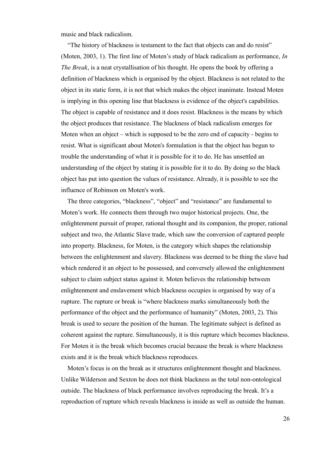music and black radicalism.

 "The history of blackness is testament to the fact that objects can and do resist" (Moten, 2003, 1). The first line of Moten's study of black radicalism as performance, *In The Break*, is a neat crystallisation of his thought. He opens the book by offering a definition of blackness which is organised by the object. Blackness is not related to the object in its static form, it is not that which makes the object inanimate. Instead Moten is implying in this opening line that blackness is evidence of the object's capabilities. The object is capable of resistance and it does resist. Blackness is the means by which the object produces that resistance. The blackness of black radicalism emerges for Moten when an object – which is supposed to be the zero end of capacity - begins to resist. What is significant about Moten's formulation is that the object has begun to trouble the understanding of what it is possible for it to do. He has unsettled an understanding of the object by stating it is possible for it to do. By doing so the black object has put into question the values of resistance. Already, it is possible to see the influence of Robinson on Moten's work.

 The three categories, "blackness", "object" and "resistance" are fundamental to Moten's work. He connects them through two major historical projects. One, the enlightenment pursuit of proper, rational thought and its companion, the proper, rational subject and two, the Atlantic Slave trade, which saw the conversion of captured people into property. Blackness, for Moten, is the category which shapes the relationship between the enlightenment and slavery. Blackness was deemed to be thing the slave had which rendered it an object to be possessed, and conversely allowed the enlightenment subject to claim subject status against it. Moten believes the relationship between enlightenment and enslavement which blackness occupies is organised by way of a rupture. The rupture or break is "where blackness marks simultaneously both the performance of the object and the performance of humanity" (Moten, 2003, 2). This break is used to secure the position of the human. The legitimate subject is defined as coherent against the rupture. Simultaneously, it is this rupture which becomes blackness. For Moten it is the break which becomes crucial because the break is where blackness exists and it is the break which blackness reproduces.

 Moten's focus is on the break as it structures enlightenment thought and blackness. Unlike Wilderson and Sexton he does not think blackness as the total non-ontological outside. The blackness of black performance involves reproducing the break. It's a reproduction of rupture which reveals blackness is inside as well as outside the human.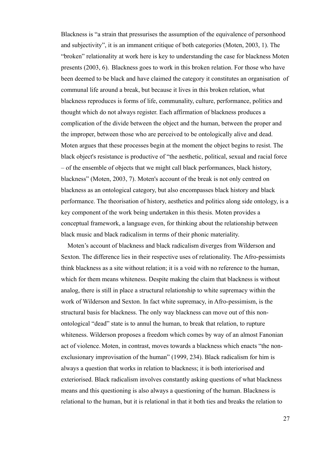Blackness is "a strain that pressurises the assumption of the equivalence of personhood and subjectivity", it is an immanent critique of both categories (Moten, 2003, 1). The "broken" relationality at work here is key to understanding the case for blackness Moten presents (2003, 6). Blackness goes to work in this broken relation. For those who have been deemed to be black and have claimed the category it constitutes an organisation of communal life around a break, but because it lives in this broken relation, what blackness reproduces is forms of life, communality, culture, performance, politics and thought which do not always register. Each affirmation of blackness produces a complication of the divide between the object and the human, between the proper and the improper, between those who are perceived to be ontologically alive and dead. Moten argues that these processes begin at the moment the object begins to resist. The black object's resistance is productive of "the aesthetic, political, sexual and racial force – of the ensemble of objects that we might call black performances, black history, blackness" (Moten, 2003, 7). Moten's account of the break is not only centred on blackness as an ontological category, but also encompasses black history and black performance. The theorisation of history, aesthetics and politics along side ontology, is a key component of the work being undertaken in this thesis. Moten provides a conceptual framework, a language even, for thinking about the relationship between black music and black radicalism in terms of their phonic materiality.

 Moten's account of blackness and black radicalism diverges from Wilderson and Sexton. The difference lies in their respective uses of relationality. The Afro-pessimists think blackness as a site without relation; it is a void with no reference to the human, which for them means whiteness. Despite making the claim that blackness is without analog, there is still in place a structural relationship to white supremacy within the work of Wilderson and Sexton. In fact white supremacy, in Afro-pessimism, is the structural basis for blackness. The only way blackness can move out of this nonontological "dead" state is to annul the human, to break that relation, to rupture whiteness. Wilderson proposes a freedom which comes by way of an almost Fanonian act of violence. Moten, in contrast, moves towards a blackness which enacts "the nonexclusionary improvisation of the human" (1999, 234). Black radicalism for him is always a question that works in relation to blackness; it is both interiorised and exteriorised. Black radicalism involves constantly asking questions of what blackness means and this questioning is also always a questioning of the human. Blackness is relational to the human, but it is relational in that it both ties and breaks the relation to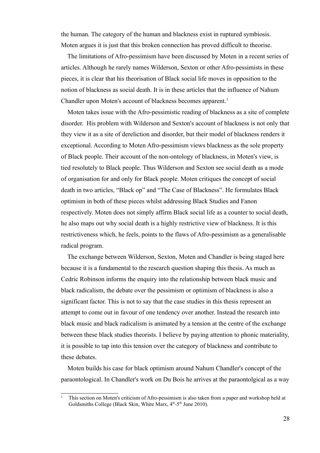the human. The category of the human and blackness exist in ruptured symbiosis. Moten argues it is just that this broken connection has proved difficult to theorise.

 The limitations of Afro-pessimism have been discussed by Moten in a recent series of articles. Although he rarely names Wilderson, Sexton or other Afro-pessimists in these pieces, it is clear that his theorisation of Black social life moves in opposition to the notion of blackness as social death. It is in these articles that the influence of Nahum Chandler upon Moten's account of blackness becomes apparent.<sup>[1](#page-27-0)</sup>

 Moten takes issue with the Afro-pessimistic reading of blackness as a site of complete disorder. His problem with Wilderson and Sexton's account of blackness is not only that they view it as a site of dereliction and disorder, but their model of blackness renders it exceptional. According to Moten Afro-pessimism views blackness as the sole property of Black people. Their account of the non-ontology of blackness, in Moten's view, is tied resolutely to Black people. Thus Wilderson and Sexton see social death as a mode of organisation for and only for Black people. Moten critiques the concept of social death in two articles, "Black op" and "The Case of Blackness". He formulates Black optimism in both of these pieces whilst addressing Black Studies and Fanon respectively. Moten does not simply affirm Black social life as a counter to social death, he also maps out why social death is a highly restrictive view of blackness. It is this restrictiveness which, he feels, points to the flaws of Afro-pessimism as a generalisable radical program.

 The exchange between Wilderson, Sexton, Moten and Chandler is being staged here because it is a fundamental to the research question shaping this thesis. As much as Cedric Robinson informs the enquiry into the relationship between black music and black radicalism, the debate over the pessimism or optimism of blackness is also a significant factor. This is not to say that the case studies in this thesis represent an attempt to come out in favour of one tendency over another. Instead the research into black music and black radicalism is animated by a tension at the centre of the exchange between these black studies theorists. I believe by paying attention to phonic materiality, it is possible to tap into this tension over the category of blackness and contribute to these debates.

 Moten builds his case for black optimism around Nahum Chandler's concept of the paraontological. In Chandler's work on Du Bois he arrives at the paraontolgical as a way

<span id="page-27-0"></span><sup>1</sup> This section on Moten's criticism of Afro-pessimism is also taken from a paper and workshop held at Goldsmiths College (Black Skin, White Marx,  $4<sup>th</sup> - 5<sup>th</sup>$  June 2010).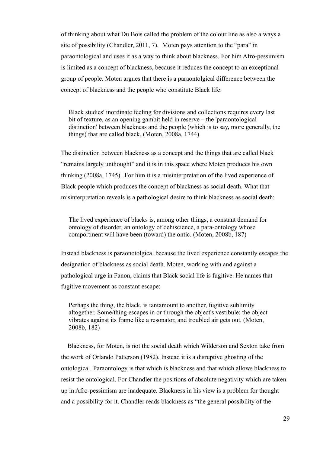of thinking about what Du Bois called the problem of the colour line as also always a site of possibility (Chandler, 2011, 7). Moten pays attention to the "para" in paraontological and uses it as a way to think about blackness. For him Afro-pessimism is limited as a concept of blackness, because it reduces the concept to an exceptional group of people. Moten argues that there is a paraontolgical difference between the concept of blackness and the people who constitute Black life:

Black studies' inordinate feeling for divisions and collections requires every last bit of texture, as an opening gambit held in reserve – the 'paraontological distinction' between blackness and the people (which is to say, more generally, the things) that are called black. (Moten, 2008a, 1744)

The distinction between blackness as a concept and the things that are called black "remains largely unthought" and it is in this space where Moten produces his own thinking (2008a, 1745). For him it is a misinterpretation of the lived experience of Black people which produces the concept of blackness as social death. What that misinterpretation reveals is a pathological desire to think blackness as social death:

The lived experience of blacks is, among other things, a constant demand for ontology of disorder, an ontology of dehiscience, a para-ontology whose comportment will have been (toward) the ontic. (Moten, 2008b, 187)

Instead blackness is paraonotolgical because the lived experience constantly escapes the designation of blackness as social death. Moten, working with and against a pathological urge in Fanon, claims that Black social life is fugitive. He names that fugitive movement as constant escape:

Perhaps the thing, the black, is tantamount to another, fugitive sublimity altogether. Some/thing escapes in or through the object's vestibule: the object vibrates against its frame like a resonator, and troubled air gets out. (Moten, 2008b, 182)

 Blackness, for Moten, is not the social death which Wilderson and Sexton take from the work of Orlando Patterson (1982). Instead it is a disruptive ghosting of the ontological. Paraontology is that which is blackness and that which allows blackness to resist the ontological. For Chandler the positions of absolute negativity which are taken up in Afro-pessimism are inadequate. Blackness in his view is a problem for thought and a possibility for it. Chandler reads blackness as "the general possibility of the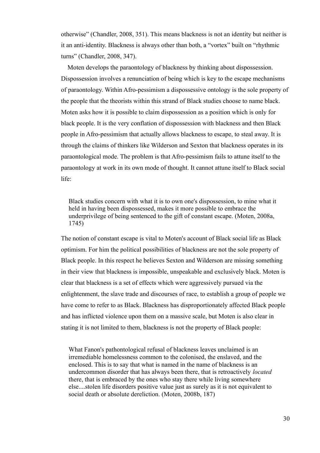otherwise" (Chandler, 2008, 351). This means blackness is not an identity but neither is it an anti-identity. Blackness is always other than both, a "vortex" built on "rhythmic turns" (Chandler, 2008, 347).

 Moten develops the paraontology of blackness by thinking about dispossession. Dispossession involves a renunciation of being which is key to the escape mechanisms of paraontology. Within Afro-pessimism a dispossessive ontology is the sole property of the people that the theorists within this strand of Black studies choose to name black. Moten asks how it is possible to claim dispossession as a position which is only for black people. It is the very conflation of dispossession with blackness and then Black people in Afro-pessimism that actually allows blackness to escape, to steal away. It is through the claims of thinkers like Wilderson and Sexton that blackness operates in its paraontological mode. The problem is that Afro-pessimism fails to attune itself to the paraontology at work in its own mode of thought. It cannot attune itself to Black social life:

Black studies concern with what it is to own one's dispossession, to mine what it held in having been dispossessed, makes it more possible to embrace the underprivilege of being sentenced to the gift of constant escape. (Moten, 2008a, 1745)

The notion of constant escape is vital to Moten's account of Black social life as Black optimism. For him the political possibilities of blackness are not the sole property of Black people. In this respect he believes Sexton and Wilderson are missing something in their view that blackness is impossible, unspeakable and exclusively black. Moten is clear that blackness is a set of effects which were aggressively pursued via the enlightenment, the slave trade and discourses of race, to establish a group of people we have come to refer to as Black. Blackness has disproportionately affected Black people and has inflicted violence upon them on a massive scale, but Moten is also clear in stating it is not limited to them, blackness is not the property of Black people:

What Fanon's pathontological refusal of blackness leaves unclaimed is an irremediable homelessness common to the colonised, the enslaved, and the enclosed. This is to say that what is named in the name of blackness is an undercommon disorder that has always been there, that is retroactively *located* there, that is embraced by the ones who stay there while living somewhere else....stolen life disorders positive value just as surely as it is not equivalent to social death or absolute dereliction. (Moten, 2008b, 187)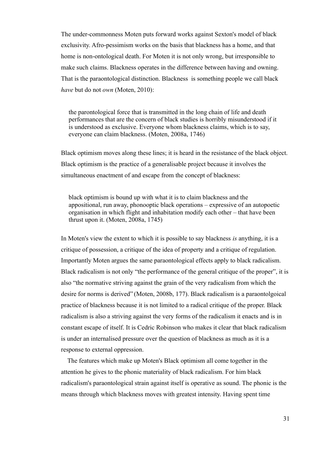The under-commonness Moten puts forward works against Sexton's model of black exclusivity. Afro-pessimism works on the basis that blackness has a home, and that home is non-ontological death. For Moten it is not only wrong, but irresponsible to make such claims. Blackness operates in the difference between having and owning. That is the paraontological distinction. Blackness is something people we call black *have* but do not *own* (Moten, 2010):

the parontological force that is transmitted in the long chain of life and death performances that are the concern of black studies is horribly misunderstood if it is understood as exclusive. Everyone whom blackness claims, which is to say, everyone can claim blackness. (Moten, 2008a, 1746)

Black optimism moves along these lines; it is heard in the resistance of the black object. Black optimism is the practice of a generalisable project because it involves the simultaneous enactment of and escape from the concept of blackness:

black optimism is bound up with what it is to claim blackness and the appositional, run away, phonooptic black operations – expressive of an autopoetic organisation in which flight and inhabitation modify each other – that have been thrust upon it. (Moten, 2008a, 1745)

In Moten's view the extent to which it is possible to say blackness *is* anything, it is a critique of possession, a critique of the idea of property and a critique of regulation. Importantly Moten argues the same paraontological effects apply to black radicalism. Black radicalism is not only "the performance of the general critique of the proper", it is also "the normative striving against the grain of the very radicalism from which the desire for norms is derived" (Moten, 2008b, 177). Black radicalism is a paraontolgoical practice of blackness because it is not limited to a radical critique of the proper. Black radicalism is also a striving against the very forms of the radicalism it enacts and is in constant escape of itself. It is Cedric Robinson who makes it clear that black radicalism is under an internalised pressure over the question of blackness as much as it is a response to external oppression.

 The features which make up Moten's Black optimism all come together in the attention he gives to the phonic materiality of black radicalism. For him black radicalism's paraontological strain against itself is operative as sound. The phonic is the means through which blackness moves with greatest intensity. Having spent time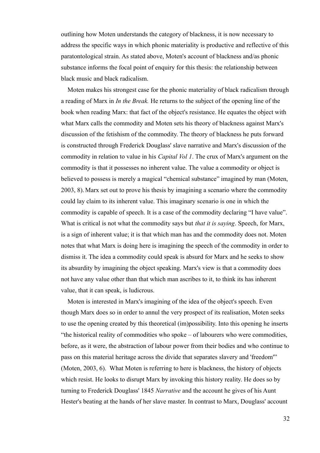outlining how Moten understands the category of blackness, it is now necessary to address the specific ways in which phonic materiality is productive and reflective of this paratontological strain. As stated above, Moten's account of blackness and/as phonic substance informs the focal point of enquiry for this thesis: the relationship between black music and black radicalism.

 Moten makes his strongest case for the phonic materiality of black radicalism through a reading of Marx in *In the Break.* He returns to the subject of the opening line of the book when reading Marx: that fact of the object's resistance. He equates the object with what Marx calls the commodity and Moten sets his theory of blackness against Marx's discussion of the fetishism of the commodity. The theory of blackness he puts forward is constructed through Frederick Douglass' slave narrative and Marx's discussion of the commodity in relation to value in his *Capital Vol 1*. The crux of Marx's argument on the commodity is that it possesses no inherent value. The value a commodity or object is believed to possess is merely a magical "chemical substance" imagined by man (Moten, 2003, 8). Marx set out to prove his thesis by imagining a scenario where the commodity could lay claim to its inherent value. This imaginary scenario is one in which the commodity is capable of speech. It is a case of the commodity declaring "I have value". What is critical is not what the commodity says but *that it is saying*. Speech, for Marx, is a sign of inherent value; it is that which man has and the commodity does not. Moten notes that what Marx is doing here is imagining the speech of the commodity in order to dismiss it. The idea a commodity could speak is absurd for Marx and he seeks to show its absurdity by imagining the object speaking. Marx's view is that a commodity does not have any value other than that which man ascribes to it, to think its has inherent value, that it can speak, is ludicrous.

 Moten is interested in Marx's imagining of the idea of the object's speech. Even though Marx does so in order to annul the very prospect of its realisation, Moten seeks to use the opening created by this theoretical (im)possibility. Into this opening he inserts "the historical reality of commodities who spoke – of labourers who were commodities, before, as it were, the abstraction of labour power from their bodies and who continue to pass on this material heritage across the divide that separates slavery and 'freedom'" (Moten, 2003, 6). What Moten is referring to here is blackness, the history of objects which resist. He looks to disrupt Marx by invoking this history reality. He does so by turning to Frederick Douglass' 1845 *Narrative* and the account he gives of his Aunt Hester's beating at the hands of her slave master. In contrast to Marx, Douglass' account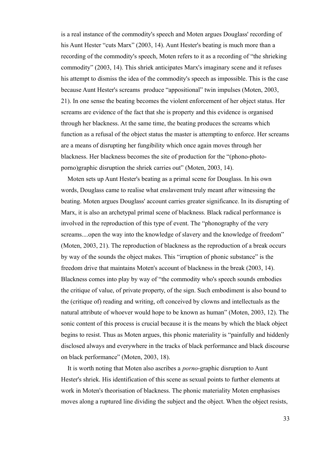is a real instance of the commodity's speech and Moten argues Douglass' recording of his Aunt Hester "cuts Marx" (2003, 14). Aunt Hester's beating is much more than a recording of the commodity's speech, Moten refers to it as a recording of "the shrieking commodity" (2003, 14). This shriek anticipates Marx's imaginary scene and it refuses his attempt to dismiss the idea of the commodity's speech as impossible. This is the case because Aunt Hester's screams produce "appositional" twin impulses (Moten, 2003, 21). In one sense the beating becomes the violent enforcement of her object status. Her screams are evidence of the fact that she is property and this evidence is organised through her blackness. At the same time, the beating produces the screams which function as a refusal of the object status the master is attempting to enforce. Her screams are a means of disrupting her fungibility which once again moves through her blackness. Her blackness becomes the site of production for the "(phono-photoporno)graphic disruption the shriek carries out" (Moten, 2003, 14).

 Moten sets up Aunt Hester's beating as a primal scene for Douglass. In his own words, Douglass came to realise what enslavement truly meant after witnessing the beating. Moten argues Douglass' account carries greater significance. In its disrupting of Marx, it is also an archetypal primal scene of blackness. Black radical performance is involved in the reproduction of this type of event. The "phonography of the very screams....open the way into the knowledge of slavery and the knowledge of freedom" (Moten, 2003, 21). The reproduction of blackness as the reproduction of a break occurs by way of the sounds the object makes. This "irruption of phonic substance" is the freedom drive that maintains Moten's account of blackness in the break (2003, 14). Blackness comes into play by way of "the commodity who's speech sounds embodies the critique of value, of private property, of the sign. Such embodiment is also bound to the (critique of) reading and writing, oft conceived by clowns and intellectuals as the natural attribute of whoever would hope to be known as human" (Moten, 2003, 12). The sonic content of this process is crucial because it is the means by which the black object begins to resist. Thus as Moten argues, this phonic materiality is "painfully and hiddenly disclosed always and everywhere in the tracks of black performance and black discourse on black performance" (Moten, 2003, 18).

 It is worth noting that Moten also ascribes a *porno*-graphic disruption to Aunt Hester's shriek. His identification of this scene as sexual points to further elements at work in Moten's theorisation of blackness. The phonic materiality Moten emphasises moves along a ruptured line dividing the subject and the object. When the object resists,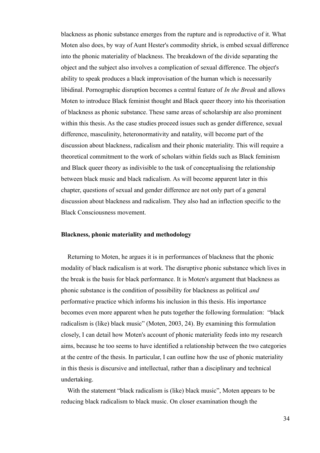blackness as phonic substance emerges from the rupture and is reproductive of it. What Moten also does, by way of Aunt Hester's commodity shriek, is embed sexual difference into the phonic materiality of blackness. The breakdown of the divide separating the object and the subject also involves a complication of sexual difference. The object's ability to speak produces a black improvisation of the human which is necessarily libidinal. Pornographic disruption becomes a central feature of *In the Break* and allows Moten to introduce Black feminist thought and Black queer theory into his theorisation of blackness as phonic substance. These same areas of scholarship are also prominent within this thesis. As the case studies proceed issues such as gender difference, sexual difference, masculinity, heteronormativity and natality, will become part of the discussion about blackness, radicalism and their phonic materiality. This will require a theoretical commitment to the work of scholars within fields such as Black feminism and Black queer theory as indivisible to the task of conceptualising the relationship between black music and black radicalism. As will become apparent later in this chapter, questions of sexual and gender difference are not only part of a general discussion about blackness and radicalism. They also had an inflection specific to the Black Consciousness movement.

### **Blackness, phonic materiality and methodology**

 Returning to Moten, he argues it is in performances of blackness that the phonic modality of black radicalism is at work. The disruptive phonic substance which lives in the break is the basis for black performance. It is Moten's argument that blackness as phonic substance is the condition of possibility for blackness as political *and* performative practice which informs his inclusion in this thesis. His importance becomes even more apparent when he puts together the following formulation: "black radicalism is (like) black music" (Moten, 2003, 24). By examining this formulation closely, I can detail how Moten's account of phonic materiality feeds into my research aims, because he too seems to have identified a relationship between the two categories at the centre of the thesis. In particular, I can outline how the use of phonic materiality in this thesis is discursive and intellectual, rather than a disciplinary and technical undertaking.

 With the statement "black radicalism is (like) black music", Moten appears to be reducing black radicalism to black music. On closer examination though the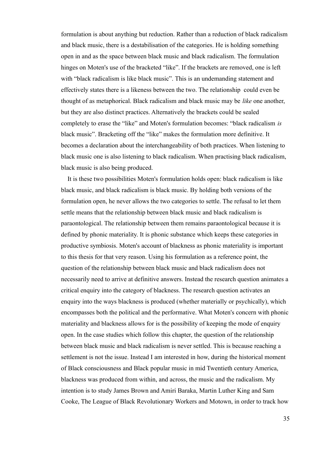formulation is about anything but reduction. Rather than a reduction of black radicalism and black music, there is a destabilisation of the categories. He is holding something open in and as the space between black music and black radicalism. The formulation hinges on Moten's use of the bracketed "like". If the brackets are removed, one is left with "black radicalism is like black music". This is an undemanding statement and effectively states there is a likeness between the two. The relationship could even be thought of as metaphorical. Black radicalism and black music may be *like* one another, but they are also distinct practices. Alternatively the brackets could be sealed completely to erase the "like" and Moten's formulation becomes: "black radicalism *is* black music". Bracketing off the "like" makes the formulation more definitive. It becomes a declaration about the interchangeability of both practices. When listening to black music one is also listening to black radicalism. When practising black radicalism, black music is also being produced.

 It is these two possibilities Moten's formulation holds open: black radicalism is like black music, and black radicalism is black music. By holding both versions of the formulation open, he never allows the two categories to settle. The refusal to let them settle means that the relationship between black music and black radicalism is paraontological. The relationship between them remains paraontological because it is defined by phonic materiality. It is phonic substance which keeps these categories in productive symbiosis. Moten's account of blackness as phonic materiality is important to this thesis for that very reason. Using his formulation as a reference point, the question of the relationship between black music and black radicalism does not necessarily need to arrive at definitive answers. Instead the research question animates a critical enquiry into the category of blackness. The research question activates an enquiry into the ways blackness is produced (whether materially or psychically), which encompasses both the political and the performative. What Moten's concern with phonic materiality and blackness allows for is the possibility of keeping the mode of enquiry open. In the case studies which follow this chapter, the question of the relationship between black music and black radicalism is never settled. This is because reaching a settlement is not the issue. Instead I am interested in how, during the historical moment of Black consciousness and Black popular music in mid Twentieth century America, blackness was produced from within, and across, the music and the radicalism. My intention is to study James Brown and Amiri Baraka, Martin Luther King and Sam Cooke, The League of Black Revolutionary Workers and Motown, in order to track how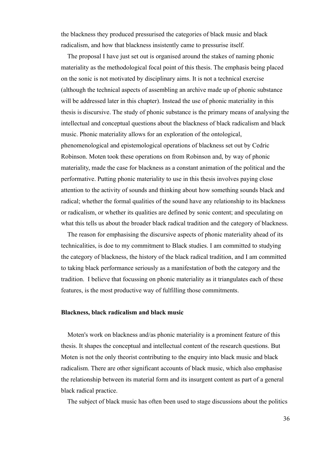the blackness they produced pressurised the categories of black music and black radicalism, and how that blackness insistently came to pressurise itself.

 The proposal I have just set out is organised around the stakes of naming phonic materiality as the methodological focal point of this thesis. The emphasis being placed on the sonic is not motivated by disciplinary aims. It is not a technical exercise (although the technical aspects of assembling an archive made up of phonic substance will be addressed later in this chapter). Instead the use of phonic materiality in this thesis is discursive. The study of phonic substance is the primary means of analysing the intellectual and conceptual questions about the blackness of black radicalism and black music. Phonic materiality allows for an exploration of the ontological, phenomenological and epistemological operations of blackness set out by Cedric Robinson. Moten took these operations on from Robinson and, by way of phonic materiality, made the case for blackness as a constant animation of the political and the performative. Putting phonic materiality to use in this thesis involves paying close attention to the activity of sounds and thinking about how something sounds black and radical; whether the formal qualities of the sound have any relationship to its blackness or radicalism, or whether its qualities are defined by sonic content; and speculating on what this tells us about the broader black radical tradition and the category of blackness.

 The reason for emphasising the discursive aspects of phonic materiality ahead of its technicalities, is doe to my commitment to Black studies. I am committed to studying the category of blackness, the history of the black radical tradition, and I am committed to taking black performance seriously as a manifestation of both the category and the tradition. I believe that focussing on phonic materiality as it triangulates each of these features, is the most productive way of fulfilling those commitments.

### **Blackness, black radicalism and black music**

 Moten's work on blackness and/as phonic materiality is a prominent feature of this thesis. It shapes the conceptual and intellectual content of the research questions. But Moten is not the only theorist contributing to the enquiry into black music and black radicalism. There are other significant accounts of black music, which also emphasise the relationship between its material form and its insurgent content as part of a general black radical practice.

The subject of black music has often been used to stage discussions about the politics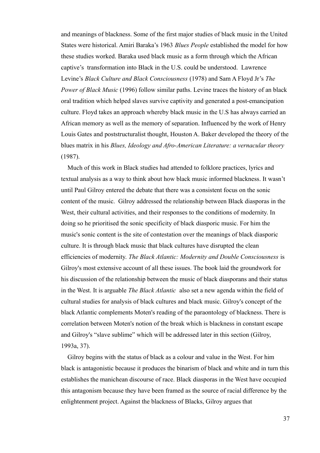and meanings of blackness. Some of the first major studies of black music in the United States were historical. Amiri Baraka's 1963 *Blues People* established the model for how these studies worked. Baraka used black music as a form through which the African captive's transformation into Black in the U.S. could be understood. Lawrence Levine's *Black Culture and Black Consciousness* (1978) and Sam A Floyd Jr's *The Power of Black Music* (1996) follow similar paths. Levine traces the history of an black oral tradition which helped slaves survive captivity and generated a post-emancipation culture. Floyd takes an approach whereby black music in the U.S has always carried an African memory as well as the memory of separation. Influenced by the work of Henry Louis Gates and poststructuralist thought, Houston A. Baker developed the theory of the blues matrix in his *Blues, Ideology and Afro-American Literature: a vernacular theory* (1987).

 Much of this work in Black studies had attended to folklore practices, lyrics and textual analysis as a way to think about how black music informed blackness. It wasn't until Paul Gilroy entered the debate that there was a consistent focus on the sonic content of the music. Gilroy addressed the relationship between Black diasporas in the West, their cultural activities, and their responses to the conditions of modernity. In doing so he prioritised the sonic specificity of black diasporic music. For him the music's sonic content is the site of contestation over the meanings of black diasporic culture. It is through black music that black cultures have disrupted the clean efficiencies of modernity. *The Black Atlantic: Modernity and Double Consciousness* is Gilroy's most extensive account of all these issues. The book laid the groundwork for his discussion of the relationship between the music of black diasporans and their status in the West. It is arguable *The Black Atlantic* also set a new agenda within the field of cultural studies for analysis of black cultures and black music. Gilroy's concept of the black Atlantic complements Moten's reading of the paraontology of blackness. There is correlation between Moten's notion of the break which is blackness in constant escape and Gilroy's "slave sublime" which will be addressed later in this section (Gilroy, 1993a, 37).

 Gilroy begins with the status of black as a colour and value in the West. For him black is antagonistic because it produces the binarism of black and white and in turn this establishes the manichean discourse of race. Black diasporas in the West have occupied this antagonism because they have been framed as the source of racial difference by the enlightenment project. Against the blackness of Blacks, Gilroy argues that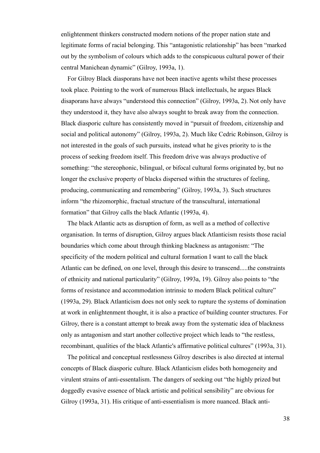enlightenment thinkers constructed modern notions of the proper nation state and legitimate forms of racial belonging. This "antagonistic relationship" has been "marked out by the symbolism of colours which adds to the conspicuous cultural power of their central Manichean dynamic" (Gilroy, 1993a, 1).

 For Gilroy Black diasporans have not been inactive agents whilst these processes took place. Pointing to the work of numerous Black intellectuals, he argues Black disaporans have always "understood this connection" (Gilroy, 1993a, 2). Not only have they understood it, they have also always sought to break away from the connection. Black diasporic culture has consistently moved in "pursuit of freedom, citizenship and social and political autonomy" (Gilroy, 1993a, 2). Much like Cedric Robinson, Gilroy is not interested in the goals of such pursuits, instead what he gives priority to is the process of seeking freedom itself. This freedom drive was always productive of something: "the stereophonic, bilingual, or bifocal cultural forms originated by, but no longer the exclusive property of blacks dispersed within the structures of feeling, producing, communicating and remembering" (Gilroy, 1993a, 3). Such structures inform "the rhizomorphic, fractual structure of the transcultural, international formation" that Gilroy calls the black Atlantic (1993a, 4).

 The black Atlantic acts as disruption of form, as well as a method of collective organisation. In terms of disruption, Gilroy argues black Atlanticism resists those racial boundaries which come about through thinking blackness as antagonism: "The specificity of the modern political and cultural formation I want to call the black Atlantic can be defined, on one level, through this desire to transcend.....the constraints of ethnicity and national particularity" (Gilroy, 1993a, 19). Gilroy also points to "the forms of resistance and accommodation intrinsic to modern Black political culture" (1993a, 29). Black Atlanticism does not only seek to rupture the systems of domination at work in enlightenment thought, it is also a practice of building counter structures. For Gilroy, there is a constant attempt to break away from the systematic idea of blackness only as antagonism and start another collective project which leads to "the restless, recombinant, qualities of the black Atlantic's affirmative political cultures" (1993a, 31).

 The political and conceptual restlessness Gilroy describes is also directed at internal concepts of Black diasporic culture. Black Atlanticism elides both homogeneity and virulent strains of anti-essentalism. The dangers of seeking out "the highly prized but doggedly evasive essence of black artistic and political sensibility" are obvious for Gilroy (1993a, 31). His critique of anti-essentialism is more nuanced. Black anti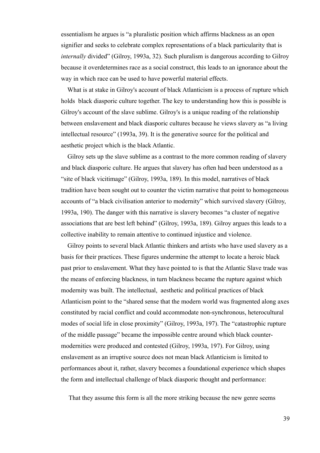essentialism he argues is "a pluralistic position which affirms blackness as an open signifier and seeks to celebrate complex representations of a black particularity that is *internally* divided" (Gilroy, 1993a, 32). Such pluralism is dangerous according to Gilroy because it overdetermines race as a social construct, this leads to an ignorance about the way in which race can be used to have powerful material effects.

 What is at stake in Gilroy's account of black Atlanticism is a process of rupture which holds black diasporic culture together. The key to understanding how this is possible is Gilroy's account of the slave sublime. Gilroy's is a unique reading of the relationship between enslavement and black diasporic cultures because he views slavery as "a living intellectual resource" (1993a, 39). It is the generative source for the political and aesthetic project which is the black Atlantic.

 Gilroy sets up the slave sublime as a contrast to the more common reading of slavery and black diasporic culture. He argues that slavery has often had been understood as a "site of black vicitimage" (Gilroy, 1993a, 189). In this model, narratives of black tradition have been sought out to counter the victim narrative that point to homogeneous accounts of "a black civilisation anterior to modernity" which survived slavery (Gilroy, 1993a, 190). The danger with this narrative is slavery becomes "a cluster of negative associations that are best left behind" (Gilroy, 1993a, 189). Gilroy argues this leads to a collective inability to remain attentive to continued injustice and violence.

 Gilroy points to several black Atlantic thinkers and artists who have used slavery as a basis for their practices. These figures undermine the attempt to locate a heroic black past prior to enslavement. What they have pointed to is that the Atlantic Slave trade was the means of enforcing blackness, in turn blackness became the rupture against which modernity was built. The intellectual, aesthetic and political practices of black Atlanticism point to the "shared sense that the modern world was fragmented along axes constituted by racial conflict and could accommodate non-synchronous, heterocultural modes of social life in close proximity" (Gilroy, 1993a, 197). The "catastrophic rupture of the middle passage" became the impossible centre around which black countermodernities were produced and contested (Gilroy, 1993a, 197). For Gilroy, using enslavement as an irruptive source does not mean black Atlanticism is limited to performances about it, rather, slavery becomes a foundational experience which shapes the form and intellectual challenge of black diasporic thought and performance:

That they assume this form is all the more striking because the new genre seems

39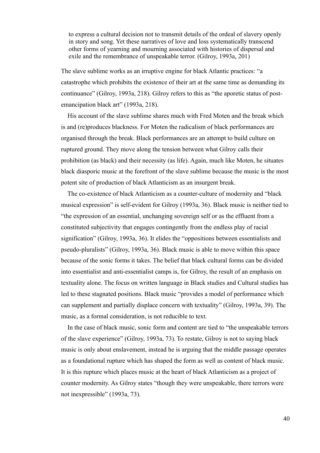to express a cultural decision not to transmit details of the ordeal of slavery openly in story and song. Yet these narratives of love and loss systematically transcend other forms of yearning and mourning associated with histories of dispersal and exile and the remembrance of unspeakable terror. (Gilroy, 1993a, 201)

The slave sublime works as an irruptive engine for black Atlantic practices: "a catastrophe which prohibits the existence of their art at the same time as demanding its continuance" (Gilroy, 1993a, 218). Gilroy refers to this as "the aporetic status of postemancipation black art" (1993a, 218).

 His account of the slave sublime shares much with Fred Moten and the break which is and (re)produces blackness. For Moten the radicalism of black performances are organised through the break. Black performances are an attempt to build culture on ruptured ground. They move along the tension between what Gilroy calls their prohibition (as black) and their necessity (as life). Again, much like Moten, he situates black diasporic music at the forefront of the slave sublime because the music is the most potent site of production of black Atlanticism as an insurgent break.

 The co-existence of black Atlanticism as a counter-culture of modernity and "black musical expression" is self-evident for Gilroy (1993a, 36). Black music is neither tied to "the expression of an essential, unchanging sovereign self or as the effluent from a constituted subjectivity that engages contingently from the endless play of racial signification" (Gilroy, 1993a, 36). It elides the "oppositions between essentialists and pseudo-pluralists" (Gilroy, 1993a, 36). Black music is able to move within this space because of the sonic forms it takes. The belief that black cultural forms can be divided into essentialist and anti-essentialist camps is, for Gilroy, the result of an emphasis on textuality alone. The focus on written language in Black studies and Cultural studies has led to these stagnated positions. Black music "provides a model of performance which can supplement and partially displace concern with textuality" (Gilroy, 1993a, 39). The music, as a formal consideration, is not reducible to text.

 In the case of black music, sonic form and content are tied to "the unspeakable terrors of the slave experience" (Gilroy, 1993a, 73). To restate, Gilroy is not to saying black music is only about enslavement, instead he is arguing that the middle passage operates as a foundational rupture which has shaped the form as well as content of black music. It is this rupture which places music at the heart of black Atlanticism as a project of counter modernity. As Gilroy states "though they were unspeakable, there terrors were not inexpressible" (1993a, 73).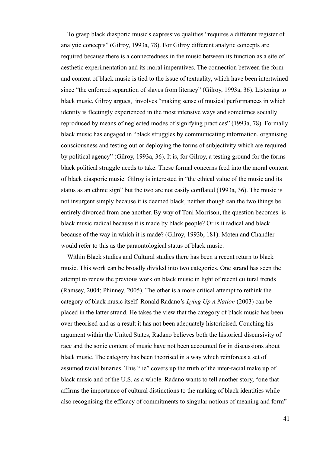To grasp black diasporic music's expressive qualities "requires a different register of analytic concepts" (Gilroy, 1993a, 78). For Gilroy different analytic concepts are required because there is a connectedness in the music between its function as a site of aesthetic experimentation and its moral imperatives. The connection between the form and content of black music is tied to the issue of textuality, which have been intertwined since "the enforced separation of slaves from literacy" (Gilroy, 1993a, 36). Listening to black music, Gilroy argues, involves "making sense of musical performances in which identity is fleetingly experienced in the most intensive ways and sometimes socially reproduced by means of neglected modes of signifying practices" (1993a, 78). Formally black music has engaged in "black struggles by communicating information, organising consciousness and testing out or deploying the forms of subjectivity which are required by political agency" (Gilroy, 1993a, 36). It is, for Gilroy, a testing ground for the forms black political struggle needs to take. These formal concerns feed into the moral content of black diasporic music. Gilroy is interested in "the ethical value of the music and its status as an ethnic sign" but the two are not easily conflated (1993a, 36). The music is not insurgent simply because it is deemed black, neither though can the two things be entirely divorced from one another. By way of Toni Morrison, the question becomes: is black music radical because it is made by black people? Or is it radical and black because of the way in which it is made? (Gilroy, 1993b, 181). Moten and Chandler would refer to this as the paraontological status of black music.

 Within Black studies and Cultural studies there has been a recent return to black music. This work can be broadly divided into two categories. One strand has seen the attempt to renew the previous work on black music in light of recent cultural trends (Ramsey, 2004; Phinney, 2005). The other is a more critical attempt to rethink the category of black music itself. Ronald Radano's *Lying Up A Nation* (2003) can be placed in the latter strand. He takes the view that the category of black music has been over theorised and as a result it has not been adequately historicised. Couching his argument within the United States, Radano believes both the historical discursivity of race and the sonic content of music have not been accounted for in discussions about black music. The category has been theorised in a way which reinforces a set of assumed racial binaries. This "lie" covers up the truth of the inter-racial make up of black music and of the U.S. as a whole. Radano wants to tell another story, "one that affirms the importance of cultural distinctions to the making of black identities while also recognising the efficacy of commitments to singular notions of meaning and form"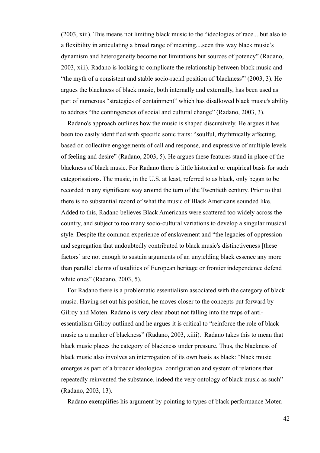(2003, xiii). This means not limiting black music to the "ideologies of race....but also to a flexibility in articulating a broad range of meaning....seen this way black music's dynamism and heterogeneity become not limitations but sources of potency" (Radano, 2003, xiii). Radano is looking to complicate the relationship between black music and "the myth of a consistent and stable socio-racial position of 'blackness'" (2003, 3). He argues the blackness of black music, both internally and externally, has been used as part of numerous "strategies of containment" which has disallowed black music's ability to address "the contingencies of social and cultural change" (Radano, 2003, 3).

 Radano's approach outlines how the music is shaped discursively. He argues it has been too easily identified with specific sonic traits: "soulful, rhythmically affecting, based on collective engagements of call and response, and expressive of multiple levels of feeling and desire" (Radano, 2003, 5). He argues these features stand in place of the blackness of black music. For Radano there is little historical or empirical basis for such categorisations. The music, in the U.S. at least, referred to as black, only began to be recorded in any significant way around the turn of the Twentieth century. Prior to that there is no substantial record of what the music of Black Americans sounded like. Added to this, Radano believes Black Americans were scattered too widely across the country, and subject to too many socio-cultural variations to develop a singular musical style. Despite the common experience of enslavement and "the legacies of oppression and segregation that undoubtedly contributed to black music's distinctiveness [these factors] are not enough to sustain arguments of an unyielding black essence any more than parallel claims of totalities of European heritage or frontier independence defend white ones" (Radano, 2003, 5).

 For Radano there is a problematic essentialism associated with the category of black music. Having set out his position, he moves closer to the concepts put forward by Gilroy and Moten. Radano is very clear about not falling into the traps of antiessentialism Gilroy outlined and he argues it is critical to "reinforce the role of black music as a marker of blackness" (Radano, 2003, xiiii). Radano takes this to mean that black music places the category of blackness under pressure. Thus, the blackness of black music also involves an interrogation of its own basis as black: "black music emerges as part of a broader ideological configuration and system of relations that repeatedly reinvented the substance, indeed the very ontology of black music as such" (Radano, 2003, 13).

Radano exemplifies his argument by pointing to types of black performance Moten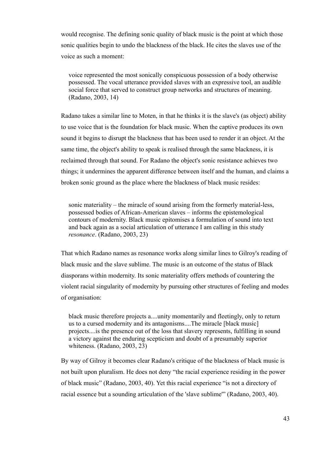would recognise. The defining sonic quality of black music is the point at which those sonic qualities begin to undo the blackness of the black. He cites the slaves use of the voice as such a moment:

voice represented the most sonically conspicuous possession of a body otherwise possessed. The vocal utterance provided slaves with an expressive tool, an audible social force that served to construct group networks and structures of meaning. (Radano, 2003, 14)

Radano takes a similar line to Moten, in that he thinks it is the slave's (as object) ability to use voice that is the foundation for black music. When the captive produces its own sound it begins to disrupt the blackness that has been used to render it an object. At the same time, the object's ability to speak is realised through the same blackness, it is reclaimed through that sound. For Radano the object's sonic resistance achieves two things; it undermines the apparent difference between itself and the human, and claims a broken sonic ground as the place where the blackness of black music resides:

sonic materiality – the miracle of sound arising from the formerly material-less, possessed bodies of African-American slaves – informs the epistemological contours of modernity. Black music epitomises a formulation of sound into text and back again as a social articulation of utterance I am calling in this study *resonance*. (Radano, 2003, 23)

That which Radano names as resonance works along similar lines to Gilroy's reading of black music and the slave sublime. The music is an outcome of the status of Black diasporans within modernity. Its sonic materiality offers methods of countering the violent racial singularity of modernity by pursuing other structures of feeling and modes of organisation:

black music therefore projects a....unity momentarily and fleetingly, only to return us to a cursed modernity and its antagonisms....The miracle [black music] projects....is the presence out of the loss that slavery represents, fulfilling in sound a victory against the enduring scepticism and doubt of a presumably superior whiteness. (Radano, 2003, 23)

By way of Gilroy it becomes clear Radano's critique of the blackness of black music is not built upon pluralism. He does not deny "the racial experience residing in the power of black music" (Radano, 2003, 40). Yet this racial experience "is not a directory of racial essence but a sounding articulation of the 'slave sublime'" (Radano, 2003, 40).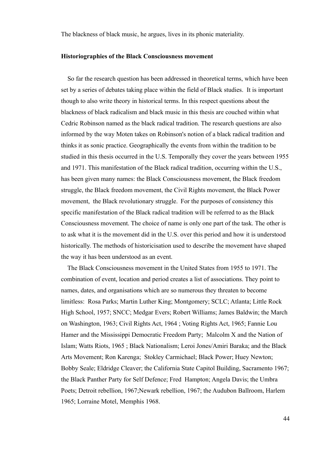The blackness of black music, he argues, lives in its phonic materiality.

## **Historiographies of the Black Consciousness movement**

 So far the research question has been addressed in theoretical terms, which have been set by a series of debates taking place within the field of Black studies. It is important though to also write theory in historical terms. In this respect questions about the blackness of black radicalism and black music in this thesis are couched within what Cedric Robinson named as the black radical tradition. The research questions are also informed by the way Moten takes on Robinson's notion of a black radical tradition and thinks it as sonic practice. Geographically the events from within the tradition to be studied in this thesis occurred in the U.S. Temporally they cover the years between 1955 and 1971. This manifestation of the Black radical tradition, occurring within the U.S., has been given many names: the Black Consciousness movement, the Black freedom struggle, the Black freedom movement, the Civil Rights movement, the Black Power movement, the Black revolutionary struggle. For the purposes of consistency this specific manifestation of the Black radical tradition will be referred to as the Black Consciousness movement. The choice of name is only one part of the task. The other is to ask what it is the movement did in the U.S. over this period and how it is understood historically. The methods of historicisation used to describe the movement have shaped the way it has been understood as an event.

 The Black Consciousness movement in the United States from 1955 to 1971. The combination of event, location and period creates a list of associations. They point to names, dates, and organisations which are so numerous they threaten to become limitless: Rosa Parks; Martin Luther King; Montgomery; SCLC; Atlanta; Little Rock High School, 1957; SNCC; Medgar Evers; Robert Williams; James Baldwin; the March on Washington, 1963; Civil Rights Act, 1964 ; Voting Rights Act, 1965; Fannie Lou Hamer and the Mississippi Democratic Freedom Party; Malcolm X and the Nation of Islam; Watts Riots, 1965 ; Black Nationalism; Leroi Jones/Amiri Baraka; and the Black Arts Movement; Ron Karenga; Stokley Carmichael; Black Power; Huey Newton; Bobby Seale; Eldridge Cleaver; the California State Capitol Building, Sacramento 1967; the Black Panther Party for Self Defence; Fred Hampton; Angela Davis; the Umbra Poets; Detroit rebellion, 1967;Newark rebellion, 1967; the Audubon Ballroom, Harlem 1965; Lorraine Motel, Memphis 1968.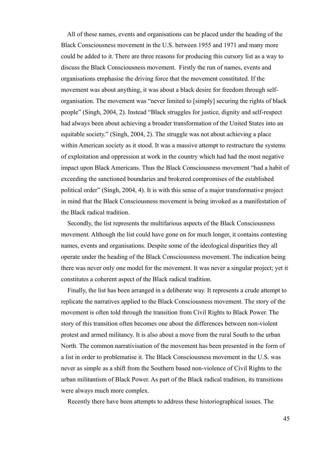All of these names, events and organisations can be placed under the heading of the Black Consciousness movement in the U.S. between 1955 and 1971 and many more could be added to it. There are three reasons for producing this cursory list as a way to discuss the Black Consciousness movement. Firstly the run of names, events and organisations emphasise the driving force that the movement constituted. If the movement was about anything, it was about a black desire for freedom through selforganisation. The movement was "never limited to [simply] securing the rights of black people" (Singh, 2004, 2). Instead "Black struggles for justice, dignity and self-respect had always been about achieving a broader transformation of the United States into an equitable society." (Singh, 2004, 2). The struggle was not about achieving a place within American society as it stood. It was a massive attempt to restructure the systems of exploitation and oppression at work in the country which had had the most negative impact upon Black Americans. Thus the Black Consciousness movement "had a habit of exceeding the sanctioned boundaries and brokered compromises of the established political order" (Singh, 2004, 4). It is with this sense of a major transformative project in mind that the Black Consciousness movement is being invoked as a manifestation of the Black radical tradition.

 Secondly, the list represents the multifarious aspects of the Black Consciousness movement. Although the list could have gone on for much longer, it contains contesting names, events and organisations. Despite some of the ideological disparities they all operate under the heading of the Black Consciousness movement. The indication being there was never only one model for the movement. It was never a singular project; yet it constitutes a coherent aspect of the Black radical tradition.

 Finally, the list has been arranged in a deliberate way. It represents a crude attempt to replicate the narratives applied to the Black Consciousness movement. The story of the movement is often told through the transition from Civil Rights to Black Power. The story of this transition often becomes one about the differences between non-violent protest and armed militancy. It is also about a move from the rural South to the urban North. The common narrativisation of the movement has been presented in the form of a list in order to problematise it. The Black Consciousness movement in the U.S. was never as simple as a shift from the Southern based non-violence of Civil Rights to the urban militantism of Black Power. As part of the Black radical tradition, its transitions were always much more complex.

Recently there have been attempts to address these historiographical issues. The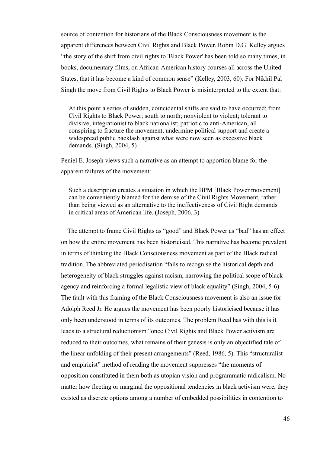source of contention for historians of the Black Consciousness movement is the apparent differences between Civil Rights and Black Power. Robin D.G. Kelley argues "the story of the shift from civil rights to 'Black Power' has been told so many times, in books, documentary films, on African-American history courses all across the United States, that it has become a kind of common sense" (Kelley, 2003, 60). For Nikhil Pal Singh the move from Civil Rights to Black Power is misinterpreted to the extent that:

At this point a series of sudden, coincidental shifts are said to have occurred: from Civil Rights to Black Power; south to north; nonviolent to violent; tolerant to divisive; integrationist to black nationalist; patriotic to anti-American, all conspiring to fracture the movement, undermine political support and create a widespread public backlash against what were now seen as excessive black demands. (Singh, 2004, 5)

Peniel E. Joseph views such a narrative as an attempt to apportion blame for the apparent failures of the movement:

Such a description creates a situation in which the BPM [Black Power movement] can be conveniently blamed for the demise of the Civil Rights Movement, rather than being viewed as an alternative to the ineffectiveness of Civil Right demands in critical areas of American life. (Joseph, 2006, 3)

 The attempt to frame Civil Rights as "good" and Black Power as "bad" has an effect on how the entire movement has been historicised. This narrative has become prevalent in terms of thinking the Black Consciousness movement as part of the Black radical tradition. The abbreviated periodisation "fails to recognise the historical depth and heterogeneity of black struggles against racism, narrowing the political scope of black agency and reinforcing a formal legalistic view of black equality" (Singh, 2004, 5-6). The fault with this framing of the Black Consciousness movement is also an issue for Adolph Reed Jr. He argues the movement has been poorly historicised because it has only been understood in terms of its outcomes. The problem Reed has with this is it leads to a structural reductionism "once Civil Rights and Black Power activism are reduced to their outcomes, what remains of their genesis is only an objectified tale of the linear unfolding of their present arrangements" (Reed, 1986, 5). This "structuralist and empiricist" method of reading the movement suppresses "the moments of opposition constituted in them both as utopian vision and programmatic radicalism. No matter how fleeting or marginal the oppositional tendencies in black activism were, they existed as discrete options among a number of embedded possibilities in contention to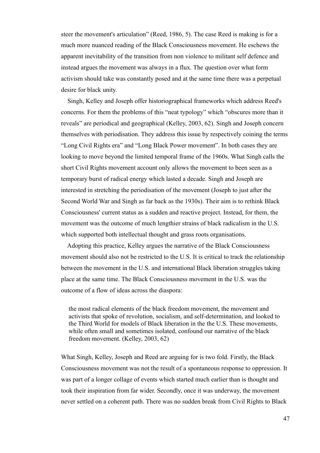steer the movement's articulation" (Reed, 1986, 5). The case Reed is making is for a much more nuanced reading of the Black Consciousness movement. He eschews the apparent inevitability of the transition from non violence to militant self defence and instead argues the movement was always in a flux. The question over what form activism should take was constantly posed and at the same time there was a perpetual desire for black unity.

 Singh, Kelley and Joseph offer historiographical frameworks which address Reed's concerns. For them the problems of this "neat typology" which "obscures more than it reveals" are periodical and geographical (Kelley, 2003, 62). Singh and Joseph concern themselves with periodisation. They address this issue by respectively coining the terms "Long Civil Rights era" and "Long Black Power movement". In both cases they are looking to move beyond the limited temporal frame of the 1960s. What Singh calls the short Civil Rights movement account only allows the movement to been seen as a temporary burst of radical energy which lasted a decade. Singh and Joseph are interested in stretching the periodisation of the movement (Joseph to just after the Second World War and Singh as far back as the 1930s). Their aim is to rethink Black Consciousness' current status as a sudden and reactive project. Instead, for them, the movement was the outcome of much lengthier strains of black radicalism in the U.S. which supported both intellectual thought and grass roots organisations.

 Adopting this practice, Kelley argues the narrative of the Black Consciousness movement should also not be restricted to the U.S. It is critical to track the relationship between the movement in the U.S. and international Black liberation struggles taking place at the same time. The Black Consciousness movement in the U.S. was the outcome of a flow of ideas across the diaspora:

the most radical elements of the black freedom movement, the movement and activists that spoke of revolution, socialism, and self-determination, and looked to the Third World for models of Black liberation in the the U.S. These movements, while often small and sometimes isolated, confound our narrative of the black freedom movement. (Kelley, 2003, 62)

What Singh, Kelley, Joseph and Reed are arguing for is two fold. Firstly, the Black Consciousness movement was not the result of a spontaneous response to oppression. It was part of a longer collage of events which started much earlier than is thought and took their inspiration from far wider. Secondly, once it was underway, the movement never settled on a coherent path. There was no sudden break from Civil Rights to Black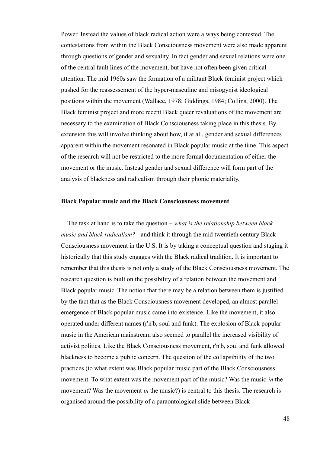Power. Instead the values of black radical action were always being contested. The contestations from within the Black Consciousness movement were also made apparent through questions of gender and sexuality. In fact gender and sexual relations were one of the central fault lines of the movement, but have not often been given critical attention. The mid 1960s saw the formation of a militant Black feminist project which pushed for the reassessement of the hyper-masculine and misogynist ideological positions within the movement (Wallace, 1978; Giddings, 1984; Collins, 2000). The Black feminist project and more recent Black queer revaluations of the movement are necessary to the examination of Black Consciousness taking place in this thesis. By extension this will involve thinking about how, if at all, gender and sexual differences apparent within the movement resonated in Black popular music at the time. This aspect of the research will not be restricted to the more formal documentation of either the movement or the music. Instead gender and sexual difference will form part of the analysis of blackness and radicalism through their phonic materiality.

#### **Black Popular music and the Black Consciousness movement**

 The task at hand is to take the question – *what is the relationship between black music and black radicalism?* - and think it through the mid twentieth century Black Consciousness movement in the U.S. It is by taking a conceptual question and staging it historically that this study engages with the Black radical tradition. It is important to remember that this thesis is not only a study of the Black Consciousness movement. The research question is built on the possibility of a relation between the movement and Black popular music. The notion that there may be a relation between them is justified by the fact that as the Black Consciousness movement developed, an almost parallel emergence of Black popular music came into existence. Like the movement, it also operated under different names (r'n'b, soul and funk). The explosion of Black popular music in the American mainstream also seemed to parallel the increased visibility of activist politics. Like the Black Consciousness movement, r'n'b, soul and funk allowed blackness to become a public concern. The question of the collapsibility of the two practices (to what extent was Black popular music part of the Black Consciousness movement. To what extent was the movement part of the music? Was the music *in* the movement? Was the movement *in* the music?) is central to this thesis. The research is organised around the possibility of a paraontological slide between Black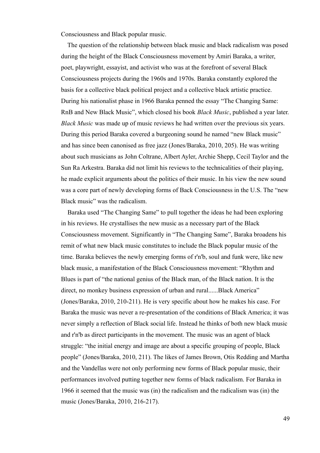Consciousness and Black popular music.

 The question of the relationship between black music and black radicalism was posed during the height of the Black Consciousness movement by Amiri Baraka, a writer, poet, playwright, essayist, and activist who was at the forefront of several Black Consciousness projects during the 1960s and 1970s. Baraka constantly explored the basis for a collective black political project and a collective black artistic practice. During his nationalist phase in 1966 Baraka penned the essay "The Changing Same: RnB and New Black Music", which closed his book *Black Music*, published a year later. *Black Music* was made up of music reviews he had written over the previous six years. During this period Baraka covered a burgeoning sound he named "new Black music" and has since been canonised as free jazz (Jones/Baraka, 2010, 205). He was writing about such musicians as John Coltrane, Albert Ayler, Archie Shepp, Cecil Taylor and the Sun Ra Arkestra. Baraka did not limit his reviews to the technicalities of their playing, he made explicit arguments about the politics of their music. In his view the new sound was a core part of newly developing forms of Back Consciousness in the U.S. The "new Black music" was the radicalism.

 Baraka used "The Changing Same" to pull together the ideas he had been exploring in his reviews. He crystallises the new music as a necessary part of the Black Consciousness movement. Significantly in "The Changing Same", Baraka broadens his remit of what new black music constitutes to include the Black popular music of the time. Baraka believes the newly emerging forms of r'n'b, soul and funk were, like new black music, a manifestation of the Black Consciousness movement: "Rhythm and Blues is part of "the national genius of the Black man, of the Black nation. It is the direct, no monkey business expression of urban and rural......Black America" (Jones/Baraka, 2010, 210-211). He is very specific about how he makes his case. For Baraka the music was never a re-presentation of the conditions of Black America; it was never simply a reflection of Black social life. Instead he thinks of both new black music and r'n'b as direct participants in the movement. The music was an agent of black struggle: "the initial energy and image are about a specific grouping of people, Black people" (Jones/Baraka, 2010, 211). The likes of James Brown, Otis Redding and Martha and the Vandellas were not only performing new forms of Black popular music, their performances involved putting together new forms of black radicalism. For Baraka in 1966 it seemed that the music was (in) the radicalism and the radicalism was (in) the music (Jones/Baraka, 2010, 216-217).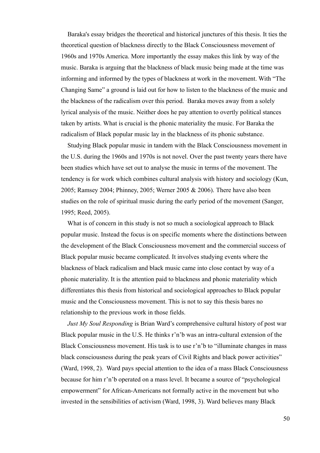Baraka's essay bridges the theoretical and historical junctures of this thesis. It ties the theoretical question of blackness directly to the Black Consciousness movement of 1960s and 1970s America. More importantly the essay makes this link by way of the music. Baraka is arguing that the blackness of black music being made at the time was informing and informed by the types of blackness at work in the movement. With "The Changing Same" a ground is laid out for how to listen to the blackness of the music and the blackness of the radicalism over this period. Baraka moves away from a solely lyrical analysis of the music. Neither does he pay attention to overtly political stances taken by artists. What is crucial is the phonic materiality the music. For Baraka the radicalism of Black popular music lay in the blackness of its phonic substance.

 Studying Black popular music in tandem with the Black Consciousness movement in the U.S. during the 1960s and 1970s is not novel. Over the past twenty years there have been studies which have set out to analyse the music in terms of the movement. The tendency is for work which combines cultural analysis with history and sociology (Kun, 2005; Ramsey 2004; Phinney, 2005; Werner 2005 & 2006). There have also been studies on the role of spiritual music during the early period of the movement (Sanger, 1995; Reed, 2005).

What is of concern in this study is not so much a sociological approach to Black popular music. Instead the focus is on specific moments where the distinctions between the development of the Black Consciousness movement and the commercial success of Black popular music became complicated. It involves studying events where the blackness of black radicalism and black music came into close contact by way of a phonic materiality. It is the attention paid to blackness and phonic materiality which differentiates this thesis from historical and sociological approaches to Black popular music and the Consciousness movement. This is not to say this thesis bares no relationship to the previous work in those fields.

 *Just My Soul Responding* is Brian Ward's comprehensive cultural history of post war Black popular music in the U.S. He thinks r'n'b was an intra-cultural extension of the Black Consciousness movement. His task is to use r'n'b to "illuminate changes in mass black consciousness during the peak years of Civil Rights and black power activities" (Ward, 1998, 2). Ward pays special attention to the idea of a mass Black Consciousness because for him r'n'b operated on a mass level. It became a source of "psychological empowerment" for African-Americans not formally active in the movement but who invested in the sensibilities of activism (Ward, 1998, 3). Ward believes many Black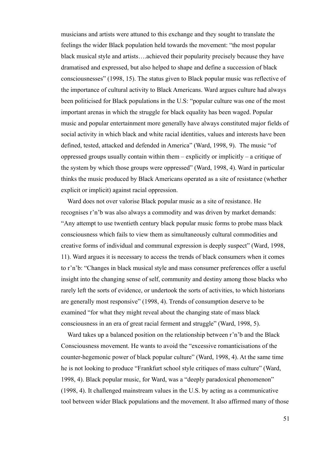musicians and artists were attuned to this exchange and they sought to translate the feelings the wider Black population held towards the movement: "the most popular black musical style and artists….achieved their popularity precisely because they have dramatised and expressed, but also helped to shape and define a succession of black consciousnesses" (1998, 15). The status given to Black popular music was reflective of the importance of cultural activity to Black Americans. Ward argues culture had always been politicised for Black populations in the U.S: "popular culture was one of the most important arenas in which the struggle for black equality has been waged. Popular music and popular entertainment more generally have always constituted major fields of social activity in which black and white racial identities, values and interests have been defined, tested, attacked and defended in America" (Ward, 1998, 9). The music "of oppressed groups usually contain within them – explicitly or implicitly – a critique of the system by which those groups were oppressed" (Ward, 1998, 4). Ward in particular thinks the music produced by Black Americans operated as a site of resistance (whether explicit or implicit) against racial oppression.

 Ward does not over valorise Black popular music as a site of resistance. He recognises r'n'b was also always a commodity and was driven by market demands: "Any attempt to use twentieth century black popular music forms to probe mass black consciousness which fails to view them as simultaneously cultural commodities and creative forms of individual and communal expression is deeply suspect" (Ward, 1998, 11). Ward argues it is necessary to access the trends of black consumers when it comes to r'n'b: "Changes in black musical style and mass consumer preferences offer a useful insight into the changing sense of self, community and destiny among those blacks who rarely left the sorts of evidence, or undertook the sorts of activities, to which historians are generally most responsive" (1998, 4). Trends of consumption deserve to be examined "for what they might reveal about the changing state of mass black consciousness in an era of great racial ferment and struggle" (Ward, 1998, 5).

 Ward takes up a balanced position on the relationship between r'n'b and the Black Consciousness movement. He wants to avoid the "excessive romanticisations of the counter-hegemonic power of black popular culture" (Ward, 1998, 4). At the same time he is not looking to produce "Frankfurt school style critiques of mass culture" (Ward, 1998, 4). Black popular music, for Ward, was a "deeply paradoxical phenomenon" (1998, 4). It challenged mainstream values in the U.S. by acting as a communicative tool between wider Black populations and the movement. It also affirmed many of those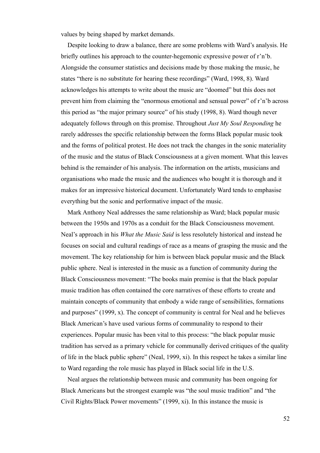values by being shaped by market demands.

 Despite looking to draw a balance, there are some problems with Ward's analysis. He briefly outlines his approach to the counter-hegemonic expressive power of r'n'b. Alongside the consumer statistics and decisions made by those making the music, he states "there is no substitute for hearing these recordings" (Ward, 1998, 8). Ward acknowledges his attempts to write about the music are "doomed" but this does not prevent him from claiming the "enormous emotional and sensual power" of r'n'b across this period as "the major primary source" of his study (1998, 8). Ward though never adequately follows through on this promise. Throughout *Just My Soul Responding* he rarely addresses the specific relationship between the forms Black popular music took and the forms of political protest. He does not track the changes in the sonic materiality of the music and the status of Black Consciousness at a given moment. What this leaves behind is the remainder of his analysis. The information on the artists, musicians and organisations who made the music and the audiences who bought it is thorough and it makes for an impressive historical document. Unfortunately Ward tends to emphasise everything but the sonic and performative impact of the music.

 Mark Anthony Neal addresses the same relationship as Ward; black popular music between the 1950s and 1970s as a conduit for the Black Consciousness movement. Neal's approach in his *What the Music Said* is less resolutely historical and instead he focuses on social and cultural readings of race as a means of grasping the music and the movement. The key relationship for him is between black popular music and the Black public sphere. Neal is interested in the music as a function of community during the Black Consciousness movement: "The books main premise is that the black popular music tradition has often contained the core narratives of these efforts to create and maintain concepts of community that embody a wide range of sensibilities, formations and purposes" (1999, x). The concept of community is central for Neal and he believes Black American's have used various forms of communality to respond to their experiences. Popular music has been vital to this process: "the black popular music tradition has served as a primary vehicle for communally derived critiques of the quality of life in the black public sphere" (Neal, 1999, xi). In this respect he takes a similar line to Ward regarding the role music has played in Black social life in the U.S.

 Neal argues the relationship between music and community has been ongoing for Black Americans but the strongest example was "the soul music tradition" and "the Civil Rights/Black Power movements" (1999, xi). In this instance the music is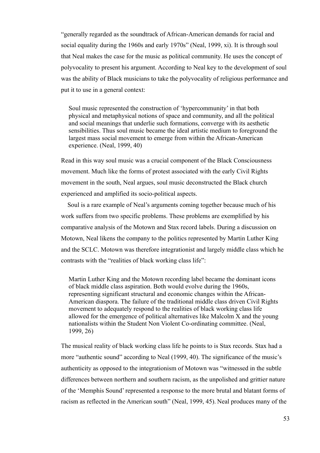"generally regarded as the soundtrack of African-American demands for racial and social equality during the 1960s and early 1970s" (Neal, 1999, xi). It is through soul that Neal makes the case for the music as political community. He uses the concept of polyvocality to present his argument. According to Neal key to the development of soul was the ability of Black musicians to take the polyvocality of religious performance and put it to use in a general context:

Soul music represented the construction of 'hypercommunity' in that both physical and metaphysical notions of space and community, and all the political and social meanings that underlie such formations, converge with its aesthetic sensibilities. Thus soul music became the ideal artistic medium to foreground the largest mass social movement to emerge from within the African-American experience. (Neal, 1999, 40)

Read in this way soul music was a crucial component of the Black Consciousness movement. Much like the forms of protest associated with the early Civil Rights movement in the south, Neal argues, soul music deconstructed the Black church experienced and amplified its socio-political aspects.

 Soul is a rare example of Neal's arguments coming together because much of his work suffers from two specific problems. These problems are exemplified by his comparative analysis of the Motown and Stax record labels. During a discussion on Motown, Neal likens the company to the politics represented by Martin Luther King and the SCLC. Motown was therefore integrationist and largely middle class which he contrasts with the "realities of black working class life":

Martin Luther King and the Motown recording label became the dominant icons of black middle class aspiration. Both would evolve during the 1960s, representing significant structural and economic changes within the African-American diaspora. The failure of the traditional middle class driven Civil Rights movement to adequately respond to the realities of black working class life allowed for the emergence of political alternatives like Malcolm X and the young nationalists within the Student Non Violent Co-ordinating committee. (Neal, 1999, 26)

The musical reality of black working class life he points to is Stax records. Stax had a more "authentic sound" according to Neal (1999, 40). The significance of the music's authenticity as opposed to the integrationism of Motown was "witnessed in the subtle differences between northern and southern racism, as the unpolished and grittier nature of the 'Memphis Sound' represented a response to the more brutal and blatant forms of racism as reflected in the American south" (Neal, 1999, 45). Neal produces many of the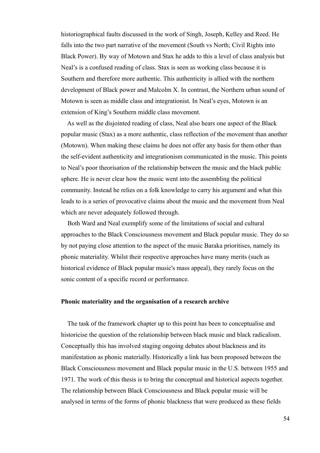historiographical faults discussed in the work of Singh, Joseph, Kelley and Reed. He falls into the two part narrative of the movement (South vs North; Civil Rights into Black Power). By way of Motown and Stax he adds to this a level of class analysis but Neal's is a confused reading of class. Stax is seen as working class because it is Southern and therefore more authentic. This authenticity is allied with the northern development of Black power and Malcolm X. In contrast, the Northern urban sound of Motown is seen as middle class and integrationist. In Neal's eyes, Motown is an extension of King's Southern middle class movement.

 As well as the disjointed reading of class, Neal also hears one aspect of the Black popular music (Stax) as a more authentic, class reflection of the movement than another (Motown). When making these claims he does not offer any basis for them other than the self-evident authenticity and integrationism communicated in the music. This points to Neal's poor theorisation of the relationship between the music and the black public sphere. He is never clear how the music went into the assembling the political community. Instead he relies on a folk knowledge to carry his argument and what this leads to is a series of provocative claims about the music and the movement from Neal which are never adequately followed through.

 Both Ward and Neal exemplify some of the limitations of social and cultural approaches to the Black Consciousness movement and Black popular music. They do so by not paying close attention to the aspect of the music Baraka prioritises, namely its phonic materiality. Whilst their respective approaches have many merits (such as historical evidence of Black popular music's mass appeal), they rarely focus on the sonic content of a specific record or performance.

### **Phonic materiality and the organisation of a research archive**

 The task of the framework chapter up to this point has been to conceptualise and historicise the question of the relationship between black music and black radicalism. Conceptually this has involved staging ongoing debates about blackness and its manifestation as phonic materially. Historically a link has been proposed between the Black Consciousness movement and Black popular music in the U.S. between 1955 and 1971. The work of this thesis is to bring the conceptual and historical aspects together. The relationship between Black Consciousness and Black popular music will be analysed in terms of the forms of phonic blackness that were produced as these fields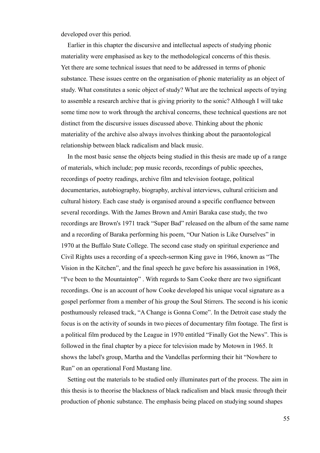developed over this period.

 Earlier in this chapter the discursive and intellectual aspects of studying phonic materiality were emphasised as key to the methodological concerns of this thesis. Yet there are some technical issues that need to be addressed in terms of phonic substance. These issues centre on the organisation of phonic materiality as an object of study. What constitutes a sonic object of study? What are the technical aspects of trying to assemble a research archive that is giving priority to the sonic? Although I will take some time now to work through the archival concerns, these technical questions are not distinct from the discursive issues discussed above. Thinking about the phonic materiality of the archive also always involves thinking about the paraontological relationship between black radicalism and black music.

 In the most basic sense the objects being studied in this thesis are made up of a range of materials, which include; pop music records, recordings of public speeches, recordings of poetry readings, archive film and television footage, political documentaries, autobiography, biography, archival interviews, cultural criticism and cultural history. Each case study is organised around a specific confluence between several recordings. With the James Brown and Amiri Baraka case study, the two recordings are Brown's 1971 track "Super Bad" released on the album of the same name and a recording of Baraka performing his poem, "Our Nation is Like Ourselves" in 1970 at the Buffalo State College. The second case study on spiritual experience and Civil Rights uses a recording of a speech-sermon King gave in 1966, known as "The Vision in the Kitchen", and the final speech he gave before his assassination in 1968, "I've been to the Mountaintop" . With regards to Sam Cooke there are two significant recordings. One is an account of how Cooke developed his unique vocal signature as a gospel performer from a member of his group the Soul Stirrers. The second is his iconic posthumously released track, "A Change is Gonna Come". In the Detroit case study the focus is on the activity of sounds in two pieces of documentary film footage. The first is a political film produced by the League in 1970 entitled "Finally Got the News". This is followed in the final chapter by a piece for television made by Motown in 1965. It shows the label's group, Martha and the Vandellas performing their hit "Nowhere to Run" on an operational Ford Mustang line.

 Setting out the materials to be studied only illuminates part of the process. The aim in this thesis is to theorise the blackness of black radicalism and black music through their production of phonic substance. The emphasis being placed on studying sound shapes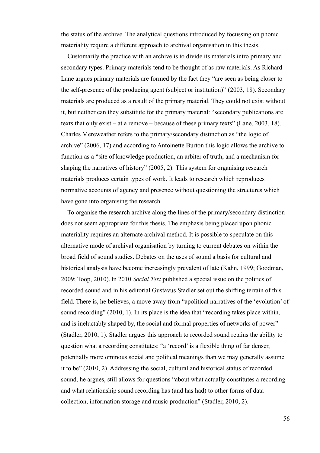the status of the archive. The analytical questions introduced by focussing on phonic materiality require a different approach to archival organisation in this thesis.

 Customarily the practice with an archive is to divide its materials intro primary and secondary types. Primary materials tend to be thought of as raw materials. As Richard Lane argues primary materials are formed by the fact they "are seen as being closer to the self-presence of the producing agent (subject or institution)" (2003, 18). Secondary materials are produced as a result of the primary material. They could not exist without it, but neither can they substitute for the primary material: "secondary publications are texts that only exist – at a remove – because of these primary texts" (Lane, 2003, 18). Charles Mereweather refers to the primary/secondary distinction as "the logic of archive" (2006, 17) and according to Antoinette Burton this logic allows the archive to function as a "site of knowledge production, an arbiter of truth, and a mechanism for shaping the narratives of history" (2005, 2). This system for organising research materials produces certain types of work. It leads to research which reproduces normative accounts of agency and presence without questioning the structures which have gone into organising the research.

 To organise the research archive along the lines of the primary/secondary distinction does not seem appropriate for this thesis. The emphasis being placed upon phonic materiality requires an alternate archival method. It is possible to speculate on this alternative mode of archival organisation by turning to current debates on within the broad field of sound studies. Debates on the uses of sound a basis for cultural and historical analysis have become increasingly prevalent of late (Kahn, 1999; Goodman, 2009; Toop, 2010).In 2010 *Social Text* published a special issue on the politics of recorded sound and in his editorial Gustavus Stadler set out the shifting terrain of this field. There is, he believes, a move away from "apolitical narratives of the 'evolution' of sound recording" (2010, 1). In its place is the idea that "recording takes place within, and is ineluctably shaped by, the social and formal properties of networks of power" (Stadler, 2010, 1). Stadler argues this approach to recorded sound retains the ability to question what a recording constitutes: "a 'record' is a flexible thing of far denser, potentially more ominous social and political meanings than we may generally assume it to be" (2010, 2). Addressing the social, cultural and historical status of recorded sound, he argues, still allows for questions "about what actually constitutes a recording and what relationship sound recording has (and has had) to other forms of data collection, information storage and music production" (Stadler, 2010, 2).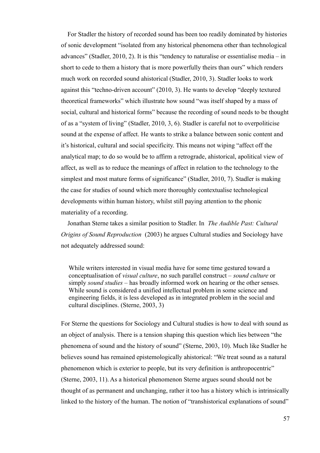For Stadler the history of recorded sound has been too readily dominated by histories of sonic development "isolated from any historical phenomena other than technological advances" (Stadler, 2010, 2). It is this "tendency to naturalise or essentialise media – in short to cede to them a history that is more powerfully theirs than ours" which renders much work on recorded sound ahistorical (Stadler, 2010, 3). Stadler looks to work against this "techno-driven account" (2010, 3). He wants to develop "deeply textured theoretical frameworks" which illustrate how sound "was itself shaped by a mass of social, cultural and historical forms" because the recording of sound needs to be thought of as a "system of living" (Stadler, 2010, 3, 6). Stadler is careful not to overpoliticise sound at the expense of affect. He wants to strike a balance between sonic content and it's historical, cultural and social specificity. This means not wiping "affect off the analytical map; to do so would be to affirm a retrograde, ahistorical, apolitical view of affect, as well as to reduce the meanings of affect in relation to the technology to the simplest and most mature forms of significance" (Stadler, 2010, 7). Stadler is making the case for studies of sound which more thoroughly contextualise technological developments within human history, whilst still paying attention to the phonic materiality of a recording.

 Jonathan Sterne takes a similar position to Stadler. In *The Audible Past: Cultural Origins of Sound Reproduction* (2003) he argues Cultural studies and Sociology have not adequately addressed sound:

While writers interested in visual media have for some time gestured toward a conceptualisation of *visual culture*, no such parallel construct – *sound culture* or simply *sound studies* – has broadly informed work on hearing or the other senses. While sound is considered a unified intellectual problem in some science and engineering fields, it is less developed as in integrated problem in the social and cultural disciplines. (Sterne, 2003, 3)

For Sterne the questions for Sociology and Cultural studies is how to deal with sound as an object of analysis. There is a tension shaping this question which lies between "the phenomena of sound and the history of sound" (Sterne, 2003, 10). Much like Stadler he believes sound has remained epistemologically ahistorical: "We treat sound as a natural phenomenon which is exterior to people, but its very definition is anthropocentric" (Sterne, 2003, 11). As a historical phenomenon Sterne argues sound should not be thought of as permanent and unchanging, rather it too has a history which is intrinsically linked to the history of the human. The notion of "transhistorical explanations of sound"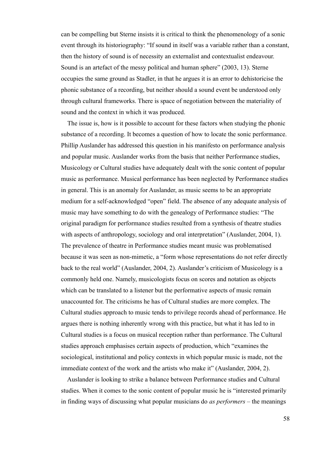can be compelling but Sterne insists it is critical to think the phenomenology of a sonic event through its historiography: "If sound in itself was a variable rather than a constant, then the history of sound is of necessity an externalist and contextualist endeavour. Sound is an artefact of the messy political and human sphere" (2003, 13). Sterne occupies the same ground as Stadler, in that he argues it is an error to dehistoricise the phonic substance of a recording, but neither should a sound event be understood only through cultural frameworks. There is space of negotiation between the materiality of sound and the context in which it was produced.

 The issue is, how is it possible to account for these factors when studying the phonic substance of a recording. It becomes a question of how to locate the sonic performance. Phillip Auslander has addressed this question in his manifesto on performance analysis and popular music. Auslander works from the basis that neither Performance studies, Musicology or Cultural studies have adequately dealt with the sonic content of popular music as performance. Musical performance has been neglected by Performance studies in general. This is an anomaly for Auslander, as music seems to be an appropriate medium for a self-acknowledged "open" field. The absence of any adequate analysis of music may have something to do with the genealogy of Performance studies: "The original paradigm for performance studies resulted from a synthesis of theatre studies with aspects of anthropology, sociology and oral interpretation" (Auslander, 2004, 1). The prevalence of theatre in Performance studies meant music was problematised because it was seen as non-mimetic, a "form whose representations do not refer directly back to the real world" (Auslander, 2004, 2). Auslander's criticism of Musicology is a commonly held one. Namely, musicologists focus on scores and notation as objects which can be translated to a listener but the performative aspects of music remain unaccounted for. The criticisms he has of Cultural studies are more complex. The Cultural studies approach to music tends to privilege records ahead of performance. He argues there is nothing inherently wrong with this practice, but what it has led to in Cultural studies is a focus on musical reception rather than performance. The Cultural studies approach emphasises certain aspects of production, which "examines the sociological, institutional and policy contexts in which popular music is made, not the immediate context of the work and the artists who make it" (Auslander, 2004, 2).

 Auslander is looking to strike a balance between Performance studies and Cultural studies. When it comes to the sonic content of popular music he is "interested primarily in finding ways of discussing what popular musicians do *as performers* – the meanings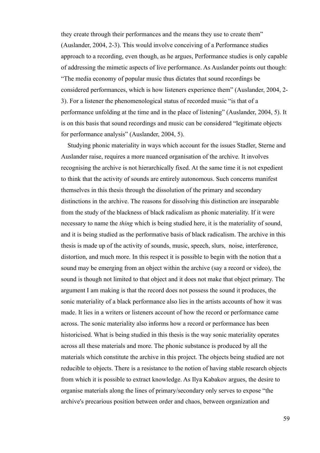they create through their performances and the means they use to create them" (Auslander, 2004, 2-3). This would involve conceiving of a Performance studies approach to a recording, even though, as he argues, Performance studies is only capable of addressing the mimetic aspects of live performance. As Auslander points out though: "The media economy of popular music thus dictates that sound recordings be considered performances, which is how listeners experience them" (Auslander, 2004, 2- 3). For a listener the phenomenological status of recorded music "is that of a performance unfolding at the time and in the place of listening" (Auslander, 2004, 5). It is on this basis that sound recordings and music can be considered "legitimate objects for performance analysis" (Auslander, 2004, 5).

 Studying phonic materiality in ways which account for the issues Stadler, Sterne and Auslander raise, requires a more nuanced organisation of the archive. It involves recognising the archive is not hierarchically fixed. At the same time it is not expedient to think that the activity of sounds are entirely autonomous. Such concerns manifest themselves in this thesis through the dissolution of the primary and secondary distinctions in the archive. The reasons for dissolving this distinction are inseparable from the study of the blackness of black radicalism as phonic materiality. If it were necessary to name the *thing* which is being studied here, it is the materiality of sound, and it is being studied as the performative basis of black radicalism. The archive in this thesis is made up of the activity of sounds, music, speech, slurs, noise, interference, distortion, and much more. In this respect it is possible to begin with the notion that a sound may be emerging from an object within the archive (say a record or video), the sound is though not limited to that object and it does not make that object primary. The argument I am making is that the record does not possess the sound it produces, the sonic materiality of a black performance also lies in the artists accounts of how it was made. It lies in a writers or listeners account of how the record or performance came across. The sonic materiality also informs how a record or performance has been historicised. What is being studied in this thesis is the way sonic materiality operates across all these materials and more. The phonic substance is produced by all the materials which constitute the archive in this project. The objects being studied are not reducible to objects. There is a resistance to the notion of having stable research objects from which it is possible to extract knowledge. As Ilya Kabakov argues, the desire to organise materials along the lines of primary/secondary only serves to expose "the archive's precarious position between order and chaos, between organization and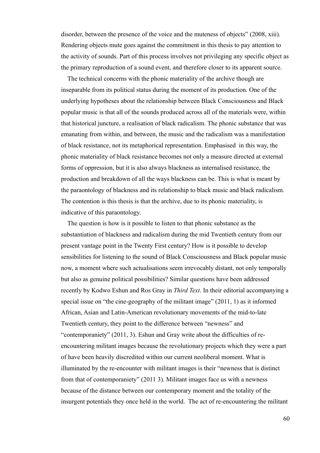disorder, between the presence of the voice and the muteness of objects" (2008, xiii). Rendering objects mute goes against the commitment in this thesis to pay attention to the activity of sounds. Part of this process involves not privileging any specific object as the primary reproduction of a sound event, and therefore closer to its apparent source.

 The technical concerns with the phonic materiality of the archive though are inseparable from its political status during the moment of its production. One of the underlying hypotheses about the relationship between Black Consciousness and Black popular music is that all of the sounds produced across all of the materials were, within that historical juncture, a realisation of black radicalism. The phonic substance that was emanating from within, and between, the music and the radicalism was a manifestation of black resistance, not its metaphorical representation. Emphasised in this way, the phonic materiality of black resistance becomes not only a measure directed at external forms of oppression, but it is also always blackness as internalised resistance, the production and breakdown of all the ways blackness can be. This is what is meant by the paraontology of blackness and its relationship to black music and black radicalism. The contention is this thesis is that the archive, due to its phonic materiality, is indicative of this paraontology.

 The question is how is it possible to listen to that phonic substance as the substantiation of blackness and radicalism during the mid Twentieth century from our present vantage point in the Twenty First century? How is it possible to develop sensibilities for listening to the sound of Black Consciousness and Black popular music now, a moment where such actualisations seem irrevocably distant, not only temporally but also as genuine political possibilities? Similar questions have been addressed recently by Kodwo Eshun and Ros Gray in *Third Text*. In their editorial accompanying a special issue on "the cine-geography of the militant image" (2011, 1) as it informed African, Asian and Latin-American revolutionary movements of the mid-to-late Twentieth century, they point to the difference between "newness" and "contemporaniety" (2011, 3). Eshun and Gray write about the difficulties of reencountering militant images because the revolutionary projects which they were a part of have been heavily discredited within our current neoliberal moment. What is illuminated by the re-encounter with militant images is their "newness that is distinct from that of contemporaniety" (2011 3). Militant images face us with a newness because of the distance between our contemporary moment and the totality of the insurgent potentials they once held in the world. The act of re-encountering the militant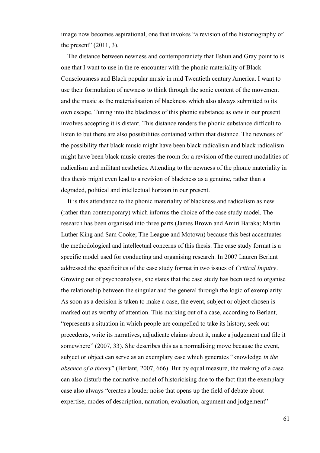image now becomes aspirational, one that invokes "a revision of the historiography of the present" (2011, 3).

 The distance between newness and contemporaniety that Eshun and Gray point to is one that I want to use in the re-encounter with the phonic materiality of Black Consciousness and Black popular music in mid Twentieth century America. I want to use their formulation of newness to think through the sonic content of the movement and the music as the materialisation of blackness which also always submitted to its own escape. Tuning into the blackness of this phonic substance as *new* in our present involves accepting it is distant. This distance renders the phonic substance difficult to listen to but there are also possibilities contained within that distance. The newness of the possibility that black music might have been black radicalism and black radicalism might have been black music creates the room for a revision of the current modalities of radicalism and militant aesthetics. Attending to the newness of the phonic materiality in this thesis might even lead to a revision of blackness as a genuine, rather than a degraded, political and intellectual horizon in our present.

 It is this attendance to the phonic materiality of blackness and radicalism as new (rather than contemporary) which informs the choice of the case study model. The research has been organised into three parts (James Brown and Amiri Baraka; Martin Luther King and Sam Cooke; The League and Motown) because this best accentuates the methodological and intellectual concerns of this thesis. The case study format is a specific model used for conducting and organising research. In 2007 Lauren Berlant addressed the specificities of the case study format in two issues of *Critical Inquiry*. Growing out of psychoanalysis, she states that the case study has been used to organise the relationship between the singular and the general through the logic of exemplarity. As soon as a decision is taken to make a case, the event, subject or object chosen is marked out as worthy of attention. This marking out of a case, according to Berlant, "represents a situation in which people are compelled to take its history, seek out precedents, write its narratives, adjudicate claims about it, make a judgement and file it somewhere" (2007, 33). She describes this as a normalising move because the event, subject or object can serve as an exemplary case which generates "knowledge *in the absence of a theory*" (Berlant, 2007, 666). But by equal measure, the making of a case can also disturb the normative model of historicising due to the fact that the exemplary case also always "creates a louder noise that opens up the field of debate about expertise, modes of description, narration, evaluation, argument and judgement"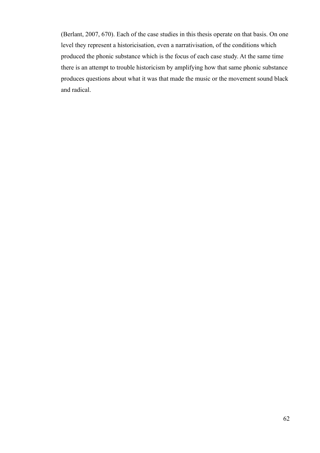(Berlant, 2007, 670). Each of the case studies in this thesis operate on that basis. On one level they represent a historicisation, even a narrativisation, of the conditions which produced the phonic substance which is the focus of each case study. At the same time there is an attempt to trouble historicism by amplifying how that same phonic substance produces questions about what it was that made the music or the movement sound black and radical.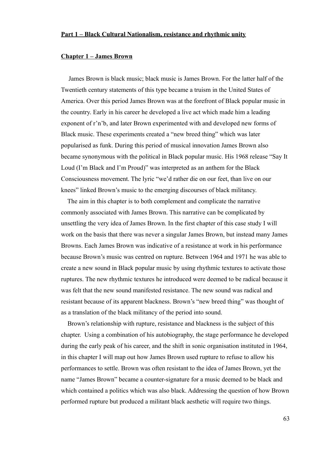# **Part 1 – Black Cultural Nationalism, resistance and rhythmic unity**

## **Chapter 1 – James Brown**

 James Brown is black music; black music is James Brown. For the latter half of the Twentieth century statements of this type became a truism in the United States of America. Over this period James Brown was at the forefront of Black popular music in the country. Early in his career he developed a live act which made him a leading exponent of r'n'b, and later Brown experimented with and developed new forms of Black music. These experiments created a "new breed thing" which was later popularised as funk. During this period of musical innovation James Brown also became synonymous with the political in Black popular music. His 1968 release "Say It Loud (I'm Black and I'm Proud)" was interpreted as an anthem for the Black Consciousness movement. The lyric "we'd rather die on our feet, than live on our knees" linked Brown's music to the emerging discourses of black militancy.

 The aim in this chapter is to both complement and complicate the narrative commonly associated with James Brown. This narrative can be complicated by unsettling the very idea of James Brown. In the first chapter of this case study I will work on the basis that there was never a singular James Brown, but instead many James Browns. Each James Brown was indicative of a resistance at work in his performance because Brown's music was centred on rupture. Between 1964 and 1971 he was able to create a new sound in Black popular music by using rhythmic textures to activate those ruptures. The new rhythmic textures he introduced were deemed to be radical because it was felt that the new sound manifested resistance. The new sound was radical and resistant because of its apparent blackness. Brown's "new breed thing" was thought of as a translation of the black militancy of the period into sound.

 Brown's relationship with rupture, resistance and blackness is the subject of this chapter. Using a combination of his autobiography, the stage performance he developed during the early peak of his career, and the shift in sonic organisation instituted in 1964, in this chapter I will map out how James Brown used rupture to refuse to allow his performances to settle. Brown was often resistant to the idea of James Brown, yet the name "James Brown" became a counter-signature for a music deemed to be black and which contained a politics which was also black. Addressing the question of how Brown performed rupture but produced a militant black aesthetic will require two things.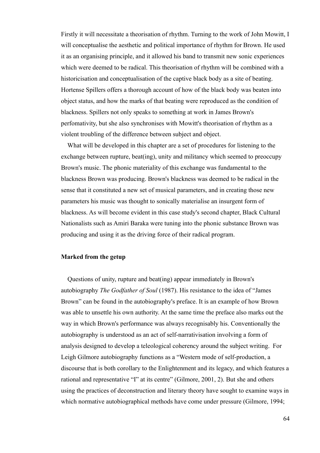Firstly it will necessitate a theorisation of rhythm. Turning to the work of John Mowitt, I will conceptualise the aesthetic and political importance of rhythm for Brown. He used it as an organising principle, and it allowed his band to transmit new sonic experiences which were deemed to be radical. This theorisation of rhythm will be combined with a historicisation and conceptualisation of the captive black body as a site of beating. Hortense Spillers offers a thorough account of how of the black body was beaten into object status, and how the marks of that beating were reproduced as the condition of blackness. Spillers not only speaks to something at work in James Brown's perfomativity, but she also synchronises with Mowitt's theorisation of rhythm as a violent troubling of the difference between subject and object.

 What will be developed in this chapter are a set of procedures for listening to the exchange between rupture, beat(ing), unity and militancy which seemed to preoccupy Brown's music. The phonic materiality of this exchange was fundamental to the blackness Brown was producing. Brown's blackness was deemed to be radical in the sense that it constituted a new set of musical parameters, and in creating those new parameters his music was thought to sonically materialise an insurgent form of blackness. As will become evident in this case study's second chapter, Black Cultural Nationalists such as Amiri Baraka were tuning into the phonic substance Brown was producing and using it as the driving force of their radical program.

# **Marked from the getup**

Questions of unity, rupture and beat(ing) appear immediately in Brown's autobiography *The Godfather of Soul* (1987). His resistance to the idea of "James Brown" can be found in the autobiography's preface. It is an example of how Brown was able to unsettle his own authority. At the same time the preface also marks out the way in which Brown's performance was always recognisably his. Conventionally the autobiography is understood as an act of self-narrativisation involving a form of analysis designed to develop a teleological coherency around the subject writing. For Leigh Gilmore autobiography functions as a "Western mode of self-production, a discourse that is both corollary to the Enlightenment and its legacy, and which features a rational and representative "I" at its centre" (Gilmore, 2001, 2). But she and others using the practices of deconstruction and literary theory have sought to examine ways in which normative autobiographical methods have come under pressure (Gilmore, 1994;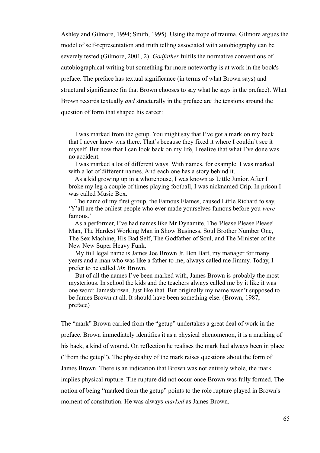Ashley and Gilmore, 1994; Smith, 1995). Using the trope of trauma, Gilmore argues the model of self-representation and truth telling associated with autobiography can be severely tested (Gilmore, 2001, 2). *Godfather* fulfils the normative conventions of autobiographical writing but something far more noteworthy is at work in the book's preface. The preface has textual significance (in terms of what Brown says) and structural significance (in that Brown chooses to say what he says in the preface). What Brown records textually *and* structurally in the preface are the tensions around the question of form that shaped his career:

 I was marked from the getup. You might say that I've got a mark on my back that I never knew was there. That's because they fixed it where I couldn't see it myself. But now that I can look back on my life, I realize that what I've done was no accident.

 I was marked a lot of different ways. With names, for example. I was marked with a lot of different names. And each one has a story behind it.

 As a kid growing up in a whorehouse, I was known as Little Junior. After I broke my leg a couple of times playing football, I was nicknamed Crip. In prison I was called Music Box.

 The name of my first group, the Famous Flames, caused Little Richard to say, 'Y'all are the onliest people who ever made yourselves famous before you *were* famous.'

 As a performer, I've had names like Mr Dynamite, The 'Please Please Please' Man, The Hardest Working Man in Show Business, Soul Brother Number One, The Sex Machine, His Bad Self, The Godfather of Soul, and The Minister of the New New Super Heavy Funk.

 My full legal name is James Joe Brown Jr. Ben Bart, my manager for many years and a man who was like a father to me, always called me Jimmy. Today, I prefer to be called *Mr.* Brown.

 But of all the names I've been marked with, James Brown is probably the most mysterious. In school the kids and the teachers always called me by it like it was one word: Jamesbrown. Just like that. But originally my name wasn't supposed to be James Brown at all. It should have been something else. (Brown, 1987, preface)

The "mark" Brown carried from the "getup" undertakes a great deal of work in the preface. Brown immediately identifies it as a physical phenomenon, it is a marking of his back, a kind of wound. On reflection he realises the mark had always been in place ("from the getup"). The physicality of the mark raises questions about the form of James Brown. There is an indication that Brown was not entirely whole, the mark implies physical rupture. The rupture did not occur once Brown was fully formed. The notion of being "marked from the getup" points to the role rupture played in Brown's moment of constitution. He was always *marked* as James Brown.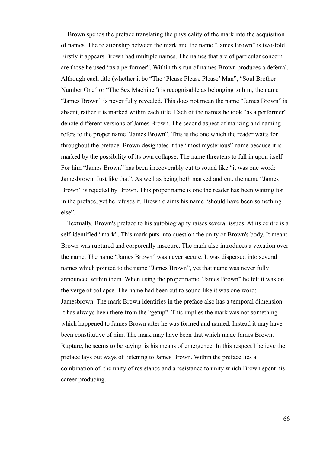Brown spends the preface translating the physicality of the mark into the acquisition of names. The relationship between the mark and the name "James Brown" is two-fold. Firstly it appears Brown had multiple names. The names that are of particular concern are those he used "as a performer". Within this run of names Brown produces a deferral. Although each title (whether it be "The 'Please Please Please' Man", "Soul Brother Number One" or "The Sex Machine") is recognisable as belonging to him, the name "James Brown" is never fully revealed. This does not mean the name "James Brown" is absent, rather it is marked within each title. Each of the names he took "as a performer" denote different versions of James Brown. The second aspect of marking and naming refers to the proper name "James Brown". This is the one which the reader waits for throughout the preface. Brown designates it the "most mysterious" name because it is marked by the possibility of its own collapse. The name threatens to fall in upon itself. For him "James Brown" has been irrecoverably cut to sound like "it was one word: Jamesbrown. Just like that". As well as being both marked and cut, the name "James Brown" is rejected by Brown. This proper name is one the reader has been waiting for in the preface, yet he refuses it. Brown claims his name "should have been something else".

 Textually, Brown's preface to his autobiography raises several issues. At its centre is a self-identified "mark". This mark puts into question the unity of Brown's body. It meant Brown was ruptured and corporeally insecure. The mark also introduces a vexation over the name. The name "James Brown" was never secure. It was dispersed into several names which pointed to the name "James Brown", yet that name was never fully announced within them. When using the proper name "James Brown" he felt it was on the verge of collapse. The name had been cut to sound like it was one word: Jamesbrown. The mark Brown identifies in the preface also has a temporal dimension. It has always been there from the "getup". This implies the mark was not something which happened to James Brown after he was formed and named. Instead it may have been constitutive of him. The mark may have been that which made James Brown. Rupture, he seems to be saying, is his means of emergence. In this respect I believe the preface lays out ways of listening to James Brown. Within the preface lies a combination of the unity of resistance and a resistance to unity which Brown spent his career producing.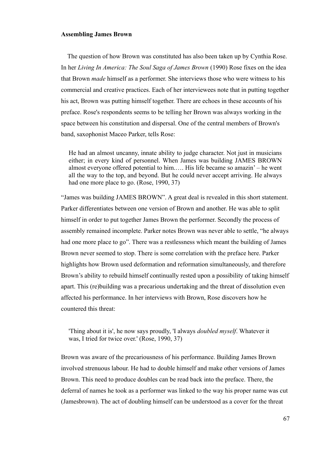### **Assembling James Brown**

 The question of how Brown was constituted has also been taken up by Cynthia Rose. In her *Living In America: The Soul Saga of James Brown* (1990) Rose fixes on the idea that Brown *made* himself as a performer. She interviews those who were witness to his commercial and creative practices. Each of her interviewees note that in putting together his act, Brown was putting himself together. There are echoes in these accounts of his preface. Rose's respondents seems to be telling her Brown was always working in the space between his constitution and dispersal. One of the central members of Brown's band, saxophonist Maceo Parker, tells Rose:

He had an almost uncanny, innate ability to judge character. Not just in musicians either; in every kind of personnel. When James was building JAMES BROWN almost everyone offered potential to him.…. His life became so amazin' – he went all the way to the top, and beyond. But he could never accept arriving. He always had one more place to go. (Rose, 1990, 37)

"James was building JAMES BROWN". A great deal is revealed in this short statement. Parker differentiates between one version of Brown and another. He was able to split himself in order to put together James Brown the performer. Secondly the process of assembly remained incomplete. Parker notes Brown was never able to settle, "he always had one more place to go". There was a restlessness which meant the building of James Brown never seemed to stop. There is some correlation with the preface here. Parker highlights how Brown used deformation and reformation simultaneously, and therefore Brown's ability to rebuild himself continually rested upon a possibility of taking himself apart. This (re)building was a precarious undertaking and the threat of dissolution even affected his performance. In her interviews with Brown, Rose discovers how he countered this threat:

'Thing about it is', he now says proudly, 'I always *doubled myself*. Whatever it was, I tried for twice over.' (Rose, 1990, 37)

Brown was aware of the precariousness of his performance. Building James Brown involved strenuous labour. He had to double himself and make other versions of James Brown. This need to produce doubles can be read back into the preface. There, the deferral of names he took as a performer was linked to the way his proper name was cut (Jamesbrown). The act of doubling himself can be understood as a cover for the threat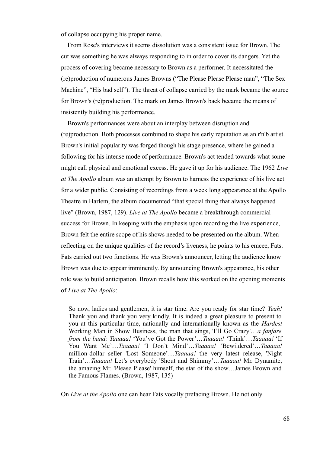of collapse occupying his proper name.

 From Rose's interviews it seems dissolution was a consistent issue for Brown. The cut was something he was always responding to in order to cover its dangers. Yet the process of covering became necessary to Brown as a performer. It necessitated the (re)production of numerous James Browns ("The Please Please Please man", "The Sex Machine", "His bad self"). The threat of collapse carried by the mark became the source for Brown's (re)production. The mark on James Brown's back became the means of insistently building his performance.

 Brown's performances were about an interplay between disruption and (re)production. Both processes combined to shape his early reputation as an r'n'b artist. Brown's initial popularity was forged though his stage presence, where he gained a following for his intense mode of performance. Brown's act tended towards what some might call physical and emotional excess. He gave it up for his audience. The 1962 *Live at The Apollo* album was an attempt by Brown to harness the experience of his live act for a wider public. Consisting of recordings from a week long appearance at the Apollo Theatre in Harlem, the album documented "that special thing that always happened live" (Brown, 1987, 129). *Live at The Apollo* became a breakthrough commercial success for Brown. In keeping with the emphasis upon recording the live experience, Brown felt the entire scope of his shows needed to be presented on the album. When reflecting on the unique qualities of the record's liveness, he points to his emcee, Fats. Fats carried out two functions. He was Brown's announcer, letting the audience know Brown was due to appear imminently. By announcing Brown's appearance, his other role was to build anticipation. Brown recalls how this worked on the opening moments of *Live at The Apollo*:

So now, ladies and gentlemen, it is star time. Are you ready for star time? *Yeah!* Thank you and thank you very kindly. It is indeed a great pleasure to present to you at this particular time, nationally and internationally known as the *Hardest* Working Man in Show Business, the man that sings, 'I'll Go Crazy'…*a fanfare from the band: Taaaaa!* 'You've Got the Power'…*Taaaaa!* 'Think'…*Taaaaa!* 'If You Want Me'…*Taaaaa!* 'I Don't Mind'…*Taaaaa!* 'Bewildered'…*Taaaaa!* million-dollar seller 'Lost Someone'…*Taaaaa!* the very latest release, 'Night Train'…*Taaaaa!* Let's everybody 'Shout and Shimmy'…*Taaaaa!* Mr. Dynamite, the amazing Mr. 'Please Please' himself, the star of the show…James Brown and the Famous Flames. (Brown, 1987, 135)

On *Live at the Apollo* one can hear Fats vocally prefacing Brown. He not only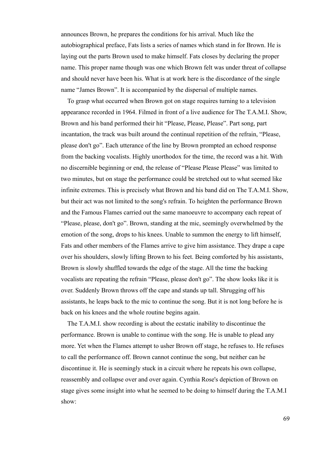announces Brown, he prepares the conditions for his arrival. Much like the autobiographical preface, Fats lists a series of names which stand in for Brown. He is laying out the parts Brown used to make himself. Fats closes by declaring the proper name. This proper name though was one which Brown felt was under threat of collapse and should never have been his. What is at work here is the discordance of the single name "James Brown". It is accompanied by the dispersal of multiple names.

 To grasp what occurred when Brown got on stage requires turning to a television appearance recorded in 1964. Filmed in front of a live audience for The T.A.M.I. Show, Brown and his band performed their hit "Please, Please, Please". Part song, part incantation, the track was built around the continual repetition of the refrain, "Please, please don't go". Each utterance of the line by Brown prompted an echoed response from the backing vocalists. Highly unorthodox for the time, the record was a hit. With no discernible beginning or end, the release of "Please Please Please" was limited to two minutes, but on stage the performance could be stretched out to what seemed like infinite extremes. This is precisely what Brown and his band did on The T.A.M.I. Show, but their act was not limited to the song's refrain. To heighten the performance Brown and the Famous Flames carried out the same manoeuvre to accompany each repeat of "Please, please, don't go". Brown, standing at the mic, seemingly overwhelmed by the emotion of the song, drops to his knees. Unable to summon the energy to lift himself, Fats and other members of the Flames arrive to give him assistance. They drape a cape over his shoulders, slowly lifting Brown to his feet. Being comforted by his assistants, Brown is slowly shuffled towards the edge of the stage. All the time the backing vocalists are repeating the refrain "Please, please don't go". The show looks like it is over. Suddenly Brown throws off the cape and stands up tall. Shrugging off his assistants, he leaps back to the mic to continue the song. But it is not long before he is back on his knees and the whole routine begins again.

 The T.A.M.I. show recording is about the ecstatic inability to discontinue the performance. Brown is unable to continue with the song. He is unable to plead any more. Yet when the Flames attempt to usher Brown off stage, he refuses to. He refuses to call the performance off. Brown cannot continue the song, but neither can he discontinue it. He is seemingly stuck in a circuit where he repeats his own collapse, reassembly and collapse over and over again. Cynthia Rose's depiction of Brown on stage gives some insight into what he seemed to be doing to himself during the T.A.M.I show: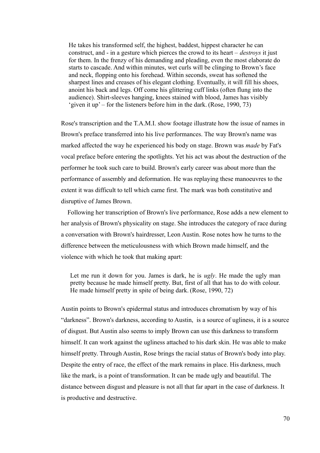He takes his transformed self, the highest, baddest, hippest character he can construct, and - in a gesture which pierces the crowd to its heart – *destroys* it just for them. In the frenzy of his demanding and pleading, even the most elaborate do starts to cascade. And within minutes, wet curls will be clinging to Brown's face and neck, flopping onto his forehead. Within seconds, sweat has softened the sharpest lines and creases of his elegant clothing. Eventually, it will fill his shoes, anoint his back and legs. Off come his glittering cuff links (often flung into the audience). Shirt-sleeves hanging, knees stained with blood, James has visibly 'given it up' – for the listeners before him in the dark. (Rose, 1990, 73)

Rose's transcription and the T.A.M.I. show footage illustrate how the issue of names in Brown's preface transferred into his live performances. The way Brown's name was marked affected the way he experienced his body on stage. Brown was *made* by Fat's vocal preface before entering the spotlights. Yet his act was about the destruction of the performer he took such care to build. Brown's early career was about more than the performance of assembly and deformation. He was replaying these manoeuvres to the extent it was difficult to tell which came first. The mark was both constitutive and disruptive of James Brown.

 Following her transcription of Brown's live performance, Rose adds a new element to her analysis of Brown's physicality on stage. She introduces the category of race during a conversation with Brown's hairdresser, Leon Austin. Rose notes how he turns to the difference between the meticulousness with which Brown made himself, and the violence with which he took that making apart:

Let me run it down for you. James is dark, he is *ugly*. He made the ugly man pretty because he made himself pretty. But, first of all that has to do with colour. He made himself pretty in spite of being dark. (Rose, 1990, 72)

Austin points to Brown's epidermal status and introduces chromatism by way of his "darkness". Brown's darkness, according to Austin, is a source of ugliness, it is a source of disgust. But Austin also seems to imply Brown can use this darkness to transform himself. It can work against the ugliness attached to his dark skin. He was able to make himself pretty. Through Austin, Rose brings the racial status of Brown's body into play. Despite the entry of race, the effect of the mark remains in place. His darkness, much like the mark, is a point of transformation. It can be made ugly and beautiful. The distance between disgust and pleasure is not all that far apart in the case of darkness. It is productive and destructive.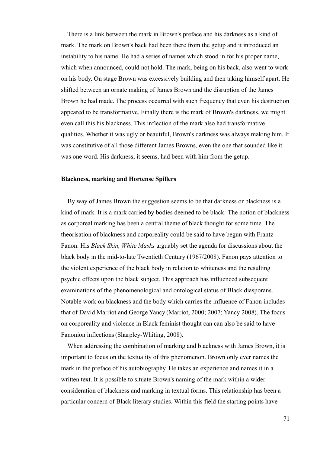There is a link between the mark in Brown's preface and his darkness as a kind of mark. The mark on Brown's back had been there from the getup and it introduced an instability to his name. He had a series of names which stood in for his proper name, which when announced, could not hold. The mark, being on his back, also went to work on his body. On stage Brown was excessively building and then taking himself apart. He shifted between an ornate making of James Brown and the disruption of the James Brown he had made. The process occurred with such frequency that even his destruction appeared to be transformative. Finally there is the mark of Brown's darkness, we might even call this his blackness. This inflection of the mark also had transformative qualities. Whether it was ugly or beautiful, Brown's darkness was always making him. It was constitutive of all those different James Browns, even the one that sounded like it was one word. His darkness, it seems, had been with him from the getup.

### **Blackness, marking and Hortense Spillers**

 By way of James Brown the suggestion seems to be that darkness or blackness is a kind of mark. It is a mark carried by bodies deemed to be black. The notion of blackness as corporeal marking has been a central theme of black thought for some time. The theorisation of blackness and corporeality could be said to have begun with Frantz Fanon. His *Black Skin, White Masks* arguably set the agenda for discussions about the black body in the mid-to-late Twentieth Century (1967/2008). Fanon pays attention to the violent experience of the black body in relation to whiteness and the resulting psychic effects upon the black subject. This approach has influenced subsequent examinations of the phenomenological and ontological status of Black diasporans. Notable work on blackness and the body which carries the influence of Fanon includes that of David Marriot and George Yancy (Marriot, 2000; 2007; Yancy 2008). The focus on corporeality and violence in Black feminist thought can can also be said to have Fanonion inflections(Sharpley-Whiting, 2008).

 When addressing the combination of marking and blackness with James Brown, it is important to focus on the textuality of this phenomenon. Brown only ever names the mark in the preface of his autobiography. He takes an experience and names it in a written text. It is possible to situate Brown's naming of the mark within a wider consideration of blackness and marking in textual forms. This relationship has been a particular concern of Black literary studies. Within this field the starting points have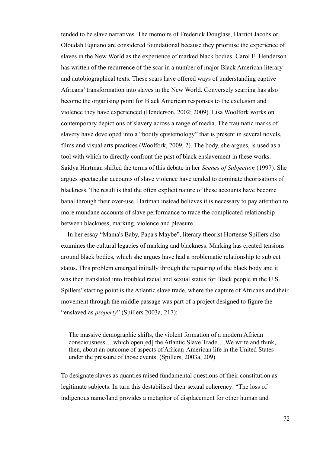tended to be slave narratives. The memoirs of Frederick Douglass, Harriot Jacobs or Oloudah Equiano are considered foundational because they prioritise the experience of slaves in the New World as the experience of marked black bodies. Carol E. Henderson has written of the recurrence of the scar in a number of major Black American literary and autobiographical texts. These scars have offered ways of understanding captive Africans' transformation into slaves in the New World. Conversely scarring has also become the organising point for Black American responses to the exclusion and violence they have experienced (Henderson, 2002; 2009). Lisa Woolfork works on contemporary depictions of slavery across a range of media. The traumatic marks of slavery have developed into a "bodily epistemology" that is present in several novels, films and visual arts practices (Woolfork, 2009, 2). The body, she argues, is used as a tool with which to directly confront the past of black enslavement in these works. Saidya Hartman shifted the terms of this debate in her *Scenes of Subjection* (1997)*.* She argues spectacular accounts of slave violence have tended to dominate theorisations of blackness. The result is that the often explicit nature of these accounts have become banal through their over-use. Hartman instead believes it is necessary to pay attention to more mundane accounts of slave performance to trace the complicated relationship between blackness, marking, violence and pleasure .

 In her essay "Mama's Baby, Papa's Maybe", literary theorist Hortense Spillers also examines the cultural legacies of marking and blackness. Marking has created tensions around black bodies, which she argues have had a problematic relationship to subject status. This problem emerged initially through the rupturing of the black body and it was then translated into troubled racial and sexual status for Black people in the U.S. Spillers' starting point is the Atlantic slave trade, where the capture of Africans and their movement through the middle passage was part of a project designed to figure the "enslaved as *property*" (Spillers 2003a, 217):

The massive demographic shifts, the violent formation of a modern African consciousness….which open[ed] the Atlantic Slave Trade….We write and think, then, about an outcome of aspects of African-American life in the United States under the pressure of those events. (Spillers, 2003a, 209)

To designate slaves as quanties raised fundamental questions of their constitution as legitimate subjects. In turn this destabilised their sexual coherency: "The loss of indigenous name/land provides a metaphor of displacement for other human and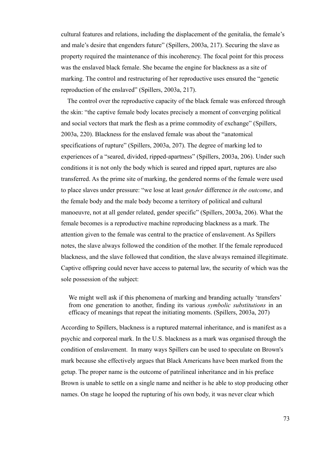cultural features and relations, including the displacement of the genitalia, the female's and male's desire that engenders future" (Spillers, 2003a, 217). Securing the slave as property required the maintenance of this incoherency. The focal point for this process was the enslaved black female. She became the engine for blackness as a site of marking. The control and restructuring of her reproductive uses ensured the "genetic reproduction of the enslaved" (Spillers, 2003a, 217).

 The control over the reproductive capacity of the black female was enforced through the skin: "the captive female body locates precisely a moment of converging political and social vectors that mark the flesh as a prime commodity of exchange" (Spillers, 2003a, 220). Blackness for the enslaved female was about the "anatomical specifications of rupture" (Spillers, 2003a, 207). The degree of marking led to experiences of a "seared, divided, ripped-apartness" (Spillers, 2003a, 206). Under such conditions it is not only the body which is seared and ripped apart, ruptures are also transferred. As the prime site of marking, the gendered norms of the female were used to place slaves under pressure: "we lose at least *gender* difference *in the outcome*, and the female body and the male body become a territory of political and cultural manoeuvre, not at all gender related, gender specific" (Spillers, 2003a, 206). What the female becomes is a reproductive machine reproducing blackness as a mark. The attention given to the female was central to the practice of enslavement. As Spillers notes, the slave always followed the condition of the mother. If the female reproduced blackness, and the slave followed that condition, the slave always remained illegitimate. Captive offspring could never have access to paternal law, the security of which was the sole possession of the subject:

We might well ask if this phenomena of marking and branding actually 'transfers' from one generation to another, finding its various *symbolic substitutions* in an efficacy of meanings that repeat the initiating moments. (Spillers, 2003a, 207)

According to Spillers, blackness is a ruptured maternal inheritance, and is manifest as a psychic and corporeal mark. In the U.S. blackness as a mark was organised through the condition of enslavement. In many ways Spillers can be used to speculate on Brown's mark because she effectively argues that Black Americans have been marked from the getup. The proper name is the outcome of patrilineal inheritance and in his preface Brown is unable to settle on a single name and neither is he able to stop producing other names. On stage he looped the rupturing of his own body, it was never clear which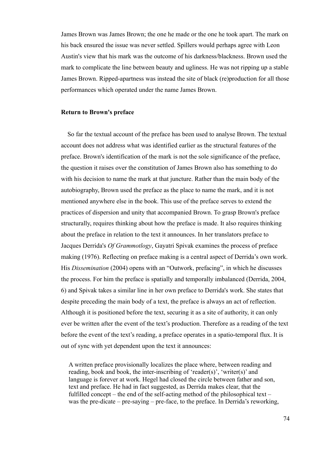James Brown was James Brown; the one he made or the one he took apart. The mark on his back ensured the issue was never settled. Spillers would perhaps agree with Leon Austin's view that his mark was the outcome of his darkness/blackness. Brown used the mark to complicate the line between beauty and ugliness. He was not ripping up a stable James Brown. Ripped-apartness was instead the site of black (re)production for all those performances which operated under the name James Brown.

### **Return to Brown's preface**

 So far the textual account of the preface has been used to analyse Brown. The textual account does not address what was identified earlier as the structural features of the preface. Brown's identification of the mark is not the sole significance of the preface, the question it raises over the constitution of James Brown also has something to do with his decision to name the mark at that juncture. Rather than the main body of the autobiography, Brown used the preface as the place to name the mark, and it is not mentioned anywhere else in the book. This use of the preface serves to extend the practices of dispersion and unity that accompanied Brown. To grasp Brown's preface structurally, requires thinking about how the preface is made. It also requires thinking about the preface in relation to the text it announces. In her translators preface to Jacques Derrida's *Of Grammotlogy*, Gayatri Spivak examines the process of preface making (1976). Reflecting on preface making is a central aspect of Derrida's own work. His *Dissemination* (2004) opens with an "Outwork, prefacing", in which he discusses the process. For him the preface is spatially and temporally imbalanced (Derrida, 2004, 6) and Spivak takes a similar line in her own preface to Derrida's work. She states that despite preceding the main body of a text, the preface is always an act of reflection. Although it is positioned before the text, securing it as a site of authority, it can only ever be written after the event of the text's production. Therefore as a reading of the text before the event of the text's reading, a preface operates in a spatio-temporal flux. It is out of sync with yet dependent upon the text it announces:

A written preface provisionally localizes the place where, between reading and reading, book and book, the inter-inscribing of 'reader(s)', 'writer(s)' and language is forever at work. Hegel had closed the circle between father and son, text and preface. He had in fact suggested, as Derrida makes clear, that the fulfilled concept – the end of the self-acting method of the philosophical text – was the pre-dicate – pre-saying – pre-face, to the preface. In Derrida's reworking,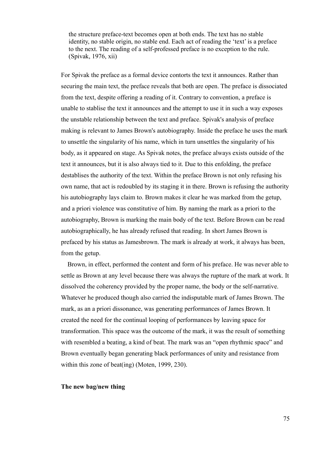the structure preface-text becomes open at both ends. The text has no stable identity, no stable origin, no stable end. Each act of reading the 'text' is a preface to the next. The reading of a self-professed preface is no exception to the rule. (Spivak, 1976, xii)

For Spivak the preface as a formal device contorts the text it announces. Rather than securing the main text, the preface reveals that both are open. The preface is dissociated from the text, despite offering a reading of it. Contrary to convention, a preface is unable to stablise the text it announces and the attempt to use it in such a way exposes the unstable relationship between the text and preface. Spivak's analysis of preface making is relevant to James Brown's autobiography. Inside the preface he uses the mark to unsettle the singularity of his name, which in turn unsettles the singularity of his body, as it appeared on stage. As Spivak notes, the preface always exists outside of the text it announces, but it is also always tied to it. Due to this enfolding, the preface destablises the authority of the text. Within the preface Brown is not only refusing his own name, that act is redoubled by its staging it in there. Brown is refusing the authority his autobiography lays claim to. Brown makes it clear he was marked from the getup, and a priori violence was constitutive of him. By naming the mark as a priori to the autobiography, Brown is marking the main body of the text. Before Brown can be read autobiographically, he has already refused that reading. In short James Brown is prefaced by his status as Jamesbrown. The mark is already at work, it always has been, from the getup.

 Brown, in effect, performed the content and form of his preface. He was never able to settle as Brown at any level because there was always the rupture of the mark at work. It dissolved the coherency provided by the proper name, the body or the self-narrative. Whatever he produced though also carried the indisputable mark of James Brown. The mark, as an a priori dissonance, was generating performances of James Brown. It created the need for the continual looping of performances by leaving space for transformation. This space was the outcome of the mark, it was the result of something with resembled a beating, a kind of beat. The mark was an "open rhythmic space" and Brown eventually began generating black performances of unity and resistance from within this zone of beat(ing) (Moten, 1999, 230).

# **The new bag/new thing**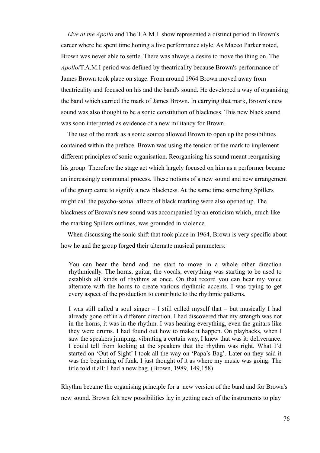*Live at the Apollo* and The T.A.M.I. show represented a distinct period in Brown's career where he spent time honing a live performance style. As Maceo Parker noted, Brown was never able to settle. There was always a desire to move the thing on. The *Apollo*/T.A.M.I period was defined by theatricality because Brown's performance of James Brown took place on stage. From around 1964 Brown moved away from theatricality and focused on his and the band's sound. He developed a way of organising the band which carried the mark of James Brown. In carrying that mark, Brown's new sound was also thought to be a sonic constitution of blackness. This new black sound was soon interpreted as evidence of a new militancy for Brown.

 The use of the mark as a sonic source allowed Brown to open up the possibilities contained within the preface. Brown was using the tension of the mark to implement different principles of sonic organisation. Reorganising his sound meant reorganising his group. Therefore the stage act which largely focused on him as a performer became an increasingly communal process. These notions of a new sound and new arrangement of the group came to signify a new blackness. At the same time something Spillers might call the psycho-sexual affects of black marking were also opened up. The blackness of Brown's new sound was accompanied by an eroticism which, much like the marking Spillers outlines, was grounded in violence.

 When discussing the sonic shift that took place in 1964, Brown is very specific about how he and the group forged their alternate musical parameters:

You can hear the band and me start to move in a whole other direction rhythmically. The horns, guitar, the vocals, everything was starting to be used to establish all kinds of rhythms at once. On that record you can hear my voice alternate with the horns to create various rhythmic accents. I was trying to get every aspect of the production to contribute to the rhythmic patterns.

I was still called a soul singer – I still called myself that – but musically I had already gone off in a different direction. I had discovered that my strength was not in the horns, it was in the rhythm. I was hearing everything, even the guitars like they were drums. I had found out how to make it happen. On playbacks, when I saw the speakers jumping, vibrating a certain way, I knew that was it: deliverance. I could tell from looking at the speakers that the rhythm was right. What I'd started on 'Out of Sight' I took all the way on 'Papa's Bag'. Later on they said it was the beginning of funk. I just thought of it as where my music was going. The title told it all: I had a new bag. (Brown, 1989, 149,158)

Rhythm became the organising principle for a new version of the band and for Brown's new sound. Brown felt new possibilities lay in getting each of the instruments to play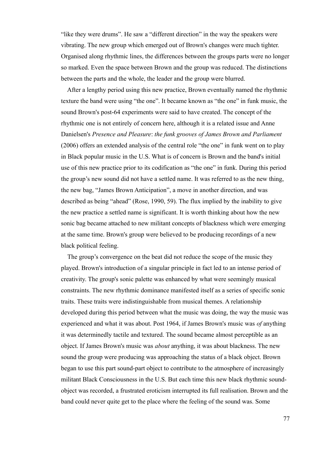"like they were drums". He saw a "different direction" in the way the speakers were vibrating. The new group which emerged out of Brown's changes were much tighter. Organised along rhythmic lines, the differences between the groups parts were no longer so marked. Even the space between Brown and the group was reduced. The distinctions between the parts and the whole, the leader and the group were blurred.

 After a lengthy period using this new practice, Brown eventually named the rhythmic texture the band were using "the one". It became known as "the one" in funk music, the sound Brown's post-64 experiments were said to have created. The concept of the rhythmic one is not entirely of concern here, although it is a related issue and Anne Danielsen's *Presence and Pleasure*: *the funk grooves of James Brown and Parliament* (2006) offers an extended analysis of the central role "the one" in funk went on to play in Black popular music in the U.S. What is of concern is Brown and the band's initial use of this new practice prior to its codification as "the one" in funk. During this period the group's new sound did not have a settled name. It was referred to as the new thing, the new bag, "James Brown Anticipation", a move in another direction, and was described as being "ahead" (Rose, 1990, 59). The flux implied by the inability to give the new practice a settled name is significant. It is worth thinking about how the new sonic bag became attached to new militant concepts of blackness which were emerging at the same time. Brown's group were believed to be producing recordings of a new black political feeling.

 The group's convergence on the beat did not reduce the scope of the music they played. Brown's introduction of a singular principle in fact led to an intense period of creativity. The group's sonic palette was enhanced by what were seemingly musical constraints. The new rhythmic dominance manifested itself as a series of specific sonic traits. These traits were indistinguishable from musical themes. A relationship developed during this period between what the music was doing, the way the music was experienced and what it was about. Post 1964, if James Brown's music was *of* anything it was determinedly tactile and textured. The sound became almost perceptible as an object. If James Brown's music was *about* anything, it was about blackness. The new sound the group were producing was approaching the status of a black object. Brown began to use this part sound-part object to contribute to the atmosphere of increasingly militant Black Consciousness in the U.S. But each time this new black rhythmic soundobject was recorded, a frustrated eroticism interrupted its full realisation. Brown and the band could never quite get to the place where the feeling of the sound was. Some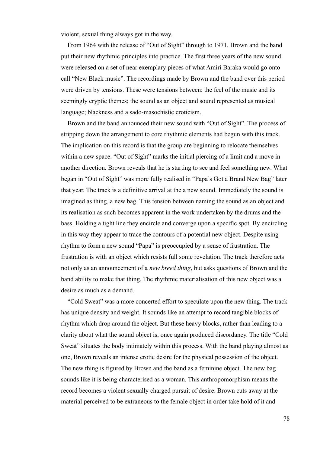violent, sexual thing always got in the way.

 From 1964 with the release of "Out of Sight" through to 1971, Brown and the band put their new rhythmic principles into practice. The first three years of the new sound were released on a set of near exemplary pieces of what Amiri Baraka would go onto call "New Black music". The recordings made by Brown and the band over this period were driven by tensions. These were tensions between: the feel of the music and its seemingly cryptic themes; the sound as an object and sound represented as musical language; blackness and a sado-masochistic eroticism.

 Brown and the band announced their new sound with "Out of Sight". The process of stripping down the arrangement to core rhythmic elements had begun with this track. The implication on this record is that the group are beginning to relocate themselves within a new space. "Out of Sight" marks the initial piercing of a limit and a move in another direction. Brown reveals that he is starting to see and feel something new. What began in "Out of Sight" was more fully realised in "Papa's Got a Brand New Bag" later that year. The track is a definitive arrival at the a new sound. Immediately the sound is imagined as thing, a new bag. This tension between naming the sound as an object and its realisation as such becomes apparent in the work undertaken by the drums and the bass. Holding a tight line they encircle and converge upon a specific spot. By encircling in this way they appear to trace the contours of a potential new object. Despite using rhythm to form a new sound "Papa" is preoccupied by a sense of frustration. The frustration is with an object which resists full sonic revelation. The track therefore acts not only as an announcement of a *new breed thing*, but asks questions of Brown and the band ability to make that thing. The rhythmic materialisation of this new object was a desire as much as a demand.

 "Cold Sweat" was a more concerted effort to speculate upon the new thing. The track has unique density and weight. It sounds like an attempt to record tangible blocks of rhythm which drop around the object. But these heavy blocks, rather than leading to a clarity about what the sound object is, once again produced discordancy. The title "Cold Sweat" situates the body intimately within this process. With the band playing almost as one, Brown reveals an intense erotic desire for the physical possession of the object. The new thing is figured by Brown and the band as a feminine object. The new bag sounds like it is being characterised as a woman. This anthropomorphism means the record becomes a violent sexually charged pursuit of desire. Brown cuts away at the material perceived to be extraneous to the female object in order take hold of it and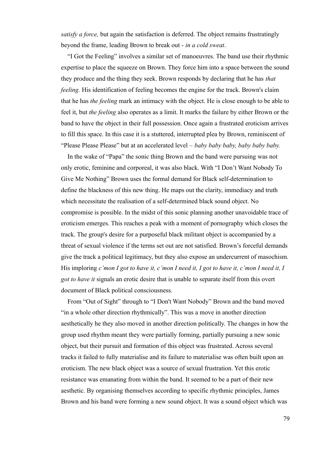*satisfy a force,* but again the satisfaction is deferred. The object remains frustratingly beyond the frame, leading Brown to break out - *in a cold sweat*.

 "I Got the Feeling" involves a similar set of manoeuvres. The band use their rhythmic expertise to place the squeeze on Brown. They force him into a space between the sound they produce and the thing they seek. Brown responds by declaring that he has *that feeling.* His identification of feeling becomes the engine for the track. Brown's claim that he has *the feeling* mark an intimacy with the object. He is close enough to be able to feel it, but *the feeling* also operates as a limit. It marks the failure by either Brown or the band to have the object in their full possession. Once again a frustrated eroticism arrives to fill this space. In this case it is a stuttered, interrupted plea by Brown, reminiscent of "Please Please Please" but at an accelerated level – *baby baby baby, baby baby baby.*

 In the wake of "Papa" the sonic thing Brown and the band were pursuing was not only erotic, feminine and corporeal, it was also black. With "I Don't Want Nobody To Give Me Nothing" Brown uses the formal demand for Black self-determination to define the blackness of this new thing. He maps out the clarity, immediacy and truth which necessitate the realisation of a self-determined black sound object. No compromise is possible. In the midst of this sonic planning another unavoidable trace of eroticism emerges. This reaches a peak with a moment of pornography which closes the track. The group's desire for a purposeful black militant object is accompanied by a threat of sexual violence if the terms set out are not satisfied. Brown's forceful demands give the track a political legitimacy, but they also expose an undercurrent of masochism. His imploring *c'mon I got to have it, c'mon I need it, I got to have it, c'mon I need it, I got to have it* signals an erotic desire that is unable to separate itself from this overt document of Black political consciousness.

 From "Out of Sight" through to "I Don't Want Nobody" Brown and the band moved "in a whole other direction rhythmically". This was a move in another direction aesthetically he they also moved in another direction politically. The changes in how the group used rhythm meant they were partially forming, partially pursuing a new sonic object, but their pursuit and formation of this object was frustrated. Across several tracks it failed to fully materialise and its failure to materialise was often built upon an eroticism. The new black object was a source of sexual frustration. Yet this erotic resistance was emanating from within the band. It seemed to be a part of their new aesthetic. By organising themselves according to specific rhythmic principles, James Brown and his band were forming a new sound object. It was a sound object which was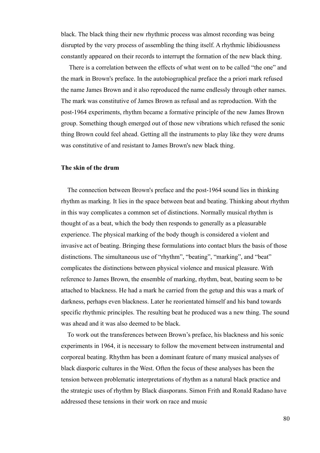black. The black thing their new rhythmic process was almost recording was being disrupted by the very process of assembling the thing itself. A rhythmic libidiousness constantly appeared on their records to interrupt the formation of the new black thing.

 There is a correlation between the effects of what went on to be called "the one" and the mark in Brown's preface. In the autobiographical preface the a priori mark refused the name James Brown and it also reproduced the name endlessly through other names. The mark was constitutive of James Brown as refusal and as reproduction. With the post-1964 experiments, rhythm became a formative principle of the new James Brown group. Something though emerged out of those new vibrations which refused the sonic thing Brown could feel ahead. Getting all the instruments to play like they were drums was constitutive of and resistant to James Brown's new black thing.

### **The skin of the drum**

 The connection between Brown's preface and the post-1964 sound lies in thinking rhythm as marking. It lies in the space between beat and beating. Thinking about rhythm in this way complicates a common set of distinctions. Normally musical rhythm is thought of as a beat, which the body then responds to generally as a pleasurable experience. The physical marking of the body though is considered a violent and invasive act of beating. Bringing these formulations into contact blurs the basis of those distinctions. The simultaneous use of "rhythm", "beating", "marking", and "beat" complicates the distinctions between physical violence and musical pleasure. With reference to James Brown, the ensemble of marking, rhythm, beat, beating seem to be attached to blackness. He had a mark he carried from the getup and this was a mark of darkness, perhaps even blackness. Later he reorientated himself and his band towards specific rhythmic principles. The resulting beat he produced was a new thing. The sound was ahead and it was also deemed to be black.

 To work out the transferences between Brown's preface, his blackness and his sonic experiments in 1964, it is necessary to follow the movement between instrumental and corporeal beating. Rhythm has been a dominant feature of many musical analyses of black diasporic cultures in the West. Often the focus of these analyses has been the tension between problematic interpretations of rhythm as a natural black practice and the strategic uses of rhythm by Black diasporans. Simon Frith and Ronald Radano have addressed these tensions in their work on race and music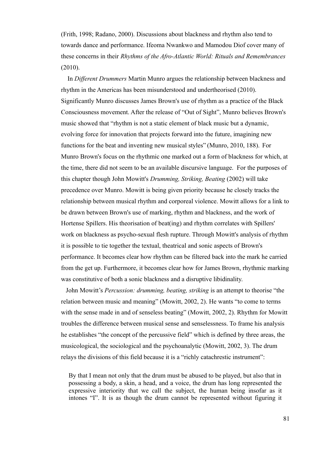(Frith, 1998; Radano, 2000). Discussions about blackness and rhythm also tend to towards dance and performance. Ifeoma Nwankwo and Mamodou Diof cover many of these concerns in their *Rhythms of the Afro-Atlantic World: Rituals and Remembrances* (2010).

 In *Different Drummers* Martin Munro argues the relationship between blackness and rhythm in the Americas has been misunderstood and undertheorised (2010). Significantly Munro discusses James Brown's use of rhythm as a practice of the Black Consciousness movement. After the release of "Out of Sight", Munro believes Brown's music showed that "rhythm is not a static element of black music but a dynamic, evolving force for innovation that projects forward into the future, imagining new functions for the beat and inventing new musical styles" (Munro, 2010, 188). For Munro Brown's focus on the rhythmic one marked out a form of blackness for which, at the time, there did not seem to be an available discursive language. For the purposes of this chapter though John Mowitt's *Drumming, Striking, Beating* (2002) will take precedence over Munro. Mowitt is being given priority because he closely tracks the relationship between musical rhythm and corporeal violence. Mowitt allows for a link to be drawn between Brown's use of marking, rhythm and blackness, and the work of Hortense Spillers. His theorisation of beat(ing) and rhythm correlates with Spillers' work on blackness as psycho-sexual flesh rupture. Through Mowitt's analysis of rhythm it is possible to tie together the textual, theatrical and sonic aspects of Brown's performance. It becomes clear how rhythm can be filtered back into the mark he carried from the get up. Furthermore, it becomes clear how for James Brown, rhythmic marking was constitutive of both a sonic blackness and a disruptive libidinality.

 John Mowitt's *Percussion: drumming, beating, striking* is an attempt to theorise "the relation between music and meaning" (Mowitt, 2002, 2). He wants "to come to terms with the sense made in and of senseless beating" (Mowitt, 2002, 2). Rhythm for Mowitt troubles the difference between musical sense and senselessness. To frame his analysis he establishes "the concept of the percussive field" which is defined by three areas, the musicological, the sociological and the psychoanalytic (Mowitt, 2002, 3). The drum relays the divisions of this field because it is a "richly catachrestic instrument":

By that I mean not only that the drum must be abused to be played, but also that in possessing a body, a skin, a head, and a voice, the drum has long represented the expressive interiority that we call the subject, the human being insofar as it intones "I". It is as though the drum cannot be represented without figuring it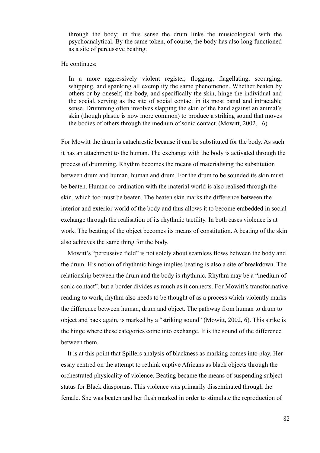through the body; in this sense the drum links the musicological with the psychoanalytical. By the same token, of course, the body has also long functioned as a site of percussive beating.

#### He continues:

In a more aggressively violent register, flogging, flagellating, scourging, whipping, and spanking all exemplify the same phenomenon. Whether beaten by others or by oneself, the body, and specifically the skin, hinge the individual and the social, serving as the site of social contact in its most banal and intractable sense. Drumming often involves slapping the skin of the hand against an animal's skin (though plastic is now more common) to produce a striking sound that moves the bodies of others through the medium of sonic contact. (Mowitt, 2002, 6)

For Mowitt the drum is catachrestic because it can be substituted for the body. As such it has an attachment to the human. The exchange with the body is activated through the process of drumming. Rhythm becomes the means of materialising the substitution between drum and human, human and drum. For the drum to be sounded its skin must be beaten. Human co-ordination with the material world is also realised through the skin, which too must be beaten. The beaten skin marks the difference between the interior and exterior world of the body and thus allows it to become embedded in social exchange through the realisation of its rhythmic tactility. In both cases violence is at work. The beating of the object becomes its means of constitution. A beating of the skin also achieves the same thing for the body.

 Mowitt's "percussive field" is not solely about seamless flows between the body and the drum. His notion of rhythmic hinge implies beating is also a site of breakdown. The relationship between the drum and the body is rhythmic. Rhythm may be a "medium of sonic contact", but a border divides as much as it connects. For Mowitt's transformative reading to work, rhythm also needs to be thought of as a process which violently marks the difference between human, drum and object. The pathway from human to drum to object and back again, is marked by a "striking sound" (Mowitt, 2002, 6). This strike is the hinge where these categories come into exchange. It is the sound of the difference between them.

 It is at this point that Spillers analysis of blackness as marking comes into play. Her essay centred on the attempt to rethink captive Africans as black objects through the orchestrated physicality of violence. Beating became the means of suspending subject status for Black diasporans. This violence was primarily disseminated through the female. She was beaten and her flesh marked in order to stimulate the reproduction of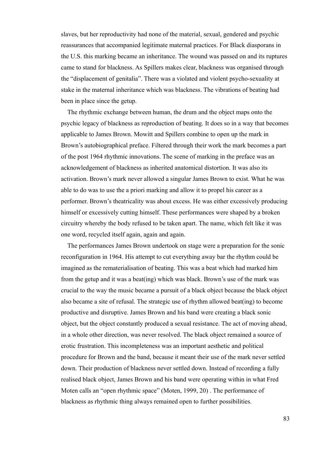slaves, but her reproductivity had none of the material, sexual, gendered and psychic reassurances that accompanied legitimate maternal practices. For Black diasporans in the U.S. this marking became an inheritance. The wound was passed on and its ruptures came to stand for blackness. As Spillers makes clear, blackness was organised through the "displacement of genitalia". There was a violated and violent psycho-sexuality at stake in the maternal inheritance which was blackness. The vibrations of beating had been in place since the getup.

 The rhythmic exchange between human, the drum and the object maps onto the psychic legacy of blackness as reproduction of beating. It does so in a way that becomes applicable to James Brown. Mowitt and Spillers combine to open up the mark in Brown's autobiographical preface. Filtered through their work the mark becomes a part of the post 1964 rhythmic innovations. The scene of marking in the preface was an acknowledgement of blackness as inherited anatomical distortion. It was also its activation. Brown's mark never allowed a singular James Brown to exist. What he was able to do was to use the a priori marking and allow it to propel his career as a performer. Brown's theatricality was about excess. He was either excessively producing himself or excessively cutting himself. These performances were shaped by a broken circuitry whereby the body refused to be taken apart. The name, which felt like it was one word, recycled itself again, again and again.

 The performances James Brown undertook on stage were a preparation for the sonic reconfiguration in 1964. His attempt to cut everything away bar the rhythm could be imagined as the rematerialisation of beating. This was a beat which had marked him from the getup and it was a beat(ing) which was black. Brown's use of the mark was crucial to the way the music became a pursuit of a black object because the black object also became a site of refusal. The strategic use of rhythm allowed beat(ing) to become productive and disruptive. James Brown and his band were creating a black sonic object, but the object constantly produced a sexual resistance. The act of moving ahead, in a whole other direction, was never resolved. The black object remained a source of erotic frustration. This incompleteness was an important aesthetic and political procedure for Brown and the band, because it meant their use of the mark never settled down. Their production of blackness never settled down. Instead of recording a fully realised black object, James Brown and his band were operating within in what Fred Moten calls an "open rhythmic space" (Moten, 1999, 20) . The performance of blackness as rhythmic thing always remained open to further possibilities.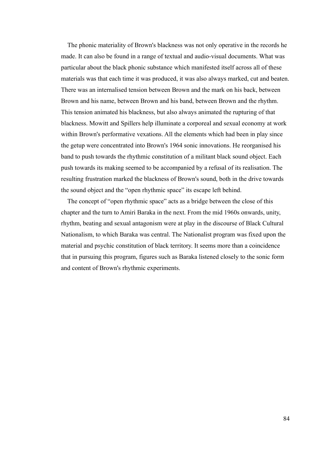The phonic materiality of Brown's blackness was not only operative in the records he made. It can also be found in a range of textual and audio-visual documents. What was particular about the black phonic substance which manifested itself across all of these materials was that each time it was produced, it was also always marked, cut and beaten. There was an internalised tension between Brown and the mark on his back, between Brown and his name, between Brown and his band, between Brown and the rhythm. This tension animated his blackness, but also always animated the rupturing of that blackness. Mowitt and Spillers help illuminate a corporeal and sexual economy at work within Brown's performative vexations. All the elements which had been in play since the getup were concentrated into Brown's 1964 sonic innovations. He reorganised his band to push towards the rhythmic constitution of a militant black sound object. Each push towards its making seemed to be accompanied by a refusal of its realisation. The resulting frustration marked the blackness of Brown's sound, both in the drive towards the sound object and the "open rhythmic space" its escape left behind.

 The concept of "open rhythmic space" acts as a bridge between the close of this chapter and the turn to Amiri Baraka in the next. From the mid 1960s onwards, unity, rhythm, beating and sexual antagonism were at play in the discourse of Black Cultural Nationalism, to which Baraka was central. The Nationalist program was fixed upon the material and psychic constitution of black territory. It seems more than a coincidence that in pursuing this program, figures such as Baraka listened closely to the sonic form and content of Brown's rhythmic experiments.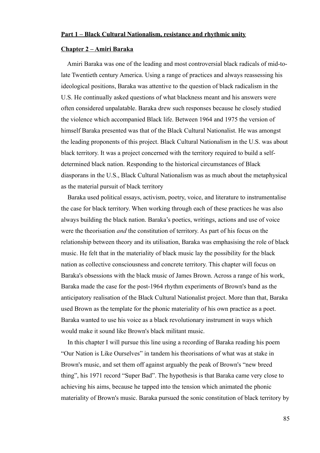# **Part 1 – Black Cultural Nationalism, resistance and rhythmic unity**

### **Chapter 2 – Amiri Baraka**

 Amiri Baraka was one of the leading and most controversial black radicals of mid-tolate Twentieth century America. Using a range of practices and always reassessing his ideological positions, Baraka was attentive to the question of black radicalism in the U.S. He continually asked questions of what blackness meant and his answers were often considered unpalatable. Baraka drew such responses because he closely studied the violence which accompanied Black life. Between 1964 and 1975 the version of himself Baraka presented was that of the Black Cultural Nationalist. He was amongst the leading proponents of this project. Black Cultural Nationalism in the U.S. was about black territory. It was a project concerned with the territory required to build a selfdetermined black nation. Responding to the historical circumstances of Black diasporans in the U.S., Black Cultural Nationalism was as much about the metaphysical as the material pursuit of black territory

 Baraka used political essays, activism, poetry, voice, and literature to instrumentalise the case for black territory. When working through each of these practices he was also always building the black nation. Baraka's poetics, writings, actions and use of voice were the theorisation *and* the constitution of territory. As part of his focus on the relationship between theory and its utilisation, Baraka was emphasising the role of black music. He felt that in the materiality of black music lay the possibility for the black nation as collective consciousness and concrete territory. This chapter will focus on Baraka's obsessions with the black music of James Brown. Across a range of his work, Baraka made the case for the post-1964 rhythm experiments of Brown's band as the anticipatory realisation of the Black Cultural Nationalist project. More than that, Baraka used Brown as the template for the phonic materiality of his own practice as a poet. Baraka wanted to use his voice as a black revolutionary instrument in ways which would make it sound like Brown's black militant music.

 In this chapter I will pursue this line using a recording of Baraka reading his poem "Our Nation is Like Ourselves" in tandem his theorisations of what was at stake in Brown's music, and set them off against arguably the peak of Brown's "new breed thing", his 1971 record "Super Bad". The hypothesis is that Baraka came very close to achieving his aims, because he tapped into the tension which animated the phonic materiality of Brown's music. Baraka pursued the sonic constitution of black territory by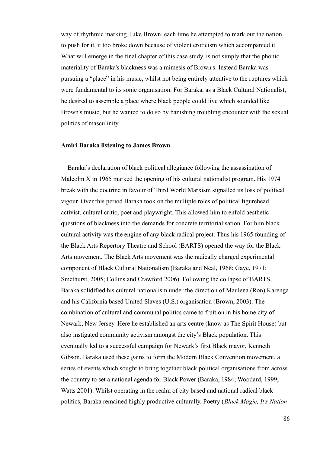way of rhythmic marking. Like Brown, each time he attempted to mark out the nation, to push for it, it too broke down because of violent eroticism which accompanied it. What will emerge in the final chapter of this case study, is not simply that the phonic materiality of Baraka's blackness was a mimesis of Brown's. Instead Baraka was pursuing a "place" in his music, whilst not being entirely attentive to the ruptures which were fundamental to its sonic organisation. For Baraka, as a Black Cultural Nationalist, he desired to assemble a place where black people could live which sounded like Brown's music, but he wanted to do so by banishing troubling encounter with the sexual politics of masculinity.

## **Amiri Baraka listening to James Brown**

 Baraka's declaration of black political allegiance following the assassination of Malcolm X in 1965 marked the opening of his cultural nationalist program. His 1974 break with the doctrine in favour of Third World Marxism signalled its loss of political vigour. Over this period Baraka took on the multiple roles of political figurehead, activist, cultural critic, poet and playwright. This allowed him to enfold aesthetic questions of blackness into the demands for concrete territorialisation. For him black cultural activity was the engine of any black radical project. Thus his 1965 founding of the Black Arts Repertory Theatre and School (BARTS) opened the way for the Black Arts movement. The Black Arts movement was the radically charged experimental component of Black Cultural Nationalism (Baraka and Neal, 1968; Gaye, 1971; Smethurst, 2005; Collins and Crawford 2006). Following the collapse of BARTS, Baraka solidified his cultural nationalism under the direction of Maulena (Ron) Karenga and his California based United Slaves (U.S.) organisation (Brown, 2003). The combination of cultural and communal politics came to fruition in his home city of Newark, New Jersey. Here he established an arts centre (know as The Spirit House) but also instigated community activism amongst the city's Black population. This eventually led to a successful campaign for Newark's first Black mayor, Kenneth Gibson. Baraka used these gains to form the Modern Black Convention movement, a series of events which sought to bring together black political organisations from across the country to set a national agenda for Black Power (Baraka, 1984; Woodard, 1999; Watts 2001). Whilst operating in the realm of city based and national radical black politics, Baraka remained highly productive culturally. Poetry (*Black Magic, It's Nation*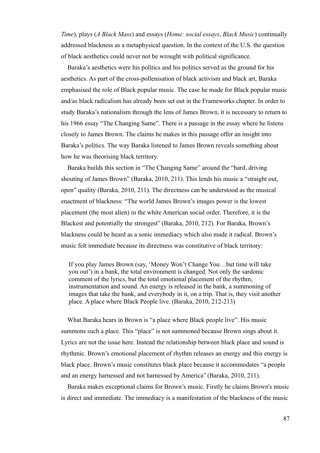*Time*), plays (*A Black Mass*) and essays (*Home: social essays*, *Black Music*) continually addressed blackness as a metaphysical question. In the context of the U.S. the question of black aesthetics could never not be wrought with political significance.

 Baraka's aesthetics were his politics and his politics served as the ground for his aesthetics. As part of the cross-pollenisation of black activism and black art, Baraka emphasised the role of Black popular music. The case he made for Black popular music and/as black radicalism has already been set out in the Frameworks chapter. In order to study Baraka's nationalism through the lens of James Brown, it is necessary to return to his 1966 essay "The Changing Same". There is a passage in the essay where he listens closely to James Brown. The claims he makes in this passage offer an insight into Baraka's politics. The way Baraka listened to James Brown reveals something about how he was theorising black territory.

 Baraka builds this section in "The Changing Same" around the "hard, driving shouting of James Brown" (Baraka, 2010, 211). This lends his music a "straight out, open" quality (Baraka, 2010, 211). The directness can be understood as the musical enactment of blackness: "The world James Brown's images power is the lowest placement (the most alien) in the white American social order. Therefore, it is the Blackest and potentially the strongest" (Baraka, 2010, 212). For Baraka, Brown's blackness could be heard as a sonic immediacy which also made it radical. Brown's music felt immediate because its directness was constitutive of black territory:

If you play James Brown (say, 'Money Won't Change You…but time will take you out') in a bank, the total environment is changed. Not only the sardonic comment of the lyrics, but the total emotional placement of the rhythm, instrumentation and sound. An energy is released in the bank, a summoning of images that take the bank, and everybody in it, on a trip. That is, they visit another place. A place where Black People live. (Baraka, 2010, 212-213)

 What Baraka hears in Brown is "a place where Black people live". His music summons such a place. This "place" is not summoned because Brown sings about it. Lyrics are not the issue here. Instead the relationship between black place and sound is rhythmic. Brown's emotional placement of rhythm releases an energy and this energy is black place. Brown's music constitutes black place because it accommodates "a people and an energy harnessed and not harnessed by America" (Baraka, 2010, 211).

 Baraka makes exceptional claims for Brown's music. Firstly he claims Brown's music is direct and immediate. The immediacy is a manifestation of the blackness of the music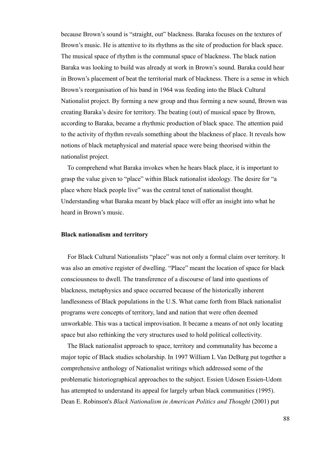because Brown's sound is "straight, out" blackness. Baraka focuses on the textures of Brown's music. He is attentive to its rhythms as the site of production for black space. The musical space of rhythm is the communal space of blackness. The black nation Baraka was looking to build was already at work in Brown's sound. Baraka could hear in Brown's placement of beat the territorial mark of blackness. There is a sense in which Brown's reorganisation of his band in 1964 was feeding into the Black Cultural Nationalist project. By forming a new group and thus forming a new sound, Brown was creating Baraka's desire for territory. The beating (out) of musical space by Brown, according to Baraka, became a rhythmic production of black space. The attention paid to the activity of rhythm reveals something about the blackness of place. It reveals how notions of black metaphysical and material space were being theorised within the nationalist project.

 To comprehend what Baraka invokes when he hears black place, it is important to grasp the value given to "place" within Black nationalist ideology. The desire for "a place where black people live" was the central tenet of nationalist thought. Understanding what Baraka meant by black place will offer an insight into what he heard in Brown's music.

### **Black nationalism and territory**

 For Black Cultural Nationalists "place" was not only a formal claim over territory. It was also an emotive register of dwelling. "Place" meant the location of space for black consciousness to dwell. The transference of a discourse of land into questions of blackness, metaphysics and space occurred because of the historically inherent landlessness of Black populations in the U.S. What came forth from Black nationalist programs were concepts of territory, land and nation that were often deemed unworkable. This was a tactical improvisation. It became a means of not only locating space but also rethinking the very structures used to hold political collectivity.

 The Black nationalist approach to space, territory and communality has become a major topic of Black studies scholarship. In 1997 William L Van DeBurg put together a comprehensive anthology of Nationalist writings which addressed some of the problematic historiographical approaches to the subject. Essien Udosen Essien-Udom has attempted to understand its appeal for largely urban black communities (1995). Dean E. Robinson's *Black Nationalism in American Politics and Thought* (2001) put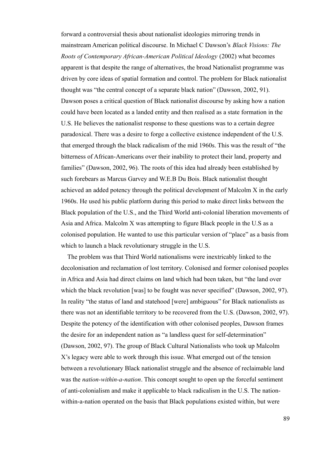forward a controversial thesis about nationalist ideologies mirroring trends in mainstream American political discourse. In Michael C Dawson's *Black Visions: The Roots of Contemporary African-American Political Ideology* (2002) what becomes apparent is that despite the range of alternatives, the broad Nationalist programme was driven by core ideas of spatial formation and control. The problem for Black nationalist thought was "the central concept of a separate black nation" (Dawson, 2002, 91). Dawson poses a critical question of Black nationalist discourse by asking how a nation could have been located as a landed entity and then realised as a state formation in the U.S. He believes the nationalist response to these questions was to a certain degree paradoxical. There was a desire to forge a collective existence independent of the U.S. that emerged through the black radicalism of the mid 1960s. This was the result of "the bitterness of African-Americans over their inability to protect their land, property and families" (Dawson, 2002, 96). The roots of this idea had already been established by such forebears as Marcus Garvey and W.E.B Du Bois. Black nationalist thought achieved an added potency through the political development of Malcolm X in the early 1960s. He used his public platform during this period to make direct links between the Black population of the U.S., and the Third World anti-colonial liberation movements of Asia and Africa. Malcolm X was attempting to figure Black people in the U.S as a colonised population. He wanted to use this particular version of "place" as a basis from which to launch a black revolutionary struggle in the U.S.

 The problem was that Third World nationalisms were inextricably linked to the decolonisation and reclamation of lost territory. Colonised and former colonised peoples in Africa and Asia had direct claims on land which had been taken, but "the land over which the black revolution [was] to be fought was never specified" (Dawson, 2002, 97). In reality "the status of land and statehood [were] ambiguous" for Black nationalists as there was not an identifiable territory to be recovered from the U.S. (Dawson, 2002, 97). Despite the potency of the identification with other colonised peoples, Dawson frames the desire for an independent nation as "a landless quest for self-determination" (Dawson, 2002, 97). The group of Black Cultural Nationalists who took up Malcolm X's legacy were able to work through this issue. What emerged out of the tension between a revolutionary Black nationalist struggle and the absence of reclaimable land was the *nation-within-a-nation*. This concept sought to open up the forceful sentiment of anti-colonialism and make it applicable to black radicalism in the U.S. The nationwithin-a-nation operated on the basis that Black populations existed within, but were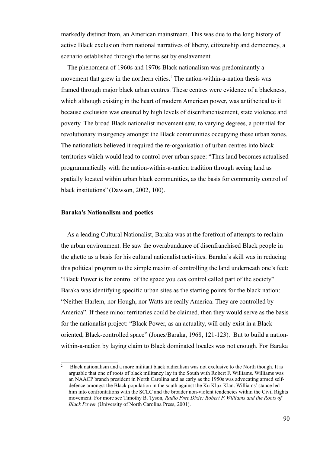markedly distinct from, an American mainstream. This was due to the long history of active Black exclusion from national narratives of liberty, citizenship and democracy, a scenario established through the terms set by enslavement.

 The phenomena of 1960s and 1970s Black nationalism was predominantly a movement that grew in the northern cities.<sup>[2](#page-89-0)</sup> The nation-within-a-nation thesis was framed through major black urban centres. These centres were evidence of a blackness, which although existing in the heart of modern American power, was antithetical to it because exclusion was ensured by high levels of disenfranchisement, state violence and poverty. The broad Black nationalist movement saw, to varying degrees, a potential for revolutionary insurgency amongst the Black communities occupying these urban zones. The nationalists believed it required the re-organisation of urban centres into black territories which would lead to control over urban space: "Thus land becomes actualised programmatically with the nation-within-a-nation tradition through seeing land as spatially located within urban black communities, as the basis for community control of black institutions" (Dawson, 2002, 100).

#### **Baraka's Nationalism and poetics**

 As a leading Cultural Nationalist, Baraka was at the forefront of attempts to reclaim the urban environment. He saw the overabundance of disenfranchised Black people in the ghetto as a basis for his cultural nationalist activities. Baraka's skill was in reducing this political program to the simple maxim of controlling the land underneath one's feet: "Black Power is for control of the space you *can* control called part of the society" Baraka was identifying specific urban sites as the starting points for the black nation: "Neither Harlem, nor Hough, nor Watts are really America. They are controlled by America". If these minor territories could be claimed, then they would serve as the basis for the nationalist project: "Black Power, as an actuality, will only exist in a Blackoriented, Black-controlled space" (Jones/Baraka, 1968, 121-123). But to build a nationwithin-a-nation by laying claim to Black dominated locales was not enough. For Baraka

<span id="page-89-0"></span><sup>2</sup> Black nationalism and a more militant black radicalism was not exclusive to the North though. It is arguable that one of roots of black militancy lay in the South with Robert F. Williams. Williams was an NAACP branch president in North Carolina and as early as the 1950s was advocating armed selfdefence amongst the Black population in the south against the Ku Klux Klan. Williams' stance led him into confrontations with the SCLC and the broader non-violent tendencies within the Civil Rights movement. For more see Timothy B. Tyson, *Radio Free Dixie: Robert F. Williams and the Roots of Black Power* (University of North Carolina Press, 2001).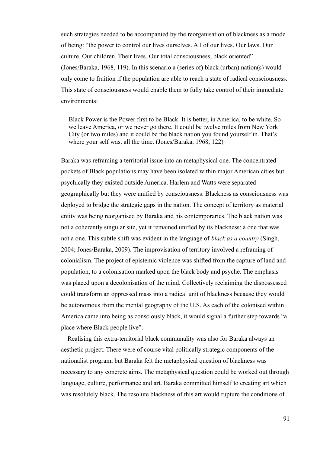such strategies needed to be accompanied by the reorganisation of blackness as a mode of being: "the power to control our lives ourselves. All of our lives. Our laws. Our culture. Our children. Their lives. Our total consciousness, black oriented" (Jones/Baraka, 1968, 119). In this scenario a (series of) black (urban) nation(s) would only come to fruition if the population are able to reach a state of radical consciousness. This state of consciousness would enable them to fully take control of their immediate environments:

Black Power is the Power first to be Black. It is better, in America, to be white. So we leave America, or we never go there. It could be twelve miles from New York City (or two miles) and it could be the black nation you found yourself in. That's where your self was, all the time. (Jones/Baraka, 1968, 122)

Baraka was reframing a territorial issue into an metaphysical one. The concentrated pockets of Black populations may have been isolated within major American cities but psychically they existed outside America. Harlem and Watts were separated geographically but they were unified by consciousness. Blackness as consciousness was deployed to bridge the strategic gaps in the nation. The concept of territory as material entity was being reorganised by Baraka and his contemporaries. The black nation was not a coherently singular site, yet it remained unified by its blackness: a one that was not a one. This subtle shift was evident in the language of *black as a country* (Singh, 2004; Jones/Baraka, 2009). The improvisation of territory involved a reframing of colonialism. The project of epistemic violence was shifted from the capture of land and population, to a colonisation marked upon the black body and psyche. The emphasis was placed upon a decolonisation of the mind. Collectively reclaiming the dispossessed could transform an oppressed mass into a radical unit of blackness because they would be autonomous from the mental geography of the U.S. As each of the colonised within America came into being as consciously black, it would signal a further step towards "a place where Black people live".

 Realising this extra-territorial black communality was also for Baraka always an aesthetic project. There were of course vital politically strategic components of the nationalist program, but Baraka felt the metaphysical question of blackness was necessary to any concrete aims. The metaphysical question could be worked out through language, culture, performance and art. Baraka committed himself to creating art which was resolutely black. The resolute blackness of this art would rupture the conditions of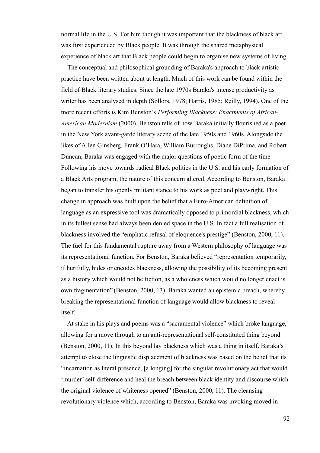normal life in the U.S. For him though it was important that the blackness of black art was first experienced by Black people. It was through the shared metaphysical experience of black art that Black people could begin to organise new systems of living.

 The conceptual and philosophical grounding of Baraka's approach to black artistic practice have been written about at length. Much of this work can be found within the field of Black literary studies. Since the late 1970s Baraka's intense productivity as writer has been analysed in depth (Sollors, 1978; Harris, 1985; Reilly, 1994). One of the more recent efforts is Kim Benston's *Performing Blackness: Enactments of African-American Modernism* (2000). Benston tells of how Baraka initially flourished as a poet in the New York avant-garde literary scene of the late 1950s and 1960s. Alongside the likes of Allen Ginsberg, Frank O'Hara, William Burroughs, Diane DiPrima, and Robert Duncan, Baraka was engaged with the major questions of poetic form of the time. Following his move towards radical Black politics in the U.S. and his early formation of a Black Arts program, the nature of this concern altered. According to Benston, Baraka began to transfer his openly militant stance to his work as poet and playwright. This change in approach was built upon the belief that a Euro-American definition of language as an expressive tool was dramatically opposed to primordial blackness, which in its fullest sense had always been denied space in the U.S. In fact a full realisation of blackness involved the "emphatic refusal of eloquence's prestige" (Benston, 2000, 11). The fuel for this fundamental rupture away from a Western philosophy of language was its representational function. For Benston, Baraka believed "representation temporarily, if hurtfully, hides or encodes blackness, allowing the possibility of its becoming present as a history which would not be fiction, as a wholeness which would no longer enact is own fragmentation" (Benston, 2000, 13). Baraka wanted an epistemic breach, whereby breaking the representational function of language would allow blackness to reveal itself.

 At stake in his plays and poems was a "sacramental violence" which broke language, allowing for a move through to an anti-representational self-constituted thing beyond (Benston, 2000, 11). In this beyond lay blackness which was a thing in itself. Baraka's attempt to close the linguistic displacement of blackness was based on the belief that its "incarnation as literal presence, [a longing] for the singular revolutionary act that would 'murder' self-difference and heal the breach between black identity and discourse which the original violence of whiteness opened" (Benston, 2000, 11). The cleansing revolutionary violence which, according to Benston, Baraka was invoking moved in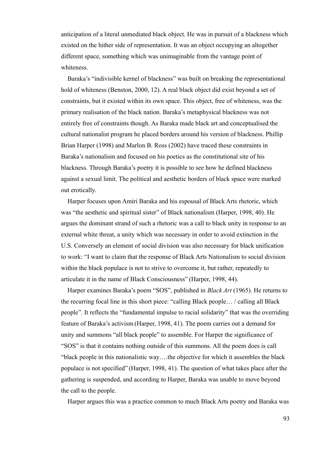anticipation of a literal unmediated black object. He was in pursuit of a blackness which existed on the hither side of representation. It was an object occupying an altogether different space, something which was unimaginable from the vantage point of whiteness.

 Baraka's "indivisible kernel of blackness" was built on breaking the representational hold of whiteness (Benston, 2000, 12). A real black object did exist beyond a set of constraints, but it existed within its own space. This object, free of whiteness, was the primary realisation of the black nation. Baraka's metaphysical blackness was not entirely free of constraints though. As Baraka made black art and conceptualised the cultural nationalist program he placed borders around his version of blackness. Phillip Brian Harper (1998) and Marlon B. Ross (2002) have traced these constraints in Baraka's nationalism and focused on his poetics as the constitutional site of his blackness. Through Baraka's poetry it is possible to see how he defined blackness against a sexual limit. The political and aesthetic borders of black space were marked out erotically.

 Harper focuses upon Amiri Baraka and his espousal of Black Arts rhetoric, which was "the aesthetic and spiritual sister" of Black nationalism (Harper, 1998, 40). He argues the dominant strand of such a rhetoric was a call to black unity in response to an external white threat, a unity which was necessary in order to avoid extinction in the U.S. Conversely an element of social division was also necessary for black unification to work: "I want to claim that the response of Black Arts Nationalism to social division within the black populace is not to strive to overcome it, but rather, repeatedly to articulate it in the name of Black Consciousness" (Harper, 1998, 44).

 Harper examines Baraka's poem "SOS", published in *Black Art* (1965). He returns to the recurring focal line in this short piece: "calling Black people… / calling all Black people". It reflects the "fundamental impulse to racial solidarity" that was the overriding feature of Baraka's activism (Harper, 1998, 41). The poem carries out a demand for unity and summons "all black people" to assemble. For Harper the significance of "SOS" is that it contains nothing outside of this summons. All the poem does is call "black people in this nationalistic way….the objective for which it assembles the black populace is not specified" (Harper, 1998, 41). The question of what takes place after the gathering is suspended, and according to Harper, Baraka was unable to move beyond the call to the people.

Harper argues this was a practice common to much Black Arts poetry and Baraka was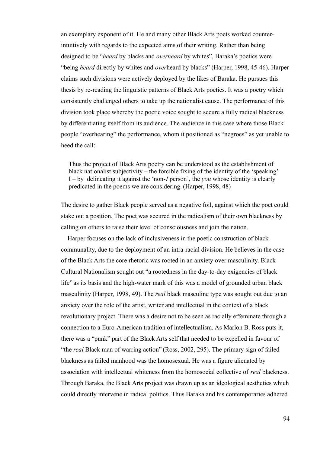an exemplary exponent of it. He and many other Black Arts poets worked counterintuitively with regards to the expected aims of their writing. Rather than being designed to be "*heard* by blacks and *overheard* by whites", Baraka's poetics were "being *heard* directly by whites and *over*heard by blacks" (Harper, 1998, 45-46). Harper claims such divisions were actively deployed by the likes of Baraka. He pursues this thesis by re-reading the linguistic patterns of Black Arts poetics. It was a poetry which consistently challenged others to take up the nationalist cause. The performance of this division took place whereby the poetic voice sought to secure a fully radical blackness by differentiating itself from its audience. The audience in this case where those Black people "overhearing" the performance, whom it positioned as "negroes" as yet unable to heed the call:

Thus the project of Black Arts poetry can be understood as the establishment of black nationalist subjectivity – the forcible fixing of the identity of the 'speaking' I – by delineating it against the 'non-*I* person', the *you* whose identity is clearly predicated in the poems we are considering. (Harper, 1998, 48)

The desire to gather Black people served as a negative foil, against which the poet could stake out a position. The poet was secured in the radicalism of their own blackness by calling on others to raise their level of consciousness and join the nation.

 Harper focuses on the lack of inclusiveness in the poetic construction of black communality, due to the deployment of an intra-racial division. He believes in the case of the Black Arts the core rhetoric was rooted in an anxiety over masculinity. Black Cultural Nationalism sought out "a rootedness in the day-to-day exigencies of black life" as its basis and the high-water mark of this was a model of grounded urban black masculinity (Harper, 1998, 49). The *real* black masculine type was sought out due to an anxiety over the role of the artist, writer and intellectual in the context of a black revolutionary project. There was a desire not to be seen as racially effeminate through a connection to a Euro-American tradition of intellectualism. As Marlon B. Ross puts it, there was a "punk" part of the Black Arts self that needed to be expelled in favour of "the *real* Black man of warring action" (Ross, 2002, 295). The primary sign of failed blackness as failed manhood was the homosexual. He was a figure alienated by association with intellectual whiteness from the homosocial collective of *real* blackness. Through Baraka, the Black Arts project was drawn up as an ideological aesthetics which could directly intervene in radical politics. Thus Baraka and his contemporaries adhered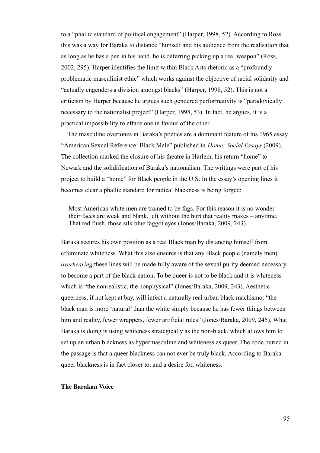to a "phallic standard of political engagement" (Harper, 1998, 52). According to Ross this was a way for Baraka to distance "himself and his audience from the realisation that as long as he has a pen in his hand, he is deferring picking up a real weapon" (Ross, 2002, 295). Harper identifies the limit within Black Arts rhetoric as a "profoundly problematic masculinist ethic" which works against the objective of racial solidarity and "actually engenders a division amongst blacks" (Harper, 1998, 52). This is not a criticism by Harper because he argues such gendered performativity is "paradoxically necessary to the nationalist project" (Harper, 1998, 53). In fact, he argues, it is a practical impossibility to efface one in favour of the other.

 The masculine overtones in Baraka's poetics are a dominant feature of his 1965 essay "American Sexual Reference: Black Male" published in *Home: Social Essays* (2009). The collection marked the closure of his theatre in Harlem, his return "home" to Newark and the solidification of Baraka's nationalism. The writings were part of his project to build a "home" for Black people in the U.S. In the essay's opening lines it becomes clear a phallic standard for radical blackness is being forged:

Most American white men are trained to be fags. For this reason it is no wonder their faces are weak and blank, left without the hurt that reality makes – anytime. That red flush, those silk blue faggot eyes (Jones/Baraka, 2009, 243)

Baraka secures his own position as a real Black man by distancing himself from effeminate whiteness. What this also ensures is that any Black people (namely men) *overhearing* these lines will be made fully aware of the sexual purity deemed necessary to become a part of the black nation. To be queer is not to be black and it is whiteness which is "the nonrealistic, the nonphysical" (Jones/Baraka, 2009, 243). Aesthetic queerness, if not kept at bay, will infect a naturally real urban black machismo: "the black man is more 'natural' than the white simply because he has fewer things between him and reality, fewer wrappers, fewer artificial rules" (Jones/Baraka, 2009, 245). What Baraka is doing is using whiteness strategically as the non-black, which allows him to set up an urban blackness as hypermasculine and whiteness as queer. The code buried in the passage is that a queer blackness can not ever be truly black. According to Baraka queer blackness is in fact closer to, and a desire for, whiteness.

#### **The Barakan Voice**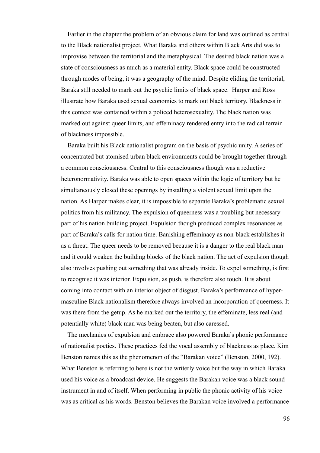Earlier in the chapter the problem of an obvious claim for land was outlined as central to the Black nationalist project. What Baraka and others within Black Arts did was to improvise between the territorial and the metaphysical. The desired black nation was a state of consciousness as much as a material entity. Black space could be constructed through modes of being, it was a geography of the mind. Despite eliding the territorial, Baraka still needed to mark out the psychic limits of black space. Harper and Ross illustrate how Baraka used sexual economies to mark out black territory. Blackness in this context was contained within a policed heterosexuality. The black nation was marked out against queer limits, and effeminacy rendered entry into the radical terrain of blackness impossible.

 Baraka built his Black nationalist program on the basis of psychic unity. A series of concentrated but atomised urban black environments could be brought together through a common consciousness. Central to this consciousness though was a reductive heteronormativity. Baraka was able to open spaces within the logic of territory but he simultaneously closed these openings by installing a violent sexual limit upon the nation. As Harper makes clear, it is impossible to separate Baraka's problematic sexual politics from his militancy. The expulsion of queerness was a troubling but necessary part of his nation building project. Expulsion though produced complex resonances as part of Baraka's calls for nation time. Banishing effeminacy as non-black establishes it as a threat. The queer needs to be removed because it is a danger to the real black man and it could weaken the building blocks of the black nation. The act of expulsion though also involves pushing out something that was already inside. To expel something, is first to recognise it was interior. Expulsion, as push, is therefore also touch. It is about coming into contact with an interior object of disgust. Baraka's performance of hypermasculine Black nationalism therefore always involved an incorporation of queerness. It was there from the getup. As he marked out the territory, the effeminate, less real (and potentially white) black man was being beaten, but also caressed.

 The mechanics of expulsion and embrace also powered Baraka's phonic performance of nationalist poetics. These practices fed the vocal assembly of blackness as place. Kim Benston names this as the phenomenon of the "Barakan voice" (Benston, 2000, 192). What Benston is referring to here is not the writerly voice but the way in which Baraka used his voice as a broadcast device. He suggests the Barakan voice was a black sound instrument in and of itself. When performing in public the phonic activity of his voice was as critical as his words. Benston believes the Barakan voice involved a performance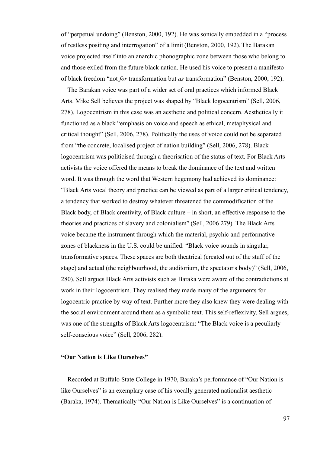of "perpetual undoing" (Benston, 2000, 192). He was sonically embedded in a "process of restless positing and interrogation" of a limit (Benston, 2000, 192).The Barakan voice projected itself into an anarchic phonographic zone between those who belong to and those exiled from the future black nation. He used his voice to present a manifesto of black freedom "not *for* transformation but *as* transformation" (Benston, 2000, 192).

 The Barakan voice was part of a wider set of oral practices which informed Black Arts. Mike Sell believes the project was shaped by "Black logocentrism" (Sell, 2006, 278). Logocentrism in this case was an aesthetic and political concern. Aesthetically it functioned as a black "emphasis on voice and speech as ethical, metaphysical and critical thought" (Sell, 2006, 278). Politically the uses of voice could not be separated from "the concrete, localised project of nation building" (Sell, 2006, 278). Black logocentrism was politicised through a theorisation of the status of text. For Black Arts activists the voice offered the means to break the dominance of the text and written word. It was through the word that Western hegemony had achieved its dominance: "Black Arts vocal theory and practice can be viewed as part of a larger critical tendency, a tendency that worked to destroy whatever threatened the commodification of the Black body, of Black creativity, of Black culture – in short, an effective response to the theories and practices of slavery and colonialism" (Sell, 2006 279). The Black Arts voice became the instrument through which the material, psychic and performative zones of blackness in the U.S. could be unified: "Black voice sounds in singular, transformative spaces. These spaces are both theatrical (created out of the stuff of the stage) and actual (the neighbourhood, the auditorium, the spectator's body)" (Sell, 2006, 280). Sell argues Black Arts activists such as Baraka were aware of the contradictions at work in their logocentrism. They realised they made many of the arguments for logocentric practice by way of text. Further more they also knew they were dealing with the social environment around them as a symbolic text. This self-reflexivity, Sell argues, was one of the strengths of Black Arts logocentrism: "The Black voice is a peculiarly self-conscious voice" (Sell, 2006, 282).

# **"Our Nation is Like Ourselves"**

 Recorded at Buffalo State College in 1970, Baraka's performance of "Our Nation is like Ourselves" is an exemplary case of his vocally generated nationalist aesthetic (Baraka, 1974). Thematically "Our Nation is Like Ourselves" is a continuation of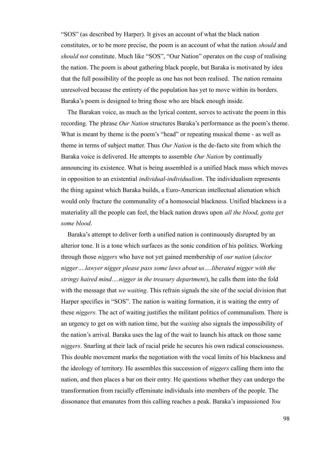"SOS" (as described by Harper). It gives an account of what the black nation constitutes, or to be more precise, the poem is an account of what the nation *should* and *should not* constitute. Much like "SOS", "Our Nation" operates on the cusp of realising the nation. The poem is about gathering black people, but Baraka is motivated by idea that the full possibility of the people as one has not been realised. The nation remains unresolved because the entirety of the population has yet to move within its borders. Baraka's poem is designed to bring those who are black enough inside.

 The Barakan voice, as much as the lyrical content, serves to activate the poem in this recording. The phrase *Our Nation* structures Baraka's performance as the poem's theme. What is meant by theme is the poem's "head" or repeating musical theme - as well as theme in terms of subject matter. Thus *Our Nation* is the de-facto site from which the Baraka voice is delivered. He attempts to assemble *Our Nation* by continually announcing its existence. What is being assembled is a unified black mass which moves in opposition to an existential *individual-individualism*. The individualism represents the thing against which Baraka builds, a Euro-American intellectual alienation which would only fracture the communality of a homosocial blackness. Unified blackness is a materiality all the people can feel, the black nation draws upon *all the blood, gotta get some blood*.

 Baraka's attempt to deliver forth a unified nation is continuously disrupted by an alterior tone. It is a tone which surfaces as the sonic condition of his politics. Working through those *niggers* who have not yet gained membership of *our nation* (*doctor nigger….lawyer nigger please pass some laws about us….liberated nigger with the stringy haired mind….nigger in the treasury department*), he calls them into the fold with the message that *we waiting*. This refrain signals the site of the social division that Harper specifies in "SOS". The nation is waiting formation, it is waiting the entry of these *niggers*. The act of waiting justifies the militant politics of communalism. There is an urgency to get on with nation time, but the *waiting* also signals the impossibility of the nation's arrival. Baraka uses the lag of the wait to launch his attack on those same *niggers*. Snarling at their lack of racial pride he secures his own radical consciousness. This double movement marks the negotiation with the vocal limits of his blackness and the ideology of territory. He assembles this succession of *niggers* calling them into the nation, and then places a bar on their entry. He questions whether they can undergo the transformation from racially effeminate individuals into members of the people. The dissonance that emanates from this calling reaches a peak. Baraka's impassioned *You*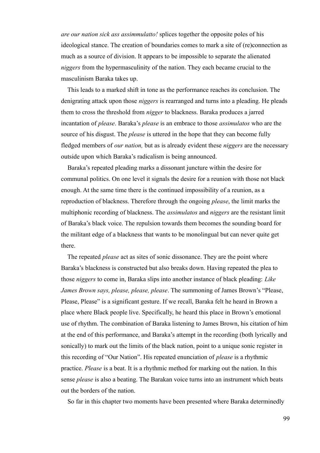*are our nation sick ass assimmulatto!* splices together the opposite poles of his ideological stance. The creation of boundaries comes to mark a site of (re)connection as much as a source of division. It appears to be impossible to separate the alienated *niggers* from the hypermasculinity of the nation. They each became crucial to the masculinism Baraka takes up.

 This leads to a marked shift in tone as the performance reaches its conclusion. The denigrating attack upon those *niggers* is rearranged and turns into a pleading. He pleads them to cross the threshold from *nigger* to blackness. Baraka produces a jarred incantation of *please*. Baraka's *please* is an embrace to those *assimulatos* who are the source of his disgust. The *please* is uttered in the hope that they can become fully fledged members of *our nation,* but as is already evident these *niggers* are the necessary outside upon which Baraka's radicalism is being announced.

 Baraka's repeated pleading marks a dissonant juncture within the desire for communal politics. On one level it signals the desire for a reunion with those not black enough. At the same time there is the continued impossibility of a reunion, as a reproduction of blackness. Therefore through the ongoing *please*, the limit marks the multiphonic recording of blackness. The *assimulatos* and *niggers* are the resistant limit of Baraka's black voice. The repulsion towards them becomes the sounding board for the militant edge of a blackness that wants to be monolingual but can never quite get there.

 The repeated *please* act as sites of sonic dissonance. They are the point where Baraka's blackness is constructed but also breaks down. Having repeated the plea to those *niggers* to come in, Baraka slips into another instance of black pleading: *Like James Brown says, please, please, please*. The summoning of James Brown's "Please, Please, Please" is a significant gesture. If we recall, Baraka felt he heard in Brown a place where Black people live. Specifically, he heard this place in Brown's emotional use of rhythm. The combination of Baraka listening to James Brown, his citation of him at the end of this performance, and Baraka's attempt in the recording (both lyrically and sonically) to mark out the limits of the black nation, point to a unique sonic register in this recording of "Our Nation". His repeated enunciation of *please* is a rhythmic practice. *Please* is a beat. It is a rhythmic method for marking out the nation. In this sense *please* is also a beating. The Barakan voice turns into an instrument which beats out the borders of the nation.

So far in this chapter two moments have been presented where Baraka determinedly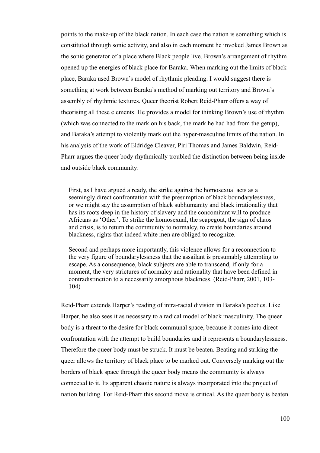points to the make-up of the black nation. In each case the nation is something which is constituted through sonic activity, and also in each moment he invoked James Brown as the sonic generator of a place where Black people live. Brown's arrangement of rhythm opened up the energies of black place for Baraka. When marking out the limits of black place, Baraka used Brown's model of rhythmic pleading. I would suggest there is something at work between Baraka's method of marking out territory and Brown's assembly of rhythmic textures. Queer theorist Robert Reid-Pharr offers a way of theorising all these elements. He provides a model for thinking Brown's use of rhythm (which was connected to the mark on his back, the mark he had had from the getup), and Baraka's attempt to violently mark out the hyper-masculine limits of the nation. In his analysis of the work of Eldridge Cleaver, Piri Thomas and James Baldwin, Reid-Pharr argues the queer body rhythmically troubled the distinction between being inside and outside black community:

First, as I have argued already, the strike against the homosexual acts as a seemingly direct confrontation with the presumption of black boundarylessness, or we might say the assumption of black subhumanity and black irrationality that has its roots deep in the history of slavery and the concomitant will to produce Africans as 'Other'. To strike the homosexual, the scapegoat, the sign of chaos and crisis, is to return the community to normalcy, to create boundaries around blackness, rights that indeed white men are obliged to recognize.

Second and perhaps more importantly, this violence allows for a reconnection to the very figure of boundarylessness that the assailant is presumably attempting to escape. As a consequence, black subjects are able to transcend, if only for a moment, the very strictures of normalcy and rationality that have been defined in contradistinction to a necessarily amorphous blackness. (Reid-Pharr, 2001, 103- 104)

Reid-Pharr extends Harper's reading of intra-racial division in Baraka's poetics. Like Harper, he also sees it as necessary to a radical model of black masculinity. The queer body is a threat to the desire for black communal space, because it comes into direct confrontation with the attempt to build boundaries and it represents a boundarylessness. Therefore the queer body must be struck. It must be beaten. Beating and striking the queer allows the territory of black place to be marked out. Conversely marking out the borders of black space through the queer body means the community is always connected to it. Its apparent chaotic nature is always incorporated into the project of nation building. For Reid-Pharr this second move is critical. As the queer body is beaten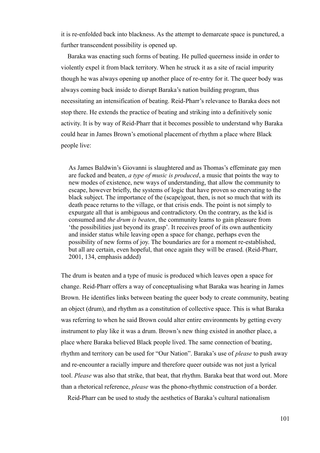it is re-enfolded back into blackness. As the attempt to demarcate space is punctured, a further transcendent possibility is opened up.

 Baraka was enacting such forms of beating. He pulled queerness inside in order to violently expel it from black territory. When he struck it as a site of racial impurity though he was always opening up another place of re-entry for it. The queer body was always coming back inside to disrupt Baraka's nation building program, thus necessitating an intensification of beating. Reid-Pharr's relevance to Baraka does not stop there. He extends the practice of beating and striking into a definitively sonic activity. It is by way of Reid-Pharr that it becomes possible to understand why Baraka could hear in James Brown's emotional placement of rhythm a place where Black people live:

As James Baldwin's Giovanni is slaughtered and as Thomas's effeminate gay men are fucked and beaten, *a type of music is produced*, a music that points the way to new modes of existence, new ways of understanding, that allow the community to escape, however briefly, the systems of logic that have proven so enervating to the black subject. The importance of the (scape)goat, then, is not so much that with its death peace returns to the village, or that crisis ends. The point is not simply to expurgate all that is ambiguous and contradictory. On the contrary, as the kid is consumed and *the drum is beaten*, the community learns to gain pleasure from 'the possibilities just beyond its grasp'. It receives proof of its own authenticity and insider status while leaving open a space for change, perhaps even the possibility of new forms of joy. The boundaries are for a moment re-established, but all are certain, even hopeful, that once again they will be erased. (Reid-Pharr, 2001, 134, emphasis added)

The drum is beaten and a type of music is produced which leaves open a space for change. Reid-Pharr offers a way of conceptualising what Baraka was hearing in James Brown. He identifies links between beating the queer body to create community, beating an object (drum), and rhythm as a constitution of collective space. This is what Baraka was referring to when he said Brown could alter entire environments by getting every instrument to play like it was a drum. Brown's new thing existed in another place, a place where Baraka believed Black people lived. The same connection of beating, rhythm and territory can be used for "Our Nation". Baraka's use of *please* to push away and re-encounter a racially impure and therefore queer outside was not just a lyrical tool. *Please* was also that strike, that beat, that rhythm. Baraka beat that word out. More than a rhetorical reference, *please* was the phono-rhythmic construction of a border.

Reid-Pharr can be used to study the aesthetics of Baraka's cultural nationalism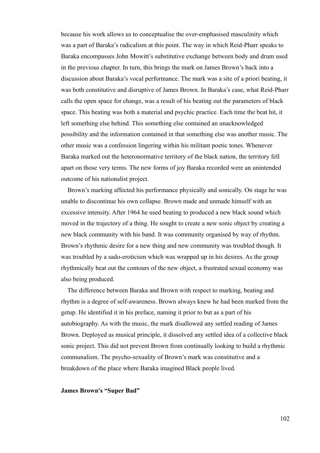because his work allows us to conceptualise the over-emphasised masculinity which was a part of Baraka's radicalism at this point. The way in which Reid-Pharr speaks to Baraka encompasses John Mowitt's substitutive exchange between body and drum used in the previous chapter. In turn, this brings the mark on James Brown's back into a discussion about Baraka's vocal performance. The mark was a site of a priori beating, it was both constitutive and disruptive of James Brown. In Baraka's case, what Reid-Pharr calls the open space for change, was a result of his beating out the parameters of black space. This beating was both a material and psychic practice. Each time the beat hit, it left something else behind. This something else contained an unacknowledged possibility and the information contained in that something else was another music. The other music was a confession lingering within his militant poetic tones. Whenever Baraka marked out the heteronormative territory of the black nation, the territory fell apart on those very terms. The new forms of joy Baraka recorded were an unintended outcome of his nationalist project.

 Brown's marking affected his performance physically and sonically. On stage he was unable to discontinue his own collapse. Brown made and unmade himself with an excessive intensity. After 1964 he used beating to produced a new black sound which moved in the trajectory of a thing. He sought to create a new sonic object by creating a new black community with his band. It was community organised by way of rhythm. Brown's rhythmic desire for a new thing and new community was troubled though. It was troubled by a sado-eroticism which was wrapped up in his desires. As the group rhythmically beat out the contours of the new object, a frustrated sexual economy was also being produced.

 The difference between Baraka and Brown with respect to marking, beating and rhythm is a degree of self-awareness. Brown always knew he had been marked from the getup. He identified it in his preface, naming it prior to but as a part of his autobiography. As with the music, the mark disallowed any settled reading of James Brown. Deployed as musical principle, it dissolved any settled idea of a collective black sonic project. This did not prevent Brown from continually looking to build a rhythmic communalism. The psycho-sexuality of Brown's mark was constitutive and a breakdown of the place where Baraka imagined Black people lived.

#### **James Brown's "Super Bad"**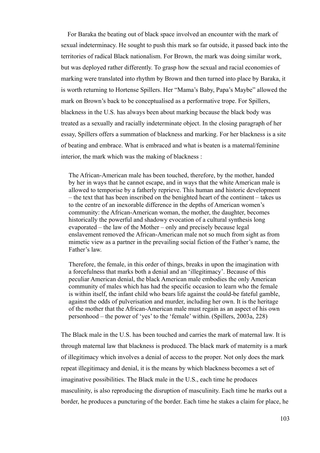For Baraka the beating out of black space involved an encounter with the mark of sexual indeterminacy. He sought to push this mark so far outside, it passed back into the territories of radical Black nationalism. For Brown, the mark was doing similar work, but was deployed rather differently. To grasp how the sexual and racial economies of marking were translated into rhythm by Brown and then turned into place by Baraka, it is worth returning to Hortense Spillers. Her "Mama's Baby, Papa's Maybe" allowed the mark on Brown's back to be conceptualised as a performative trope. For Spillers, blackness in the U.S. has always been about marking because the black body was treated as a sexually and racially indeterminate object. In the closing paragraph of her essay, Spillers offers a summation of blackness and marking. For her blackness is a site of beating and embrace. What is embraced and what is beaten is a maternal/feminine interior, the mark which was the making of blackness :

The African-American male has been touched, therefore, by the mother, handed by her in ways that he cannot escape, and in ways that the white American male is allowed to temporise by a fatherly reprieve. This human and historic development – the text that has been inscribed on the benighted heart of the continent – takes us to the centre of an inexorable difference in the depths of American women's community: the African-American woman, the mother, the daughter, becomes historically the powerful and shadowy evocation of a cultural synthesis long evaporated – the law of the Mother – only and precisely because legal enslavement removed the African-American male not so much from sight as from mimetic view as a partner in the prevailing social fiction of the Father's name, the Father's law.

Therefore, the female, in this order of things, breaks in upon the imagination with a forcefulness that marks both a denial and an 'illegitimacy'. Because of this peculiar American denial, the black American male embodies the only American community of males which has had the specific occasion to learn who the female is within itself, the infant child who bears life against the could-be fateful gamble, against the odds of pulverisation and murder, including her own. It is the heritage of the mother that the African-American male must regain as an aspect of his own personhood – the power of 'yes' to the 'female' within. (Spillers, 2003a, 228)

The Black male in the U.S. has been touched and carries the mark of maternal law. It is through maternal law that blackness is produced. The black mark of maternity is a mark of illegitimacy which involves a denial of access to the proper. Not only does the mark repeat illegitimacy and denial, it is the means by which blackness becomes a set of imaginative possibilities. The Black male in the U.S., each time he produces masculinity, is also reproducing the disruption of masculinity. Each time he marks out a border, he produces a puncturing of the border. Each time he stakes a claim for place, he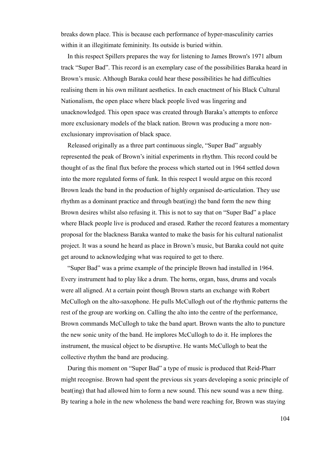breaks down place. This is because each performance of hyper-masculinity carries within it an illegitimate femininity. Its outside is buried within.

 In this respect Spillers prepares the way for listening to James Brown's 1971 album track "Super Bad". This record is an exemplary case of the possibilities Baraka heard in Brown's music. Although Baraka could hear these possibilities he had difficulties realising them in his own militant aesthetics. In each enactment of his Black Cultural Nationalism, the open place where black people lived was lingering and unacknowledged. This open space was created through Baraka's attempts to enforce more exclusionary models of the black nation. Brown was producing a more nonexclusionary improvisation of black space.

 Released originally as a three part continuous single, "Super Bad" arguably represented the peak of Brown's initial experiments in rhythm. This record could be thought of as the final flux before the process which started out in 1964 settled down into the more regulated forms of funk. In this respect I would argue on this record Brown leads the band in the production of highly organised de-articulation. They use rhythm as a dominant practice and through beat(ing) the band form the new thing Brown desires whilst also refusing it. This is not to say that on "Super Bad" a place where Black people live is produced and erased. Rather the record features a momentary proposal for the blackness Baraka wanted to make the basis for his cultural nationalist project. It was a sound he heard as place in Brown's music, but Baraka could not quite get around to acknowledging what was required to get to there.

 "Super Bad" was a prime example of the principle Brown had installed in 1964. Every instrument had to play like a drum. The horns, organ, bass, drums and vocals were all aligned. At a certain point though Brown starts an exchange with Robert McCullogh on the alto-saxophone. He pulls McCullogh out of the rhythmic patterns the rest of the group are working on. Calling the alto into the centre of the performance, Brown commands McCullogh to take the band apart. Brown wants the alto to puncture the new sonic unity of the band. He implores McCullogh to do it. He implores the instrument, the musical object to be disruptive. He wants McCullogh to beat the collective rhythm the band are producing.

 During this moment on "Super Bad" a type of music is produced that Reid-Pharr might recognise. Brown had spent the previous six years developing a sonic principle of beat(ing) that had allowed him to form a new sound. This new sound was a new thing. By tearing a hole in the new wholeness the band were reaching for, Brown was staying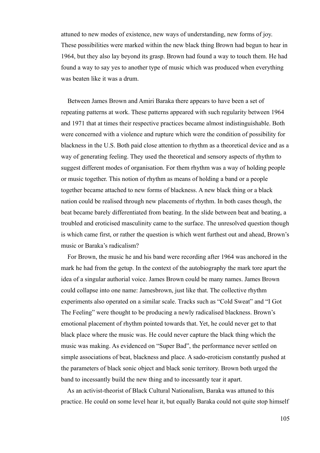attuned to new modes of existence, new ways of understanding, new forms of joy. These possibilities were marked within the new black thing Brown had begun to hear in 1964, but they also lay beyond its grasp. Brown had found a way to touch them. He had found a way to say yes to another type of music which was produced when everything was beaten like it was a drum.

 Between James Brown and Amiri Baraka there appears to have been a set of repeating patterns at work. These patterns appeared with such regularity between 1964 and 1971 that at times their respective practices became almost indistinguishable. Both were concerned with a violence and rupture which were the condition of possibility for blackness in the U.S. Both paid close attention to rhythm as a theoretical device and as a way of generating feeling. They used the theoretical and sensory aspects of rhythm to suggest different modes of organisation. For them rhythm was a way of holding people or music together. This notion of rhythm as means of holding a band or a people together became attached to new forms of blackness. A new black thing or a black nation could be realised through new placements of rhythm. In both cases though, the beat became barely differentiated from beating. In the slide between beat and beating, a troubled and eroticised masculinity came to the surface. The unresolved question though is which came first, or rather the question is which went furthest out and ahead, Brown's music or Baraka's radicalism?

 For Brown, the music he and his band were recording after 1964 was anchored in the mark he had from the getup. In the context of the autobiography the mark tore apart the idea of a singular authorial voice. James Brown could be many names. James Brown could collapse into one name: Jamesbrown, just like that. The collective rhythm experiments also operated on a similar scale. Tracks such as "Cold Sweat" and "I Got The Feeling" were thought to be producing a newly radicalised blackness. Brown's emotional placement of rhythm pointed towards that. Yet, he could never get to that black place where the music was. He could never capture the black thing which the music was making. As evidenced on "Super Bad", the performance never settled on simple associations of beat, blackness and place. A sado-eroticism constantly pushed at the parameters of black sonic object and black sonic territory. Brown both urged the band to incessantly build the new thing and to incessantly tear it apart.

 As an activist-theorist of Black Cultural Nationalism, Baraka was attuned to this practice. He could on some level hear it, but equally Baraka could not quite stop himself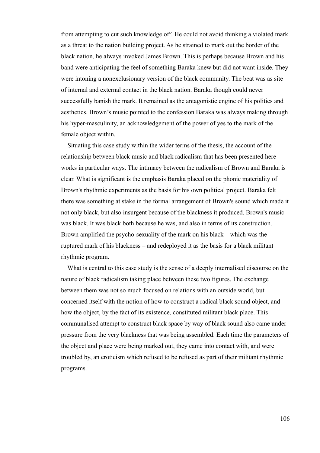from attempting to cut such knowledge off. He could not avoid thinking a violated mark as a threat to the nation building project. As he strained to mark out the border of the black nation, he always invoked James Brown. This is perhaps because Brown and his band were anticipating the feel of something Baraka knew but did not want inside. They were intoning a nonexclusionary version of the black community. The beat was as site of internal and external contact in the black nation. Baraka though could never successfully banish the mark. It remained as the antagonistic engine of his politics and aesthetics. Brown's music pointed to the confession Baraka was always making through his hyper-masculinity, an acknowledgement of the power of yes to the mark of the female object within.

 Situating this case study within the wider terms of the thesis, the account of the relationship between black music and black radicalism that has been presented here works in particular ways. The intimacy between the radicalism of Brown and Baraka is clear. What is significant is the emphasis Baraka placed on the phonic materiality of Brown's rhythmic experiments as the basis for his own political project. Baraka felt there was something at stake in the formal arrangement of Brown's sound which made it not only black, but also insurgent because of the blackness it produced. Brown's music was black. It was black both because he was, and also in terms of its construction. Brown amplified the psycho-sexuality of the mark on his black – which was the ruptured mark of his blackness – and redeployed it as the basis for a black militant rhythmic program.

 What is central to this case study is the sense of a deeply internalised discourse on the nature of black radicalism taking place between these two figures. The exchange between them was not so much focused on relations with an outside world, but concerned itself with the notion of how to construct a radical black sound object, and how the object, by the fact of its existence, constituted militant black place. This communalised attempt to construct black space by way of black sound also came under pressure from the very blackness that was being assembled. Each time the parameters of the object and place were being marked out, they came into contact with, and were troubled by, an eroticism which refused to be refused as part of their militant rhythmic programs.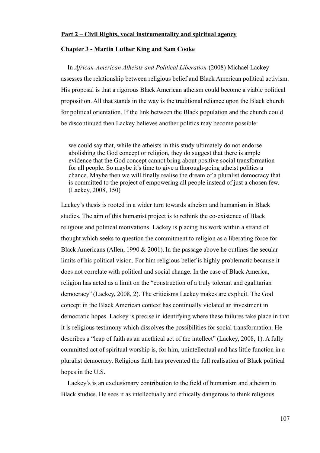# **Part 2 – Civil Rights, vocal instrumentality and spiritual agency**

### **Chapter 3 - Martin Luther King and Sam Cooke**

 In *African-American Atheists and Political Liberation* (2008) Michael Lackey assesses the relationship between religious belief and Black American political activism. His proposal is that a rigorous Black American atheism could become a viable political proposition. All that stands in the way is the traditional reliance upon the Black church for political orientation. If the link between the Black population and the church could be discontinued then Lackey believes another politics may become possible:

we could say that, while the atheists in this study ultimately do not endorse abolishing the God concept or religion, they do suggest that there is ample evidence that the God concept cannot bring about positive social transformation for all people. So maybe it's time to give a thorough-going atheist politics a chance. Maybe then we will finally realise the dream of a pluralist democracy that is committed to the project of empowering all people instead of just a chosen few. (Lackey, 2008, 150)

Lackey's thesis is rooted in a wider turn towards atheism and humanism in Black studies. The aim of this humanist project is to rethink the co-existence of Black religious and political motivations. Lackey is placing his work within a strand of thought which seeks to question the commitment to religion as a liberating force for Black Americans (Allen, 1990 & 2001). In the passage above he outlines the secular limits of his political vision. For him religious belief is highly problematic because it does not correlate with political and social change. In the case of Black America, religion has acted as a limit on the "construction of a truly tolerant and egalitarian democracy" (Lackey, 2008, 2). The criticisms Lackey makes are explicit. The God concept in the Black American context has continually violated an investment in democratic hopes. Lackey is precise in identifying where these failures take place in that it is religious testimony which dissolves the possibilities for social transformation. He describes a "leap of faith as an unethical act of the intellect" (Lackey, 2008, 1). A fully committed act of spiritual worship is, for him, unintellectual and has little function in a pluralist democracy. Religious faith has prevented the full realisation of Black political hopes in the U.S.

 Lackey's is an exclusionary contribution to the field of humanism and atheism in Black studies. He sees it as intellectually and ethically dangerous to think religious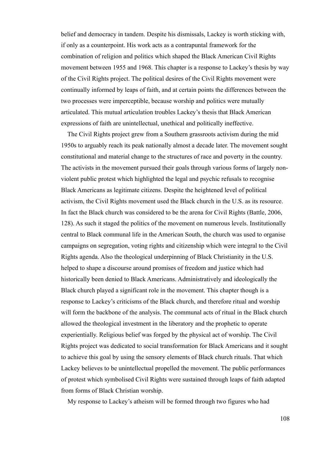belief and democracy in tandem. Despite his dismissals, Lackey is worth sticking with, if only as a counterpoint. His work acts as a contrapuntal framework for the combination of religion and politics which shaped the Black American Civil Rights movement between 1955 and 1968. This chapter is a response to Lackey's thesis by way of the Civil Rights project. The political desires of the Civil Rights movement were continually informed by leaps of faith, and at certain points the differences between the two processes were imperceptible, because worship and politics were mutually articulated. This mutual articulation troubles Lackey's thesis that Black American expressions of faith are unintellectual, unethical and politically ineffective.

 The Civil Rights project grew from a Southern grassroots activism during the mid 1950s to arguably reach its peak nationally almost a decade later. The movement sought constitutional and material change to the structures of race and poverty in the country. The activists in the movement pursued their goals through various forms of largely nonviolent public protest which highlighted the legal and psychic refusals to recognise Black Americans as legitimate citizens. Despite the heightened level of political activism, the Civil Rights movement used the Black church in the U.S. as its resource. In fact the Black church was considered to be the arena for Civil Rights (Battle, 2006, 128). As such it staged the politics of the movement on numerous levels. Institutionally central to Black communal life in the American South, the church was used to organise campaigns on segregation, voting rights and citizenship which were integral to the Civil Rights agenda. Also the theological underpinning of Black Christianity in the U.S. helped to shape a discourse around promises of freedom and justice which had historically been denied to Black Americans. Administratively and ideologically the Black church played a significant role in the movement. This chapter though is a response to Lackey's criticisms of the Black church, and therefore ritual and worship will form the backbone of the analysis. The communal acts of ritual in the Black church allowed the theological investment in the liberatory and the prophetic to operate experientially. Religious belief was forged by the physical act of worship. The Civil Rights project was dedicated to social transformation for Black Americans and it sought to achieve this goal by using the sensory elements of Black church rituals. That which Lackey believes to be unintellectual propelled the movement. The public performances of protest which symbolised Civil Rights were sustained through leaps of faith adapted from forms of Black Christian worship.

My response to Lackey's atheism will be formed through two figures who had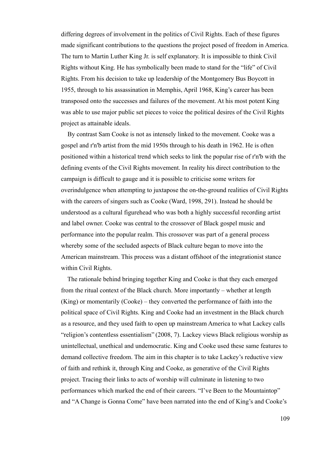differing degrees of involvement in the politics of Civil Rights. Each of these figures made significant contributions to the questions the project posed of freedom in America. The turn to Martin Luther King Jr. is self explanatory. It is impossible to think Civil Rights without King. He has symbolically been made to stand for the "life" of Civil Rights. From his decision to take up leadership of the Montgomery Bus Boycott in 1955, through to his assassination in Memphis, April 1968, King's career has been transposed onto the successes and failures of the movement. At his most potent King was able to use major public set pieces to voice the political desires of the Civil Rights project as attainable ideals.

 By contrast Sam Cooke is not as intensely linked to the movement. Cooke was a gospel and r'n'b artist from the mid 1950s through to his death in 1962. He is often positioned within a historical trend which seeks to link the popular rise of r'n'b with the defining events of the Civil Rights movement. In reality his direct contribution to the campaign is difficult to gauge and it is possible to criticise some writers for overindulgence when attempting to juxtapose the on-the-ground realities of Civil Rights with the careers of singers such as Cooke (Ward, 1998, 291). Instead he should be understood as a cultural figurehead who was both a highly successful recording artist and label owner. Cooke was central to the crossover of Black gospel music and performance into the popular realm. This crossover was part of a general process whereby some of the secluded aspects of Black culture began to move into the American mainstream. This process was a distant offshoot of the integrationist stance within Civil Rights.

 The rationale behind bringing together King and Cooke is that they each emerged from the ritual context of the Black church. More importantly – whether at length (King) or momentarily (Cooke) – they converted the performance of faith into the political space of Civil Rights. King and Cooke had an investment in the Black church as a resource, and they used faith to open up mainstream America to what Lackey calls "religion's contentless essentialism" (2008, 7). Lackey views Black religious worship as unintellectual, unethical and undemocratic. King and Cooke used these same features to demand collective freedom. The aim in this chapter is to take Lackey's reductive view of faith and rethink it, through King and Cooke, as generative of the Civil Rights project. Tracing their links to acts of worship will culminate in listening to two performances which marked the end of their careers. "I've Been to the Mountaintop" and "A Change is Gonna Come" have been narrated into the end of King's and Cooke's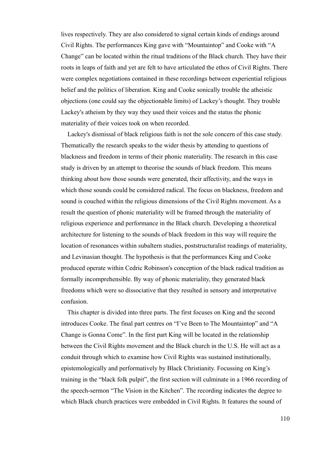lives respectively. They are also considered to signal certain kinds of endings around Civil Rights. The performances King gave with "Mountaintop" and Cooke with "A Change" can be located within the ritual traditions of the Black church. They have their roots in leaps of faith and yet are felt to have articulated the ethos of Civil Rights. There were complex negotiations contained in these recordings between experiential religious belief and the politics of liberation. King and Cooke sonically trouble the atheistic objections (one could say the objectionable limits) of Lackey's thought. They trouble Lackey's atheism by they way they used their voices and the status the phonic materiality of their voices took on when recorded.

 Lackey's dismissal of black religious faith is not the sole concern of this case study. Thematically the research speaks to the wider thesis by attending to questions of blackness and freedom in terms of their phonic materiality. The research in this case study is driven by an attempt to theorise the sounds of black freedom. This means thinking about how those sounds were generated, their affectivity, and the ways in which those sounds could be considered radical. The focus on blackness, freedom and sound is couched within the religious dimensions of the Civil Rights movement. As a result the question of phonic materiality will be framed through the materiality of religious experience and performance in the Black church. Developing a theoretical architecture for listening to the sounds of black freedom in this way will require the location of resonances within subaltern studies, poststructuralist readings of materiality, and Levinasian thought. The hypothesis is that the performances King and Cooke produced operate within Cedric Robinson's conception of the black radical tradition as formally incomprehensible. By way of phonic materiality, they generated black freedoms which were so dissociative that they resulted in sensory and interpretative confusion.

 This chapter is divided into three parts. The first focuses on King and the second introduces Cooke. The final part centres on "I've Been to The Mountaintop" and "A Change is Gonna Come". In the first part King will be located in the relationship between the Civil Rights movement and the Black church in the U.S. He will act as a conduit through which to examine how Civil Rights was sustained institutionally, epistemologically and performatively by Black Christianity. Focussing on King's training in the "black folk pulpit", the first section will culminate in a 1966 recording of the speech-sermon "The Vision in the Kitchen". The recording indicates the degree to which Black church practices were embedded in Civil Rights. It features the sound of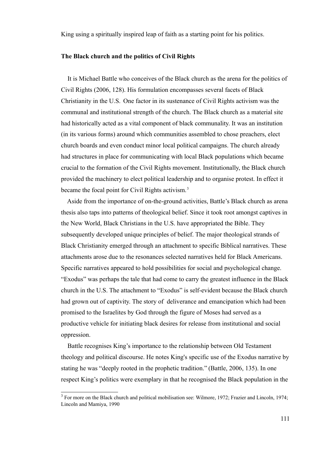King using a spiritually inspired leap of faith as a starting point for his politics.

# **The Black church and the politics of Civil Rights**

It is Michael Battle who conceives of the Black church as the arena for the politics of Civil Rights (2006, 128). His formulation encompasses several facets of Black Christianity in the U.S. One factor in its sustenance of Civil Rights activism was the communal and institutional strength of the church. The Black church as a material site had historically acted as a vital component of black communality. It was an institution (in its various forms) around which communities assembled to chose preachers, elect church boards and even conduct minor local political campaigns. The church already had structures in place for communicating with local Black populations which became crucial to the formation of the Civil Rights movement. Institutionally, the Black church provided the machinery to elect political leadership and to organise protest. In effect it became the focal point for Civil Rights activism.<sup>[3](#page-110-0)</sup>

 Aside from the importance of on-the-ground activities, Battle's Black church as arena thesis also taps into patterns of theological belief. Since it took root amongst captives in the New World, Black Christians in the U.S. have appropriated the Bible. They subsequently developed unique principles of belief. The major theological strands of Black Christianity emerged through an attachment to specific Biblical narratives. These attachments arose due to the resonances selected narratives held for Black Americans. Specific narratives appeared to hold possibilities for social and psychological change. "Exodus" was perhaps the tale that had come to carry the greatest influence in the Black church in the U.S. The attachment to "Exodus" is self-evident because the Black church had grown out of captivity. The story of deliverance and emancipation which had been promised to the Israelites by God through the figure of Moses had served as a productive vehicle for initiating black desires for release from institutional and social oppression.

 Battle recognises King's importance to the relationship between Old Testament theology and political discourse. He notes King's specific use of the Exodus narrative by stating he was "deeply rooted in the prophetic tradition." (Battle, 2006, 135). In one respect King's politics were exemplary in that he recognised the Black population in the

<span id="page-110-0"></span><sup>&</sup>lt;sup>3</sup> For more on the Black church and political mobilisation see: Wilmore, 1972; Frazier and Lincoln, 1974; Lincoln and Mamiya, 1990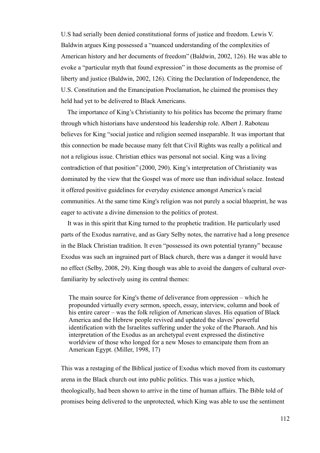U.S had serially been denied constitutional forms of justice and freedom. Lewis V. Baldwin argues King possessed a "nuanced understanding of the complexities of American history and her documents of freedom" (Baldwin, 2002, 126). He was able to evoke a "particular myth that found expression" in those documents as the promise of liberty and justice (Baldwin, 2002, 126). Citing the Declaration of Independence, the U.S. Constitution and the Emancipation Proclamation, he claimed the promises they held had yet to be delivered to Black Americans.

 The importance of King's Christianity to his politics has become the primary frame through which historians have understood his leadership role. Albert J. Raboteau believes for King "social justice and religion seemed inseparable. It was important that this connection be made because many felt that Civil Rights was really a political and not a religious issue. Christian ethics was personal not social. King was a living contradiction of that position" (2000, 290). King's interpretation of Christianity was dominated by the view that the Gospel was of more use than individual solace. Instead it offered positive guidelines for everyday existence amongst America's racial communities. At the same time King's religion was not purely a social blueprint, he was eager to activate a divine dimension to the politics of protest.

 It was in this spirit that King turned to the prophetic tradition. He particularly used parts of the Exodus narrative, and as Gary Selby notes, the narrative had a long presence in the Black Christian tradition. It even "possessed its own potential tyranny" because Exodus was such an ingrained part of Black church, there was a danger it would have no effect (Selby, 2008, 29). King though was able to avoid the dangers of cultural overfamiliarity by selectively using its central themes:

The main source for King's theme of deliverance from oppression – which he propounded virtually every sermon, speech, essay, interview, column and book of his entire career – was the folk religion of American slaves. His equation of Black America and the Hebrew people revived and updated the slaves' powerful identification with the Israelites suffering under the yoke of the Pharaoh. And his interpretation of the Exodus as an archetypal event expressed the distinctive worldview of those who longed for a new Moses to emancipate them from an American Egypt. (Miller, 1998, 17)

This was a restaging of the Biblical justice of Exodus which moved from its customary arena in the Black church out into public politics. This was a justice which, theologically, had been shown to arrive in the time of human affairs. The Bible told of promises being delivered to the unprotected, which King was able to use the sentiment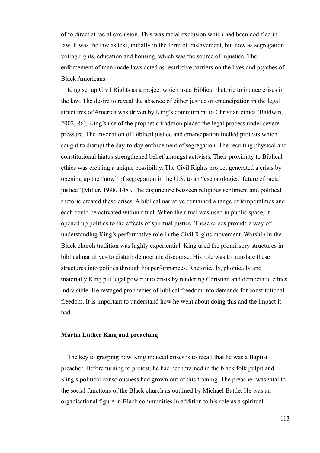of to direct at racial exclusion. This was racial exclusion which had been codified in law. It was the law as text, initially in the form of enslavement, but now as segregation, voting rights, education and housing, which was the source of injustice. The enforcement of man-made laws acted as restrictive barriers on the lives and psyches of Black Americans.

 King set up Civil Rights as a project which used Biblical rhetoric to induce crises in the law. The desire to reveal the absence of either justice or emancipation in the legal structures of America was driven by King's commitment to Christian ethics (Baldwin, 2002, 86). King's use of the prophetic tradition placed the legal process under severe pressure. The invocation of Biblical justice and emancipation fuelled protests which sought to disrupt the day-to-day enforcement of segregation. The resulting physical and constitutional hiatus strengthened belief amongst activists. Their proximity to Biblical ethics was creating a unique possibility. The Civil Rights project generated a crisis by opening up the "now" of segregation in the U.S. to an "eschatological future of racial justice" (Miller, 1998, 148). The disjuncture between religious sentiment and political rhetoric created these crises. A biblical narrative contained a range of temporalities and each could be activated within ritual. When the ritual was used in public space, it opened up politics to the effects of spiritual justice. These crises provide a way of understanding King's performative role in the Civil Rights movement. Worship in the Black church tradition was highly experiential. King used the promissory structures in biblical narratives to disturb democratic discourse. His role was to translate these structures into politics through his performances. Rhetorically, phonically and materially King put legal power into crisis by rendering Christian and democratic ethics indivisible. He restaged prophecies of biblical freedom into demands for constitutional freedom. It is important to understand how he went about doing this and the impact it had.

# **Martin Luther King and preaching**

 The key to grasping how King induced crises is to recall that he was a Baptist preacher. Before turning to protest, he had been trained in the black folk pulpit and King's political consciousness had grown out of this training. The preacher was vital to the social functions of the Black church as outlined by Michael Battle. He was an organisational figure in Black communities in addition to his role as a spiritual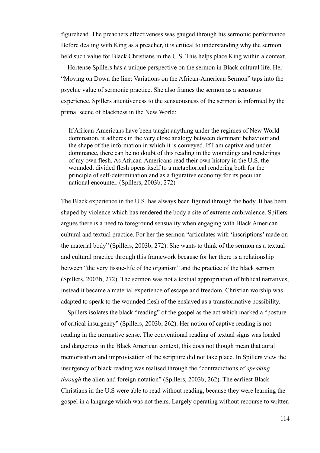figurehead. The preachers effectiveness was gauged through his sermonic performance. Before dealing with King as a preacher, it is critical to understanding why the sermon held such value for Black Christians in the U.S. This helps place King within a context.

 Hortense Spillers has a unique perspective on the sermon in Black cultural life. Her "Moving on Down the line: Variations on the African-American Sermon" taps into the psychic value of sermonic practice. She also frames the sermon as a sensuous experience. Spillers attentiveness to the sensuousness of the sermon is informed by the primal scene of blackness in the New World:

If African-Americans have been taught anything under the regimes of New World domination, it adheres in the very close analogy between dominant behaviour and the shape of the information in which it is conveyed. If I am captive and under dominance, there can be no doubt of this reading in the woundings and renderings of my own flesh. As African-Americans read their own history in the U.S, the wounded, divided flesh opens itself to a metaphorical rendering both for the principle of self-determination and as a figurative economy for its peculiar national encounter. (Spillers, 2003b, 272)

The Black experience in the U.S. has always been figured through the body. It has been shaped by violence which has rendered the body a site of extreme ambivalence. Spillers argues there is a need to foreground sensuality when engaging with Black American cultural and textual practice. For her the sermon "articulates with 'inscriptions' made on the material body" (Spillers, 2003b, 272). She wants to think of the sermon as a textual and cultural practice through this framework because for her there is a relationship between "the very tissue-life of the organism" and the practice of the black sermon (Spillers, 2003b, 272). The sermon was not a textual appropriation of biblical narratives, instead it became a material experience of escape and freedom. Christian worship was adapted to speak to the wounded flesh of the enslaved as a transformative possibility.

 Spillers isolates the black "reading" of the gospel as the act which marked a "posture of critical insurgency" (Spillers, 2003b, 262). Her notion of captive reading is not reading in the normative sense. The conventional reading of textual signs was loaded and dangerous in the Black American context, this does not though mean that aural memorisation and improvisation of the scripture did not take place. In Spillers view the insurgency of black reading was realised through the "contradictions of *speaking through* the alien and foreign notation" (Spillers, 2003b, 262). The earliest Black Christians in the U.S were able to read without reading, because they were learning the gospel in a language which was not theirs. Largely operating without recourse to written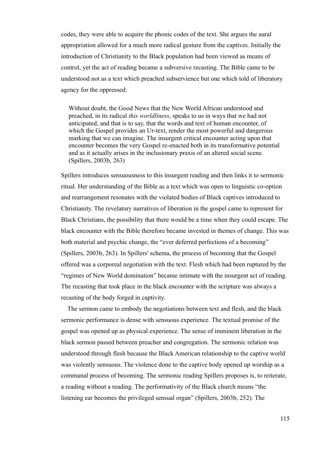codes, they were able to acquire the phonic codes of the text. She argues the aural appropriation allowed for a much more radical gesture from the captives. Initially the introduction of Christianity to the Black population had been viewed as means of control, yet the act of reading became a subversive recasting. The Bible came to be understood not as a text which preached subservience but one which told of liberatory agency for the oppressed:

Without doubt, the Good News that the New World African understood and preached, in its radical *this worldliness*, speaks to us in ways that we had not anticipated, and that is to say, that the words and text of human encounter, of which the Gospel provides an Ur-text, render the most powerful and dangerous marking that we can imagine. The insurgent critical encounter acting upon that encounter becomes the very Gospel re-enacted both in its transformative potential and as it actually arises in the inclusionary praxis of an altered social scene. (Spillers, 2003b, 263)

Spillers introduces sensuousness to this insurgent reading and then links it to sermonic ritual. Her understanding of the Bible as a text which was open to linguistic co-option and rearrangement resonates with the violated bodies of Black captives introduced to Christianity. The revelatory narratives of liberation in the gospel came to represent for Black Christians, the possibility that there would be a time when they could escape. The black encounter with the Bible therefore became invested in themes of change. This was both material and psychic change, the "ever deferred perfections of a becoming" (Spillers, 2003b, 263). In Spillers' schema, the process of becoming that the Gospel offered was a corporeal negotiation with the text. Flesh which had been ruptured by the "regimes of New World domination" became intimate with the insurgent act of reading. The recasting that took place in the black encounter with the scripture was always a recasting of the body forged in captivity.

 The sermon came to embody the negotiations between text and flesh, and the black sermonic performance is dense with sensuous experience. The textual promise of the gospel was opened up as physical experience. The sense of imminent liberation in the black sermon passed between preacher and congregation. The sermonic relation was understood through flesh because the Black American relationship to the captive world was violently sensuous. The violence done to the captive body opened up worship as a communal process of becoming. The sermonic reading Spillers proposes is, to reiterate, a reading without a reading. The performativity of the Black church means "the listening ear becomes the privileged sensual organ" (Spillers, 2003b, 252). The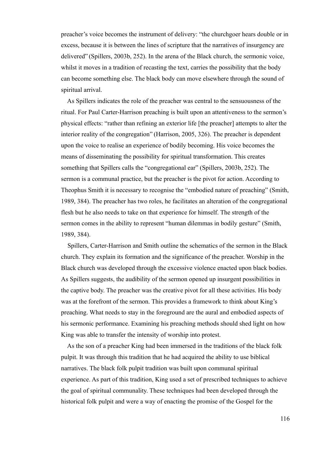preacher's voice becomes the instrument of delivery: "the churchgoer hears double or in excess, because it is between the lines of scripture that the narratives of insurgency are delivered" (Spillers, 2003b, 252). In the arena of the Black church, the sermonic voice, whilst it moves in a tradition of recasting the text, carries the possibility that the body can become something else. The black body can move elsewhere through the sound of spiritual arrival.

 As Spillers indicates the role of the preacher was central to the sensuousness of the ritual. For Paul Carter-Harrison preaching is built upon an attentiveness to the sermon's physical effects: "rather than refining an exterior life [the preacher] attempts to alter the interior reality of the congregation" (Harrison, 2005, 326). The preacher is dependent upon the voice to realise an experience of bodily becoming. His voice becomes the means of disseminating the possibility for spiritual transformation. This creates something that Spillers calls the "congregational ear" (Spillers, 2003b, 252). The sermon is a communal practice, but the preacher is the pivot for action. According to Theophus Smith it is necessary to recognise the "embodied nature of preaching" (Smith, 1989, 384). The preacher has two roles, he facilitates an alteration of the congregational flesh but he also needs to take on that experience for himself. The strength of the sermon comes in the ability to represent "human dilemmas in bodily gesture" (Smith, 1989, 384).

 Spillers, Carter-Harrison and Smith outline the schematics of the sermon in the Black church. They explain its formation and the significance of the preacher. Worship in the Black church was developed through the excessive violence enacted upon black bodies. As Spillers suggests, the audibility of the sermon opened up insurgent possibilities in the captive body. The preacher was the creative pivot for all these activities. His body was at the forefront of the sermon. This provides a framework to think about King's preaching. What needs to stay in the foreground are the aural and embodied aspects of his sermonic performance. Examining his preaching methods should shed light on how King was able to transfer the intensity of worship into protest.

 As the son of a preacher King had been immersed in the traditions of the black folk pulpit. It was through this tradition that he had acquired the ability to use biblical narratives. The black folk pulpit tradition was built upon communal spiritual experience. As part of this tradition, King used a set of prescribed techniques to achieve the goal of spiritual communality. These techniques had been developed through the historical folk pulpit and were a way of enacting the promise of the Gospel for the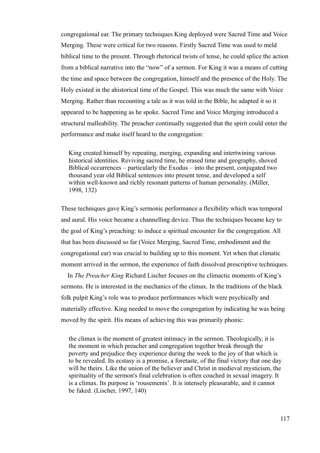congregational ear. The primary techniques King deployed were Sacred Time and Voice Merging. These were critical for two reasons. Firstly Sacred Time was used to meld biblical time to the present. Through rhetorical twists of tense, he could splice the action from a biblical narrative into the "now" of a sermon. For King it was a means of cutting the time and space between the congregation, himself and the presence of the Holy. The Holy existed in the ahistorical time of the Gospel. This was much the same with Voice Merging. Rather than recounting a tale as it was told in the Bible, he adapted it so it appeared to be happening as he spoke. Sacred Time and Voice Merging introduced a structural malleability. The preacher continually suggested that the spirit could enter the performance and make itself heard to the congregation:

King created himself by repeating, merging, expanding and intertwining various historical identities. Reviving sacred time, he erased time and geography, shoved Biblical occurrences – particularly the Exodus – into the present, conjugated two thousand year old Biblical sentences into present tense, and developed a self within well-known and richly resonant patterns of human personality. (Miller, 1998, 132)

These techniques gave King's sermonic performance a flexibility which was temporal and aural. His voice became a channelling device. Thus the techniques became key to the goal of King's preaching: to induce a spiritual encounter for the congregation. All that has been discussed so far (Voice Merging, Sacred Time, embodiment and the congregational ear) was crucial to building up to this moment. Yet when that climatic moment arrived in the sermon, the experience of faith dissolved prescriptive techniques.

 In *The Preacher King* Richard Lischer focuses on the climactic moments of King's sermons. He is interested in the mechanics of the climax. In the traditions of the black folk pulpit King's role was to produce performances which were psychically and materially effective. King needed to move the congregation by indicating he was being moved by the spirit. His means of achieving this was primarily phonic:

the climax is the moment of greatest intimacy in the sermon. Theologically, it is the moment in which preacher and congregation together break through the poverty and prejudice they experience during the week to the joy of that which is to be revealed. Its ecstasy is a promise, a foretaste, of the final victory that one day will be theirs. Like the union of the believer and Christ in medieval mysticism, the spirituality of the sermon's final celebration is often couched in sexual imagery. It is a climax. Its purpose is 'rousements'. It is intensely pleasurable, and it cannot be faked. (Lischer, 1997, 140)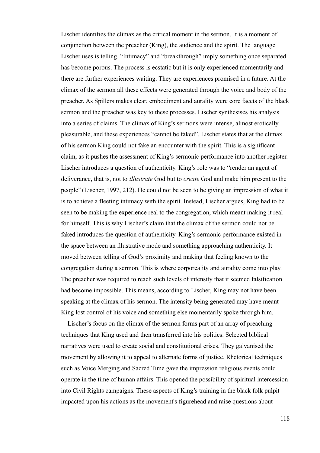Lischer identifies the climax as the critical moment in the sermon. It is a moment of conjunction between the preacher (King), the audience and the spirit. The language Lischer uses is telling. "Intimacy" and "breakthrough" imply something once separated has become porous. The process is ecstatic but it is only experienced momentarily and there are further experiences waiting. They are experiences promised in a future. At the climax of the sermon all these effects were generated through the voice and body of the preacher. As Spillers makes clear, embodiment and aurality were core facets of the black sermon and the preacher was key to these processes. Lischer synthesises his analysis into a series of claims. The climax of King's sermons were intense, almost erotically pleasurable, and these experiences "cannot be faked". Lischer states that at the climax of his sermon King could not fake an encounter with the spirit. This is a significant claim, as it pushes the assessment of King's sermonic performance into another register. Lischer introduces a question of authenticity. King's role was to "render an agent of deliverance, that is, not to *illustrate* God but to *create* God and make him present to the people" (Lischer, 1997, 212). He could not be seen to be giving an impression of what it is to achieve a fleeting intimacy with the spirit. Instead, Lischer argues, King had to be seen to be making the experience real to the congregation, which meant making it real for himself. This is why Lischer's claim that the climax of the sermon could not be faked introduces the question of authenticity. King's sermonic performance existed in the space between an illustrative mode and something approaching authenticity. It moved between telling of God's proximity and making that feeling known to the congregation during a sermon. This is where corporeality and aurality come into play. The preacher was required to reach such levels of intensity that it seemed falsification had become impossible. This means, according to Lischer, King may not have been speaking at the climax of his sermon. The intensity being generated may have meant King lost control of his voice and something else momentarily spoke through him.

 Lischer's focus on the climax of the sermon forms part of an array of preaching techniques that King used and then transferred into his politics. Selected biblical narratives were used to create social and constitutional crises. They galvanised the movement by allowing it to appeal to alternate forms of justice. Rhetorical techniques such as Voice Merging and Sacred Time gave the impression religious events could operate in the time of human affairs. This opened the possibility of spiritual intercession into Civil Rights campaigns. These aspects of King's training in the black folk pulpit impacted upon his actions as the movement's figurehead and raise questions about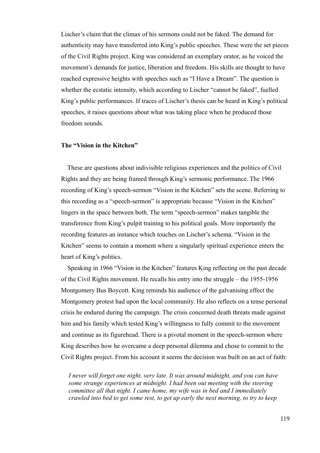Lischer's claim that the climax of his sermons could not be faked. The demand for authenticity may have transferred into King's public speeches. These were the set pieces of the Civil Rights project. King was considered an exemplary orator, as he voiced the movement's demands for justice, liberation and freedom. His skills are thought to have reached expressive heights with speeches such as "I Have a Dream". The question is whether the ecstatic intensity, which according to Lischer "cannot be faked", fuelled King's public performances. If traces of Lischer's thesis can be heard in King's political speeches, it raises questions about what was taking place when he produced those freedom sounds.

# **The "Vision in the Kitchen"**

 These are questions about indivisible religious experiences and the politics of Civil Rights and they are being framed through King's sermonic performance. The 1966 recording of King's speech-sermon "Vision in the Kitchen" sets the scene. Referring to this recording as a "speech-sermon" is appropriate because "Vision in the Kitchen" lingers in the space between both. The term "speech-sermon" makes tangible the transference from King's pulpit training to his political goals. More importantly the recording features an instance which touches on Lischer's schema. "Vision in the Kitchen" seems to contain a moment where a singularly spiritual experience enters the heart of King's politics.

 Speaking in 1966 "Vision in the Kitchen" features King reflecting on the past decade of the Civil Rights movement. He recalls his entry into the struggle – the 1955-1956 Montgomery Bus Boycott. King reminds his audience of the galvanising effect the Montgomery protest had upon the local community. He also reflects on a tense personal crisis he endured during the campaign. The crisis concerned death threats made against him and his family which tested King's willingness to fully commit to the movement and continue as its figurehead. There is a pivotal moment in the speech-sermon where King describes how he overcame a deep personal dilemma and chose to commit to the Civil Rights project. From his account it seems the decision was built on an act of faith:

*I never will forget one night, very late. It was around midnight, and you can have some strange experiences at midnight. I had been out meeting with the steering committee all that night. I came home, my wife was in bed and I immediately crawled into bed to get some rest, to get up early the next morning, to try to keep*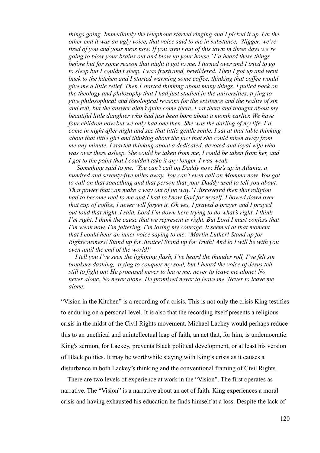*things going. Immediately the telephone started ringing and I picked it up. On the other end it was an ugly voice, that voice said to me in substance, 'Nigger, we're tired of you and your mess now. If you aren't out of this town in three days we're going to blow your brains out and blow up your house.' I'd heard these things before but for some reason that night it got to me. I turned over and I tried to go to sleep but I couldn't sleep. I was frustrated, bewildered. Then I got up and went back to the kitchen and I started warming some coffee, thinking that coffee would give me a little relief. Then I started thinking about many things. I pulled back on the theology and philosophy that I had just studied in the universities, trying to give philosophical and theological reasons for the existence and the reality of sin and evil, but the answer didn't quite come there. I sat there and thought about my beautiful little daughter who had just been born about a month earlier. We have four children now but we only had one then. She was the darling of my life. I'd come in night after night and see that little gentle smile. I sat at that table thinking about that little girl and thinking about the fact that she could taken away from me any minute. I started thinking about a dedicated, devoted and loyal wife who was over there asleep. She could be taken from me, I could be taken from her, and I got to the point that I couldn't take it any longer. I was weak.* 

 *Something said to me, 'You can't call on Daddy now. He's up in Atlanta, a hundred and seventy-five miles away. You can't even call on Momma now. You got to call on that something and that person that your Daddy used to tell you about. That power that can make a way out of no way.' I discovered then that religion had to become real to me and I had to know God for myself. I bowed down over that cup of coffee, I never will forget it. Oh yes, I prayed a prayer and I prayed out loud that night. I said, Lord I'm down here trying to do what's right. I think I'm right, I think the cause that we represent is right. But Lord I must confess that I'm weak now, I'm faltering, I'm losing my courage. It seemed at that moment that I could hear an inner voice saying to me: 'Martin Luther! Stand up for Righteousness! Stand up for Justice! Stand up for Truth! And lo I will be with you even until the end of the world!'* 

 *I tell you I've seen the lightning flash, I've heard the thunder roll, I've felt sin breakers dashing, trying to conquer my soul, but I heard the voice of Jesus tell still to fight on! He promised never to leave me, never to leave me alone! No never alone. No never alone. He promised never to leave me. Never to leave me alone.*

"Vision in the Kitchen" is a recording of a crisis. This is not only the crisis King testifies to enduring on a personal level. It is also that the recording itself presents a religious crisis in the midst of the Civil Rights movement. Michael Lackey would perhaps reduce this to an unethical and unintellectual leap of faith, an act that, for him, is undemocratic. King's sermon, for Lackey, prevents Black political development, or at least his version of Black politics. It may be worthwhile staying with King's crisis as it causes a disturbance in both Lackey's thinking and the conventional framing of Civil Rights.

 There are two levels of experience at work in the "Vision". The first operates as narrative. The "Vision" is a narrative about an act of faith. King experiences a moral crisis and having exhausted his education he finds himself at a loss. Despite the lack of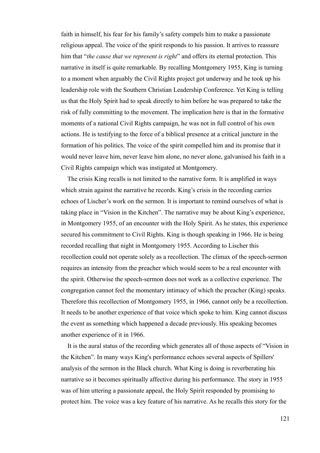faith in himself, his fear for his family's safety compels him to make a passionate religious appeal. The voice of the spirit responds to his passion. It arrives to reassure him that "*the cause that we represent is right*" and offers its eternal protection. This narrative in itself is quite remarkable. By recalling Montgomery 1955, King is turning to a moment when arguably the Civil Rights project got underway and he took up his leadership role with the Southern Christian Leadership Conference. Yet King is telling us that the Holy Spirit had to speak directly to him before he was prepared to take the risk of fully committing to the movement. The implication here is that in the formative moments of a national Civil Rights campaign, he was not in full control of his own actions. He is testifying to the force of a biblical presence at a critical juncture in the formation of his politics. The voice of the spirit compelled him and its promise that it would never leave him, never leave him alone, no never alone, galvanised his faith in a Civil Rights campaign which was instigated at Montgomery.

 The crisis King recalls is not limited to the narrative form. It is amplified in ways which strain against the narrative he records. King's crisis in the recording carries echoes of Lischer's work on the sermon. It is important to remind ourselves of what is taking place in "Vision in the Kitchen". The narrative may be about King's experience, in Montgomery 1955, of an encounter with the Holy Spirit. As he states, this experience secured his commitment to Civil Rights. King is though speaking in 1966. He is being recorded recalling that night in Montgomery 1955. According to Lischer this recollection could not operate solely as a recollection. The climax of the speech-sermon requires an intensity from the preacher which would seem to be a real encounter with the spirit. Otherwise the speech-sermon does not work as a collective experience. The congregation cannot feel the momentary intimacy of which the preacher (King) speaks. Therefore this recollection of Montgomery 1955, in 1966, cannot only be a recollection. It needs to be another experience of that voice which spoke to him. King cannot discuss the event as something which happened a decade previously. His speaking becomes another experience of it in 1966.

 It is the aural status of the recording which generates all of those aspects of "Vision in the Kitchen". In many ways King's performance echoes several aspects of Spillers' analysis of the sermon in the Black church. What King is doing is reverberating his narrative so it becomes spiritually affective during his performance. The story in 1955 was of him uttering a passionate appeal, the Holy Spirit responded by promising to protect him. The voice was a key feature of his narrative. As he recalls this story for the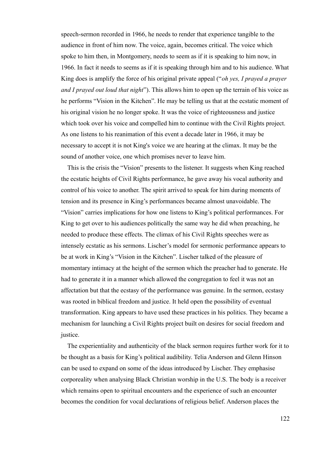speech-sermon recorded in 1966, he needs to render that experience tangible to the audience in front of him now. The voice, again, becomes critical. The voice which spoke to him then, in Montgomery, needs to seem as if it is speaking to him now, in 1966. In fact it needs to seems as if it is speaking through him and to his audience. What King does is amplify the force of his original private appeal ("*oh yes, I prayed a prayer and I prayed out loud that night*"). This allows him to open up the terrain of his voice as he performs "Vision in the Kitchen". He may be telling us that at the ecstatic moment of his original vision he no longer spoke. It was the voice of righteousness and justice which took over his voice and compelled him to continue with the Civil Rights project. As one listens to his reanimation of this event a decade later in 1966, it may be necessary to accept it is not King's voice we are hearing at the climax. It may be the sound of another voice, one which promises never to leave him.

 This is the crisis the "Vision" presents to the listener. It suggests when King reached the ecstatic heights of Civil Rights performance, he gave away his vocal authority and control of his voice to another. The spirit arrived to speak for him during moments of tension and its presence in King's performances became almost unavoidable. The "Vision" carries implications for how one listens to King's political performances. For King to get over to his audiences politically the same way he did when preaching, he needed to produce these effects. The climax of his Civil Rights speeches were as intensely ecstatic as his sermons. Lischer's model for sermonic performance appears to be at work in King's "Vision in the Kitchen". Lischer talked of the pleasure of momentary intimacy at the height of the sermon which the preacher had to generate. He had to generate it in a manner which allowed the congregation to feel it was not an affectation but that the ecstasy of the performance was genuine. In the sermon, ecstasy was rooted in biblical freedom and justice. It held open the possibility of eventual transformation. King appears to have used these practices in his politics. They became a mechanism for launching a Civil Rights project built on desires for social freedom and justice.

 The experientiality and authenticity of the black sermon requires further work for it to be thought as a basis for King's political audibility. Telia Anderson and Glenn Hinson can be used to expand on some of the ideas introduced by Lischer. They emphasise corporeality when analysing Black Christian worship in the U.S. The body is a receiver which remains open to spiritual encounters and the experience of such an encounter becomes the condition for vocal declarations of religious belief. Anderson places the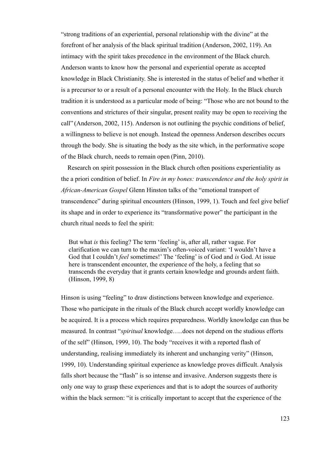"strong traditions of an experiential, personal relationship with the divine" at the forefront of her analysis of the black spiritual tradition (Anderson, 2002, 119). An intimacy with the spirit takes precedence in the environment of the Black church. Anderson wants to know how the personal and experiential operate as accepted knowledge in Black Christianity. She is interested in the status of belief and whether it is a precursor to or a result of a personal encounter with the Holy. In the Black church tradition it is understood as a particular mode of being: "Those who are not bound to the conventions and strictures of their singular, present reality may be open to receiving the call" (Anderson, 2002, 115). Anderson is not outlining the psychic conditions of belief, a willingness to believe is not enough. Instead the openness Anderson describes occurs through the body. She is situating the body as the site which, in the performative scope of the Black church, needs to remain open (Pinn, 2010).

 Research on spirit possession in the Black church often positions experientiality as the a priori condition of belief. In *Fire in my bones: transcendence and the holy spirit in African-American Gospel* Glenn Hinston talks of the "emotional transport of transcendence" during spiritual encounters (Hinson, 1999, 1). Touch and feel give belief its shape and in order to experience its "transformative power" the participant in the church ritual needs to feel the spirit:

But what *is* this feeling? The term 'feeling' is, after all, rather vague. For clarification we can turn to the maxim's often-voiced variant: 'I wouldn't have a God that I couldn't *feel* sometimes!' The 'feeling' is of God and *is* God. At issue here is transcendent encounter, the experience of the holy, a feeling that so transcends the everyday that it grants certain knowledge and grounds ardent faith. (Hinson, 1999, 8)

Hinson is using "feeling" to draw distinctions between knowledge and experience. Those who participate in the rituals of the Black church accept worldly knowledge can be acquired. It is a process which requires preparedness. Worldly knowledge can thus be measured. In contrast "*spiritual* knowledge…..does not depend on the studious efforts of the self" (Hinson, 1999, 10). The body "receives it with a reported flash of understanding, realising immediately its inherent and unchanging verity" (Hinson, 1999, 10). Understanding spiritual experience as knowledge proves difficult. Analysis falls short because the "flash" is so intense and invasive. Anderson suggests there is only one way to grasp these experiences and that is to adopt the sources of authority within the black sermon: "it is critically important to accept that the experience of the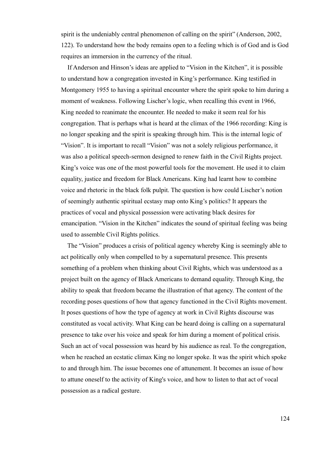spirit is the undeniably central phenomenon of calling on the spirit" (Anderson, 2002, 122). To understand how the body remains open to a feeling which is of God and is God requires an immersion in the currency of the ritual.

 If Anderson and Hinson's ideas are applied to "Vision in the Kitchen", it is possible to understand how a congregation invested in King's performance. King testified in Montgomery 1955 to having a spiritual encounter where the spirit spoke to him during a moment of weakness. Following Lischer's logic, when recalling this event in 1966, King needed to reanimate the encounter. He needed to make it seem real for his congregation. That is perhaps what is heard at the climax of the 1966 recording: King is no longer speaking and the spirit is speaking through him. This is the internal logic of "Vision". It is important to recall "Vision" was not a solely religious performance, it was also a political speech-sermon designed to renew faith in the Civil Rights project. King's voice was one of the most powerful tools for the movement. He used it to claim equality, justice and freedom for Black Americans. King had learnt how to combine voice and rhetoric in the black folk pulpit. The question is how could Lischer's notion of seemingly authentic spiritual ecstasy map onto King's politics? It appears the practices of vocal and physical possession were activating black desires for emancipation. "Vision in the Kitchen" indicates the sound of spiritual feeling was being used to assemble Civil Rights politics.

 The "Vision" produces a crisis of political agency whereby King is seemingly able to act politically only when compelled to by a supernatural presence. This presents something of a problem when thinking about Civil Rights, which was understood as a project built on the agency of Black Americans to demand equality. Through King, the ability to speak that freedom became the illustration of that agency. The content of the recording poses questions of how that agency functioned in the Civil Rights movement. It poses questions of how the type of agency at work in Civil Rights discourse was constituted as vocal activity. What King can be heard doing is calling on a supernatural presence to take over his voice and speak for him during a moment of political crisis. Such an act of vocal possession was heard by his audience as real. To the congregation, when he reached an ecstatic climax King no longer spoke. It was the spirit which spoke to and through him. The issue becomes one of attunement. It becomes an issue of how to attune oneself to the activity of King's voice, and how to listen to that act of vocal possession as a radical gesture.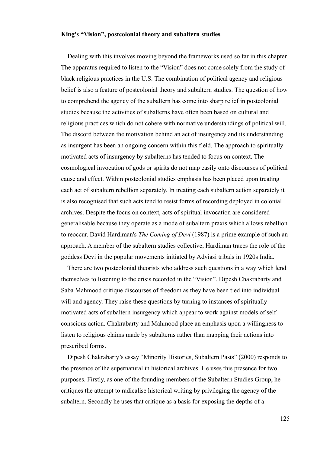# **King's "Vision", postcolonial theory and subaltern studies**

 Dealing with this involves moving beyond the frameworks used so far in this chapter. The apparatus required to listen to the "Vision" does not come solely from the study of black religious practices in the U.S. The combination of political agency and religious belief is also a feature of postcolonial theory and subaltern studies. The question of how to comprehend the agency of the subaltern has come into sharp relief in postcolonial studies because the activities of subalterns have often been based on cultural and religious practices which do not cohere with normative understandings of political will. The discord between the motivation behind an act of insurgency and its understanding as insurgent has been an ongoing concern within this field. The approach to spiritually motivated acts of insurgency by subalterns has tended to focus on context. The cosmological invocation of gods or spirits do not map easily onto discourses of political cause and effect. Within postcolonial studies emphasis has been placed upon treating each act of subaltern rebellion separately. In treating each subaltern action separately it is also recognised that such acts tend to resist forms of recording deployed in colonial archives. Despite the focus on context, acts of spiritual invocation are considered generalisable because they operate as a mode of subaltern praxis which allows rebellion to reoccur. David Hardiman's *The Coming of Devi* (1987) is a prime example of such an approach. A member of the subaltern studies collective, Hardiman traces the role of the goddess Devi in the popular movements initiated by Adviasi tribals in 1920s India.

 There are two postcolonial theorists who address such questions in a way which lend themselves to listening to the crisis recorded in the "Vision". Dipesh Chakrabarty and Saba Mahmood critique discourses of freedom as they have been tied into individual will and agency. They raise these questions by turning to instances of spiritually motivated acts of subaltern insurgency which appear to work against models of self conscious action. Chakrabarty and Mahmood place an emphasis upon a willingness to listen to religious claims made by subalterns rather than mapping their actions into prescribed forms.

 Dipesh Chakrabarty's essay "Minority Histories, Subaltern Pasts" (2000) responds to the presence of the supernatural in historical archives. He uses this presence for two purposes. Firstly, as one of the founding members of the Subaltern Studies Group, he critiques the attempt to radicalise historical writing by privileging the agency of the subaltern. Secondly he uses that critique as a basis for exposing the depths of a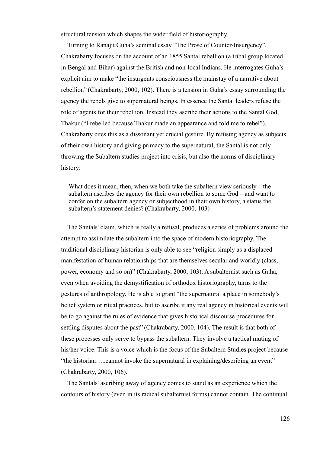structural tension which shapes the wider field of historiography.

 Turning to Ranajit Guha's seminal essay "The Prose of Counter-Insurgency", Chakrabarty focuses on the account of an 1855 Santal rebellion (a tribal group located in Bengal and Bihar) against the British and non-local Indians. He interrogates Guha's explicit aim to make "the insurgents consciousness the mainstay of a narrative about rebellion" (Chakrabarty, 2000, 102). There is a tension in Guha's essay surrounding the agency the rebels give to supernatural beings. In essence the Santal leaders refuse the role of agents for their rebellion. Instead they ascribe their actions to the Santal God, Thakur ("I rebelled because Thakur made an appearance and told me to rebel"). Chakrabarty cites this as a dissonant yet crucial gesture. By refusing agency as subjects of their own history and giving primacy to the supernatural, the Santal is not only throwing the Subaltern studies project into crisis, but also the norms of disciplinary history:

What does it mean, then, when we both take the subaltern view seriously – the subaltern ascribes the agency for their own rebellion to some God – and want to confer on the subaltern agency or subjecthood in their own history, a status the subaltern's statement denies? (Chakrabarty, 2000, 103)

 The Santals' claim, which is really a refusal, produces a series of problems around the attempt to assimilate the subaltern into the space of modern historiography. The traditional disciplinary historian is only able to see "religion simply as a displaced manifestation of human relationships that are themselves secular and worldly (class, power, economy and so on)" (Chakrabarty, 2000, 103). A subalternist such as Guha, even when avoiding the demystification of orthodox historiography, turns to the gestures of anthropology. He is able to grant "the supernatural a place in somebody's belief system or ritual practices, but to ascribe it any real agency in historical events will be to go against the rules of evidence that gives historical discourse procedures for settling disputes about the past" (Chakrabarty, 2000, 104). The result is that both of these processes only serve to bypass the subaltern. They involve a tactical muting of his/her voice. This is a voice which is the focus of the Subaltern Studies project because "the historian…..cannot invoke the supernatural in explaining/describing an event" (Chakrabarty, 2000, 106).

 The Santals' ascribing away of agency comes to stand as an experience which the contours of history (even in its radical subalternist forms) cannot contain. The continual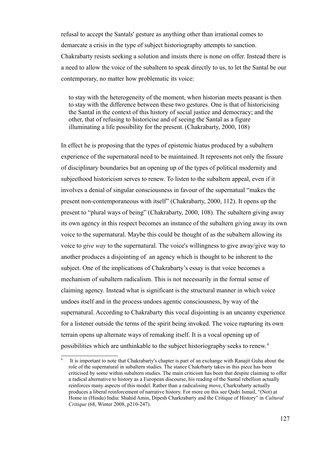refusal to accept the Santals' gesture as anything other than irrational comes to demarcate a crisis in the type of subject historiography attempts to sanction. Chakrabarty resists seeking a solution and insists there is none on offer. Instead there is a need to allow the voice of the subaltern to speak directly to us, to let the Santal be our contemporary, no matter how problematic its voice:

to stay with the heterogeneity of the moment, when historian meets peasant is then to stay with the difference between these two gestures. One is that of historicising the Santal in the context of this history of social justice and democracy; and the other, that of refusing to historicise and of seeing the Santal as a figure illuminating a life possibility for the present. (Chakrabarty, 2000, 108)

In effect he is proposing that the types of epistemic hiatus produced by a subaltern experience of the supernatural need to be maintained. It represents not only the fissure of disciplinary boundaries but an opening up of the types of political modernity and subjecthood historicism serves to renew. To listen to the subaltern appeal, even if it involves a denial of singular consciousness in favour of the supernatual "makes the present non-contemporaneous with itself" (Chakrabarty, 2000, 112). It opens up the present to "plural ways of being" (Chakrabarty, 2000, 108). The subaltern giving away its own agency in this respect becomes an instance of the subaltern giving away its own voice to the supernatural. Maybe this could be thought of as the subaltern allowing its voice to *give way* to the supernatural. The voice's willingness to give away/give way to another produces a disjointing of an agency which is thought to be inherent to the subject. One of the implications of Chakrabarty's essay is that voice becomes a mechanism of subaltern radicalism. This is not necessarily in the formal sense of claiming agency. Instead what is significant is the structural manner in which voice undoes itself and in the process undoes agentic consciousness, by way of the supernatural. According to Chakrabarty this vocal disjointing is an uncanny experience for a listener outside the terms of the spirit being invoked. The voice rupturing its own terrain opens up alternate ways of remaking itself. It is a vocal opening up of possibilities which are unthinkable to the subject historiography seeks to renew.[4](#page-126-0)

<span id="page-126-0"></span><sup>4</sup> It is important to note that Chakrabarty's chapter is part of an exchange with Ranajit Guha about the role of the supernatural in subaltern studies. The stance Chakrbarty takes in this piece has been criticised by some within subaltern studies. The main criticism has been that despite claiming to offer a radical alternative to history as a European discourse, his reading of the Santal rebellion actually reinforces many aspects of this model. Rather than a radicalising move, Charkrabarty actually produces a liberal reinforcement of narrative history. For more on this see Qadri Ismail, "(Not) at Home in (Hindu) India: Shahid Amin, Dipesh Charkrabarty and the Critique of History" in *Cultural Critique* (68, Winter 2008, p210-247).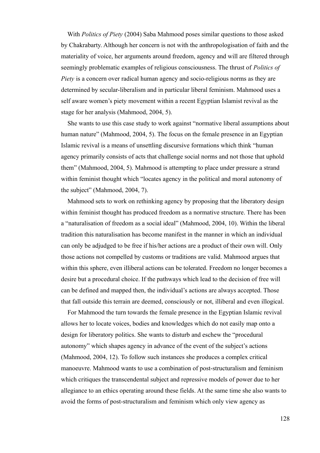With *Politics of Piety* (2004) Saba Mahmood poses similar questions to those asked by Chakrabarty. Although her concern is not with the anthropologisation of faith and the materiality of voice, her arguments around freedom, agency and will are filtered through seemingly problematic examples of religious consciousness. The thrust of *Politics of Piety* is a concern over radical human agency and socio-religious norms as they are determined by secular-liberalism and in particular liberal feminism. Mahmood uses a self aware women's piety movement within a recent Egyptian Islamist revival as the stage for her analysis (Mahmood, 2004, 5).

 She wants to use this case study to work against "normative liberal assumptions about human nature" (Mahmood, 2004, 5). The focus on the female presence in an Egyptian Islamic revival is a means of unsettling discursive formations which think "human agency primarily consists of acts that challenge social norms and not those that uphold them" (Mahmood, 2004, 5). Mahmood is attempting to place under pressure a strand within feminist thought which "locates agency in the political and moral autonomy of the subject" (Mahmood, 2004, 7).

 Mahmood sets to work on rethinking agency by proposing that the liberatory design within feminist thought has produced freedom as a normative structure. There has been a "naturalisation of freedom as a social ideal" (Mahmood, 2004, 10). Within the liberal tradition this naturalisation has become manifest in the manner in which an individual can only be adjudged to be free if his/her actions are a product of their own will. Only those actions not compelled by customs or traditions are valid. Mahmood argues that within this sphere, even illiberal actions can be tolerated. Freedom no longer becomes a desire but a procedural choice. If the pathways which lead to the decision of free will can be defined and mapped then, the individual's actions are always accepted. Those that fall outside this terrain are deemed, consciously or not, illiberal and even illogical.

 For Mahmood the turn towards the female presence in the Egyptian Islamic revival allows her to locate voices, bodies and knowledges which do not easily map onto a design for liberatory politics. She wants to disturb and eschew the "procedural autonomy" which shapes agency in advance of the event of the subject's actions (Mahmood, 2004, 12). To follow such instances she produces a complex critical manoeuvre. Mahmood wants to use a combination of post-structuralism and feminism which critiques the transcendental subject and repressive models of power due to her allegiance to an ethics operating around these fields. At the same time she also wants to avoid the forms of post-structuralism and feminism which only view agency as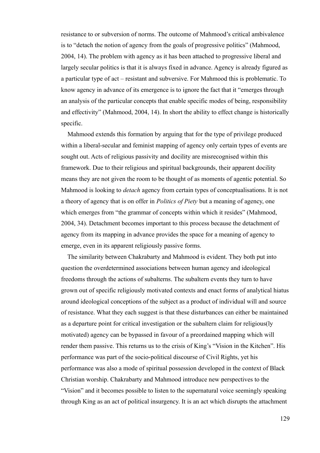resistance to or subversion of norms. The outcome of Mahmood's critical ambivalence is to "detach the notion of agency from the goals of progressive politics" (Mahmood, 2004, 14). The problem with agency as it has been attached to progressive liberal and largely secular politics is that it is always fixed in advance. Agency is already figured as a particular type of act – resistant and subversive. For Mahmood this is problematic. To know agency in advance of its emergence is to ignore the fact that it "emerges through an analysis of the particular concepts that enable specific modes of being, responsibility and effectivity" (Mahmood, 2004, 14). In short the ability to effect change is historically specific.

 Mahmood extends this formation by arguing that for the type of privilege produced within a liberal-secular and feminist mapping of agency only certain types of events are sought out. Acts of religious passivity and docility are misrecognised within this framework. Due to their religious and spiritual backgrounds, their apparent docility means they are not given the room to be thought of as moments of agentic potential. So Mahmood is looking to *detach* agency from certain types of conceptualisations. It is not a theory of agency that is on offer in *Politics of Piety* but a meaning of agency, one which emerges from "the grammar of concepts within which it resides" (Mahmood, 2004, 34). Detachment becomes important to this process because the detachment of agency from its mapping in advance provides the space for a meaning of agency to emerge, even in its apparent religiously passive forms.

 The similarity between Chakrabarty and Mahmood is evident. They both put into question the overdetermined associations between human agency and ideological freedoms through the actions of subalterns. The subaltern events they turn to have grown out of specific religiously motivated contexts and enact forms of analytical hiatus around ideological conceptions of the subject as a product of individual will and source of resistance. What they each suggest is that these disturbances can either be maintained as a departure point for critical investigation or the subaltern claim for religious(ly motivated) agency can be bypassed in favour of a preordained mapping which will render them passive. This returns us to the crisis of King's "Vision in the Kitchen". His performance was part of the socio-political discourse of Civil Rights, yet his performance was also a mode of spiritual possession developed in the context of Black Christian worship. Chakrabarty and Mahmood introduce new perspectives to the "Vision" and it becomes possible to listen to the supernatural voice seemingly speaking through King as an act of political insurgency. It is an act which disrupts the attachment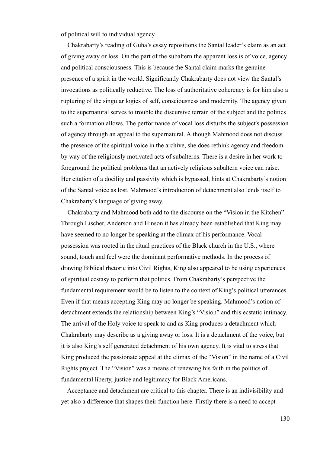of political will to individual agency.

 Chakrabarty's reading of Guha's essay repositions the Santal leader's claim as an act of giving away or loss. On the part of the subaltern the apparent loss is of voice, agency and political consciousness. This is because the Santal claim marks the genuine presence of a spirit in the world. Significantly Chakrabarty does not view the Santal's invocations as politically reductive. The loss of authoritative coherency is for him also a rupturing of the singular logics of self, consciousness and modernity. The agency given to the supernatural serves to trouble the discursive terrain of the subject and the politics such a formation allows. The performance of vocal loss disturbs the subject's possession of agency through an appeal to the supernatural. Although Mahmood does not discuss the presence of the spiritual voice in the archive, she does rethink agency and freedom by way of the religiously motivated acts of subalterns. There is a desire in her work to foreground the political problems that an actively religious subaltern voice can raise. Her citation of a docility and passivity which is bypassed, hints at Chakrabarty's notion of the Santal voice as lost. Mahmood's introduction of detachment also lends itself to Chakrabarty's language of giving away.

 Chakrabarty and Mahmood both add to the discourse on the "Vision in the Kitchen". Through Lischer, Anderson and Hinson it has already been established that King may have seemed to no longer be speaking at the climax of his performance. Vocal possession was rooted in the ritual practices of the Black church in the U.S., where sound, touch and feel were the dominant performative methods. In the process of drawing Biblical rhetoric into Civil Rights, King also appeared to be using experiences of spiritual ecstasy to perform that politics. From Chakrabarty's perspective the fundamental requirement would be to listen to the context of King's political utterances. Even if that means accepting King may no longer be speaking. Mahmood's notion of detachment extends the relationship between King's "Vision" and this ecstatic intimacy. The arrival of the Holy voice to speak to and as King produces a detachment which Chakrabarty may describe as a giving away or loss. It is a detachment of the voice, but it is also King's self generated detachment of his own agency. It is vital to stress that King produced the passionate appeal at the climax of the "Vision" in the name of a Civil Rights project. The "Vision" was a means of renewing his faith in the politics of fundamental liberty, justice and legitimacy for Black Americans.

 Acceptance and detachment are critical to this chapter. There is an indivisibility and yet also a difference that shapes their function here. Firstly there is a need to accept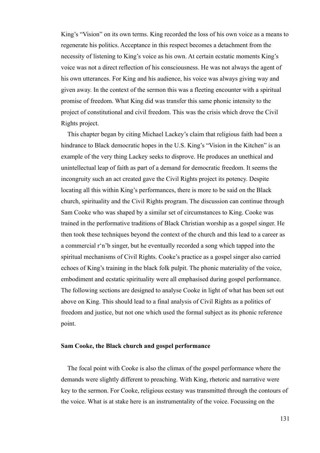King's "Vision" on its own terms. King recorded the loss of his own voice as a means to regenerate his politics. Acceptance in this respect becomes a detachment from the necessity of listening to King's voice as his own. At certain ecstatic moments King's voice was not a direct reflection of his consciousness. He was not always the agent of his own utterances. For King and his audience, his voice was always giving way and given away. In the context of the sermon this was a fleeting encounter with a spiritual promise of freedom. What King did was transfer this same phonic intensity to the project of constitutional and civil freedom. This was the crisis which drove the Civil Rights project.

 This chapter began by citing Michael Lackey's claim that religious faith had been a hindrance to Black democratic hopes in the U.S. King's "Vision in the Kitchen" is an example of the very thing Lackey seeks to disprove. He produces an unethical and unintellectual leap of faith as part of a demand for democratic freedom. It seems the incongruity such an act created gave the Civil Rights project its potency. Despite locating all this within King's performances, there is more to be said on the Black church, spirituality and the Civil Rights program. The discussion can continue through Sam Cooke who was shaped by a similar set of circumstances to King. Cooke was trained in the performative traditions of Black Christian worship as a gospel singer. He then took these techniques beyond the context of the church and this lead to a career as a commercial r'n'b singer, but he eventually recorded a song which tapped into the spiritual mechanisms of Civil Rights. Cooke's practice as a gospel singer also carried echoes of King's training in the black folk pulpit. The phonic materiality of the voice, embodiment and ecstatic spirituality were all emphasised during gospel performance. The following sections are designed to analyse Cooke in light of what has been set out above on King. This should lead to a final analysis of Civil Rights as a politics of freedom and justice, but not one which used the formal subject as its phonic reference point.

### **Sam Cooke, the Black church and gospel performance**

 The focal point with Cooke is also the climax of the gospel performance where the demands were slightly different to preaching. With King, rhetoric and narrative were key to the sermon. For Cooke, religious ecstasy was transmitted through the contours of the voice. What is at stake here is an instrumentality of the voice. Focussing on the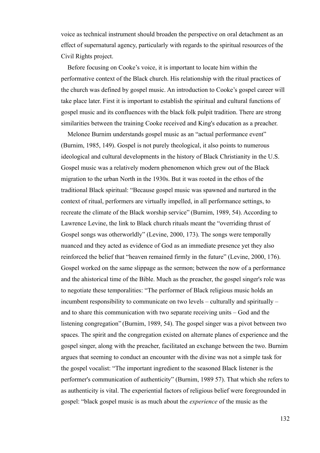voice as technical instrument should broaden the perspective on oral detachment as an effect of supernatural agency, particularly with regards to the spiritual resources of the Civil Rights project.

 Before focusing on Cooke's voice, it is important to locate him within the performative context of the Black church. His relationship with the ritual practices of the church was defined by gospel music. An introduction to Cooke's gospel career will take place later. First it is important to establish the spiritual and cultural functions of gospel music and its confluences with the black folk pulpit tradition. There are strong similarities between the training Cooke received and King's education as a preacher.

 Melonee Burnim understands gospel music as an "actual performance event" (Burnim, 1985, 149). Gospel is not purely theological, it also points to numerous ideological and cultural developments in the history of Black Christianity in the U.S. Gospel music was a relatively modern phenomenon which grew out of the Black migration to the urban North in the 1930s. But it was rooted in the ethos of the traditional Black spiritual: "Because gospel music was spawned and nurtured in the context of ritual, performers are virtually impelled, in all performance settings, to recreate the climate of the Black worship service" (Burnim, 1989, 54). According to Lawrence Levine, the link to Black church rituals meant the "overriding thrust of Gospel songs was otherworldly" (Levine, 2000, 173). The songs were temporally nuanced and they acted as evidence of God as an immediate presence yet they also reinforced the belief that "heaven remained firmly in the future" (Levine, 2000, 176). Gospel worked on the same slippage as the sermon; between the now of a performance and the ahistorical time of the Bible. Much as the preacher, the gospel singer's role was to negotiate these temporalities: "The performer of Black religious music holds an incumbent responsibility to communicate on two levels – culturally and spiritually – and to share this communication with two separate receiving units – God and the listening congregation" (Burnim, 1989, 54). The gospel singer was a pivot between two spaces. The spirit and the congregation existed on alternate planes of experience and the gospel singer, along with the preacher, facilitated an exchange between the two. Burnim argues that seeming to conduct an encounter with the divine was not a simple task for the gospel vocalist: "The important ingredient to the seasoned Black listener is the performer's communication of authenticity" (Burnim, 1989 57). That which she refers to as authenticity is vital. The experiential factors of religious belief were foregrounded in gospel: "black gospel music is as much about the *experience* of the music as the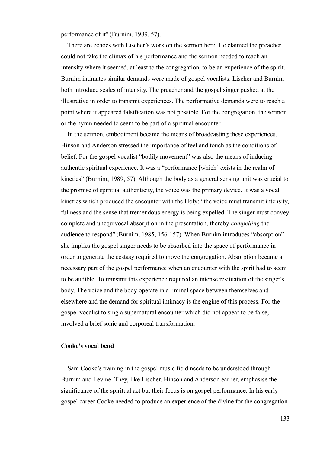performance of it" (Burnim, 1989, 57).

 There are echoes with Lischer's work on the sermon here. He claimed the preacher could not fake the climax of his performance and the sermon needed to reach an intensity where it seemed, at least to the congregation, to be an experience of the spirit. Burnim intimates similar demands were made of gospel vocalists. Lischer and Burnim both introduce scales of intensity. The preacher and the gospel singer pushed at the illustrative in order to transmit experiences. The performative demands were to reach a point where it appeared falsification was not possible. For the congregation, the sermon or the hymn needed to seem to be part of a spiritual encounter.

 In the sermon, embodiment became the means of broadcasting these experiences. Hinson and Anderson stressed the importance of feel and touch as the conditions of belief. For the gospel vocalist "bodily movement" was also the means of inducing authentic spiritual experience. It was a "performance [which] exists in the realm of kinetics" (Burnim, 1989, 57). Although the body as a general sensing unit was crucial to the promise of spiritual authenticity, the voice was the primary device. It was a vocal kinetics which produced the encounter with the Holy: "the voice must transmit intensity, fullness and the sense that tremendous energy is being expelled. The singer must convey complete and unequivocal absorption in the presentation, thereby *compelling* the audience to respond" (Burnim, 1985, 156-157). When Burnim introduces "absorption" she implies the gospel singer needs to be absorbed into the space of performance in order to generate the ecstasy required to move the congregation. Absorption became a necessary part of the gospel performance when an encounter with the spirit had to seem to be audible. To transmit this experience required an intense resituation of the singer's body. The voice and the body operate in a liminal space between themselves and elsewhere and the demand for spiritual intimacy is the engine of this process. For the gospel vocalist to sing a supernatural encounter which did not appear to be false, involved a brief sonic and corporeal transformation.

#### **Cooke's vocal bend**

 Sam Cooke's training in the gospel music field needs to be understood through Burnim and Levine. They, like Lischer, Hinson and Anderson earlier, emphasise the significance of the spiritual act but their focus is on gospel performance. In his early gospel career Cooke needed to produce an experience of the divine for the congregation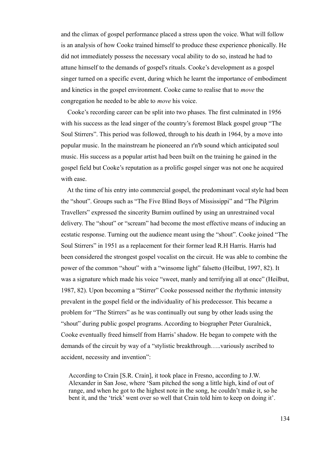and the climax of gospel performance placed a stress upon the voice. What will follow is an analysis of how Cooke trained himself to produce these experience phonically. He did not immediately possess the necessary vocal ability to do so, instead he had to attune himself to the demands of gospel's rituals. Cooke's development as a gospel singer turned on a specific event, during which he learnt the importance of embodiment and kinetics in the gospel environment. Cooke came to realise that to *move* the congregation he needed to be able to *move* his voice.

 Cooke's recording career can be split into two phases. The first culminated in 1956 with his success as the lead singer of the country's foremost Black gospel group "The Soul Stirrers". This period was followed, through to his death in 1964, by a move into popular music. In the mainstream he pioneered an r'n'b sound which anticipated soul music. His success as a popular artist had been built on the training he gained in the gospel field but Cooke's reputation as a prolific gospel singer was not one he acquired with ease.

 At the time of his entry into commercial gospel, the predominant vocal style had been the "shout". Groups such as "The Five Blind Boys of Mississippi" and "The Pilgrim Travellers" expressed the sincerity Burnim outlined by using an unrestrained vocal delivery. The "shout" or "scream" had become the most effective means of inducing an ecstatic response. Turning out the audience meant using the "shout". Cooke joined "The Soul Stirrers" in 1951 as a replacement for their former lead R.H Harris. Harris had been considered the strongest gospel vocalist on the circuit. He was able to combine the power of the common "shout" with a "winsome light" falsetto (Heilbut, 1997, 82). It was a signature which made his voice "sweet, manly and terrifying all at once" (Heilbut, 1987, 82). Upon becoming a "Stirrer" Cooke possessed neither the rhythmic intensity prevalent in the gospel field or the individuality of his predecessor. This became a problem for "The Stirrers" as he was continually out sung by other leads using the "shout" during public gospel programs. According to biographer Peter Guralnick, Cooke eventually freed himself from Harris' shadow. He began to compete with the demands of the circuit by way of a "stylistic breakthrough…..variously ascribed to accident, necessity and invention":

According to Crain [S.R. Crain], it took place in Fresno, according to J.W. Alexander in San Jose, where 'Sam pitched the song a little high, kind of out of range, and when he got to the highest note in the song, he couldn't make it, so he bent it, and the 'trick' went over so well that Crain told him to keep on doing it'.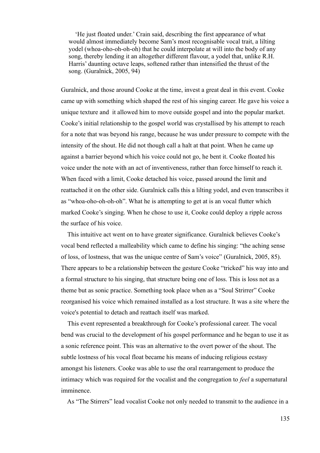'He just floated under.' Crain said, describing the first appearance of what would almost immediately become Sam's most recognisable vocal trait, a lilting yodel (whoa-oho-oh-oh-oh) that he could interpolate at will into the body of any song, thereby lending it an altogether different flavour, a yodel that, unlike R.H. Harris' daunting octave leaps, softened rather than intensified the thrust of the song. (Guralnick, 2005, 94)

Guralnick, and those around Cooke at the time, invest a great deal in this event. Cooke came up with something which shaped the rest of his singing career. He gave his voice a unique texture and it allowed him to move outside gospel and into the popular market. Cooke's initial relationship to the gospel world was crystallised by his attempt to reach for a note that was beyond his range, because he was under pressure to compete with the intensity of the shout. He did not though call a halt at that point. When he came up against a barrier beyond which his voice could not go, he bent it. Cooke floated his voice under the note with an act of inventiveness, rather than force himself to reach it. When faced with a limit, Cooke detached his voice, passed around the limit and reattached it on the other side. Guralnick calls this a lilting yodel, and even transcribes it as "whoa-oho-oh-oh-oh". What he is attempting to get at is an vocal flutter which marked Cooke's singing. When he chose to use it, Cooke could deploy a ripple across the surface of his voice.

 This intuitive act went on to have greater significance. Guralnick believes Cooke's vocal bend reflected a malleability which came to define his singing: "the aching sense of loss, of lostness, that was the unique centre of Sam's voice" (Guralnick, 2005, 85). There appears to be a relationship between the gesture Cooke "tricked" his way into and a formal structure to his singing, that structure being one of loss. This is loss not as a theme but as sonic practice. Something took place when as a "Soul Strirrer" Cooke reorganised his voice which remained installed as a lost structure. It was a site where the voice's potential to detach and reattach itself was marked.

 This event represented a breakthrough for Cooke's professional career. The vocal bend was crucial to the development of his gospel performance and he began to use it as a sonic reference point. This was an alternative to the overt power of the shout. The subtle lostness of his vocal float became his means of inducing religious ecstasy amongst his listeners. Cooke was able to use the oral rearrangement to produce the intimacy which was required for the vocalist and the congregation to *feel* a supernatural imminence.

As "The Stirrers" lead vocalist Cooke not only needed to transmit to the audience in a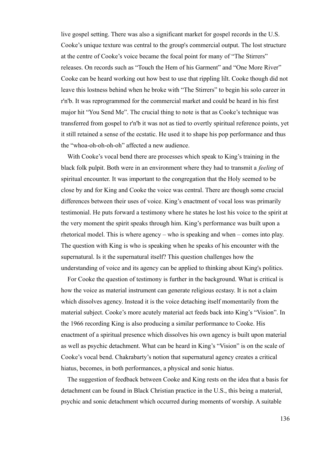live gospel setting. There was also a significant market for gospel records in the U.S. Cooke's unique texture was central to the group's commercial output. The lost structure at the centre of Cooke's voice became the focal point for many of "The Stirrers" releases. On records such as "Touch the Hem of his Garment" and "One More River" Cooke can be heard working out how best to use that rippling lilt. Cooke though did not leave this lostness behind when he broke with "The Stirrers" to begin his solo career in r'n'b. It was reprogrammed for the commercial market and could be heard in his first major hit "You Send Me". The crucial thing to note is that as Cooke's technique was transferred from gospel to r'n'b it was not as tied to overtly spiritual reference points, yet it still retained a sense of the ecstatic. He used it to shape his pop performance and thus the "whoa-oh-oh-oh-oh" affected a new audience.

 With Cooke's vocal bend there are processes which speak to King's training in the black folk pulpit. Both were in an environment where they had to transmit a *feeling* of spiritual encounter. It was important to the congregation that the Holy seemed to be close by and for King and Cooke the voice was central. There are though some crucial differences between their uses of voice. King's enactment of vocal loss was primarily testimonial. He puts forward a testimony where he states he lost his voice to the spirit at the very moment the spirit speaks through him. King's performance was built upon a rhetorical model. This is where agency – who is speaking and when – comes into play. The question with King is who is speaking when he speaks of his encounter with the supernatural. Is it the supernatural itself? This question challenges how the understanding of voice and its agency can be applied to thinking about King's politics.

 For Cooke the question of testimony is further in the background. What is critical is how the voice as material instrument can generate religious ecstasy. It is not a claim which dissolves agency. Instead it is the voice detaching itself momentarily from the material subject. Cooke's more acutely material act feeds back into King's "Vision". In the 1966 recording King is also producing a similar performance to Cooke. His enactment of a spiritual presence which dissolves his own agency is built upon material as well as psychic detachment. What can be heard in King's "Vision" is on the scale of Cooke's vocal bend. Chakrabarty's notion that supernatural agency creates a critical hiatus, becomes, in both performances, a physical and sonic hiatus.

 The suggestion of feedback between Cooke and King rests on the idea that a basis for detachment can be found in Black Christian practice in the U.S., this being a material, psychic and sonic detachment which occurred during moments of worship. A suitable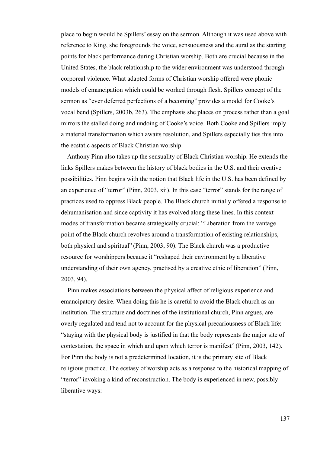place to begin would be Spillers' essay on the sermon. Although it was used above with reference to King, she foregrounds the voice, sensuousness and the aural as the starting points for black performance during Christian worship. Both are crucial because in the United States, the black relationship to the wider environment was understood through corporeal violence. What adapted forms of Christian worship offered were phonic models of emancipation which could be worked through flesh. Spillers concept of the sermon as "ever deferred perfections of a becoming" provides a model for Cooke's vocal bend (Spillers, 2003b, 263). The emphasis she places on process rather than a goal mirrors the stalled doing and undoing of Cooke's voice. Both Cooke and Spillers imply a material transformation which awaits resolution, and Spillers especially ties this into the ecstatic aspects of Black Christian worship.

 Anthony Pinn also takes up the sensuality of Black Christian worship. He extends the links Spillers makes between the history of black bodies in the U.S. and their creative possibilities. Pinn begins with the notion that Black life in the U.S. has been defined by an experience of "terror" (Pinn, 2003, xii). In this case "terror" stands for the range of practices used to oppress Black people. The Black church initially offered a response to dehumanisation and since captivity it has evolved along these lines. In this context modes of transformation became strategically crucial: "Liberation from the vantage point of the Black church revolves around a transformation of existing relationships, both physical and spiritual" (Pinn, 2003, 90). The Black church was a productive resource for worshippers because it "reshaped their environment by a liberative understanding of their own agency, practised by a creative ethic of liberation" (Pinn, 2003, 94).

 Pinn makes associations between the physical affect of religious experience and emancipatory desire. When doing this he is careful to avoid the Black church as an institution. The structure and doctrines of the institutional church, Pinn argues, are overly regulated and tend not to account for the physical precariousness of Black life: "staying with the physical body is justified in that the body represents the major site of contestation, the space in which and upon which terror is manifest" (Pinn, 2003, 142). For Pinn the body is not a predetermined location, it is the primary site of Black religious practice. The ecstasy of worship acts as a response to the historical mapping of "terror" invoking a kind of reconstruction. The body is experienced in new, possibly liberative ways: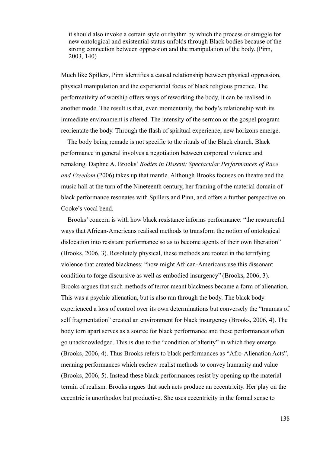it should also invoke a certain style or rhythm by which the process or struggle for new ontological and existential status unfolds through Black bodies because of the strong connection between oppression and the manipulation of the body. (Pinn, 2003, 140)

Much like Spillers, Pinn identifies a causal relationship between physical oppression, physical manipulation and the experiential focus of black religious practice. The performativity of worship offers ways of reworking the body, it can be realised in another mode. The result is that, even momentarily, the body's relationship with its immediate environment is altered. The intensity of the sermon or the gospel program reorientate the body. Through the flash of spiritual experience, new horizons emerge.

 The body being remade is not specific to the rituals of the Black church. Black performance in general involves a negotiation between corporeal violence and remaking. Daphne A. Brooks' *Bodies in Dissent: Spectacular Performances of Race and Freedom* (2006) takes up that mantle. Although Brooks focuses on theatre and the music hall at the turn of the Nineteenth century, her framing of the material domain of black performance resonates with Spillers and Pinn, and offers a further perspective on Cooke's vocal bend.

 Brooks' concern is with how black resistance informs performance: "the resourceful ways that African-Americans realised methods to transform the notion of ontological dislocation into resistant performance so as to become agents of their own liberation" (Brooks, 2006, 3). Resolutely physical, these methods are rooted in the terrifying violence that created blackness: "how might African-Americans use this dissonant condition to forge discursive as well as embodied insurgency" (Brooks, 2006, 3). Brooks argues that such methods of terror meant blackness became a form of alienation. This was a psychic alienation, but is also ran through the body. The black body experienced a loss of control over its own determinations but conversely the "traumas of self fragmentation" created an environment for black insurgency (Brooks, 2006, 4). The body torn apart serves as a source for black performance and these performances often go unacknowledged. This is due to the "condition of alterity" in which they emerge (Brooks, 2006, 4). Thus Brooks refers to black performances as "Afro-Alienation Acts", meaning performances which eschew realist methods to convey humanity and value (Brooks, 2006, 5). Instead these black performances resist by opening up the material terrain of realism. Brooks argues that such acts produce an eccentricity. Her play on the eccentric is unorthodox but productive. She uses eccentricity in the formal sense to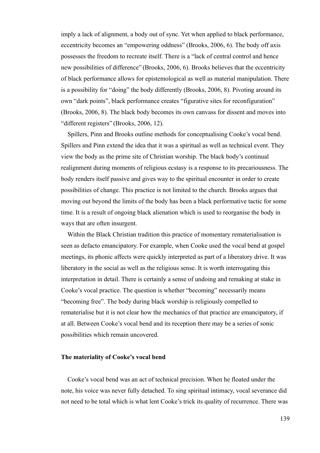imply a lack of alignment, a body out of sync. Yet when applied to black performance, eccentricity becomes an "empowering oddness" (Brooks, 2006, 6). The body off axis possesses the freedom to recreate itself. There is a "lack of central control and hence new possibilities of difference" (Brooks, 2006, 6). Brooks believes that the eccentricity of black performance allows for epistemological as well as material manipulation. There is a possibility for "doing" the body differently (Brooks, 2006, 8). Pivoting around its own "dark points", black performance creates "figurative sites for reconfiguration" (Brooks, 2006, 8). The black body becomes its own canvass for dissent and moves into "different registers" (Brooks, 2006, 12).

 Spillers, Pinn and Brooks outline methods for conceptualising Cooke's vocal bend. Spillers and Pinn extend the idea that it was a spiritual as well as technical event. They view the body as the prime site of Christian worship. The black body's continual realignment during moments of religious ecstasy is a response to its precariousness. The body renders itself passive and gives way to the spiritual encounter in order to create possibilities of change. This practice is not limited to the church. Brooks argues that moving out beyond the limits of the body has been a black performative tactic for some time. It is a result of ongoing black alienation which is used to reorganise the body in ways that are often insurgent.

 Within the Black Christian tradition this practice of momentary rematerialisation is seen as defacto emancipatory. For example, when Cooke used the vocal bend at gospel meetings, its phonic affects were quickly interpreted as part of a liberatory drive. It was liberatory in the social as well as the religious sense. It is worth interrogating this interpretation in detail. There is certainly a sense of undoing and remaking at stake in Cooke's vocal practice. The question is whether "becoming" necessarily means "becoming free". The body during black worship is religiously compelled to rematerialise but it is not clear how the mechanics of that practice are emancipatory, if at all. Between Cooke's vocal bend and its reception there may be a series of sonic possibilities which remain uncovered.

# **The materiality of Cooke's vocal bend**

 Cooke's vocal bend was an act of technical precision. When he floated under the note, his voice was never fully detached. To sing spiritual intimacy, vocal severance did not need to be total which is what lent Cooke's trick its quality of recurrence. There was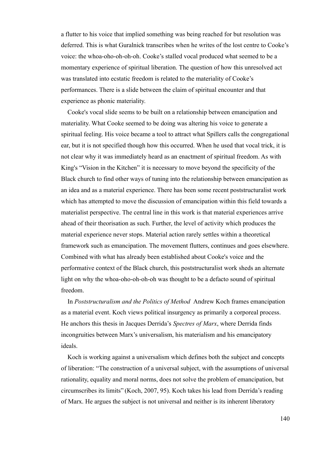a flutter to his voice that implied something was being reached for but resolution was deferred. This is what Guralnick transcribes when he writes of the lost centre to Cooke's voice: the whoa-oho-oh-oh-oh. Cooke's stalled vocal produced what seemed to be a momentary experience of spiritual liberation. The question of how this unresolved act was translated into ecstatic freedom is related to the materiality of Cooke's performances. There is a slide between the claim of spiritual encounter and that experience as phonic materiality.

 Cooke's vocal slide seems to be built on a relationship between emancipation and materiality. What Cooke seemed to be doing was altering his voice to generate a spiritual feeling. His voice became a tool to attract what Spillers calls the congregational ear, but it is not specified though how this occurred. When he used that vocal trick, it is not clear why it was immediately heard as an enactment of spiritual freedom. As with King's "Vision in the Kitchen" it is necessary to move beyond the specificity of the Black church to find other ways of tuning into the relationship between emancipation as an idea and as a material experience. There has been some recent poststructuralist work which has attempted to move the discussion of emancipation within this field towards a materialist perspective. The central line in this work is that material experiences arrive ahead of their theorisation as such. Further, the level of activity which produces the material experience never stops. Material action rarely settles within a theoretical framework such as emancipation. The movement flutters, continues and goes elsewhere. Combined with what has already been established about Cooke's voice and the performative context of the Black church, this poststructuralist work sheds an alternate light on why the whoa-oho-oh-oh-oh was thought to be a defacto sound of spiritual freedom.

 In *Poststructuralism and the Politics of Method* Andrew Koch frames emancipation as a material event. Koch views political insurgency as primarily a corporeal process. He anchors this thesis in Jacques Derrida's *Spectres of Marx*, where Derrida finds incongruities between Marx's universalism, his materialism and his emancipatory ideals.

 Koch is working against a universalism which defines both the subject and concepts of liberation: "The construction of a universal subject, with the assumptions of universal rationality, equality and moral norms, does not solve the problem of emancipation, but circumscribes its limits" (Koch, 2007, 95). Koch takes his lead from Derrida's reading of Marx. He argues the subject is not universal and neither is its inherent liberatory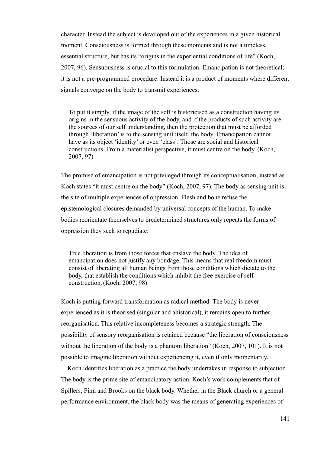character. Instead the subject is developed out of the experiences in a given historical moment. Consciousness is formed through these moments and is not a timeless, essential structure, but has its "origins in the experiential conditions of life" (Koch, 2007, 96). Sensuousness is crucial to this formulation. Emancipation is not theoretical; it is not a pre-programmed procedure. Instead it is a product of moments where different signals converge on the body to transmit experiences:

To put it simply, if the image of the self is historicised as a construction having its origins in the sensuous activity of the body, and if the products of such activity are the sources of our self understanding, then the protection that must be afforded through 'liberation' is to the sensing unit itself, the body. Emancipation cannot have as its object 'identity' or even 'class'. Those are social and historical constructions. From a materialist perspective, it must centre on the body. (Koch, 2007, 97)

The promise of emancipation is not privileged through its conceptualisation, instead as Koch states "it must centre on the body" (Koch, 2007, 97). The body as sensing unit is the site of multiple experiences of oppression. Flesh and bone refuse the epistemological closures demanded by universal concepts of the human. To make bodies reorientate themselves to predetermined structures only repeats the forms of oppression they seek to repudiate:

True liberation is from those forces that enslave the body. The idea of emancipation does not justify any bondage. This means that real freedom must consist of liberating all human beings from those conditions which dictate to the body, that establish the conditions which inhibit the free exercise of self construction.(Koch, 2007, 98)

Koch is putting forward transformation as radical method. The body is never experienced as it is theorised (singular and ahistorical), it remains open to further reorganisation. This relative incompleteness becomes a strategic strength. The possibility of sensory reorganisation is retained because "the liberation of consciousness without the liberation of the body is a phantom liberation" (Koch, 2007, 101). It is not possible to imagine liberation without experiencing it, even if only momentarily.

 Koch identifies liberation as a practice the body undertakes in response to subjection. The body is the prime site of emancipatory action. Koch's work complements that of Spillers, Pinn and Brooks on the black body. Whether in the Black church or a general performance environment, the black body was the means of generating experiences of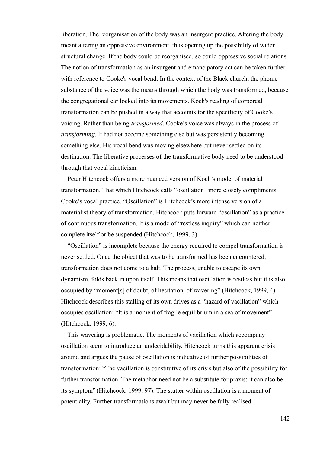liberation. The reorganisation of the body was an insurgent practice. Altering the body meant altering an oppressive environment, thus opening up the possibility of wider structural change. If the body could be reorganised, so could oppressive social relations. The notion of transformation as an insurgent and emancipatory act can be taken further with reference to Cooke's vocal bend. In the context of the Black church, the phonic substance of the voice was the means through which the body was transformed, because the congregational ear locked into its movements. Koch's reading of corporeal transformation can be pushed in a way that accounts for the specificity of Cooke's voicing. Rather than being *transformed*, Cooke's voice was always in the process of *transforming*. It had not become something else but was persistently becoming something else. His vocal bend was moving elsewhere but never settled on its destination. The liberative processes of the transformative body need to be understood through that vocal kineticism.

 Peter Hitchcock offers a more nuanced version of Koch's model of material transformation. That which Hitchcock calls "oscillation" more closely compliments Cooke's vocal practice. "Oscillation" is Hitchcock's more intense version of a materialist theory of transformation. Hitchcock puts forward "oscillation" as a practice of continuous transformation. It is a mode of "restless inquiry" which can neither complete itself or be suspended (Hitchcock, 1999, 3).

 "Oscillation" is incomplete because the energy required to compel transformation is never settled. Once the object that was to be transformed has been encountered, transformation does not come to a halt. The process, unable to escape its own dynamism, folds back in upon itself. This means that oscillation is restless but it is also occupied by "moment[s] of doubt, of hesitation, of wavering" (Hitchcock, 1999, 4). Hitchcock describes this stalling of its own drives as a "hazard of vacillation" which occupies oscillation: "It is a moment of fragile equilibrium in a sea of movement" (Hitchcock, 1999, 6).

 This wavering is problematic. The moments of vacillation which accompany oscillation seem to introduce an undecidability. Hitchcock turns this apparent crisis around and argues the pause of oscillation is indicative of further possibilities of transformation: "The vacillation is constitutive of its crisis but also of the possibility for further transformation. The metaphor need not be a substitute for praxis: it can also be its symptom" (Hitchcock, 1999, 97). The stutter within oscillation is a moment of potentiality. Further transformations await but may never be fully realised.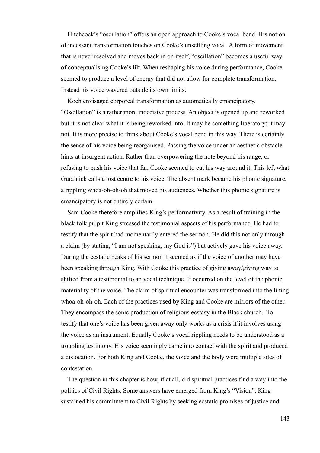Hitchcock's "oscillation" offers an open approach to Cooke's vocal bend. His notion of incessant transformation touches on Cooke's unsettling vocal. A form of movement that is never resolved and moves back in on itself, "oscillation" becomes a useful way of conceptualising Cooke's lilt. When reshaping his voice during performance, Cooke seemed to produce a level of energy that did not allow for complete transformation. Instead his voice wavered outside its own limits.

 Koch envisaged corporeal transformation as automatically emancipatory. "Oscillation" is a rather more indecisive process. An object is opened up and reworked but it is not clear what it is being reworked into. It may be something liberatory; it may not. It is more precise to think about Cooke's vocal bend in this way. There is certainly the sense of his voice being reorganised. Passing the voice under an aesthetic obstacle hints at insurgent action. Rather than overpowering the note beyond his range, or refusing to push his voice that far, Cooke seemed to cut his way around it. This left what Guralnick calls a lost centre to his voice. The absent mark became his phonic signature, a rippling whoa-oh-oh-oh that moved his audiences. Whether this phonic signature is emancipatory is not entirely certain.

 Sam Cooke therefore amplifies King's performativity. As a result of training in the black folk pulpit King stressed the testimonial aspects of his performance. He had to testify that the spirit had momentarily entered the sermon. He did this not only through a claim (by stating, "I am not speaking, my God is") but actively gave his voice away. During the ecstatic peaks of his sermon it seemed as if the voice of another may have been speaking through King. With Cooke this practice of giving away/giving way to shifted from a testimonial to an vocal technique. It occurred on the level of the phonic materiality of the voice. The claim of spiritual encounter was transformed into the lilting whoa-oh-oh-oh. Each of the practices used by King and Cooke are mirrors of the other. They encompass the sonic production of religious ecstasy in the Black church. To testify that one's voice has been given away only works as a crisis if it involves using the voice as an instrument. Equally Cooke's vocal rippling needs to be understood as a troubling testimony. His voice seemingly came into contact with the spirit and produced a dislocation. For both King and Cooke, the voice and the body were multiple sites of contestation.

 The question in this chapter is how, if at all, did spiritual practices find a way into the politics of Civil Rights. Some answers have emerged from King's "Vision". King sustained his commitment to Civil Rights by seeking ecstatic promises of justice and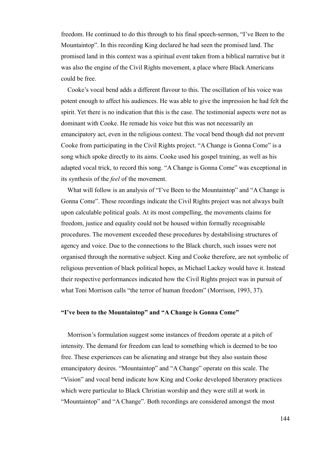freedom. He continued to do this through to his final speech-sermon, "I've Been to the Mountaintop". In this recording King declared he had seen the promised land. The promised land in this context was a spiritual event taken from a biblical narrative but it was also the engine of the Civil Rights movement, a place where Black Americans could be free.

 Cooke's vocal bend adds a different flavour to this. The oscillation of his voice was potent enough to affect his audiences. He was able to give the impression he had felt the spirit. Yet there is no indication that this is the case. The testimonial aspects were not as dominant with Cooke. He remade his voice but this was not necessarily an emancipatory act, even in the religious context. The vocal bend though did not prevent Cooke from participating in the Civil Rights project. "A Change is Gonna Come" is a song which spoke directly to its aims. Cooke used his gospel training, as well as his adapted vocal trick, to record this song. "A Change is Gonna Come" was exceptional in its synthesis of the *feel* of the movement.

 What will follow is an analysis of "I've Been to the Mountaintop" and "A Change is Gonna Come". These recordings indicate the Civil Rights project was not always built upon calculable political goals. At its most compelling, the movements claims for freedom, justice and equality could not be housed within formally recognisable procedures. The movement exceeded these procedures by destabilising structures of agency and voice. Due to the connections to the Black church, such issues were not organised through the normative subject. King and Cooke therefore, are not symbolic of religious prevention of black political hopes, as Michael Lackey would have it. Instead their respective performances indicated how the Civil Rights project was in pursuit of what Toni Morrison calls "the terror of human freedom" (Morrison, 1993, 37).

# **"I've been to the Mountaintop" and "A Change is Gonna Come"**

 Morrison's formulation suggest some instances of freedom operate at a pitch of intensity. The demand for freedom can lead to something which is deemed to be too free. These experiences can be alienating and strange but they also sustain those emancipatory desires. "Mountaintop" and "A Change" operate on this scale. The "Vision" and vocal bend indicate how King and Cooke developed liberatory practices which were particular to Black Christian worship and they were still at work in "Mountaintop" and "A Change". Both recordings are considered amongst the most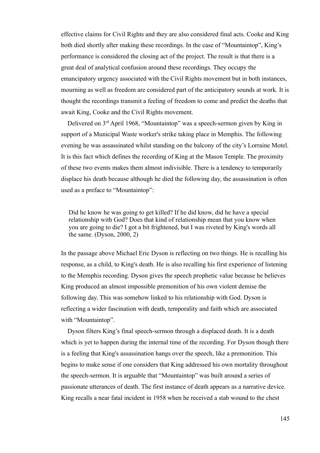effective claims for Civil Rights and they are also considered final acts. Cooke and King both died shortly after making these recordings. In the case of "Mountaintop", King's performance is considered the closing act of the project. The result is that there is a great deal of analytical confusion around these recordings. They occupy the emancipatory urgency associated with the Civil Rights movement but in both instances, mourning as well as freedom are considered part of the anticipatory sounds at work. It is thought the recordings transmit a feeling of freedom to come and predict the deaths that await King, Cooke and the Civil Rights movement.

 Delivered on 3rd April 1968, "Mountaintop" was a speech-sermon given by King in support of a Municipal Waste worker's strike taking place in Memphis. The following evening he was assassinated whilst standing on the balcony of the city's Lorraine Motel. It is this fact which defines the recording of King at the Mason Temple. The proximity of these two events makes them almost indivisible. There is a tendency to temporarily displace his death because although he died the following day, the assassination is often used as a preface to "Mountaintop":

Did he know he was going to get killed? If he did know, did he have a special relationship with God? Does that kind of relationship mean that you know when you are going to die? I got a bit frightened, but I was riveted by King's words all the same. (Dyson, 2000, 2)

In the passage above Michael Eric Dyson is reflecting on two things. He is recalling his response, as a child, to King's death. He is also recalling his first experience of listening to the Memphis recording. Dyson gives the speech prophetic value because he believes King produced an almost impossible premonition of his own violent demise the following day. This was somehow linked to his relationship with God. Dyson is reflecting a wider fascination with death, temporality and faith which are associated with "Mountaintop".

 Dyson filters King's final speech-sermon through a displaced death. It is a death which is yet to happen during the internal time of the recording. For Dyson though there is a feeling that King's assassination hangs over the speech, like a premonition. This begins to make sense if one considers that King addressed his own mortality throughout the speech-sermon. It is arguable that "Mountaintop" was built around a series of passionate utterances of death. The first instance of death appears as a narrative device. King recalls a near fatal incident in 1958 when he received a stab wound to the chest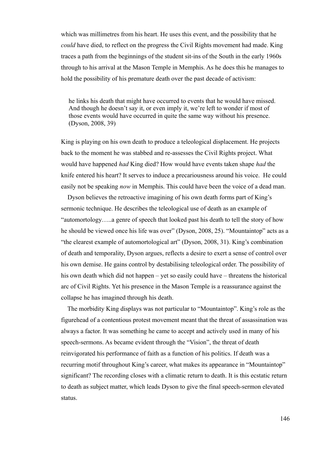which was millimetres from his heart. He uses this event, and the possibility that he *could* have died, to reflect on the progress the Civil Rights movement had made. King traces a path from the beginnings of the student sit-ins of the South in the early 1960s through to his arrival at the Mason Temple in Memphis. As he does this he manages to hold the possibility of his premature death over the past decade of activism:

he links his death that might have occurred to events that he would have missed. And though he doesn't say it, or even imply it, we're left to wonder if most of those events would have occurred in quite the same way without his presence. (Dyson, 2008, 39)

King is playing on his own death to produce a teleological displacement. He projects back to the moment he was stabbed and re-assesses the Civil Rights project. What would have happened *had* King died? How would have events taken shape *had* the knife entered his heart? It serves to induce a precariousness around his voice. He could easily not be speaking *now* in Memphis. This could have been the voice of a dead man.

 Dyson believes the retroactive imagining of his own death forms part of King's sermonic technique. He describes the teleological use of death as an example of "automortology…..a genre of speech that looked past his death to tell the story of how he should be viewed once his life was over" (Dyson, 2008, 25). "Mountaintop" acts as a "the clearest example of automortological art" (Dyson, 2008, 31). King's combination of death and temporality, Dyson argues, reflects a desire to exert a sense of control over his own demise. He gains control by destabilising teleological order. The possibility of his own death which did not happen – yet so easily could have – threatens the historical arc of Civil Rights. Yet his presence in the Mason Temple is a reassurance against the collapse he has imagined through his death.

 The morbidity King displays was not particular to "Mountaintop". King's role as the figurehead of a contentious protest movement meant that the threat of assassination was always a factor. It was something he came to accept and actively used in many of his speech-sermons. As became evident through the "Vision", the threat of death reinvigorated his performance of faith as a function of his politics. If death was a recurring motif throughout King's career, what makes its appearance in "Mountaintop" significant? The recording closes with a climatic return to death. It is this ecstatic return to death as subject matter, which leads Dyson to give the final speech-sermon elevated status.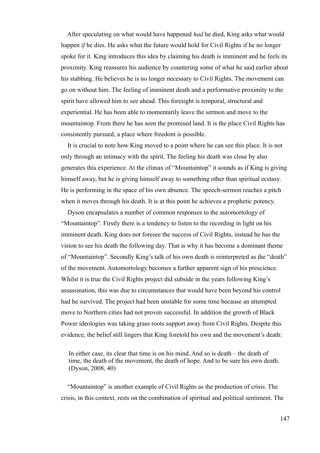After speculating on what would have happened *had* he died, King asks what would happen *if* he dies. He asks what the future would hold for Civil Rights if he no longer spoke for it. King introduces this idea by claiming his death is imminent and he feels its proximity. King reassures his audience by countering some of what he said earlier about his stabbing. He believes he is no longer necessary to Civil Rights. The movement can go on without him. The feeling of imminent death and a performative proximity to the spirit have allowed him to see ahead. This foresight is temporal, structural and experiential. He has been able to momentarily leave the sermon and move to the mountaintop. From there he has seen the promised land. It is the place Civil Rights has consistently pursued, a place where freedom is possible.

 It is crucial to note how King moved to a point where he can see this place. It is not only through an intimacy with the spirit. The feeling his death was close by also generates this experience. At the climax of "Mountaintop" it sounds as if King is giving himself away, but he is giving himself away to something other than spiritual ecstasy. He is performing in the space of his own absence. The speech-sermon reaches a pitch when it moves through his death. It is at this point he achieves a prophetic potency.

 Dyson encapsulates a number of common responses to the automortology of "Mountaintop". Firstly there is a tendency to listen to the recording in light on his imminent death. King does not foresee the success of Civil Rights, instead he has the vision to see his death the following day. That is why it has become a dominant theme of "Mountaintop". Secondly King's talk of his own death is reinterpreted as the "death" of the movement. Automortology becomes a further apparent sign of his prescience. Whilst it is true the Civil Rights project did subside in the years following King's assassination, this was due to circumstances that would have been beyond his control had he survived. The project had been unstable for some time because an attempted move to Northern cities had not proven successful. In addition the growth of Black Power ideologies was taking grass roots support away from Civil Rights. Despite this evidence, the belief still lingers that King foretold his own and the movement's death:

In either case, its clear that time is on his mind. And so is death – the death of time, the death of the movement, the death of hope. And to be sure his own death. (Dyson, 2008, 40)

 "Mountaintop" is another example of Civil Rights as the production of crisis. The crisis, in this context, rests on the combination of spiritual and political sentiment. The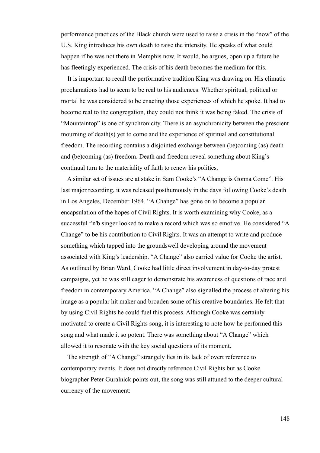performance practices of the Black church were used to raise a crisis in the "now" of the U.S. King introduces his own death to raise the intensity. He speaks of what could happen if he was not there in Memphis now. It would, he argues, open up a future he has fleetingly experienced. The crisis of his death becomes the medium for this.

 It is important to recall the performative tradition King was drawing on. His climatic proclamations had to seem to be real to his audiences. Whether spiritual, political or mortal he was considered to be enacting those experiences of which he spoke. It had to become real to the congregation, they could not think it was being faked. The crisis of "Mountaintop" is one of synchronicity. There is an asynchronicity between the prescient mourning of death(s) yet to come and the experience of spiritual and constitutional freedom. The recording contains a disjointed exchange between (be)coming (as) death and (be)coming (as) freedom. Death and freedom reveal something about King's continual turn to the materiality of faith to renew his politics.

 A similar set of issues are at stake in Sam Cooke's "A Change is Gonna Come". His last major recording, it was released posthumously in the days following Cooke's death in Los Angeles, December 1964. "A Change" has gone on to become a popular encapsulation of the hopes of Civil Rights. It is worth examining why Cooke, as a successful r'n'b singer looked to make a record which was so emotive. He considered "A Change" to be his contribution to Civil Rights. It was an attempt to write and produce something which tapped into the groundswell developing around the movement associated with King's leadership. "A Change" also carried value for Cooke the artist. As outlined by Brian Ward, Cooke had little direct involvement in day-to-day protest campaigns, yet he was still eager to demonstrate his awareness of questions of race and freedom in contemporary America. "A Change" also signalled the process of altering his image as a popular hit maker and broaden some of his creative boundaries. He felt that by using Civil Rights he could fuel this process. Although Cooke was certainly motivated to create a Civil Rights song, it is interesting to note how he performed this song and what made it so potent. There was something about "A Change" which allowed it to resonate with the key social questions of its moment.

 The strength of "A Change" strangely lies in its lack of overt reference to contemporary events. It does not directly reference Civil Rights but as Cooke biographer Peter Guralnick points out, the song was still attuned to the deeper cultural currency of the movement: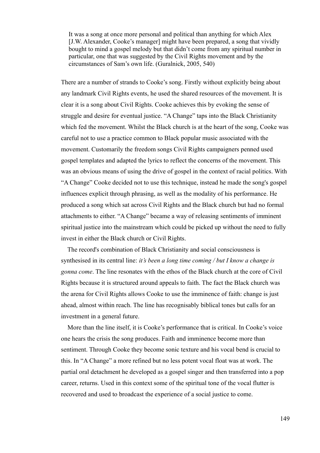It was a song at once more personal and political than anything for which Alex [J.W. Alexander, Cooke's manager] might have been prepared, a song that vividly bought to mind a gospel melody but that didn't come from any spiritual number in particular, one that was suggested by the Civil Rights movement and by the circumstances of Sam's own life. (Guralnick, 2005, 540)

There are a number of strands to Cooke's song. Firstly without explicitly being about any landmark Civil Rights events, he used the shared resources of the movement. It is clear it is a song about Civil Rights. Cooke achieves this by evoking the sense of struggle and desire for eventual justice. "A Change" taps into the Black Christianity which fed the movement. Whilst the Black church is at the heart of the song, Cooke was careful not to use a practice common to Black popular music associated with the movement. Customarily the freedom songs Civil Rights campaigners penned used gospel templates and adapted the lyrics to reflect the concerns of the movement. This was an obvious means of using the drive of gospel in the context of racial politics. With "A Change" Cooke decided not to use this technique, instead he made the song's gospel influences explicit through phrasing, as well as the modality of his performance. He produced a song which sat across Civil Rights and the Black church but had no formal attachments to either. "A Change" became a way of releasing sentiments of imminent spiritual justice into the mainstream which could be picked up without the need to fully invest in either the Black church or Civil Rights.

 The record's combination of Black Christianity and social consciousness is synthesised in its central line: *it's been a long time coming / but I know a change is gonna come*. The line resonates with the ethos of the Black church at the core of Civil Rights because it is structured around appeals to faith. The fact the Black church was the arena for Civil Rights allows Cooke to use the imminence of faith: change is just ahead, almost within reach. The line has recognisably biblical tones but calls for an investment in a general future.

 More than the line itself, it is Cooke's performance that is critical. In Cooke's voice one hears the crisis the song produces. Faith and imminence become more than sentiment. Through Cooke they become sonic texture and his vocal bend is crucial to this. In "A Change" a more refined but no less potent vocal float was at work. The partial oral detachment he developed as a gospel singer and then transferred into a pop career, returns. Used in this context some of the spiritual tone of the vocal flutter is recovered and used to broadcast the experience of a social justice to come.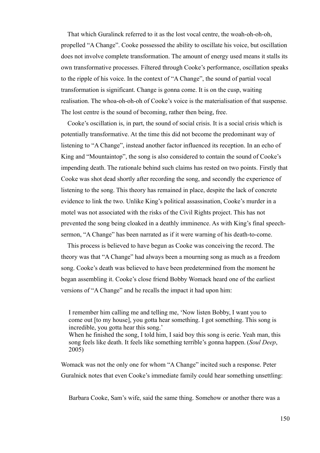That which Guralinck referred to it as the lost vocal centre, the woah-oh-oh-oh, propelled "A Change". Cooke possessed the ability to oscillate his voice, but oscillation does not involve complete transformation. The amount of energy used means it stalls its own transformative processes. Filtered through Cooke's performance, oscillation speaks to the ripple of his voice. In the context of "A Change", the sound of partial vocal transformation is significant. Change is gonna come. It is on the cusp, waiting realisation. The whoa-oh-oh-oh of Cooke's voice is the materialisation of that suspense. The lost centre is the sound of becoming, rather then being, free.

 Cooke's oscillation is, in part, the sound of social crisis. It is a social crisis which is potentially transformative. At the time this did not become the predominant way of listening to "A Change", instead another factor influenced its reception. In an echo of King and "Mountaintop", the song is also considered to contain the sound of Cooke's impending death. The rationale behind such claims has rested on two points. Firstly that Cooke was shot dead shortly after recording the song, and secondly the experience of listening to the song. This theory has remained in place, despite the lack of concrete evidence to link the two. Unlike King's political assassination, Cooke's murder in a motel was not associated with the risks of the Civil Rights project. This has not prevented the song being cloaked in a deathly imminence. As with King's final speechsermon, "A Change" has been narrated as if it were warning of his death-to-come.

 This process is believed to have begun as Cooke was conceiving the record. The theory was that "A Change" had always been a mourning song as much as a freedom song. Cooke's death was believed to have been predetermined from the moment he began assembling it. Cooke's close friend Bobby Womack heard one of the earliest versions of "A Change" and he recalls the impact it had upon him:

I remember him calling me and telling me, 'Now listen Bobby, I want you to come out [to my house], you gotta hear something. I got something. This song is incredible, you gotta hear this song.' When he finished the song, I told him, I said boy this song is eerie. Yeah man, this song feels like death. It feels like something terrible's gonna happen. (*Soul Deep*, 2005)

Womack was not the only one for whom "A Change" incited such a response. Peter Guralnick notes that even Cooke's immediate family could hear something unsettling:

Barbara Cooke, Sam's wife, said the same thing. Somehow or another there was a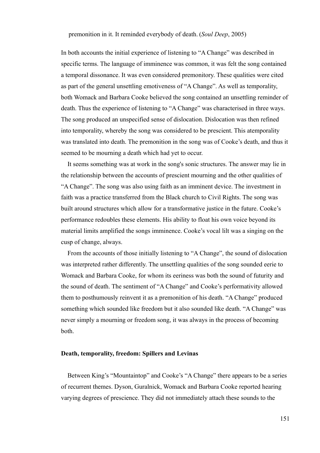### premonition in it. It reminded everybody of death. (*Soul Deep*, 2005)

In both accounts the initial experience of listening to "A Change" was described in specific terms. The language of imminence was common, it was felt the song contained a temporal dissonance. It was even considered premonitory. These qualities were cited as part of the general unsettling emotiveness of "A Change". As well as temporality, both Womack and Barbara Cooke believed the song contained an unsettling reminder of death. Thus the experience of listening to "A Change" was characterised in three ways. The song produced an unspecified sense of dislocation. Dislocation was then refined into temporality, whereby the song was considered to be prescient. This atemporality was translated into death. The premonition in the song was of Cooke's death, and thus it seemed to be mourning a death which had yet to occur.

 It seems something was at work in the song's sonic structures. The answer may lie in the relationship between the accounts of prescient mourning and the other qualities of "A Change". The song was also using faith as an imminent device. The investment in faith was a practice transferred from the Black church to Civil Rights. The song was built around structures which allow for a transformative justice in the future. Cooke's performance redoubles these elements. His ability to float his own voice beyond its material limits amplified the songs imminence. Cooke's vocal lilt was a singing on the cusp of change, always.

 From the accounts of those initially listening to "A Change", the sound of dislocation was interpreted rather differently. The unsettling qualities of the song sounded eerie to Womack and Barbara Cooke, for whom its eeriness was both the sound of futurity and the sound of death. The sentiment of "A Change" and Cooke's performativity allowed them to posthumously reinvent it as a premonition of his death. "A Change" produced something which sounded like freedom but it also sounded like death. "A Change" was never simply a mourning or freedom song, it was always in the process of becoming both.

### **Death, temporality, freedom: Spillers and Levinas**

 Between King's "Mountaintop" and Cooke's "A Change" there appears to be a series of recurrent themes. Dyson, Guralnick, Womack and Barbara Cooke reported hearing varying degrees of prescience. They did not immediately attach these sounds to the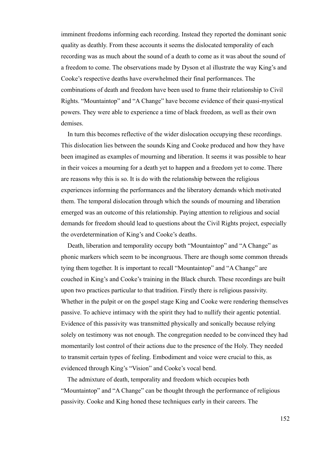imminent freedoms informing each recording. Instead they reported the dominant sonic quality as deathly. From these accounts it seems the dislocated temporality of each recording was as much about the sound of a death to come as it was about the sound of a freedom to come. The observations made by Dyson et al illustrate the way King's and Cooke's respective deaths have overwhelmed their final performances. The combinations of death and freedom have been used to frame their relationship to Civil Rights. "Mountaintop" and "A Change" have become evidence of their quasi-mystical powers. They were able to experience a time of black freedom, as well as their own demises.

 In turn this becomes reflective of the wider dislocation occupying these recordings. This dislocation lies between the sounds King and Cooke produced and how they have been imagined as examples of mourning and liberation. It seems it was possible to hear in their voices a mourning for a death yet to happen and a freedom yet to come. There are reasons why this is so. It is do with the relationship between the religious experiences informing the performances and the liberatory demands which motivated them. The temporal dislocation through which the sounds of mourning and liberation emerged was an outcome of this relationship. Paying attention to religious and social demands for freedom should lead to questions about the Civil Rights project, especially the overdetermination of King's and Cooke's deaths.

 Death, liberation and temporality occupy both "Mountaintop" and "A Change" as phonic markers which seem to be incongruous. There are though some common threads tying them together. It is important to recall "Mountaintop" and "A Change" are couched in King's and Cooke's training in the Black church. These recordings are built upon two practices particular to that tradition. Firstly there is religious passivity. Whether in the pulpit or on the gospel stage King and Cooke were rendering themselves passive. To achieve intimacy with the spirit they had to nullify their agentic potential. Evidence of this passivity was transmitted physically and sonically because relying solely on testimony was not enough. The congregation needed to be convinced they had momentarily lost control of their actions due to the presence of the Holy. They needed to transmit certain types of feeling. Embodiment and voice were crucial to this, as evidenced through King's "Vision" and Cooke's vocal bend.

 The admixture of death, temporality and freedom which occupies both "Mountaintop" and "A Change" can be thought through the performance of religious passivity. Cooke and King honed these techniques early in their careers. The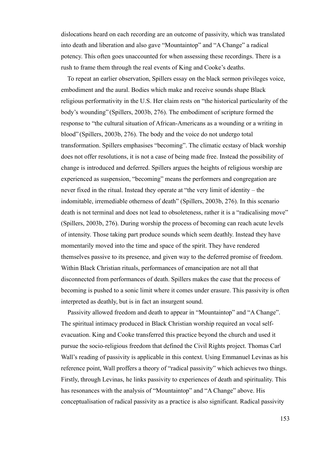dislocations heard on each recording are an outcome of passivity, which was translated into death and liberation and also gave "Mountaintop" and "A Change" a radical potency. This often goes unaccounted for when assessing these recordings. There is a rush to frame them through the real events of King and Cooke's deaths.

 To repeat an earlier observation, Spillers essay on the black sermon privileges voice, embodiment and the aural. Bodies which make and receive sounds shape Black religious performativity in the U.S. Her claim rests on "the historical particularity of the body's wounding" (Spillers, 2003b, 276). The embodiment of scripture formed the response to "the cultural situation of African-Americans as a wounding or a writing in blood" (Spillers, 2003b, 276). The body and the voice do not undergo total transformation. Spillers emphasises "becoming". The climatic ecstasy of black worship does not offer resolutions, it is not a case of being made free. Instead the possibility of change is introduced and deferred. Spillers argues the heights of religious worship are experienced as suspension, "becoming" means the performers and congregation are never fixed in the ritual. Instead they operate at "the very limit of identity – the indomitable, irremediable otherness of death" (Spillers, 2003b, 276). In this scenario death is not terminal and does not lead to obsoleteness, rather it is a "radicalising move" (Spillers, 2003b, 276). During worship the process of becoming can reach acute levels of intensity. Those taking part produce sounds which seem deathly. Instead they have momentarily moved into the time and space of the spirit. They have rendered themselves passive to its presence, and given way to the deferred promise of freedom. Within Black Christian rituals, performances of emancipation are not all that disconnected from performances of death. Spillers makes the case that the process of becoming is pushed to a sonic limit where it comes under erasure. This passivity is often interpreted as deathly, but is in fact an insurgent sound.

 Passivity allowed freedom and death to appear in "Mountaintop" and "A Change". The spiritual intimacy produced in Black Christian worship required an vocal selfevacuation. King and Cooke transferred this practice beyond the church and used it pursue the socio-religious freedom that defined the Civil Rights project. Thomas Carl Wall's reading of passivity is applicable in this context. Using Emmanuel Levinas as his reference point, Wall proffers a theory of "radical passivity" which achieves two things. Firstly, through Levinas, he links passivity to experiences of death and spirituality. This has resonances with the analysis of "Mountaintop" and "A Change" above. His conceptualisation of radical passivity as a practice is also significant. Radical passivity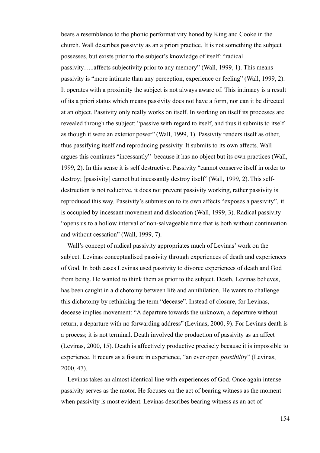bears a resemblance to the phonic performativity honed by King and Cooke in the church. Wall describes passivity as an a priori practice. It is not something the subject possesses, but exists prior to the subject's knowledge of itself: "radical passivity…..affects subjectivity prior to any memory" (Wall, 1999, 1). This means passivity is "more intimate than any perception, experience or feeling" (Wall, 1999, 2). It operates with a proximity the subject is not always aware of. This intimacy is a result of its a priori status which means passivity does not have a form, nor can it be directed at an object. Passivity only really works on itself. In working on itself its processes are revealed through the subject: "passive with regard to itself, and thus it submits to itself as though it were an exterior power" (Wall, 1999, 1). Passivity renders itself as other, thus passifying itself and reproducing passivity. It submits to its own affects. Wall argues this continues "incessantly" because it has no object but its own practices (Wall, 1999, 2). In this sense it is self destructive. Passivity "cannot conserve itself in order to destroy; [passivity] cannot but incessantly destroy itself" (Wall, 1999, 2).This selfdestruction is not reductive, it does not prevent passivity working, rather passivity is reproduced this way. Passivity's submission to its own affects "exposes a passivity", it is occupied by incessant movement and dislocation (Wall, 1999, 3). Radical passivity "opens us to a hollow interval of non-salvageable time that is both without continuation and without cessation" (Wall, 1999, 7).

 Wall's concept of radical passivity appropriates much of Levinas' work on the subject. Levinas conceptualised passivity through experiences of death and experiences of God. In both cases Levinas used passivity to divorce experiences of death and God from being. He wanted to think them as prior to the subject. Death, Levinas believes, has been caught in a dichotomy between life and annihilation. He wants to challenge this dichotomy by rethinking the term "decease". Instead of closure, for Levinas, decease implies movement: "A departure towards the unknown, a departure without return, a departure with no forwarding address" (Levinas, 2000, 9). For Levinas death is a process; it is not terminal. Death involved the production of passivity as an affect (Levinas, 2000, 15). Death is affectively productive precisely because it is impossible to experience. It recurs as a fissure in experience, "an ever open *possibility*" (Levinas, 2000, 47).

 Levinas takes an almost identical line with experiences of God. Once again intense passivity serves as the motor. He focuses on the act of bearing witness as the moment when passivity is most evident. Levinas describes bearing witness as an act of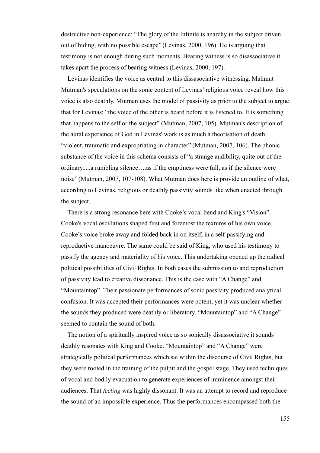destructive non-experience: "The glory of the Infinite is anarchy in the subject driven out of hiding, with no possible escape" (Levinas, 2000, 196). He is arguing that testimony is not enough during such moments. Bearing witness is so disassociative it takes apart the process of bearing witness (Levinas, 2000, 197).

 Levinas identifies the voice as central to this dissasociative witnessing. Mahmut Mutman's speculations on the sonic content of Levinas' religious voice reveal how this voice is also deathly. Mutman uses the model of passivity as prior to the subject to argue that for Levinas: "the voice of the other is heard before it is listened to. It is something that happens to the self or the subject" (Mutman, 2007, 105). Mutman's description of the aural experience of God in Levinas' work is as much a theorisation of death: "violent, traumatic and expropriating in character" (Mutman, 2007, 106). The phonic substance of the voice in this schema consists of "a strange audibility, quite out of the ordinary.....a rumbling silence….as if the emptiness were full, as if the silence were noise" (Mutman, 2007, 107-108). What Mutman does here is provide an outline of what, according to Levinas, religious or deathly passivity sounds like when enacted through the subject.

 There is a strong resonance here with Cooke's vocal bend and King's "Vision". Cooke's vocal oscillations shaped first and foremost the textures of his own voice. Cooke's voice broke away and folded back in on itself, in a self-passifying and reproductive manoeuvre. The same could be said of King, who used his testimony to passify the agency and materiality of his voice. This undertaking opened up the radical political possibilities of Civil Rights. In both cases the submission to and reproduction of passivity lead to creative dissonance. This is the case with "A Change" and "Mountaintop". Their passionate performances of sonic passivity produced analytical confusion. It was accepted their performances were potent, yet it was unclear whether the sounds they produced were deathly or liberatory. "Mountaintop" and "A Change" seemed to contain the sound of both.

 The notion of a spiritually inspired voice as so sonically disassociative it sounds deathly resonates with King and Cooke. "Mountaintop" and "A Change" were strategically political performances which sat within the discourse of Civil Rights, but they were rooted in the training of the pulpit and the gospel stage. They used techniques of vocal and bodily evacuation to generate experiences of imminence amongst their audiences. That *feeling* was highly dissonant. It was an attempt to record and reproduce the sound of an impossible experience. Thus the performances encompassed both the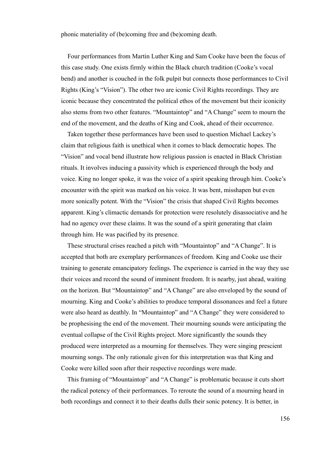phonic materiality of (be)coming free and (be)coming death.

 Four performances from Martin Luther King and Sam Cooke have been the focus of this case study. One exists firmly within the Black church tradition (Cooke's vocal bend) and another is couched in the folk pulpit but connects those performances to Civil Rights (King's "Vision"). The other two are iconic Civil Rights recordings. They are iconic because they concentrated the political ethos of the movement but their iconicity also stems from two other features. "Mountaintop" and "A Change" seem to mourn the end of the movement, and the deaths of King and Cook, ahead of their occurrence.

 Taken together these performances have been used to question Michael Lackey's claim that religious faith is unethical when it comes to black democratic hopes. The "Vision" and vocal bend illustrate how religious passion is enacted in Black Christian rituals. It involves inducing a passivity which is experienced through the body and voice. King no longer spoke, it was the voice of a spirit speaking through him. Cooke's encounter with the spirit was marked on his voice. It was bent, misshapen but even more sonically potent. With the "Vision" the crisis that shaped Civil Rights becomes apparent. King's climactic demands for protection were resolutely disassociative and he had no agency over these claims. It was the sound of a spirit generating that claim through him. He was pacified by its presence.

 These structural crises reached a pitch with "Mountaintop" and "A Change". It is accepted that both are exemplary performances of freedom. King and Cooke use their training to generate emancipatory feelings. The experience is carried in the way they use their voices and record the sound of imminent freedom. It is nearby, just ahead, waiting on the horizon. But "Mountaintop" and "A Change" are also enveloped by the sound of mourning. King and Cooke's abilities to produce temporal dissonances and feel a future were also heard as deathly. In "Mountaintop" and "A Change" they were considered to be prophesising the end of the movement. Their mourning sounds were anticipating the eventual collapse of the Civil Rights project. More significantly the sounds they produced were interpreted as a mourning for themselves. They were singing prescient mourning songs. The only rationale given for this interpretation was that King and Cooke were killed soon after their respective recordings were made.

 This framing of "Mountaintop" and "A Change" is problematic because it cuts short the radical potency of their performances. To reroute the sound of a mourning heard in both recordings and connect it to their deaths dulls their sonic potency. It is better, in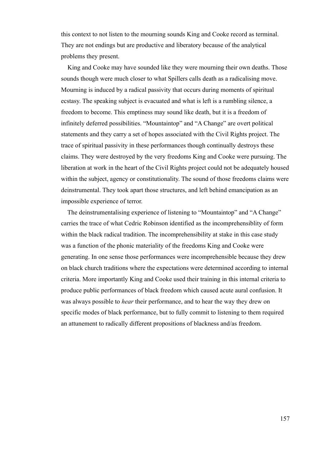this context to not listen to the mourning sounds King and Cooke record as terminal. They are not endings but are productive and liberatory because of the analytical problems they present.

 King and Cooke may have sounded like they were mourning their own deaths. Those sounds though were much closer to what Spillers calls death as a radicalising move. Mourning is induced by a radical passivity that occurs during moments of spiritual ecstasy. The speaking subject is evacuated and what is left is a rumbling silence, a freedom to become. This emptiness may sound like death, but it is a freedom of infinitely deferred possibilities. "Mountaintop" and "A Change" are overt political statements and they carry a set of hopes associated with the Civil Rights project. The trace of spiritual passivity in these performances though continually destroys these claims. They were destroyed by the very freedoms King and Cooke were pursuing. The liberation at work in the heart of the Civil Rights project could not be adequately housed within the subject, agency or constitutionality. The sound of those freedoms claims were deinstrumental. They took apart those structures, and left behind emancipation as an impossible experience of terror.

 The deinstrumentalising experience of listening to "Mountaintop" and "A Change" carries the trace of what Cedric Robinson identified as the incomprehensiblity of form within the black radical tradition. The incomprehensibility at stake in this case study was a function of the phonic materiality of the freedoms King and Cooke were generating. In one sense those performances were incomprehensible because they drew on black church traditions where the expectations were determined according to internal criteria. More importantly King and Cooke used their training in this internal criteria to produce public performances of black freedom which caused acute aural confusion. It was always possible to *hear* their performance, and to hear the way they drew on specific modes of black performance, but to fully commit to listening to them required an attunement to radically different propositions of blackness and/as freedom.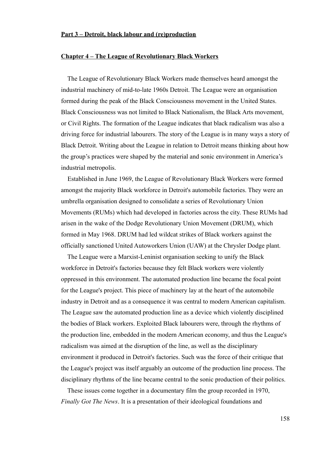## **Part 3 – Detroit, black labour and (re)production**

## **Chapter 4 – The League of Revolutionary Black Workers**

 The League of Revolutionary Black Workers made themselves heard amongst the industrial machinery of mid-to-late 1960s Detroit. The League were an organisation formed during the peak of the Black Consciousness movement in the United States. Black Consciousness was not limited to Black Nationalism, the Black Arts movement, or Civil Rights. The formation of the League indicates that black radicalism was also a driving force for industrial labourers. The story of the League is in many ways a story of Black Detroit. Writing about the League in relation to Detroit means thinking about how the group's practices were shaped by the material and sonic environment in America's industrial metropolis.

 Established in June 1969, the League of Revolutionary Black Workers were formed amongst the majority Black workforce in Detroit's automobile factories. They were an umbrella organisation designed to consolidate a series of Revolutionary Union Movements (RUMs) which had developed in factories across the city. These RUMs had arisen in the wake of the Dodge Revolutionary Union Movement (DRUM), which formed in May 1968. DRUM had led wildcat strikes of Black workers against the officially sanctioned United Autoworkers Union (UAW) at the Chrysler Dodge plant.

 The League were a Marxist-Leninist organisation seeking to unify the Black workforce in Detroit's factories because they felt Black workers were violently oppressed in this environment. The automated production line became the focal point for the League's project. This piece of machinery lay at the heart of the automobile industry in Detroit and as a consequence it was central to modern American capitalism. The League saw the automated production line as a device which violently disciplined the bodies of Black workers. Exploited Black labourers were, through the rhythms of the production line, embedded in the modern American economy, and thus the League's radicalism was aimed at the disruption of the line, as well as the disciplinary environment it produced in Detroit's factories. Such was the force of their critique that the League's project was itself arguably an outcome of the production line process. The disciplinary rhythms of the line became central to the sonic production of their politics.

 These issues come together in a documentary film the group recorded in 1970, *Finally Got The News*. It is a presentation of their ideological foundations and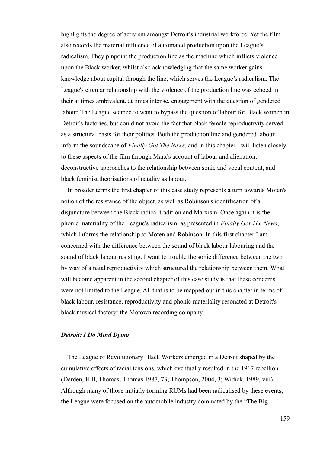highlights the degree of activism amongst Detroit's industrial workforce. Yet the film also records the material influence of automated production upon the League's radicalism. They pinpoint the production line as the machine which inflicts violence upon the Black worker, whilst also acknowledging that the same worker gains knowledge about capital through the line, which serves the League's radicalism. The League's circular relationship with the violence of the production line was echoed in their at times ambivalent, at times intense, engagement with the question of gendered labour. The League seemed to want to bypass the question of labour for Black women in Detroit's factories, but could not avoid the fact that black female reproductivity served as a structural basis for their politics. Both the production line and gendered labour inform the soundscape of *Finally Got The News*, and in this chapter I will listen closely to these aspects of the film through Marx's account of labour and alienation, deconstructive approaches to the relationship between sonic and vocal content, and black feminist theorisations of natality as labour.

 In broader terms the first chapter of this case study represents a turn towards Moten's notion of the resistance of the object, as well as Robinson's identification of a disjuncture between the Black radical tradition and Marxism. Once again it is the phonic materiality of the League's radicalism, as presented in *Finally Got The News*, which informs the relationship to Moten and Robinson. In this first chapter I am concerned with the difference between the sound of black labour labouring and the sound of black labour resisting. I want to trouble the sonic difference between the two by way of a natal reproductivity which structured the relationship between them. What will become apparent in the second chapter of this case study is that these concerns were not limited to the League. All that is to be mapped out in this chapter in terms of black labour, resistance, reproductivity and phonic materiality resonated at Detroit's black musical factory: the Motown recording company.

# *Detroit: I Do Mind Dying*

 The League of Revolutionary Black Workers emerged in a Detroit shaped by the cumulative effects of racial tensions, which eventually resulted in the 1967 rebellion (Darden, Hill, Thomas, Thomas 1987, 73; Thompson, 2004, 3; Widick, 1989, viii). Although many of those initially forming RUMs had been radicalised by these events, the League were focused on the automobile industry dominated by the "The Big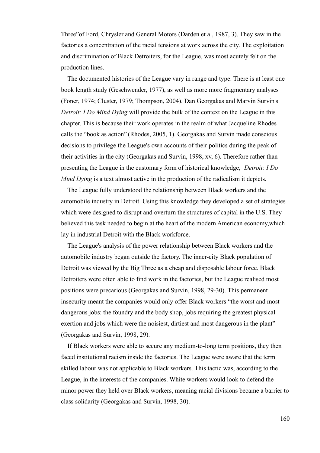Three"of Ford, Chrysler and General Motors (Darden et al, 1987, 3). They saw in the factories a concentration of the racial tensions at work across the city. The exploitation and discrimination of Black Detroiters, for the League, was most acutely felt on the production lines.

 The documented histories of the League vary in range and type. There is at least one book length study (Geschwender, 1977), as well as more more fragmentary analyses (Foner, 1974; Cluster, 1979; Thompson, 2004). Dan Georgakas and Marvin Survin's *Detroit: I Do Mind Dying* will provide the bulk of the context on the League in this chapter. This is because their work operates in the realm of what Jacqueline Rhodes calls the "book as action" (Rhodes, 2005, 1). Georgakas and Survin made conscious decisions to privilege the League's own accounts of their politics during the peak of their activities in the city (Georgakas and Survin, 1998, xv, 6). Therefore rather than presenting the League in the customary form of historical knowledge, *Detroit: I Do Mind Dying* is a text almost active in the production of the radicalism it depicts.

 The League fully understood the relationship between Black workers and the automobile industry in Detroit. Using this knowledge they developed a set of strategies which were designed to disrupt and overturn the structures of capital in the U.S. They believed this task needed to begin at the heart of the modern American economy,which lay in industrial Detroit with the Black workforce.

 The League's analysis of the power relationship between Black workers and the automobile industry began outside the factory. The inner-city Black population of Detroit was viewed by the Big Three as a cheap and disposable labour force. Black Detroiters were often able to find work in the factories, but the League realised most positions were precarious (Georgakas and Survin, 1998, 29-30). This permanent insecurity meant the companies would only offer Black workers "the worst and most dangerous jobs: the foundry and the body shop, jobs requiring the greatest physical exertion and jobs which were the noisiest, dirtiest and most dangerous in the plant" (Georgakas and Survin, 1998, 29).

 If Black workers were able to secure any medium-to-long term positions, they then faced institutional racism inside the factories. The League were aware that the term skilled labour was not applicable to Black workers. This tactic was, according to the League, in the interests of the companies. White workers would look to defend the minor power they held over Black workers, meaning racial divisions became a barrier to class solidarity (Georgakas and Survin, 1998, 30).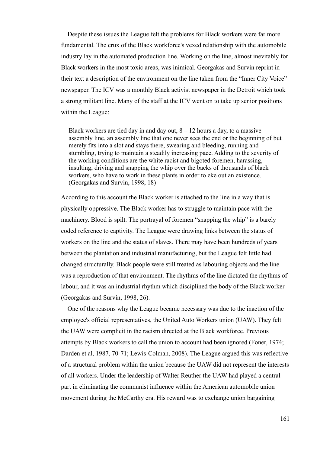Despite these issues the League felt the problems for Black workers were far more fundamental. The crux of the Black workforce's vexed relationship with the automobile industry lay in the automated production line. Working on the line, almost inevitably for Black workers in the most toxic areas, was inimical. Georgakas and Survin reprint in their text a description of the environment on the line taken from the "Inner City Voice" newspaper. The ICV was a monthly Black activist newspaper in the Detroit which took a strong militant line. Many of the staff at the ICV went on to take up senior positions within the League:

Black workers are tied day in and day out,  $8 - 12$  hours a day, to a massive assembly line, an assembly line that one never sees the end or the beginning of but merely fits into a slot and stays there, swearing and bleeding, running and stumbling, trying to maintain a steadily increasing pace. Adding to the severity of the working conditions are the white racist and bigoted foremen, harassing, insulting, driving and snapping the whip over the backs of thousands of black workers, who have to work in these plants in order to eke out an existence. (Georgakas and Survin, 1998, 18)

According to this account the Black worker is attached to the line in a way that is physically oppressive. The Black worker has to struggle to maintain pace with the machinery. Blood is spilt. The portrayal of foremen "snapping the whip" is a barely coded reference to captivity. The League were drawing links between the status of workers on the line and the status of slaves. There may have been hundreds of years between the plantation and industrial manufacturing, but the League felt little had changed structurally. Black people were still treated as labouring objects and the line was a reproduction of that environment. The rhythms of the line dictated the rhythms of labour, and it was an industrial rhythm which disciplined the body of the Black worker (Georgakas and Survin, 1998, 26).

 One of the reasons why the League became necessary was due to the inaction of the employee's official representatives, the United Auto Workers union (UAW). They felt the UAW were complicit in the racism directed at the Black workforce. Previous attempts by Black workers to call the union to account had been ignored (Foner, 1974; Darden et al, 1987, 70-71; Lewis-Colman, 2008). The League argued this was reflective of a structural problem within the union because the UAW did not represent the interests of all workers. Under the leadership of Walter Reuther the UAW had played a central part in eliminating the communist influence within the American automobile union movement during the McCarthy era. His reward was to exchange union bargaining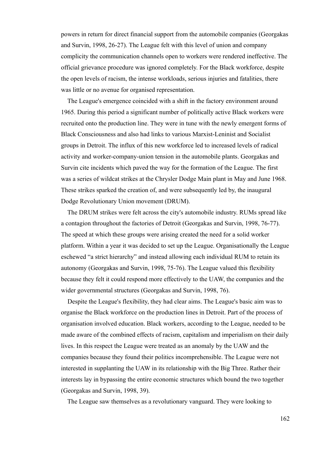powers in return for direct financial support from the automobile companies (Georgakas and Survin, 1998, 26-27). The League felt with this level of union and company complicity the communication channels open to workers were rendered ineffective. The official grievance procedure was ignored completely. For the Black workforce, despite the open levels of racism, the intense workloads, serious injuries and fatalities, there was little or no avenue for organised representation.

 The League's emergence coincided with a shift in the factory environment around 1965. During this period a significant number of politically active Black workers were recruited onto the production line. They were in tune with the newly emergent forms of Black Consciousness and also had links to various Marxist-Leninist and Socialist groups in Detroit. The influx of this new workforce led to increased levels of radical activity and worker-company-union tension in the automobile plants. Georgakas and Survin cite incidents which paved the way for the formation of the League. The first was a series of wildcat strikes at the Chrysler Dodge Main plant in May and June 1968. These strikes sparked the creation of, and were subsequently led by, the inaugural Dodge Revolutionary Union movement (DRUM).

 The DRUM strikes were felt across the city's automobile industry. RUMs spread like a contagion throughout the factories of Detroit (Georgakas and Survin, 1998, 76-77). The speed at which these groups were arising created the need for a solid worker platform. Within a year it was decided to set up the League. Organisationally the League eschewed "a strict hierarchy" and instead allowing each individual RUM to retain its autonomy (Georgakas and Survin, 1998, 75-76). The League valued this flexibility because they felt it could respond more effectively to the UAW, the companies and the wider governmental structures (Georgakas and Survin, 1998, 76).

 Despite the League's flexibility, they had clear aims. The League's basic aim was to organise the Black workforce on the production lines in Detroit. Part of the process of organisation involved education. Black workers, according to the League, needed to be made aware of the combined effects of racism, capitalism and imperialism on their daily lives. In this respect the League were treated as an anomaly by the UAW and the companies because they found their politics incomprehensible. The League were not interested in supplanting the UAW in its relationship with the Big Three. Rather their interests lay in bypassing the entire economic structures which bound the two together (Georgakas and Survin, 1998, 39).

The League saw themselves as a revolutionary vanguard. They were looking to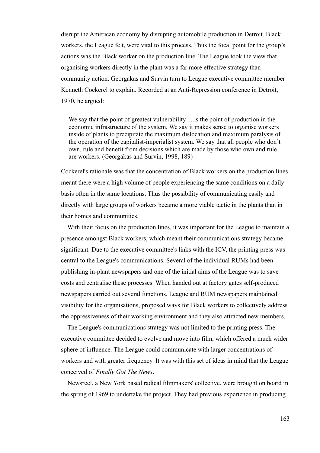disrupt the American economy by disrupting automobile production in Detroit. Black workers, the League felt, were vital to this process. Thus the focal point for the group's actions was the Black worker on the production line. The League took the view that organising workers directly in the plant was a far more effective strategy than community action. Georgakas and Survin turn to League executive committee member Kenneth Cockerel to explain. Recorded at an Anti-Repression conference in Detroit, 1970, he argued:

We say that the point of greatest vulnerability... is the point of production in the economic infrastructure of the system. We say it makes sense to organise workers inside of plants to precipitate the maximum dislocation and maximum paralysis of the operation of the capitalist-imperialist system. We say that all people who don't own, rule and benefit from decisions which are made by those who own and rule are workers. (Georgakas and Survin, 1998, 189)

Cockerel's rationale was that the concentration of Black workers on the production lines meant there were a high volume of people experiencing the same conditions on a daily basis often in the same locations. Thus the possibility of communicating easily and directly with large groups of workers became a more viable tactic in the plants than in their homes and communities.

With their focus on the production lines, it was important for the League to maintain a presence amongst Black workers, which meant their communications strategy became significant. Due to the executive committee's links with the ICV, the printing press was central to the League's communications. Several of the individual RUMs had been publishing in-plant newspapers and one of the initial aims of the League was to save costs and centralise these processes. When handed out at factory gates self-produced newspapers carried out several functions. League and RUM newspapers maintained visibility for the organisations, proposed ways for Black workers to collectively address the oppressiveness of their working environment and they also attracted new members.

 The League's communications strategy was not limited to the printing press. The executive committee decided to evolve and move into film, which offered a much wider sphere of influence. The League could communicate with larger concentrations of workers and with greater frequency. It was with this set of ideas in mind that the League conceived of *Finally Got The News*.

 Newsreel, a New York based radical filmmakers' collective, were brought on board in the spring of 1969 to undertake the project. They had previous experience in producing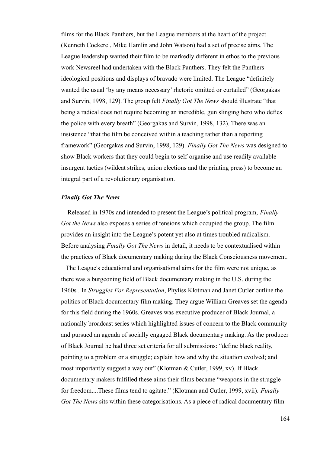films for the Black Panthers, but the League members at the heart of the project (Kenneth Cockerel, Mike Hamlin and John Watson) had a set of precise aims. The League leadership wanted their film to be markedly different in ethos to the previous work Newsreel had undertaken with the Black Panthers. They felt the Panthers ideological positions and displays of bravado were limited. The League "definitely wanted the usual 'by any means necessary' rhetoric omitted or curtailed" (Georgakas and Survin, 1998, 129). The group felt *Finally Got The News* should illustrate "that being a radical does not require becoming an incredible, gun slinging hero who defies the police with every breath" (Georgakas and Survin, 1998, 132). There was an insistence "that the film be conceived within a teaching rather than a reporting framework" (Georgakas and Survin, 1998, 129). *Finally Got The News* was designed to show Black workers that they could begin to self-organise and use readily available insurgent tactics (wildcat strikes, union elections and the printing press) to become an integral part of a revolutionary organisation.

## *Finally Got The News*

 Released in 1970s and intended to present the League's political program, *Finally Got the News* also exposes a series of tensions which occupied the group. The film provides an insight into the League's potent yet also at times troubled radicalism. Before analysing *Finally Got The News* in detail, it needs to be contextualised within the practices of Black documentary making during the Black Consciousness movement.

 The League's educational and organisational aims for the film were not unique, as there was a burgeoning field of Black documentary making in the U.S. during the 1960s . In *Struggles For Representation*, Phyliss Klotman and Janet Cutler outline the politics of Black documentary film making. They argue William Greaves set the agenda for this field during the 1960s. Greaves was executive producer of Black Journal, a nationally broadcast series which highlighted issues of concern to the Black community and pursued an agenda of socially engaged Black documentary making. As the producer of Black Journal he had three set criteria for all submissions: "define black reality, pointing to a problem or a struggle; explain how and why the situation evolved; and most importantly suggest a way out" (Klotman & Cutler, 1999, xv). If Black documentary makers fulfilled these aims their films became "weapons in the struggle for freedom....These films tend to agitate." (Klotman and Cutler, 1999, xvii). *Finally Got The News* sits within these categorisations. As a piece of radical documentary film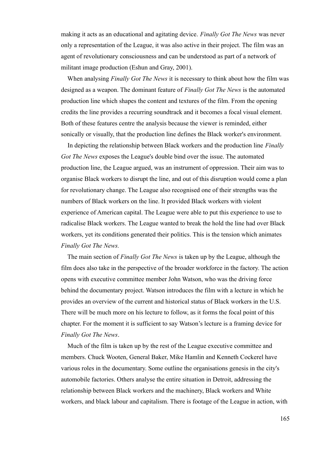making it acts as an educational and agitating device. *Finally Got The News* was never only a representation of the League, it was also active in their project. The film was an agent of revolutionary consciousness and can be understood as part of a network of militant image production (Eshun and Gray, 2001).

 When analysing *Finally Got The News* it is necessary to think about how the film was designed as a weapon. The dominant feature of *Finally Got The News* is the automated production line which shapes the content and textures of the film. From the opening credits the line provides a recurring soundtrack and it becomes a focal visual element. Both of these features centre the analysis because the viewer is reminded, either sonically or visually, that the production line defines the Black worker's environment.

 In depicting the relationship between Black workers and the production line *Finally Got The News* exposes the League's double bind over the issue. The automated production line, the League argued, was an instrument of oppression. Their aim was to organise Black workers to disrupt the line, and out of this disruption would come a plan for revolutionary change. The League also recognised one of their strengths was the numbers of Black workers on the line. It provided Black workers with violent experience of American capital. The League were able to put this experience to use to radicalise Black workers. The League wanted to break the hold the line had over Black workers, yet its conditions generated their politics. This is the tension which animates *Finally Got The News.*

 The main section of *Finally Got The News* is taken up by the League, although the film does also take in the perspective of the broader workforce in the factory. The action opens with executive committee member John Watson, who was the driving force behind the documentary project. Watson introduces the film with a lecture in which he provides an overview of the current and historical status of Black workers in the U.S. There will be much more on his lecture to follow, as it forms the focal point of this chapter. For the moment it is sufficient to say Watson's lecture is a framing device for *Finally Got The News*.

 Much of the film is taken up by the rest of the League executive committee and members. Chuck Wooten, General Baker, Mike Hamlin and Kenneth Cockerel have various roles in the documentary. Some outline the organisations genesis in the city's automobile factories. Others analyse the entire situation in Detroit, addressing the relationship between Black workers and the machinery, Black workers and White workers, and black labour and capitalism. There is footage of the League in action, with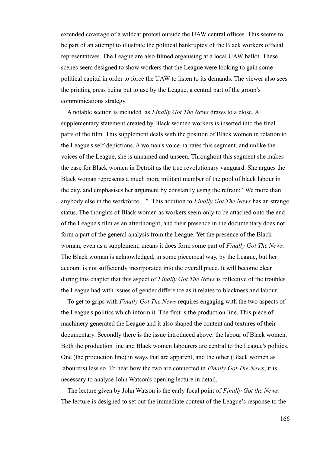extended coverage of a wildcat protest outside the UAW central offices. This seems to be part of an attempt to illustrate the political bankruptcy of the Black workers official representatives. The League are also filmed organising at a local UAW ballot. These scenes seem designed to show workers that the League were looking to gain some political capital in order to force the UAW to listen to its demands. The viewer also sees the printing press being put to use by the League, a central part of the group's communications strategy.

 A notable section is included as *Finally Got The News* draws to a close. A supplementary statement created by Black women workers is inserted into the final parts of the film. This supplement deals with the position of Black women in relation to the League's self-depictions. A woman's voice narrates this segment, and unlike the voices of the League, she is unnamed and unseen. Throughout this segment she makes the case for Black women in Detroit as the true revolutionary vanguard. She argues the Black woman represents a much more militant member of the pool of black labour in the city, and emphasises her argument by constantly using the refrain: "We more than anybody else in the workforce....". This addition to *Finally Got The News* has an strange status. The thoughts of Black women as workers seem only to be attached onto the end of the League's film as an afterthought, and their presence in the documentary does not form a part of the general analysis from the League. Yet the presence of the Black woman, even as a supplement, means it does form some part of *Finally Got The News*. The Black woman is acknowledged, in some piecemeal way, by the League, but her account is not sufficiently incorporated into the overall piece. It will become clear during this chapter that this aspect of *Finally Got The News* is reflective of the troubles the League had with issues of gender difference as it relates to blackness and labour.

 To get to grips with *Finally Got The News* requires engaging with the two aspects of the League's politics which inform it. The first is the production line. This piece of machinery generated the League and it also shaped the content and textures of their documentary. Secondly there is the issue introduced above: the labour of Black women. Both the production line and Black women labourers are central to the League's politics. One (the production line) in ways that are apparent, and the other (Black women as labourers) less so. To hear how the two are connected in *Finally Got The News*, it is necessary to analyse John Watson's opening lecture in detail.

 The lecture given by John Watson is the early focal point of *Finally Got the News*. The lecture is designed to set out the immediate context of the League's response to the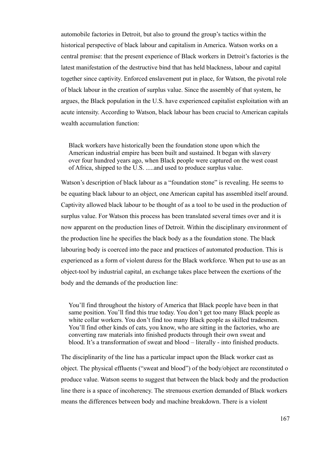automobile factories in Detroit, but also to ground the group's tactics within the historical perspective of black labour and capitalism in America. Watson works on a central premise: that the present experience of Black workers in Detroit's factories is the latest manifestation of the destructive bind that has held blackness, labour and capital together since captivity. Enforced enslavement put in place, for Watson, the pivotal role of black labour in the creation of surplus value. Since the assembly of that system, he argues, the Black population in the U.S. have experienced capitalist exploitation with an acute intensity. According to Watson, black labour has been crucial to American capitals wealth accumulation function:

Black workers have historically been the foundation stone upon which the American industrial empire has been built and sustained. It began with slavery over four hundred years ago, when Black people were captured on the west coast of Africa, shipped to the U.S. .....and used to produce surplus value.

Watson's description of black labour as a "foundation stone" is revealing. He seems to be equating black labour to an object, one American capital has assembled itself around. Captivity allowed black labour to be thought of as a tool to be used in the production of surplus value. For Watson this process has been translated several times over and it is now apparent on the production lines of Detroit. Within the disciplinary environment of the production line he specifies the black body as a the foundation stone. The black labouring body is coerced into the pace and practices of automated production. This is experienced as a form of violent duress for the Black workforce. When put to use as an object-tool by industrial capital, an exchange takes place between the exertions of the body and the demands of the production line:

You'll find throughout the history of America that Black people have been in that same position. You'll find this true today. You don't get too many Black people as white collar workers. You don't find too many Black people as skilled tradesmen. You'll find other kinds of cats, you know, who are sitting in the factories, who are converting raw materials into finished products through their own sweat and blood. It's a transformation of sweat and blood – literally - into finished products.

The disciplinarity of the line has a particular impact upon the Black worker cast as object. The physical effluents ("sweat and blood") of the body/object are reconstituted o produce value. Watson seems to suggest that between the black body and the production line there is a space of incoherency. The strenuous exertion demanded of Black workers means the differences between body and machine breakdown. There is a violent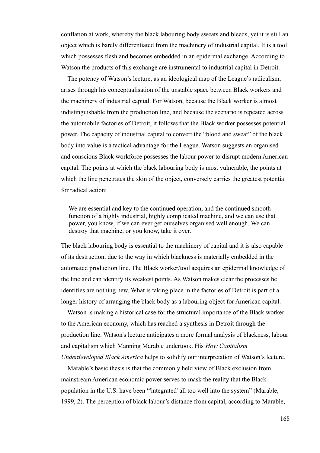conflation at work, whereby the black labouring body sweats and bleeds, yet it is still an object which is barely differentiated from the machinery of industrial capital. It is a tool which possesses flesh and becomes embedded in an epidermal exchange. According to Watson the products of this exchange are instrumental to industrial capital in Detroit.

 The potency of Watson's lecture, as an ideological map of the League's radicalism, arises through his conceptualisation of the unstable space between Black workers and the machinery of industrial capital. For Watson, because the Black worker is almost indistinguishable from the production line, and because the scenario is repeated across the automobile factories of Detroit, it follows that the Black worker possesses potential power. The capacity of industrial capital to convert the "blood and sweat" of the black body into value is a tactical advantage for the League. Watson suggests an organised and conscious Black workforce possesses the labour power to disrupt modern American capital. The points at which the black labouring body is most vulnerable, the points at which the line penetrates the skin of the object, conversely carries the greatest potential for radical action:

We are essential and key to the continued operation, and the continued smooth function of a highly industrial, highly complicated machine, and we can use that power, you know, if we can ever get ourselves organised well enough. We can destroy that machine, or you know, take it over.

The black labouring body is essential to the machinery of capital and it is also capable of its destruction, due to the way in which blackness is materially embedded in the automated production line. The Black worker/tool acquires an epidermal knowledge of the line and can identify its weakest points. As Watson makes clear the processes he identifies are nothing new. What is taking place in the factories of Detroit is part of a longer history of arranging the black body as a labouring object for American capital.

 Watson is making a historical case for the structural importance of the Black worker to the American economy, which has reached a synthesis in Detroit through the production line. Watson's lecture anticipates a more formal analysis of blackness, labour and capitalism which Manning Marable undertook. His *How Capitalism Underdeveloped Black America* helps to solidify our interpretation of Watson's lecture.

 Marable's basic thesis is that the commonly held view of Black exclusion from mainstream American economic power serves to mask the reality that the Black population in the U.S. have been "'integrated' all too well into the system" (Marable, 1999, 2). The perception of black labour's distance from capital, according to Marable,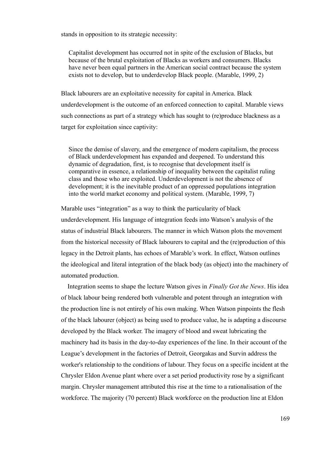stands in opposition to its strategic necessity:

Capitalist development has occurred not in spite of the exclusion of Blacks, but because of the brutal exploitation of Blacks as workers and consumers. Blacks have never been equal partners in the American social contract because the system exists not to develop, but to underdevelop Black people. (Marable, 1999, 2)

Black labourers are an exploitative necessity for capital in America. Black underdevelopment is the outcome of an enforced connection to capital. Marable views such connections as part of a strategy which has sought to (re)produce blackness as a target for exploitation since captivity:

Since the demise of slavery, and the emergence of modern capitalism, the process of Black underdevelopment has expanded and deepened. To understand this dynamic of degradation, first, is to recognise that development itself is comparative in essence, a relationship of inequality between the capitalist ruling class and those who are exploited. Underdevelopment is not the absence of development; it is the inevitable product of an oppressed populations integration into the world market economy and political system. (Marable, 1999, 7)

Marable uses "integration" as a way to think the particularity of black underdevelopment. His language of integration feeds into Watson's analysis of the status of industrial Black labourers. The manner in which Watson plots the movement from the historical necessity of Black labourers to capital and the (re)production of this legacy in the Detroit plants, has echoes of Marable's work. In effect, Watson outlines the ideological and literal integration of the black body (as object) into the machinery of automated production.

 Integration seems to shape the lecture Watson gives in *Finally Got the News*. His idea of black labour being rendered both vulnerable and potent through an integration with the production line is not entirely of his own making. When Watson pinpoints the flesh of the black labourer (object) as being used to produce value, he is adapting a discourse developed by the Black worker. The imagery of blood and sweat lubricating the machinery had its basis in the day-to-day experiences of the line. In their account of the League's development in the factories of Detroit, Georgakas and Survin address the worker's relationship to the conditions of labour. They focus on a specific incident at the Chrysler Eldon Avenue plant where over a set period productivity rose by a significant margin. Chrysler management attributed this rise at the time to a rationalisation of the workforce. The majority (70 percent) Black workforce on the production line at Eldon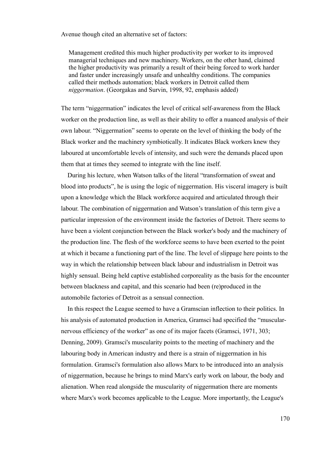Avenue though cited an alternative set of factors:

Management credited this much higher productivity per worker to its improved managerial techniques and new machinery. Workers, on the other hand, claimed the higher productivity was primarily a result of their being forced to work harder and faster under increasingly unsafe and unhealthy conditions. The companies called their methods automation; black workers in Detroit called them *niggermation*. (Georgakas and Survin, 1998, 92, emphasis added)

The term "niggermation" indicates the level of critical self-awareness from the Black worker on the production line, as well as their ability to offer a nuanced analysis of their own labour. "Niggermation" seems to operate on the level of thinking the body of the Black worker and the machinery symbiotically. It indicates Black workers knew they laboured at uncomfortable levels of intensity, and such were the demands placed upon them that at times they seemed to integrate with the line itself.

 During his lecture, when Watson talks of the literal "transformation of sweat and blood into products", he is using the logic of niggermation. His visceral imagery is built upon a knowledge which the Black workforce acquired and articulated through their labour. The combination of niggermation and Watson's translation of this term give a particular impression of the environment inside the factories of Detroit. There seems to have been a violent conjunction between the Black worker's body and the machinery of the production line. The flesh of the workforce seems to have been exerted to the point at which it became a functioning part of the line. The level of slippage here points to the way in which the relationship between black labour and industrialism in Detroit was highly sensual. Being held captive established corporeality as the basis for the encounter between blackness and capital, and this scenario had been (re)produced in the automobile factories of Detroit as a sensual connection.

 In this respect the League seemed to have a Gramscian inflection to their politics. In his analysis of automated production in America, Gramsci had specified the "muscularnervous efficiency of the worker" as one of its major facets (Gramsci, 1971, 303; Denning, 2009). Gramsci's muscularity points to the meeting of machinery and the labouring body in American industry and there is a strain of niggermation in his formulation. Gramsci's formulation also allows Marx to be introduced into an analysis of niggermation, because he brings to mind Marx's early work on labour, the body and alienation. When read alongside the muscularity of niggermation there are moments where Marx's work becomes applicable to the League. More importantly, the League's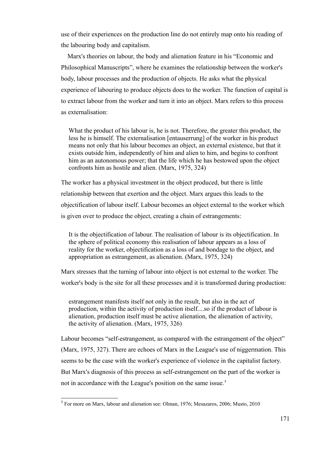use of their experiences on the production line do not entirely map onto his reading of the labouring body and capitalism.

 Marx's theories on labour, the body and alienation feature in his "Economic and Philosophical Manuscripts", where he examines the relationship between the worker's body, labour processes and the production of objects. He asks what the physical experience of labouring to produce objects does to the worker. The function of capital is to extract labour from the worker and turn it into an object. Marx refers to this process as externalisation:

What the product of his labour is, he is not. Therefore, the greater this product, the less he is himself. The externalisation [entauserrung] of the worker in his product means not only that his labour becomes an object, an external existence, but that it exists outside him, independently of him and alien to him, and begins to confront him as an autonomous power; that the life which he has bestowed upon the object confronts him as hostile and alien. (Marx, 1975, 324)

The worker has a physical investment in the object produced, but there is little relationship between that exertion and the object. Marx argues this leads to the objectification of labour itself. Labour becomes an object external to the worker which is given over to produce the object, creating a chain of estrangements:

It is the objectification of labour. The realisation of labour is its objectification. In the sphere of political economy this realisation of labour appears as a loss of reality for the worker, objectification as a loss of and bondage to the object, and appropriation as estrangement, as alienation. (Marx, 1975, 324)

Marx stresses that the turning of labour into object is not external to the worker. The worker's body is the site for all these processes and it is transformed during production:

estrangement manifests itself not only in the result, but also in the act of production, within the activity of production itself....so if the product of labour is alienation, production itself must be active alienation, the alienation of activity, the activity of alienation. (Marx, 1975, 326)

Labour becomes "self-estrangement, as compared with the estrangement of the object" (Marx, 1975, 327). There are echoes of Marx in the League's use of niggermation. This seems to be the case with the worker's experience of violence in the capitalist factory. But Marx's diagnosis of this process as self-estrangement on the part of the worker is not in accordance with the League's position on the same issue.<sup>[5](#page-170-0)</sup>

<span id="page-170-0"></span><sup>&</sup>lt;sup>5</sup> For more on Marx, labour and alienation see: Olman, 1976; Mesazaros, 2006; Musto, 2010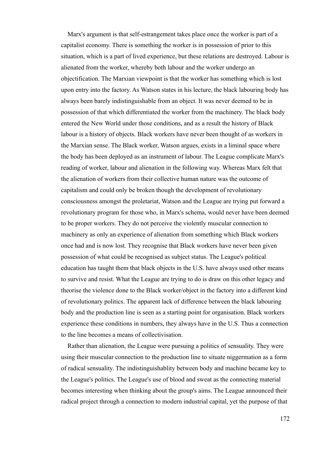Marx's argument is that self-estrangement takes place once the worker is part of a capitalist economy. There is something the worker is in possession of prior to this situation, which is a part of lived experience, but these relations are destroyed. Labour is alienated from the worker, whereby both labour and the worker undergo an objectification. The Marxian viewpoint is that the worker has something which is lost upon entry into the factory. As Watson states in his lecture, the black labouring body has always been barely indistinguishable from an object. It was never deemed to be in possession of that which differentiated the worker from the machinery. The black body entered the New World under those conditions, and as a result the history of Black labour is a history of objects. Black workers have never been thought of as workers in the Marxian sense. The Black worker, Watson argues, exists in a liminal space where the body has been deployed as an instrument of labour. The League complicate Marx's reading of worker, labour and alienation in the following way. Whereas Marx felt that the alienation of workers from their collective human nature was the outcome of capitalism and could only be broken though the development of revolutionary consciousness amongst the proletariat, Watson and the League are trying put forward a revolutionary program for those who, in Marx's schema, would never have been deemed to be proper workers. They do not perceive the violently muscular connection to machinery as only an experience of alienation from something which Black workers once had and is now lost. They recognise that Black workers have never been given possession of what could be recognised as subject status. The League's political education has taught them that black objects in the U.S. have always used other means to survive and resist. What the League are trying to do is draw on this other legacy and theorise the violence done to the Black worker/object in the factory into a different kind of revolutionary politics. The apparent lack of difference between the black labouring body and the production line is seen as a starting point for organisation. Black workers experience these conditions in numbers, they always have in the U.S. Thus a connection to the line becomes a means of collectivisation.

 Rather than alienation, the League were pursuing a politics of sensuality. They were using their muscular connection to the production line to situate niggermation as a form of radical sensuality. The indistinguishablity between body and machine became key to the League's politics. The League's use of blood and sweat as the connecting material becomes interesting when thinking about the group's aims. The League announced their radical project through a connection to modern industrial capital, yet the purpose of that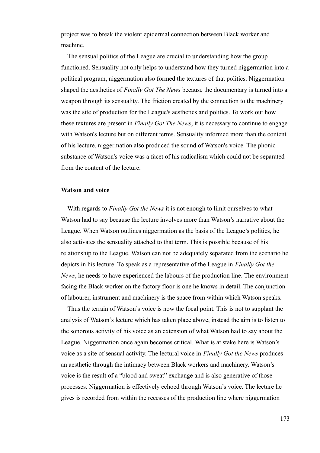project was to break the violent epidermal connection between Black worker and machine.

 The sensual politics of the League are crucial to understanding how the group functioned. Sensuality not only helps to understand how they turned niggermation into a political program, niggermation also formed the textures of that politics. Niggermation shaped the aesthetics of *Finally Got The News* because the documentary is turned into a weapon through its sensuality. The friction created by the connection to the machinery was the site of production for the League's aesthetics and politics. To work out how these textures are present in *Finally Got The News*, it is necessary to continue to engage with Watson's lecture but on different terms. Sensuality informed more than the content of his lecture, niggermation also produced the sound of Watson's voice. The phonic substance of Watson's voice was a facet of his radicalism which could not be separated from the content of the lecture.

### **Watson and voice**

 With regards to *Finally Got the News* it is not enough to limit ourselves to what Watson had to say because the lecture involves more than Watson's narrative about the League. When Watson outlines niggermation as the basis of the League's politics, he also activates the sensuality attached to that term. This is possible because of his relationship to the League. Watson can not be adequately separated from the scenario he depicts in his lecture. To speak as a representative of the League in *Finally Got the News*, he needs to have experienced the labours of the production line. The environment facing the Black worker on the factory floor is one he knows in detail. The conjunction of labourer, instrument and machinery is the space from within which Watson speaks.

 Thus the terrain of Watson's voice is now the focal point. This is not to supplant the analysis of Watson's lecture which has taken place above, instead the aim is to listen to the sonorous activity of his voice as an extension of what Watson had to say about the League. Niggermation once again becomes critical. What is at stake here is Watson's voice as a site of sensual activity. The lectural voice in *Finally Got the News* produces an aesthetic through the intimacy between Black workers and machinery. Watson's voice is the result of a "blood and sweat" exchange and is also generative of those processes. Niggermation is effectively echoed through Watson's voice. The lecture he gives is recorded from within the recesses of the production line where niggermation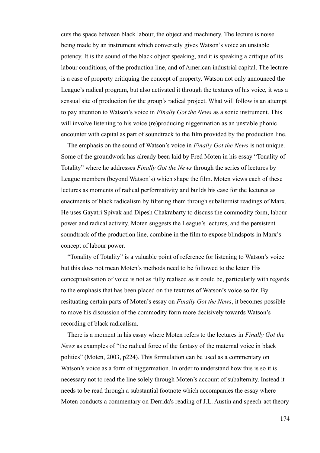cuts the space between black labour, the object and machinery. The lecture is noise being made by an instrument which conversely gives Watson's voice an unstable potency. It is the sound of the black object speaking, and it is speaking a critique of its labour conditions, of the production line, and of American industrial capital. The lecture is a case of property critiquing the concept of property. Watson not only announced the League's radical program, but also activated it through the textures of his voice, it was a sensual site of production for the group's radical project. What will follow is an attempt to pay attention to Watson's voice in *Finally Got the News* as a sonic instrument. This will involve listening to his voice (re)producing niggermation as an unstable phonic encounter with capital as part of soundtrack to the film provided by the production line.

 The emphasis on the sound of Watson's voice in *Finally Got the News* is not unique. Some of the groundwork has already been laid by Fred Moten in his essay "Tonality of Totality" where he addresses *Finally Got the News* through the series of lectures by League members (beyond Watson's) which shape the film. Moten views each of these lectures as moments of radical performativity and builds his case for the lectures as enactments of black radicalism by filtering them through subalternist readings of Marx. He uses Gayatri Spivak and Dipesh Chakrabarty to discuss the commodity form, labour power and radical activity. Moten suggests the League's lectures, and the persistent soundtrack of the production line, combine in the film to expose blindspots in Marx's concept of labour power.

 "Tonality of Totality" is a valuable point of reference for listening to Watson's voice but this does not mean Moten's methods need to be followed to the letter. His conceptualisation of voice is not as fully realised as it could be, particularly with regards to the emphasis that has been placed on the textures of Watson's voice so far. By resituating certain parts of Moten's essay on *Finally Got the News*, it becomes possible to move his discussion of the commodity form more decisively towards Watson's recording of black radicalism.

 There is a moment in his essay where Moten refers to the lectures in *Finally Got the News* as examples of "the radical force of the fantasy of the maternal voice in black politics" (Moten, 2003, p224). This formulation can be used as a commentary on Watson's voice as a form of niggermation. In order to understand how this is so it is necessary not to read the line solely through Moten's account of subalternity. Instead it needs to be read through a substantial footnote which accompanies the essay where Moten conducts a commentary on Derrida's reading of J.L. Austin and speech-act theory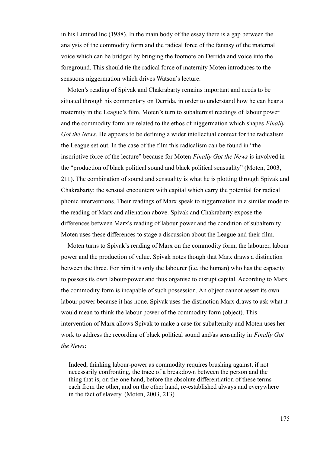in his Limited Inc (1988). In the main body of the essay there is a gap between the analysis of the commodity form and the radical force of the fantasy of the maternal voice which can be bridged by bringing the footnote on Derrida and voice into the foreground. This should tie the radical force of maternity Moten introduces to the sensuous niggermation which drives Watson's lecture.

 Moten's reading of Spivak and Chakrabarty remains important and needs to be situated through his commentary on Derrida, in order to understand how he can hear a maternity in the League's film. Moten's turn to subalternist readings of labour power and the commodity form are related to the ethos of niggermation which shapes *Finally Got the News*. He appears to be defining a wider intellectual context for the radicalism the League set out. In the case of the film this radicalism can be found in "the inscriptive force of the lecture" because for Moten *Finally Got the News* is involved in the "production of black political sound and black political sensuality" (Moten, 2003, 211). The combination of sound and sensuality is what he is plotting through Spivak and Chakrabarty: the sensual encounters with capital which carry the potential for radical phonic interventions. Their readings of Marx speak to niggermation in a similar mode to the reading of Marx and alienation above. Spivak and Chakrabarty expose the differences between Marx's reading of labour power and the condition of subalternity. Moten uses these differences to stage a discussion about the League and their film.

 Moten turns to Spivak's reading of Marx on the commodity form, the labourer, labour power and the production of value. Spivak notes though that Marx draws a distinction between the three. For him it is only the labourer (i.e. the human) who has the capacity to possess its own labour-power and thus organise to disrupt capital. According to Marx the commodity form is incapable of such possession. An object cannot assert its own labour power because it has none. Spivak uses the distinction Marx draws to ask what it would mean to think the labour power of the commodity form (object). This intervention of Marx allows Spivak to make a case for subalternity and Moten uses her work to address the recording of black political sound and/as sensuality in *Finally Got the News*:

Indeed, thinking labour-power as commodity requires brushing against, if not necessarily confronting, the trace of a breakdown between the person and the thing that is, on the one hand, before the absolute differentiation of these terms each from the other, and on the other hand, re-established always and everywhere in the fact of slavery. (Moten, 2003, 213)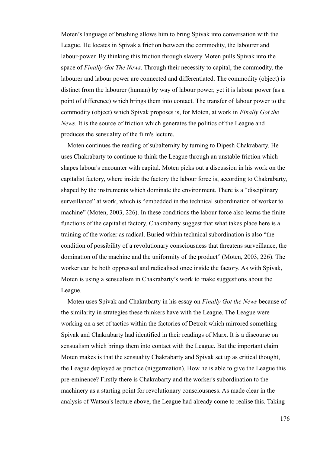Moten's language of brushing allows him to bring Spivak into conversation with the League. He locates in Spivak a friction between the commodity, the labourer and labour-power. By thinking this friction through slavery Moten pulls Spivak into the space of *Finally Got The News*. Through their necessity to capital, the commodity, the labourer and labour power are connected and differentiated. The commodity (object) is distinct from the labourer (human) by way of labour power, yet it is labour power (as a point of difference) which brings them into contact. The transfer of labour power to the commodity (object) which Spivak proposes is, for Moten, at work in *Finally Got the News*. It is the source of friction which generates the politics of the League and produces the sensuality of the film's lecture.

 Moten continues the reading of subalternity by turning to Dipesh Chakrabarty. He uses Chakrabarty to continue to think the League through an unstable friction which shapes labour's encounter with capital. Moten picks out a discussion in his work on the capitalist factory, where inside the factory the labour force is, according to Chakrabarty, shaped by the instruments which dominate the environment. There is a "disciplinary surveillance" at work, which is "embedded in the technical subordination of worker to machine" (Moten, 2003, 226). In these conditions the labour force also learns the finite functions of the capitalist factory. Chakrabarty suggest that what takes place here is a training of the worker as radical. Buried within technical subordination is also "the condition of possibility of a revolutionary consciousness that threatens surveillance, the domination of the machine and the uniformity of the product" (Moten, 2003, 226). The worker can be both oppressed and radicalised once inside the factory. As with Spivak, Moten is using a sensualism in Chakrabarty's work to make suggestions about the League.

 Moten uses Spivak and Chakrabarty in his essay on *Finally Got the News* because of the similarity in strategies these thinkers have with the League. The League were working on a set of tactics within the factories of Detroit which mirrored something Spivak and Chakrabarty had identified in their readings of Marx. It is a discourse on sensualism which brings them into contact with the League. But the important claim Moten makes is that the sensuality Chakrabarty and Spivak set up as critical thought, the League deployed as practice (niggermation). How he is able to give the League this pre-eminence? Firstly there is Chakrabarty and the worker's subordination to the machinery as a starting point for revolutionary consciousness. As made clear in the analysis of Watson's lecture above, the League had already come to realise this. Taking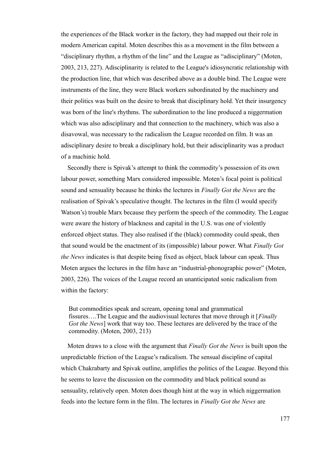the experiences of the Black worker in the factory, they had mapped out their role in modern American capital. Moten describes this as a movement in the film between a "disciplinary rhythm, a rhythm of the line" and the League as "adisciplinary" (Moten, 2003, 213, 227). Adisciplinarity is related to the League's idiosyncratic relationship with the production line, that which was described above as a double bind. The League were instruments of the line, they were Black workers subordinated by the machinery and their politics was built on the desire to break that disciplinary hold. Yet their insurgency was born of the line's rhythms. The subordination to the line produced a niggermation which was also adisciplinary and that connection to the machinery, which was also a disavowal, was necessary to the radicalism the League recorded on film. It was an adisciplinary desire to break a disciplinary hold, but their adisciplinarity was a product of a machinic hold.

 Secondly there is Spivak's attempt to think the commodity's possession of its own labour power, something Marx considered impossible. Moten's focal point is political sound and sensuality because he thinks the lectures in *Finally Got the News* are the realisation of Spivak's speculative thought. The lectures in the film (I would specify Watson's) trouble Marx because they perform the speech of the commodity. The League were aware the history of blackness and capital in the U.S. was one of violently enforced object status. They also realised if the (black) commodity could speak, then that sound would be the enactment of its (impossible) labour power. What *Finally Got the News* indicates is that despite being fixed as object, black labour can speak. Thus Moten argues the lectures in the film have an "industrial-phonographic power" (Moten, 2003, 226). The voices of the League record an unanticipated sonic radicalism from within the factory:

But commodities speak and scream, opening tonal and grammatical fissures….The League and the audiovisual lectures that move through it [*Finally Got the News*] work that way too. These lectures are delivered by the trace of the commodity. (Moten, 2003, 213)

 Moten draws to a close with the argument that *Finally Got the News* is built upon the unpredictable friction of the League's radicalism. The sensual discipline of capital which Chakrabarty and Spivak outline, amplifies the politics of the League. Beyond this he seems to leave the discussion on the commodity and black political sound as sensuality, relatively open. Moten does though hint at the way in which niggermation feeds into the lecture form in the film. The lectures in *Finally Got the News* are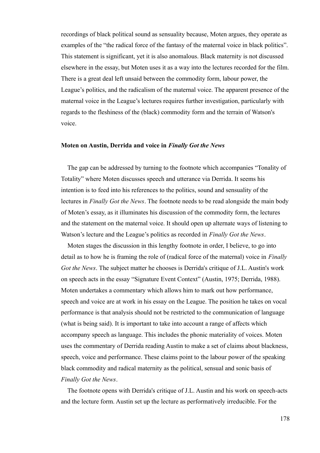recordings of black political sound as sensuality because, Moten argues, they operate as examples of the "the radical force of the fantasy of the maternal voice in black politics". This statement is significant, yet it is also anomalous. Black maternity is not discussed elsewhere in the essay, but Moten uses it as a way into the lectures recorded for the film. There is a great deal left unsaid between the commodity form, labour power, the League's politics, and the radicalism of the maternal voice. The apparent presence of the maternal voice in the League's lectures requires further investigation, particularly with regards to the fleshiness of the (black) commodity form and the terrain of Watson's voice.

## **Moten on Austin, Derrida and voice in** *Finally Got the News*

 The gap can be addressed by turning to the footnote which accompanies "Tonality of Totality" where Moten discusses speech and utterance via Derrida. It seems his intention is to feed into his references to the politics, sound and sensuality of the lectures in *Finally Got the News*. The footnote needs to be read alongside the main body of Moten's essay, as it illuminates his discussion of the commodity form, the lectures and the statement on the maternal voice. It should open up alternate ways of listening to Watson's lecture and the League's politics as recorded in *Finally Got the News*.

 Moten stages the discussion in this lengthy footnote in order, I believe, to go into detail as to how he is framing the role of (radical force of the maternal) voice in *Finally Got the News*. The subject matter he chooses is Derrida's critique of J.L. Austin's work on speech acts in the essay "Signature Event Context" (Austin, 1975; Derrida, 1988). Moten undertakes a commentary which allows him to mark out how performance, speech and voice are at work in his essay on the League. The position he takes on vocal performance is that analysis should not be restricted to the communication of language (what is being said). It is important to take into account a range of affects which accompany speech as language. This includes the phonic materiality of voices. Moten uses the commentary of Derrida reading Austin to make a set of claims about blackness, speech, voice and performance. These claims point to the labour power of the speaking black commodity and radical maternity as the political, sensual and sonic basis of *Finally Got the News*.

 The footnote opens with Derrida's critique of J.L. Austin and his work on speech-acts and the lecture form. Austin set up the lecture as performatively irreducible. For the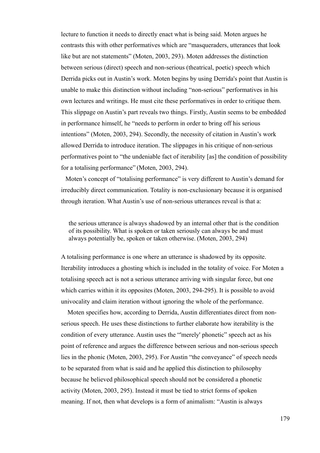lecture to function it needs to directly enact what is being said. Moten argues he contrasts this with other performatives which are "masqueraders, utterances that look like but are not statements" (Moten, 2003, 293). Moten addresses the distinction between serious (direct) speech and non-serious (theatrical, poetic) speech which Derrida picks out in Austin's work. Moten begins by using Derrida's point that Austin is unable to make this distinction without including "non-serious" performatives in his own lectures and writings. He must cite these performatives in order to critique them. This slippage on Austin's part reveals two things. Firstly, Austin seems to be embedded in performance himself, he "needs to perform in order to bring off his serious intentions" (Moten, 2003, 294). Secondly, the necessity of citation in Austin's work allowed Derrida to introduce iteration. The slippages in his critique of non-serious performatives point to "the undeniable fact of iterability [as] the condition of possibility for a totalising performance" (Moten, 2003, 294).

 Moten's concept of "totalising performance" is very different to Austin's demand for irreducibly direct communication. Totality is non-exclusionary because it is organised through iteration. What Austin's use of non-serious utterances reveal is that a:

the serious utterance is always shadowed by an internal other that is the condition of its possibility. What is spoken or taken seriously can always be and must always potentially be, spoken or taken otherwise. (Moten, 2003, 294)

A totalising performance is one where an utterance is shadowed by its opposite. Iterability introduces a ghosting which is included in the totality of voice. For Moten a totalising speech act is not a serious utterance arriving with singular force, but one which carries within it its opposites (Moten, 2003, 294-295). It is possible to avoid univocality and claim iteration without ignoring the whole of the performance.

 Moten specifies how, according to Derrida, Austin differentiates direct from nonserious speech. He uses these distinctions to further elaborate how iterability is the condition of every utterance. Austin uses the "'merely' phonetic" speech act as his point of reference and argues the difference between serious and non-serious speech lies in the phonic (Moten, 2003, 295). For Austin "the conveyance" of speech needs to be separated from what is said and he applied this distinction to philosophy because he believed philosophical speech should not be considered a phonetic activity (Moten, 2003, 295). Instead it must be tied to strict forms of spoken meaning. If not, then what develops is a form of animalism: "Austin is always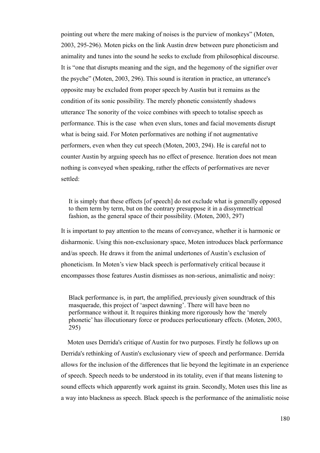pointing out where the mere making of noises is the purview of monkeys" (Moten, 2003, 295-296). Moten picks on the link Austin drew between pure phoneticism and animality and tunes into the sound he seeks to exclude from philosophical discourse. It is "one that disrupts meaning and the sign, and the hegemony of the signifier over the psyche" (Moten, 2003, 296). This sound is iteration in practice, an utterance's opposite may be excluded from proper speech by Austin but it remains as the condition of its sonic possibility. The merely phonetic consistently shadows utterance. The sonority of the voice combines with speech to totalise speech as performance. This is the case when even slurs, tones and facial movements disrupt what is being said. For Moten performatives are nothing if not augmentative performers, even when they cut speech (Moten, 2003, 294). He is careful not to counter Austin by arguing speech has no effect of presence. Iteration does not mean nothing is conveyed when speaking, rather the effects of performatives are never settled:

It is simply that these effects [of speech] do not exclude what is generally opposed to them term by term, but on the contrary presuppose it in a dissymmetrical fashion, as the general space of their possibility. (Moten, 2003, 297)

It is important to pay attention to the means of conveyance, whether it is harmonic or disharmonic. Using this non-exclusionary space, Moten introduces black performance and/as speech. He draws it from the animal undertones of Austin's exclusion of phoneticism. In Moten's view black speech is performatively critical because it encompasses those features Austin dismisses as non-serious, animalistic and noisy:

Black performance is, in part, the amplified, previously given soundtrack of this masquerade, this project of 'aspect dawning'. There will have been no performance without it. It requires thinking more rigorously how the 'merely phonetic' has illocutionary force or produces perlocutionary effects. (Moten, 2003, 295)

 Moten uses Derrida's critique of Austin for two purposes. Firstly he follows up on Derrida's rethinking of Austin's exclusionary view of speech and performance. Derrida allows for the inclusion of the differences that lie beyond the legitimate in an experience of speech. Speech needs to be understood in its totality, even if that means listening to sound effects which apparently work against its grain. Secondly, Moten uses this line as a way into blackness as speech. Black speech is the performance of the animalistic noise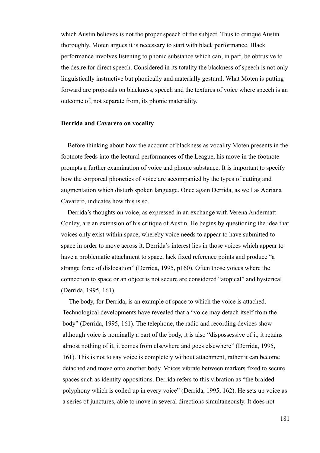which Austin believes is not the proper speech of the subject. Thus to critique Austin thoroughly, Moten argues it is necessary to start with black performance. Black performance involves listening to phonic substance which can, in part, be obtrusive to the desire for direct speech. Considered in its totality the blackness of speech is not only linguistically instructive but phonically and materially gestural. What Moten is putting forward are proposals on blackness, speech and the textures of voice where speech is an outcome of, not separate from, its phonic materiality.

#### **Derrida and Cavarero on vocality**

 Before thinking about how the account of blackness as vocality Moten presents in the footnote feeds into the lectural performances of the League, his move in the footnote prompts a further examination of voice and phonic substance. It is important to specify how the corporeal phonetics of voice are accompanied by the types of cutting and augmentation which disturb spoken language. Once again Derrida, as well as Adriana Cavarero, indicates how this is so.

 Derrida's thoughts on voice, as expressed in an exchange with Verena Andermatt Conley, are an extension of his critique of Austin. He begins by questioning the idea that voices only exist within space, whereby voice needs to appear to have submitted to space in order to move across it. Derrida's interest lies in those voices which appear to have a problematic attachment to space, lack fixed reference points and produce "a strange force of dislocation" (Derrida, 1995, p160). Often those voices where the connection to space or an object is not secure are considered "atopical" and hysterical (Derrida, 1995, 161).

 The body, for Derrida, is an example of space to which the voice is attached. Technological developments have revealed that a "voice may detach itself from the body" (Derrida, 1995, 161). The telephone, the radio and recording devices show although voice is nominally a part of the body, it is also "dispossessive of it, it retains almost nothing of it, it comes from elsewhere and goes elsewhere" (Derrida, 1995, 161). This is not to say voice is completely without attachment, rather it can become detached and move onto another body. Voices vibrate between markers fixed to secure spaces such as identity oppositions. Derrida refers to this vibration as "the braided polyphony which is coiled up in every voice" (Derrida, 1995, 162). He sets up voice as a series of junctures, able to move in several directions simultaneously. It does not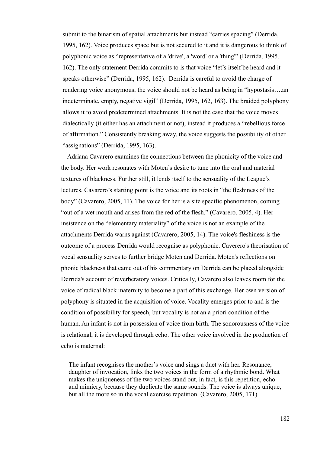submit to the binarism of spatial attachments but instead "carries spacing" (Derrida, 1995, 162). Voice produces space but is not secured to it and it is dangerous to think of polyphonic voice as "representative of a 'drive', a 'word' or a 'thing'" (Derrida, 1995, 162). The only statement Derrida commits to is that voice "let's itself be heard and it speaks otherwise" (Derrida, 1995, 162). Derrida is careful to avoid the charge of rendering voice anonymous; the voice should not be heard as being in "hypostasis….an indeterminate, empty, negative vigil" (Derrida, 1995, 162, 163). The braided polyphony allows it to avoid predetermined attachments. It is not the case that the voice moves dialectically (it either has an attachment or not), instead it produces a "rebellious force of affirmation." Consistently breaking away, the voice suggests the possibility of other "assignations" (Derrida, 1995, 163).

 Adriana Cavarero examines the connections between the phonicity of the voice and the body. Her work resonates with Moten's desire to tune into the oral and material textures of blackness. Further still, it lends itself to the sensuality of the League's lectures. Cavarero's starting point is the voice and its roots in "the fleshiness of the body" (Cavarero, 2005, 11). The voice for her is a site specific phenomenon, coming "out of a wet mouth and arises from the red of the flesh." (Cavarero, 2005, 4). Her insistence on the "elementary materiality" of the voice is not an example of the attachments Derrida warns against (Cavarero, 2005, 14). The voice's fleshiness is the outcome of a process Derrida would recognise as polyphonic. Caverero's theorisation of vocal sensuality serves to further bridge Moten and Derrida. Moten's reflections on phonic blackness that came out of his commentary on Derrida can be placed alongside Derrida's account of reverberatory voices. Critically, Cavarero also leaves room for the voice of radical black maternity to become a part of this exchange. Her own version of polyphony is situated in the acquisition of voice. Vocality emerges prior to and is the condition of possibility for speech, but vocality is not an a priori condition of the human. An infant is not in possession of voice from birth. The sonorousness of the voice is relational, it is developed through echo. The other voice involved in the production of echo is maternal:

The infant recognises the mother's voice and sings a duet with her. Resonance, daughter of invocation, links the two voices in the form of a rhythmic bond. What makes the uniqueness of the two voices stand out, in fact, is this repetition, echo and mimicry, because they duplicate the same sounds. The voice is always unique, but all the more so in the vocal exercise repetition. (Cavarero, 2005, 171)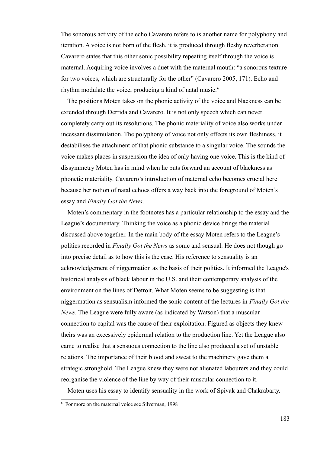The sonorous activity of the echo Cavarero refers to is another name for polyphony and iteration. A voice is not born of the flesh, it is produced through fleshy reverberation. Cavarero states that this other sonic possibility repeating itself through the voice is maternal. Acquiring voice involves a duet with the maternal mouth: "a sonorous texture for two voices, which are structurally for the other" (Cavarero 2005, 171). Echo and rhythm modulate the voice, producing a kind of natal music.[6](#page-182-0)

 The positions Moten takes on the phonic activity of the voice and blackness can be extended through Derrida and Cavarero. It is not only speech which can never completely carry out its resolutions. The phonic materiality of voice also works under incessant dissimulation. The polyphony of voice not only effects its own fleshiness, it destabilises the attachment of that phonic substance to a singular voice. The sounds the voice makes places in suspension the idea of only having one voice. This is the kind of dissymmetry Moten has in mind when he puts forward an account of blackness as phonetic materiality. Cavarero's introduction of maternal echo becomes crucial here because her notion of natal echoes offers a way back into the foreground of Moten's essay and *Finally Got the News*.

 Moten's commentary in the footnotes has a particular relationship to the essay and the League's documentary. Thinking the voice as a phonic device brings the material discussed above together. In the main body of the essay Moten refers to the League's politics recorded in *Finally Got the News* as sonic and sensual. He does not though go into precise detail as to how this is the case. His reference to sensuality is an acknowledgement of niggermation as the basis of their politics. It informed the League's historical analysis of black labour in the U.S. and their contemporary analysis of the environment on the lines of Detroit. What Moten seems to be suggesting is that niggermation as sensualism informed the sonic content of the lectures in *Finally Got the News*. The League were fully aware (as indicated by Watson) that a muscular connection to capital was the cause of their exploitation. Figured as objects they knew theirs was an excessively epidermal relation to the production line. Yet the League also came to realise that a sensuous connection to the line also produced a set of unstable relations. The importance of their blood and sweat to the machinery gave them a strategic stronghold. The League knew they were not alienated labourers and they could reorganise the violence of the line by way of their muscular connection to it.

Moten uses his essay to identify sensuality in the work of Spivak and Chakrabarty.

<span id="page-182-0"></span><sup>6</sup> For more on the maternal voice see Silverman, 1998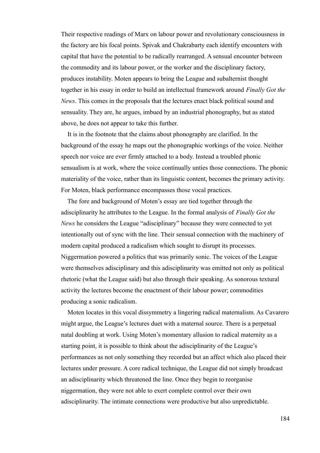Their respective readings of Marx on labour power and revolutionary consciousness in the factory are his focal points. Spivak and Chakrabarty each identify encounters with capital that have the potential to be radically rearranged. A sensual encounter between the commodity and its labour power, or the worker and the disciplinary factory, produces instability. Moten appears to bring the League and subalternist thought together in his essay in order to build an intellectual framework around *Finally Got the News*. This comes in the proposals that the lectures enact black political sound and sensuality. They are, he argues, imbued by an industrial phonography, but as stated above, he does not appear to take this further.

 It is in the footnote that the claims about phonography are clarified. In the background of the essay he maps out the phonographic workings of the voice. Neither speech nor voice are ever firmly attached to a body. Instead a troubled phonic sensualism is at work, where the voice continually unties those connections. The phonic materiality of the voice, rather than its linguistic content, becomes the primary activity. For Moten, black performance encompasses those vocal practices.

 The fore and background of Moten's essay are tied together through the adisciplinarity he attributes to the League. In the formal analysis of *Finally Got the News* he considers the League "adisciplinary" because they were connected to yet intentionally out of sync with the line. Their sensual connection with the machinery of modern capital produced a radicalism which sought to disrupt its processes. Niggermation powered a politics that was primarily sonic. The voices of the League were themselves adisciplinary and this adisciplinarity was emitted not only as political rhetoric (what the League said) but also through their speaking. As sonorous textural activity the lectures become the enactment of their labour power; commodities producing a sonic radicalism.

 Moten locates in this vocal dissymmetry a lingering radical maternalism. As Cavarero might argue, the League's lectures duet with a maternal source. There is a perpetual natal doubling at work. Using Moten's momentary allusion to radical maternity as a starting point, it is possible to think about the adisciplinarity of the League's performances as not only something they recorded but an affect which also placed their lectures under pressure. A core radical technique, the League did not simply broadcast an adisciplinarity which threatened the line. Once they begin to reorganise niggermation, they were not able to exert complete control over their own adisciplinarity. The intimate connections were productive but also unpredictable.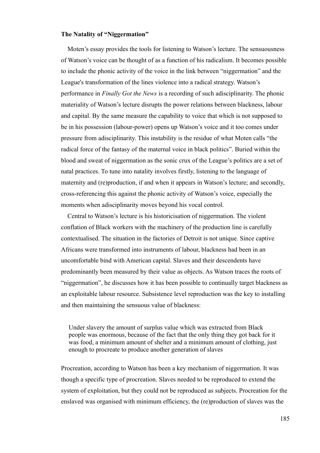# **The Natality of "Niggermation"**

 Moten's essay provides the tools for listening to Watson's lecture. The sensuousness of Watson's voice can be thought of as a function of his radicalism. It becomes possible to include the phonic activity of the voice in the link between "niggermation" and the League's transformation of the lines violence into a radical strategy. Watson's performance in *Finally Got the News* is a recording of such adisciplinarity. The phonic materiality of Watson's lecture disrupts the power relations between blackness, labour and capital. By the same measure the capability to voice that which is not supposed to be in his possession (labour-power) opens up Watson's voice and it too comes under pressure from adisciplinarity. This instability is the residue of what Moten calls "the radical force of the fantasy of the maternal voice in black politics". Buried within the blood and sweat of niggermation as the sonic crux of the League's politics are a set of natal practices. To tune into natality involves firstly, listening to the language of maternity and (re)production, if and when it appears in Watson's lecture; and secondly, cross-referencing this against the phonic activity of Watson's voice, especially the moments when adisciplinarity moves beyond his vocal control.

 Central to Watson's lecture is his historicisation of niggermation. The violent conflation of Black workers with the machinery of the production line is carefully contextualised. The situation in the factories of Detroit is not unique. Since captive Africans were transformed into instruments of labour, blackness had been in an uncomfortable bind with American capital. Slaves and their descendents have predominantly been measured by their value as objects. As Watson traces the roots of "niggermation", he discusses how it has been possible to continually target blackness as an exploitable labour resource. Subsistence level reproduction was the key to installing and then maintaining the sensuous value of blackness:

Under slavery the amount of surplus value which was extracted from Black people was enormous, because of the fact that the only thing they got back for it was food, a minimum amount of shelter and a minimum amount of clothing, just enough to procreate to produce another generation of slaves

Procreation, according to Watson has been a key mechanism of niggermation. It was though a specific type of procreation. Slaves needed to be reproduced to extend the system of exploitation, but they could not be reproduced as subjects. Procreation for the enslaved was organised with minimum efficiency, the (re)production of slaves was the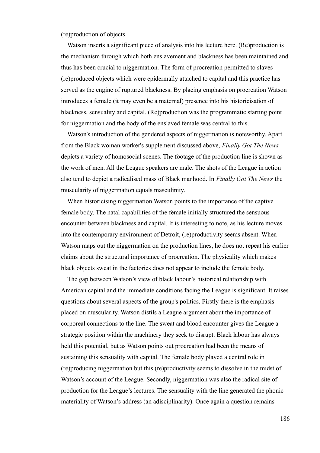(re)production of objects.

 Watson inserts a significant piece of analysis into his lecture here. (Re)production is the mechanism through which both enslavement and blackness has been maintained and thus has been crucial to niggermation. The form of procreation permitted to slaves (re)produced objects which were epidermally attached to capital and this practice has served as the engine of ruptured blackness. By placing emphasis on procreation Watson introduces a female (it may even be a maternal) presence into his historicisation of blackness, sensuality and capital. (Re)production was the programmatic starting point for niggermation and the body of the enslaved female was central to this.

 Watson's introduction of the gendered aspects of niggermation is noteworthy. Apart from the Black woman worker's supplement discussed above, *Finally Got The News* depicts a variety of homosocial scenes. The footage of the production line is shown as the work of men. All the League speakers are male. The shots of the League in action also tend to depict a radicalised mass of Black manhood. In *Finally Got The News* the muscularity of niggermation equals masculinity.

 When historicising niggermation Watson points to the importance of the captive female body. The natal capabilities of the female initially structured the sensuous encounter between blackness and capital. It is interesting to note, as his lecture moves into the contemporary environment of Detroit, (re)productivity seems absent. When Watson maps out the niggermation on the production lines, he does not repeat his earlier claims about the structural importance of procreation. The physicality which makes black objects sweat in the factories does not appear to include the female body.

 The gap between Watson's view of black labour's historical relationship with American capital and the immediate conditions facing the League is significant. It raises questions about several aspects of the group's politics. Firstly there is the emphasis placed on muscularity. Watson distils a League argument about the importance of corporeal connections to the line. The sweat and blood encounter gives the League a strategic position within the machinery they seek to disrupt. Black labour has always held this potential, but as Watson points out procreation had been the means of sustaining this sensuality with capital. The female body played a central role in (re)producing niggermation but this (re)productivity seems to dissolve in the midst of Watson's account of the League. Secondly, niggermation was also the radical site of production for the League's lectures. The sensuality with the line generated the phonic materiality of Watson's address (an adisciplinarity). Once again a question remains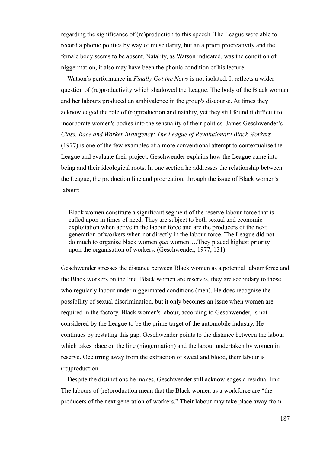regarding the significance of (re)production to this speech. The League were able to record a phonic politics by way of muscularity, but an a priori procreativity and the female body seems to be absent. Natality, as Watson indicated, was the condition of niggermation, it also may have been the phonic condition of his lecture.

 Watson's performance in *Finally Got the News* is not isolated. It reflects a wider question of (re)productivity which shadowed the League. The body of the Black woman and her labours produced an ambivalence in the group's discourse. At times they acknowledged the role of (re)production and natality, yet they still found it difficult to incorporate women's bodies into the sensuality of their politics. James Geschwender's *Class, Race and Worker Insurgency: The League of Revolutionary Black Workers* (1977) is one of the few examples of a more conventional attempt to contextualise the League and evaluate their project. Geschwender explains how the League came into being and their ideological roots. In one section he addresses the relationship between the League, the production line and procreation, through the issue of Black women's labour:

Black women constitute a significant segment of the reserve labour force that is called upon in times of need. They are subject to both sexual and economic exploitation when active in the labour force and are the producers of the next generation of workers when not directly in the labour force. The League did not do much to organise black women *qua* women….They placed highest priority upon the organisation of workers. (Geschwender, 1977, 131)

Geschwender stresses the distance between Black women as a potential labour force and the Black workers on the line. Black women are reserves, they are secondary to those who regularly labour under niggermated conditions (men). He does recognise the possibility of sexual discrimination, but it only becomes an issue when women are required in the factory. Black women's labour, according to Geschwender, is not considered by the League to be the prime target of the automobile industry. He continues by restating this gap. Geschwender points to the distance between the labour which takes place on the line (niggermation) and the labour undertaken by women in reserve. Occurring away from the extraction of sweat and blood, their labour is (re)production.

 Despite the distinctions he makes, Geschwender still acknowledges a residual link. The labours of (re)production mean that the Black women as a workforce are "the producers of the next generation of workers." Their labour may take place away from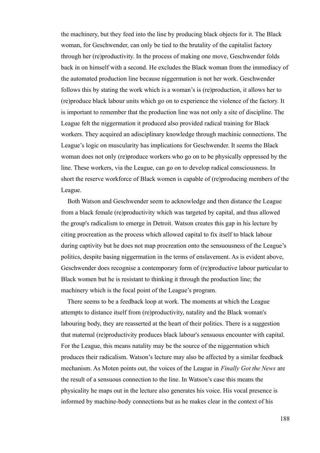the machinery, but they feed into the line by producing black objects for it. The Black woman, for Geschwender, can only be tied to the brutality of the capitalist factory through her (re)productivity. In the process of making one move, Geschwender folds back in on himself with a second. He excludes the Black woman from the immediacy of the automated production line because niggermation is not her work. Geschwender follows this by stating the work which is a woman's is (re)production, it allows her to (re)produce black labour units which go on to experience the violence of the factory. It is important to remember that the production line was not only a site of discipline. The League felt the niggermation it produced also provided radical training for Black workers. They acquired an adisciplinary knowledge through machinic connections. The League's logic on muscularity has implications for Geschwender. It seems the Black woman does not only (re)produce workers who go on to be physically oppressed by the line. These workers, via the League, can go on to develop radical consciousness. In short the reserve workforce of Black women is capable of (re)producing members of the League.

 Both Watson and Geschwender seem to acknowledge and then distance the League from a black female (re)productivity which was targeted by capital, and thus allowed the group's radicalism to emerge in Detroit. Watson creates this gap in his lecture by citing procreation as the process which allowed capital to fix itself to black labour during captivity but he does not map procreation onto the sensuousness of the League's politics, despite basing niggermation in the terms of enslavement. As is evident above, Geschwender does recognise a contemporary form of (re)productive labour particular to Black women but he is resistant to thinking it through the production line; the machinery which is the focal point of the League's program.

 There seems to be a feedback loop at work. The moments at which the League attempts to distance itself from (re)productivity, natality and the Black woman's labouring body, they are reasserted at the heart of their politics. There is a suggestion that maternal (re)productivity produces black labour's sensuous encounter with capital. For the League, this means natality may be the source of the niggermation which produces their radicalism. Watson's lecture may also be affected by a similar feedback mechanism. As Moten points out, the voices of the League in *Finally Got the News* are the result of a sensuous connection to the line. In Watson's case this means the physicality he maps out in the lecture also generates his voice. His vocal presence is informed by machine-body connections but as he makes clear in the context of his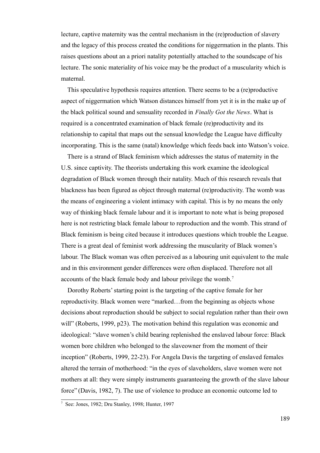lecture, captive maternity was the central mechanism in the (re)production of slavery and the legacy of this process created the conditions for niggermation in the plants. This raises questions about an a priori natality potentially attached to the soundscape of his lecture. The sonic materiality of his voice may be the product of a muscularity which is maternal.

 This speculative hypothesis requires attention. There seems to be a (re)productive aspect of niggermation which Watson distances himself from yet it is in the make up of the black political sound and sensuality recorded in *Finally Got the News*. What is required is a concentrated examination of black female (re)productivity and its relationship to capital that maps out the sensual knowledge the League have difficulty incorporating. This is the same (natal) knowledge which feeds back into Watson's voice.

 There is a strand of Black feminism which addresses the status of maternity in the U.S. since captivity. The theorists undertaking this work examine the ideological degradation of Black women through their natality. Much of this research reveals that blackness has been figured as object through maternal (re)productivity. The womb was the means of engineering a violent intimacy with capital. This is by no means the only way of thinking black female labour and it is important to note what is being proposed here is not restricting black female labour to reproduction and the womb. This strand of Black feminism is being cited because it introduces questions which trouble the League. There is a great deal of feminist work addressing the muscularity of Black women's labour. The Black woman was often perceived as a labouring unit equivalent to the male and in this environment gender differences were often displaced. Therefore not all accounts of the black female body and labour privilege the womb.[7](#page-188-0)

 Dorothy Roberts' starting point is the targeting of the captive female for her reproductivity. Black women were "marked…from the beginning as objects whose decisions about reproduction should be subject to social regulation rather than their own will" (Roberts, 1999, p23). The motivation behind this regulation was economic and ideological: "slave women's child bearing replenished the enslaved labour force: Black women bore children who belonged to the slaveowner from the moment of their inception" (Roberts, 1999, 22-23). For Angela Davis the targeting of enslaved females altered the terrain of motherhood: "in the eyes of slaveholders, slave women were not mothers at all: they were simply instruments guaranteeing the growth of the slave labour force" (Davis, 1982, 7). The use of violence to produce an economic outcome led to

<span id="page-188-0"></span><sup>7</sup> See: Jones, 1982; Dru Stanley, 1998; Hunter, 1997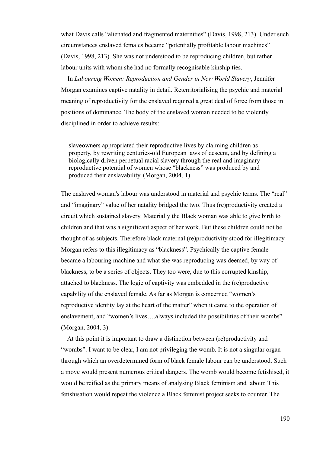what Davis calls "alienated and fragmented maternities" (Davis, 1998, 213). Under such circumstances enslaved females became "potentially profitable labour machines" (Davis, 1998, 213). She was not understood to be reproducing children, but rather labour units with whom she had no formally recognisable kinship ties.

 In *Labouring Women: Reproduction and Gender in New World Slavery*, Jennifer Morgan examines captive natality in detail. Reterritorialising the psychic and material meaning of reproductivity for the enslaved required a great deal of force from those in positions of dominance. The body of the enslaved woman needed to be violently disciplined in order to achieve results:

slaveowners appropriated their reproductive lives by claiming children as property, by rewriting centuries-old European laws of descent, and by defining a biologically driven perpetual racial slavery through the real and imaginary reproductive potential of women whose "blackness" was produced by and produced their enslavability. (Morgan, 2004, 1)

The enslaved woman's labour was understood in material and psychic terms. The "real" and "imaginary" value of her natality bridged the two. Thus (re)productivity created a circuit which sustained slavery. Materially the Black woman was able to give birth to children and that was a significant aspect of her work. But these children could not be thought of as subjects. Therefore black maternal (re)productivity stood for illegitimacy. Morgan refers to this illegitimacy as "blackness". Psychically the captive female became a labouring machine and what she was reproducing was deemed, by way of blackness, to be a series of objects. They too were, due to this corrupted kinship, attached to blackness. The logic of captivity was embedded in the (re)productive capability of the enslaved female. As far as Morgan is concerned "women's reproductive identity lay at the heart of the matter" when it came to the operation of enslavement, and "women's lives….always included the possibilities of their wombs" (Morgan, 2004, 3).

 At this point it is important to draw a distinction between (re)productivity and "wombs". I want to be clear, I am not privileging the womb. It is not a singular organ through which an overdetermined form of black female labour can be understood. Such a move would present numerous critical dangers. The womb would become fetishised, it would be reified as the primary means of analysing Black feminism and labour. This fetishisation would repeat the violence a Black feminist project seeks to counter. The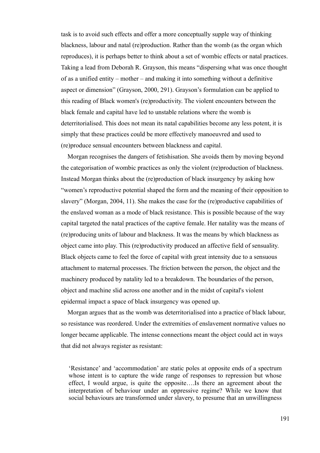task is to avoid such effects and offer a more conceptually supple way of thinking blackness, labour and natal (re)production. Rather than the womb (as the organ which reproduces), it is perhaps better to think about a set of wombic effects or natal practices. Taking a lead from Deborah R. Grayson, this means "dispersing what was once thought of as a unified entity – mother – and making it into something without a definitive aspect or dimension" (Grayson, 2000, 291). Grayson's formulation can be applied to this reading of Black women's (re)productivity. The violent encounters between the black female and capital have led to unstable relations where the womb is deterritorialised. This does not mean its natal capabilities become any less potent, it is simply that these practices could be more effectively manoeuvred and used to (re)produce sensual encounters between blackness and capital.

 Morgan recognises the dangers of fetishisation. She avoids them by moving beyond the categorisation of wombic practices as only the violent (re)production of blackness. Instead Morgan thinks about the (re)production of black insurgency by asking how "women's reproductive potential shaped the form and the meaning of their opposition to slavery" (Morgan, 2004, 11). She makes the case for the (re)productive capabilities of the enslaved woman as a mode of black resistance. This is possible because of the way capital targeted the natal practices of the captive female. Her natality was the means of (re)producing units of labour and blackness. It was the means by which blackness as object came into play. This (re)productivity produced an affective field of sensuality. Black objects came to feel the force of capital with great intensity due to a sensuous attachment to maternal processes. The friction between the person, the object and the machinery produced by natality led to a breakdown. The boundaries of the person, object and machine slid across one another and in the midst of capital's violent epidermal impact a space of black insurgency was opened up.

 Morgan argues that as the womb was deterritorialised into a practice of black labour, so resistance was reordered. Under the extremities of enslavement normative values no longer became applicable. The intense connections meant the object could act in ways that did not always register as resistant:

'Resistance' and 'accommodation' are static poles at opposite ends of a spectrum whose intent is to capture the wide range of responses to repression but whose effect, I would argue, is quite the opposite….Is there an agreement about the interpretation of behaviour under an oppressive regime? While we know that social behaviours are transformed under slavery, to presume that an unwillingness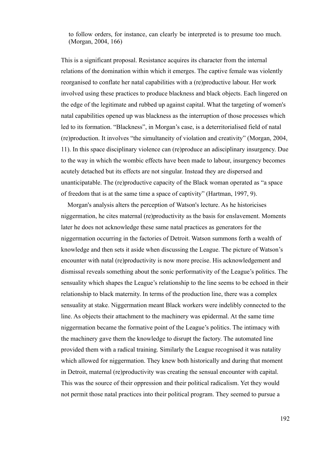to follow orders, for instance, can clearly be interpreted is to presume too much. (Morgan, 2004, 166)

This is a significant proposal. Resistance acquires its character from the internal relations of the domination within which it emerges. The captive female was violently reorganised to conflate her natal capabilities with a (re)productive labour. Her work involved using these practices to produce blackness and black objects. Each lingered on the edge of the legitimate and rubbed up against capital. What the targeting of women's natal capabilities opened up was blackness as the interruption of those processes which led to its formation. "Blackness", in Morgan's case, is a deterritorialised field of natal (re)production. It involves "the simultaneity of violation and creativity" (Morgan, 2004, 11). In this space disciplinary violence can (re)produce an adisciplinary insurgency. Due to the way in which the wombic effects have been made to labour, insurgency becomes acutely detached but its effects are not singular. Instead they are dispersed and unanticipatable. The (re)productive capacity of the Black woman operated as "a space of freedom that is at the same time a space of captivity" (Hartman, 1997, 9).

 Morgan's analysis alters the perception of Watson's lecture. As he historicises niggermation, he cites maternal (re)productivity as the basis for enslavement. Moments later he does not acknowledge these same natal practices as generators for the niggermation occurring in the factories of Detroit. Watson summons forth a wealth of knowledge and then sets it aside when discussing the League. The picture of Watson's encounter with natal (re)productivity is now more precise. His acknowledgement and dismissal reveals something about the sonic performativity of the League's politics. The sensuality which shapes the League's relationship to the line seems to be echoed in their relationship to black maternity. In terms of the production line, there was a complex sensuality at stake. Niggermation meant Black workers were indelibly connected to the line. As objects their attachment to the machinery was epidermal. At the same time niggermation became the formative point of the League's politics. The intimacy with the machinery gave them the knowledge to disrupt the factory. The automated line provided them with a radical training. Similarly the League recognised it was natality which allowed for niggermation. They knew both historically and during that moment in Detroit, maternal (re)productivity was creating the sensual encounter with capital. This was the source of their oppression and their political radicalism. Yet they would not permit those natal practices into their political program. They seemed to pursue a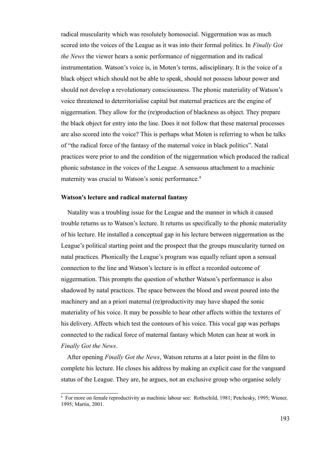radical muscularity which was resolutely homosocial. Niggermation was as much scored into the voices of the League as it was into their formal politics. In *Finally Got the News* the viewer hears a sonic performance of niggermation and its radical instrumentation. Watson's voice is, in Moten's terms, adisciplinary. It is the voice of a black object which should not be able to speak, should not possess labour power and should not develop a revolutionary consciousness. The phonic materiality of Watson's voice threatened to deterritorialise capital but maternal practices are the engine of niggermation. They allow for the (re)production of blackness as object. They prepare the black object for entry into the line. Does it not follow that these maternal processes are also scored into the voice? This is perhaps what Moten is referring to when he talks of "the radical force of the fantasy of the maternal voice in black politics". Natal practices were prior to and the condition of the niggermation which produced the radical phonic substance in the voices of the League. A sensuous attachment to a machinic maternity was crucial to Watson's sonic performance.<sup>[8](#page-192-0)</sup>

## **Watson's lecture and radical maternal fantasy**

 Natality was a troubling issue for the League and the manner in which it caused trouble returns us to Watson's lecture. It returns us specifically to the phonic materiality of his lecture. He installed a conceptual gap in his lecture between niggermation as the League's political starting point and the prospect that the groups muscularity turned on natal practices. Phonically the League's program was equally reliant upon a sensual connection to the line and Watson's lecture is in effect a recorded outcome of niggermation. This prompts the question of whether Watson's performance is also shadowed by natal practices. The space between the blood and sweat poured into the machinery and an a priori maternal (re)productivity may have shaped the sonic materiality of his voice. It may be possible to hear other affects within the textures of his delivery. Affects which test the contours of his voice. This vocal gap was perhaps connected to the radical force of maternal fantasy which Moten can hear at work in *Finally Got the News*.

 After opening *Finally Got the News*, Watson returns at a later point in the film to complete his lecture. He closes his address by making an explicit case for the vanguard status of the League. They are, he argues, not an exclusive group who organise solely

<span id="page-192-0"></span><sup>8</sup> For more on female reproductivity as machinic labour see: Rothschild, 1981; Petchesky, 1995; Wiener, 1995; Martin, 2001.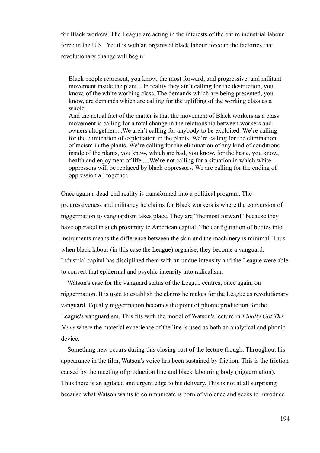for Black workers. The League are acting in the interests of the entire industrial labour force in the U.S. Yet it is with an organised black labour force in the factories that revolutionary change will begin:

Black people represent, you know, the most forward, and progressive, and militant movement inside the plant....In reality they ain't calling for the destruction, you know, of the white working class. The demands which are being presented, you know, are demands which are calling for the uplifting of the working class as a whole.

And the actual fact of the matter is that the movement of Black workers as a class movement is calling for a total change in the relationship between workers and owners altogether.....We aren't calling for anybody to be exploited. We're calling for the elimination of exploitation in the plants. We're calling for the elimination of racism in the plants. We're calling for the elimination of any kind of conditions inside of the plants, you know, which are bad, you know, for the basic, you know, health and enjoyment of life.....We're not calling for a situation in which white oppressors will be replaced by black oppressors. We are calling for the ending of oppression all together.

Once again a dead-end reality is transformed into a political program. The progressiveness and militancy he claims for Black workers is where the conversion of niggermation to vanguardism takes place. They are "the most forward" because they have operated in such proximity to American capital. The configuration of bodies into instruments means the difference between the skin and the machinery is minimal. Thus when black labour (in this case the League) organise; they become a vanguard. Industrial capital has disciplined them with an undue intensity and the League were able to convert that epidermal and psychic intensity into radicalism.

 Watson's case for the vanguard status of the League centres, once again, on niggermation. It is used to establish the claims he makes for the League as revolutionary vanguard. Equally niggermation becomes the point of phonic production for the League's vanguardism. This fits with the model of Watson's lecture in *Finally Got The News* where the material experience of the line is used as both an analytical and phonic device.

 Something new occurs during this closing part of the lecture though. Throughout his appearance in the film, Watson's voice has been sustained by friction. This is the friction caused by the meeting of production line and black labouring body (niggermation). Thus there is an agitated and urgent edge to his delivery. This is not at all surprising because what Watson wants to communicate is born of violence and seeks to introduce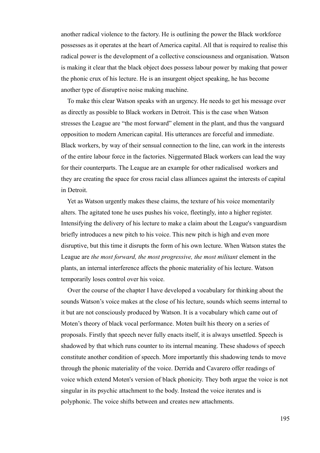another radical violence to the factory. He is outlining the power the Black workforce possesses as it operates at the heart of America capital. All that is required to realise this radical power is the development of a collective consciousness and organisation. Watson is making it clear that the black object does possess labour power by making that power the phonic crux of his lecture. He is an insurgent object speaking, he has become another type of disruptive noise making machine.

 To make this clear Watson speaks with an urgency. He needs to get his message over as directly as possible to Black workers in Detroit. This is the case when Watson stresses the League are "the most forward" element in the plant, and thus the vanguard opposition to modern American capital. His utterances are forceful and immediate. Black workers, by way of their sensual connection to the line, can work in the interests of the entire labour force in the factories. Niggermated Black workers can lead the way for their counterparts. The League are an example for other radicalised workers and they are creating the space for cross racial class alliances against the interests of capital in Detroit.

 Yet as Watson urgently makes these claims, the texture of his voice momentarily alters. The agitated tone he uses pushes his voice, fleetingly, into a higher register. Intensifying the delivery of his lecture to make a claim about the League's vanguardism briefly introduces a new pitch to his voice. This new pitch is high and even more disruptive, but this time it disrupts the form of his own lecture. When Watson states the League are *the most forward, the most progressive, the most militant* element in the plants, an internal interference affects the phonic materiality of his lecture. Watson temporarily loses control over his voice.

 Over the course of the chapter I have developed a vocabulary for thinking about the sounds Watson's voice makes at the close of his lecture, sounds which seems internal to it but are not consciously produced by Watson. It is a vocabulary which came out of Moten's theory of black vocal performance. Moten built his theory on a series of proposals. Firstly that speech never fully enacts itself, it is always unsettled. Speech is shadowed by that which runs counter to its internal meaning. These shadows of speech constitute another condition of speech. More importantly this shadowing tends to move through the phonic materiality of the voice. Derrida and Cavarero offer readings of voice which extend Moten's version of black phonicity. They both argue the voice is not singular in its psychic attachment to the body. Instead the voice iterates and is polyphonic. The voice shifts between and creates new attachments.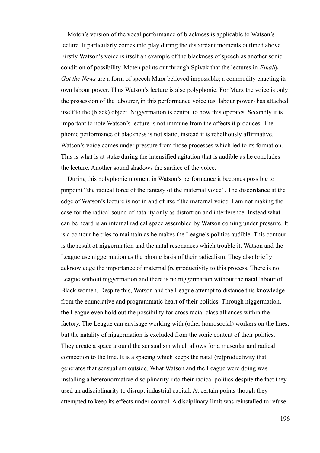Moten's version of the vocal performance of blackness is applicable to Watson's lecture. It particularly comes into play during the discordant moments outlined above. Firstly Watson's voice is itself an example of the blackness of speech as another sonic condition of possibility. Moten points out through Spivak that the lectures in *Finally Got the News* are a form of speech Marx believed impossible; a commodity enacting its own labour power. Thus Watson's lecture is also polyphonic. For Marx the voice is only the possession of the labourer, in this performance voice (as labour power) has attached itself to the (black) object. Niggermation is central to how this operates. Secondly it is important to note Watson's lecture is not immune from the affects it produces. The phonic performance of blackness is not static, instead it is rebelliously affirmative. Watson's voice comes under pressure from those processes which led to its formation. This is what is at stake during the intensified agitation that is audible as he concludes the lecture. Another sound shadows the surface of the voice.

 During this polyphonic moment in Watson's performance it becomes possible to pinpoint "the radical force of the fantasy of the maternal voice". The discordance at the edge of Watson's lecture is not in and of itself the maternal voice. I am not making the case for the radical sound of natality only as distortion and interference. Instead what can be heard is an internal radical space assembled by Watson coming under pressure. It is a contour he tries to maintain as he makes the League's politics audible. This contour is the result of niggermation and the natal resonances which trouble it. Watson and the League use niggermation as the phonic basis of their radicalism. They also briefly acknowledge the importance of maternal (re)productivity to this process. There is no League without niggermation and there is no niggermation without the natal labour of Black women. Despite this, Watson and the League attempt to distance this knowledge from the enunciative and programmatic heart of their politics. Through niggermation, the League even hold out the possibility for cross racial class alliances within the factory. The League can envisage working with (other homosocial) workers on the lines, but the natality of niggermation is excluded from the sonic content of their politics. They create a space around the sensualism which allows for a muscular and radical connection to the line. It is a spacing which keeps the natal (re)productivity that generates that sensualism outside. What Watson and the League were doing was installing a heteronormative disciplinarity into their radical politics despite the fact they used an adisciplinarity to disrupt industrial capital. At certain points though they attempted to keep its effects under control. A disciplinary limit was reinstalled to refuse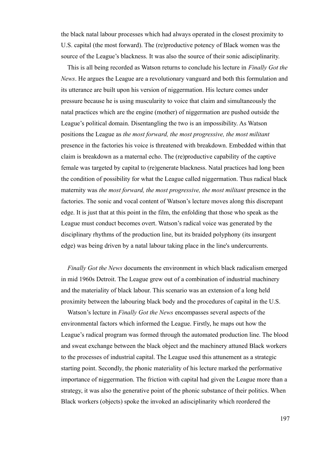the black natal labour processes which had always operated in the closest proximity to U.S. capital (the most forward). The (re)productive potency of Black women was the source of the League's blackness. It was also the source of their sonic adisciplinarity.

 This is all being recorded as Watson returns to conclude his lecture in *Finally Got the News*. He argues the League are a revolutionary vanguard and both this formulation and its utterance are built upon his version of niggermation. His lecture comes under pressure because he is using muscularity to voice that claim and simultaneously the natal practices which are the engine (mother) of niggermation are pushed outside the League's political domain. Disentangling the two is an impossibility. As Watson positions the League as *the most forward, the most progressive, the most militant* presence in the factories his voice is threatened with breakdown. Embedded within that claim is breakdown as a maternal echo. The (re)productive capability of the captive female was targeted by capital to (re)generate blackness. Natal practices had long been the condition of possibility for what the League called niggermation. Thus radical black maternity was *the most forward, the most progressive, the most militant* presence in the factories. The sonic and vocal content of Watson's lecture moves along this discrepant edge. It is just that at this point in the film, the enfolding that those who speak as the League must conduct becomes overt. Watson's radical voice was generated by the disciplinary rhythms of the production line, but its braided polyphony (its insurgent edge) was being driven by a natal labour taking place in the line's undercurrents.

 *Finally Got the News* documents the environment in which black radicalism emerged in mid 1960s Detroit. The League grew out of a combination of industrial machinery and the materiality of black labour. This scenario was an extension of a long held proximity between the labouring black body and the procedures of capital in the U.S.

 Watson's lecture in *Finally Got the News* encompasses several aspects of the environmental factors which informed the League. Firstly, he maps out how the League's radical program was formed through the automated production line. The blood and sweat exchange between the black object and the machinery attuned Black workers to the processes of industrial capital. The League used this attunement as a strategic starting point. Secondly, the phonic materiality of his lecture marked the performative importance of niggermation. The friction with capital had given the League more than a strategy, it was also the generative point of the phonic substance of their politics. When Black workers (objects) spoke the invoked an adisciplinarity which reordered the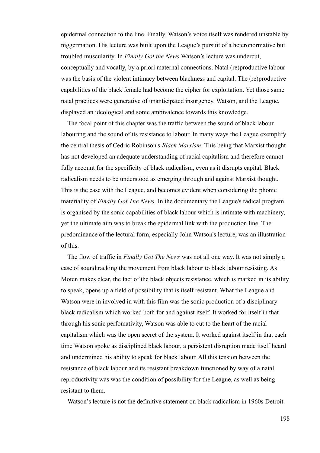epidermal connection to the line. Finally, Watson's voice itself was rendered unstable by niggermation. His lecture was built upon the League's pursuit of a heteronormative but troubled muscularity. In *Finally Got the News* Watson's lecture was undercut, conceptually and vocally, by a priori maternal connections. Natal (re)productive labour was the basis of the violent intimacy between blackness and capital. The (re)productive capabilities of the black female had become the cipher for exploitation. Yet those same natal practices were generative of unanticipated insurgency. Watson, and the League, displayed an ideological and sonic ambivalence towards this knowledge.

 The focal point of this chapter was the traffic between the sound of black labour labouring and the sound of its resistance to labour. In many ways the League exemplify the central thesis of Cedric Robinson's *Black Marxism*. This being that Marxist thought has not developed an adequate understanding of racial capitalism and therefore cannot fully account for the specificity of black radicalism, even as it disrupts capital. Black radicalism needs to be understood as emerging through and against Marxist thought. This is the case with the League, and becomes evident when considering the phonic materiality of *Finally Got The News*. In the documentary the League's radical program is organised by the sonic capabilities of black labour which is intimate with machinery, yet the ultimate aim was to break the epidermal link with the production line. The predominance of the lectural form, especially John Watson's lecture, was an illustration of this.

 The flow of traffic in *Finally Got The News* was not all one way. It was not simply a case of soundtracking the movement from black labour to black labour resisting. As Moten makes clear, the fact of the black objects resistance, which is marked in its ability to speak, opens up a field of possibility that is itself resistant. What the League and Watson were in involved in with this film was the sonic production of a disciplinary black radicalism which worked both for and against itself. It worked for itself in that through his sonic perfomativity, Watson was able to cut to the heart of the racial capitalism which was the open secret of the system. It worked against itself in that each time Watson spoke as disciplined black labour, a persistent disruption made itself heard and undermined his ability to speak for black labour. All this tension between the resistance of black labour and its resistant breakdown functioned by way of a natal reproductivity was was the condition of possibility for the League, as well as being resistant to them.

Watson's lecture is not the definitive statement on black radicalism in 1960s Detroit.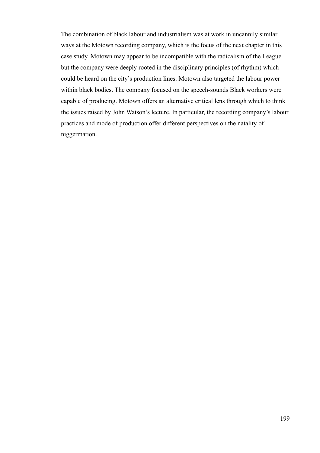The combination of black labour and industrialism was at work in uncannily similar ways at the Motown recording company, which is the focus of the next chapter in this case study. Motown may appear to be incompatible with the radicalism of the League but the company were deeply rooted in the disciplinary principles (of rhythm) which could be heard on the city's production lines. Motown also targeted the labour power within black bodies. The company focused on the speech-sounds Black workers were capable of producing. Motown offers an alternative critical lens through which to think the issues raised by John Watson's lecture. In particular, the recording company's labour practices and mode of production offer different perspectives on the natality of niggermation.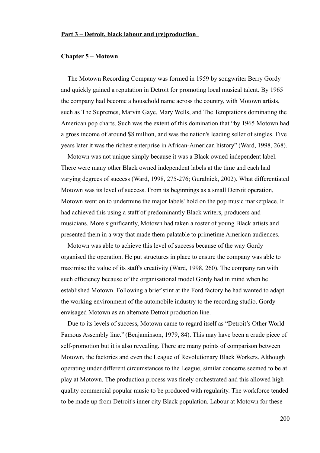### **Part 3 – Detroit, black labour and (re)production**

## **Chapter 5 – Motown**

The Motown Recording Company was formed in 1959 by songwriter Berry Gordy and quickly gained a reputation in Detroit for promoting local musical talent. By 1965 the company had become a household name across the country, with Motown artists, such as The Supremes, Marvin Gaye, Mary Wells, and The Temptations dominating the American pop charts. Such was the extent of this domination that "by 1965 Motown had a gross income of around \$8 million, and was the nation's leading seller of singles. Five years later it was the richest enterprise in African-American history" (Ward, 1998, 268).

 Motown was not unique simply because it was a Black owned independent label. There were many other Black owned independent labels at the time and each had varying degrees of success (Ward, 1998, 275-276; Guralnick, 2002). What differentiated Motown was its level of success. From its beginnings as a small Detroit operation, Motown went on to undermine the major labels' hold on the pop music marketplace. It had achieved this using a staff of predominantly Black writers, producers and musicians. More significantly, Motown had taken a roster of young Black artists and presented them in a way that made them palatable to primetime American audiences.

 Motown was able to achieve this level of success because of the way Gordy organised the operation. He put structures in place to ensure the company was able to maximise the value of its staff's creativity (Ward, 1998, 260). The company ran with such efficiency because of the organisational model Gordy had in mind when he established Motown. Following a brief stint at the Ford factory he had wanted to adapt the working environment of the automobile industry to the recording studio. Gordy envisaged Motown as an alternate Detroit production line.

 Due to its levels of success, Motown came to regard itself as "Detroit's Other World Famous Assembly line." (Benjaminson, 1979, 84). This may have been a crude piece of self-promotion but it is also revealing. There are many points of comparison between Motown, the factories and even the League of Revolutionary Black Workers. Although operating under different circumstances to the League, similar concerns seemed to be at play at Motown. The production process was finely orchestrated and this allowed high quality commercial popular music to be produced with regularity. The workforce tended to be made up from Detroit's inner city Black population. Labour at Motown for these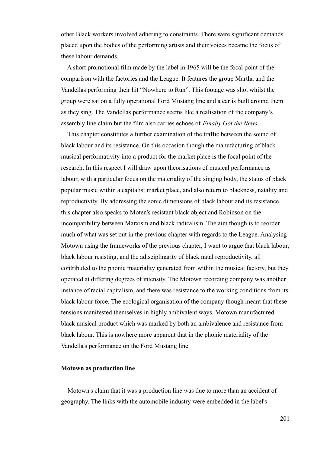other Black workers involved adhering to constraints. There were significant demands placed upon the bodies of the performing artists and their voices became the focus of these labour demands.

 A short promotional film made by the label in 1965 will be the focal point of the comparison with the factories and the League. It features the group Martha and the Vandellas performing their hit "Nowhere to Run". This footage was shot whilst the group were sat on a fully operational Ford Mustang line and a car is built around them as they sing. The Vandellas performance seems like a realisation of the company's assembly line claim but the film also carries echoes of *Finally Got the News*.

 This chapter constitutes a further examination of the traffic between the sound of black labour and its resistance. On this occasion though the manufacturing of black musical performativity into a product for the market place is the focal point of the research. In this respect I will draw upon theorisations of musical performance as labour, with a particular focus on the materiality of the singing body, the status of black popular music within a capitalist market place, and also return to blackness, natality and reproductivity. By addressing the sonic dimensions of black labour and its resistance, this chapter also speaks to Moten's resistant black object and Robinson on the incompatibility between Marxism and black radicalism. The aim though is to reorder much of what was set out in the previous chapter with regards to the League. Analysing Motown using the frameworks of the previous chapter, I want to argue that black labour, black labour resisting, and the adisciplinarity of black natal reproductivity, all contributed to the phonic materiality generated from within the musical factory, but they operated at differing degrees of intensity. The Motown recording company was another instance of racial capitalism, and there was resistance to the working conditions from its black labour force. The ecological organisation of the company though meant that these tensions manifested themselves in highly ambivalent ways. Motown manufactured black musical product which was marked by both an ambivalence and resistance from black labour. This is nowhere more apparent that in the phonic materiality of the Vandella's performance on the Ford Mustang line.

## **Motown as production line**

 Motown's claim that it was a production line was due to more than an accident of geography. The links with the automobile industry were embedded in the label's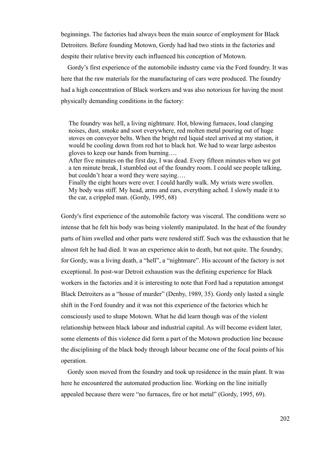beginnings. The factories had always been the main source of employment for Black Detroiters. Before founding Motown, Gordy had had two stints in the factories and despite their relative brevity each influenced his conception of Motown.

 Gordy's first experience of the automobile industry came via the Ford foundry. It was here that the raw materials for the manufacturing of cars were produced. The foundry had a high concentration of Black workers and was also notorious for having the most physically demanding conditions in the factory:

The foundry was hell, a living nightmare. Hot, blowing furnaces, loud clanging noises, dust, smoke and soot everywhere, red molten metal pouring out of huge stoves on conveyor belts. When the bright red liquid steel arrived at my station, it would be cooling down from red hot to black hot. We had to wear large asbestos gloves to keep our hands from burning….

After five minutes on the first day, I was dead. Every fifteen minutes when we got a ten minute break, I stumbled out of the foundry room. I could see people talking, but couldn't hear a word they were saying….

Finally the eight hours were over. I could hardly walk. My wrists were swollen. My body was stiff. My head, arms and ears, everything ached. I slowly made it to the car, a crippled man. (Gordy, 1995, 68)

Gordy's first experience of the automobile factory was visceral. The conditions were so intense that he felt his body was being violently manipulated. In the heat of the foundry parts of him swelled and other parts were rendered stiff. Such was the exhaustion that he almost felt he had died. It was an experience akin to death, but not quite. The foundry, for Gordy, was a living death, a "hell", a "nightmare". His account of the factory is not exceptional. In post-war Detroit exhaustion was the defining experience for Black workers in the factories and it is interesting to note that Ford had a reputation amongst Black Detroiters as a "house of murder" (Denby, 1989, 35). Gordy only lasted a single shift in the Ford foundry and it was not this experience of the factories which he consciously used to shape Motown. What he did learn though was of the violent relationship between black labour and industrial capital. As will become evident later, some elements of this violence did form a part of the Motown production line because the disciplining of the black body through labour became one of the focal points of his operation.

 Gordy soon moved from the foundry and took up residence in the main plant. It was here he encountered the automated production line. Working on the line initially appealed because there were "no furnaces, fire or hot metal" (Gordy, 1995, 69).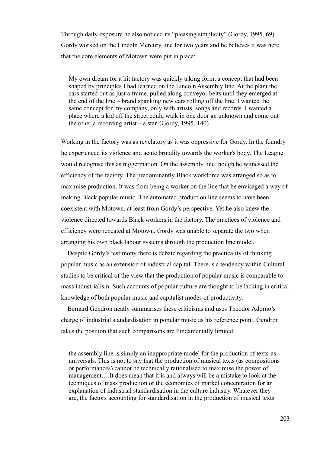Through daily exposure he also noticed its "pleasing simplicity" (Gordy, 1995, 69). Gordy worked on the Lincoln Mercury line for two years and he believes it was here that the core elements of Motown were put in place:

My own dream for a hit factory was quickly taking form, a concept that had been shaped by principles I had learned on the Lincoln Assembly line. At the plant the cars started out as just a frame, pulled along conveyor belts until they emerged at the end of the line – brand spanking new cars rolling off the line. I wanted the same concept for my company, only with artists, songs and records. I wanted a place where a kid off the street could walk in one door an unknown and come out the other a recording artist – a star. (Gordy, 1995, 140)

Working in the factory was as revelatory as it was oppressive for Gordy. In the foundry he experienced its violence and acute brutality towards the worker's body. The League would recognise this as niggermation. On the assembly line though he witnessed the efficiency of the factory. The predominantly Black workforce was arranged so as to maximise production. It was from being a worker on the line that he envisaged a way of making Black popular music. The automated production line seems to have been coexistent with Motown, at least from Gordy's perspective. Yet he also knew the violence directed towards Black workers in the factory. The practices of violence and efficiency were repeated at Motown. Gordy was unable to separate the two when arranging his own black labour systems through the production line model.

 Despite Gordy's testimony there is debate regarding the practicality of thinking popular music as an extension of industrial capital. There is a tendency within Cultural studies to be critical of the view that the production of popular music is comparable to mass industrialism. Such accounts of popular culture are thought to be lacking in critical knowledge of both popular music and capitalist modes of productivity.

 Bernard Gendron neatly summarises these criticisms and uses Theodor Adorno's charge of industrial standardisation in popular music as his reference point. Gendron takes the position that such comparisons are fundamentally limited:

the assembly line is simply an inappropriate model for the production of texts-asuniversals. This is not to say that the production of musical texts (as compositions or performances) cannot be technically rationalised to maximise the power of management….It does mean that it is and always will be a mistake to look at the techniques of mass production or the economics of market concentration for an explanation of industrial standardisation in the culture industry. Whatever they are, the factors accounting for standardisation in the production of musical texts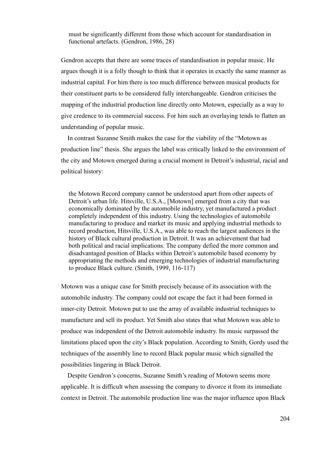must be significantly different from those which account for standardisation in functional artefacts. (Gendron, 1986, 28)

Gendron accepts that there are some traces of standardisation in popular music. He argues though it is a folly though to think that it operates in exactly the same manner as industrial capital. For him there is too much difference between musical products for their constituent parts to be considered fully interchangeable. Gendron criticises the mapping of the industrial production line directly onto Motown, especially as a way to give credence to its commercial success. For him such an overlaying tends to flatten an understanding of popular music.

 In contrast Suzanne Smith makes the case for the viability of the "Motown as production line" thesis. She argues the label was critically linked to the environment of the city and Motown emerged during a crucial moment in Detroit's industrial, racial and political history:

the Motown Record company cannot be understood apart from other aspects of Detroit's urban life. Hitsville, U.S.A., [Motown] emerged from a city that was economically dominated by the automobile industry, yet manufactured a product completely independent of this industry. Using the technologies of automobile manufacturing to produce and market its music and applying industrial methods to record production, Hitsville, U.S.A., was able to reach the largest audiences in the history of Black cultural production in Detroit. It was an achievement that had both political and racial implications. The company defied the more common and disadvantaged position of Blacks within Detroit's automobile based economy by appropriating the methods and emerging technologies of industrial manufacturing to produce Black culture. (Smith, 1999, 116-117)

Motown was a unique case for Smith precisely because of its association with the automobile industry. The company could not escape the fact it had been formed in inner-city Detroit. Motown put to use the array of available industrial techniques to manufacture and sell its product. Yet Smith also states that what Motown was able to produce was independent of the Detroit automobile industry. Its music surpassed the limitations placed upon the city's Black population. According to Smith, Gordy used the techniques of the assembly line to record Black popular music which signalled the possibilities lingering in Black Detroit.

 Despite Gendron's concerns, Suzanne Smith's reading of Motown seems more applicable. It is difficult when assessing the company to divorce it from its immediate context in Detroit. The automobile production line was the major influence upon Black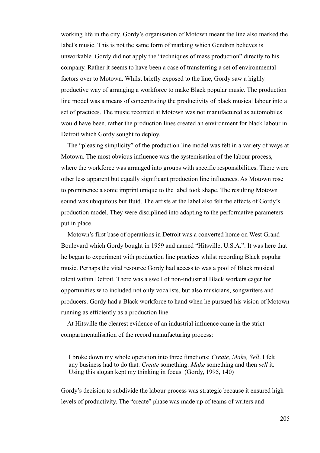working life in the city. Gordy's organisation of Motown meant the line also marked the label's music. This is not the same form of marking which Gendron believes is unworkable. Gordy did not apply the "techniques of mass production" directly to his company. Rather it seems to have been a case of transferring a set of environmental factors over to Motown. Whilst briefly exposed to the line, Gordy saw a highly productive way of arranging a workforce to make Black popular music. The production line model was a means of concentrating the productivity of black musical labour into a set of practices. The music recorded at Motown was not manufactured as automobiles would have been, rather the production lines created an environment for black labour in Detroit which Gordy sought to deploy.

 The "pleasing simplicity" of the production line model was felt in a variety of ways at Motown. The most obvious influence was the systemisation of the labour process, where the workforce was arranged into groups with specific responsibilities. There were other less apparent but equally significant production line influences. As Motown rose to prominence a sonic imprint unique to the label took shape. The resulting Motown sound was ubiquitous but fluid. The artists at the label also felt the effects of Gordy's production model. They were disciplined into adapting to the performative parameters put in place.

 Motown's first base of operations in Detroit was a converted home on West Grand Boulevard which Gordy bought in 1959 and named "Hitsville, U.S.A.". It was here that he began to experiment with production line practices whilst recording Black popular music. Perhaps the vital resource Gordy had access to was a pool of Black musical talent within Detroit. There was a swell of non-industrial Black workers eager for opportunities who included not only vocalists, but also musicians, songwriters and producers. Gordy had a Black workforce to hand when he pursued his vision of Motown running as efficiently as a production line.

 At Hitsville the clearest evidence of an industrial influence came in the strict compartmentalisation of the record manufacturing process:

I broke down my whole operation into three functions: *Create, Make, Sell*. I felt any business had to do that. *Create* something. *Make* something and then *sell* it. Using this slogan kept my thinking in focus. (Gordy, 1995, 140)

Gordy's decision to subdivide the labour process was strategic because it ensured high levels of productivity. The "create" phase was made up of teams of writers and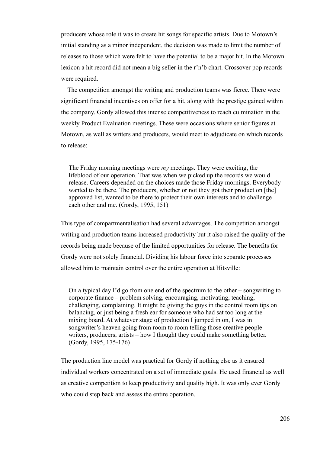producers whose role it was to create hit songs for specific artists. Due to Motown's initial standing as a minor independent, the decision was made to limit the number of releases to those which were felt to have the potential to be a major hit. In the Motown lexicon a hit record did not mean a big seller in the r'n'b chart. Crossover pop records were required.

 The competition amongst the writing and production teams was fierce. There were significant financial incentives on offer for a hit, along with the prestige gained within the company. Gordy allowed this intense competitiveness to reach culmination in the weekly Product Evaluation meetings. These were occasions where senior figures at Motown, as well as writers and producers, would meet to adjudicate on which records to release:

The Friday morning meetings were *my* meetings. They were exciting, the lifeblood of our operation. That was when we picked up the records we would release. Careers depended on the choices made those Friday mornings. Everybody wanted to be there. The producers, whether or not they got their product on [the] approved list, wanted to be there to protect their own interests and to challenge each other and me. (Gordy, 1995, 151)

This type of compartmentalisation had several advantages. The competition amongst writing and production teams increased productivity but it also raised the quality of the records being made because of the limited opportunities for release. The benefits for Gordy were not solely financial. Dividing his labour force into separate processes allowed him to maintain control over the entire operation at Hitsville:

On a typical day I'd go from one end of the spectrum to the other – songwriting to corporate finance – problem solving, encouraging, motivating, teaching, challenging, complaining. It might be giving the guys in the control room tips on balancing, or just being a fresh ear for someone who had sat too long at the mixing board. At whatever stage of production I jumped in on, I was in songwriter's heaven going from room to room telling those creative people – writers, producers, artists – how I thought they could make something better. (Gordy, 1995, 175-176)

The production line model was practical for Gordy if nothing else as it ensured individual workers concentrated on a set of immediate goals. He used financial as well as creative competition to keep productivity and quality high. It was only ever Gordy who could step back and assess the entire operation.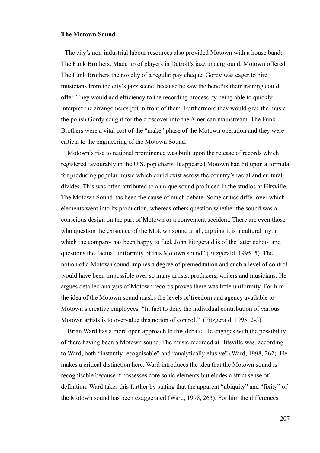### **The Motown Sound**

 The city's non-industrial labour resources also provided Motown with a house band: The Funk Brothers. Made up of players in Detroit's jazz underground, Motown offered The Funk Brothers the novelty of a regular pay cheque. Gordy was eager to hire musicians from the city's jazz scene because he saw the benefits their training could offer. They would add efficiency to the recording process by being able to quickly interpret the arrangements put in front of them. Furthermore they would give the music the polish Gordy sought for the crossover into the American mainstream. The Funk Brothers were a vital part of the "make" phase of the Motown operation and they were critical to the engineering of the Motown Sound.

 Motown's rise to national prominence was built upon the release of records which registered favourably in the U.S. pop charts. It appeared Motown had hit upon a formula for producing popular music which could exist across the country's racial and cultural divides. This was often attributed to a unique sound produced in the studios at Hitsville. The Motown Sound has been the cause of much debate. Some critics differ over which elements went into its production, whereas others question whether the sound was a conscious design on the part of Motown or a convenient accident. There are even those who question the existence of the Motown sound at all, arguing it is a cultural myth which the company has been happy to fuel. John Fitzgerald is of the latter school and questions the "actual uniformity of this Motown sound" (Fitzgerald, 1995, 5). The notion of a Motown sound implies a degree of premeditation and such a level of control would have been impossible over so many artists, producers, writers and musicians. He argues detailed analysis of Motown records proves there was little uniformity. For him the idea of the Motown sound masks the levels of freedom and agency available to Motown's creative employees: "In fact to deny the individual contribution of various Motown artists is to overvalue this notion of control." (Fitzgerald, 1995, 2-3).

 Brian Ward has a more open approach to this debate. He engages with the possibility of there having been a Motown sound. The music recorded at Hitsville was, according to Ward, both "instantly recognisable" and "analytically elusive" (Ward, 1998, 262). He makes a critical distinction here. Ward introduces the idea that the Motown sound is recognisable because it possesses core sonic elements but eludes a strict sense of definition. Ward takes this further by stating that the apparent "ubiquity" and "fixity" of the Motown sound has been exaggerated (Ward, 1998, 263). For him the differences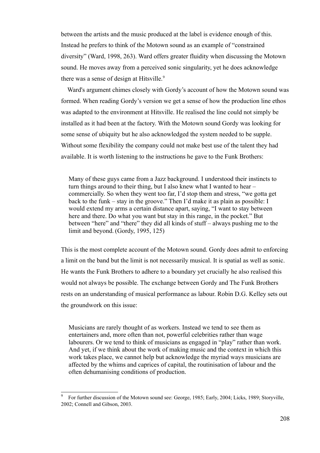between the artists and the music produced at the label is evidence enough of this. Instead he prefers to think of the Motown sound as an example of "constrained diversity" (Ward, 1998, 263). Ward offers greater fluidity when discussing the Motown sound. He moves away from a perceived sonic singularity, yet he does acknowledge there was a sense of design at Hitsville.<sup>[9](#page-207-0)</sup>

 Ward's argument chimes closely with Gordy's account of how the Motown sound was formed. When reading Gordy's version we get a sense of how the production line ethos was adapted to the environment at Hitsville. He realised the line could not simply be installed as it had been at the factory. With the Motown sound Gordy was looking for some sense of ubiquity but he also acknowledged the system needed to be supple. Without some flexibility the company could not make best use of the talent they had available. It is worth listening to the instructions he gave to the Funk Brothers:

Many of these guys came from a Jazz background. I understood their instincts to turn things around to their thing, but I also knew what I wanted to hear – commercially. So when they went too far, I'd stop them and stress, "we gotta get back to the funk – stay in the groove." Then I'd make it as plain as possible: I would extend my arms a certain distance apart, saying, "I want to stay between here and there. Do what you want but stay in this range, in the pocket." But between "here" and "there" they did all kinds of stuff – always pushing me to the limit and beyond. (Gordy, 1995, 125)

This is the most complete account of the Motown sound. Gordy does admit to enforcing a limit on the band but the limit is not necessarily musical. It is spatial as well as sonic. He wants the Funk Brothers to adhere to a boundary yet crucially he also realised this would not always be possible. The exchange between Gordy and The Funk Brothers rests on an understanding of musical performance as labour. Robin D.G. Kelley sets out the groundwork on this issue:

Musicians are rarely thought of as workers. Instead we tend to see them as entertainers and, more often than not, powerful celebrities rather than wage labourers. Or we tend to think of musicians as engaged in "play" rather than work. And yet, if we think about the work of making music and the context in which this work takes place, we cannot help but acknowledge the myriad ways musicians are affected by the whims and caprices of capital, the routinisation of labour and the often dehumanising conditions of production.

<span id="page-207-0"></span><sup>9</sup> For further discussion of the Motown sound see: George, 1985; Early, 2004; Licks, 1989; Storyville, 2002; Connell and Gibson, 2003.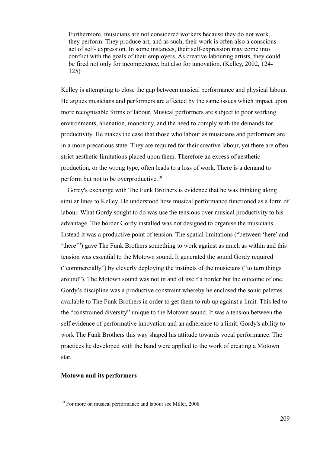Furthermore, musicians are not considered workers because they do not work, they perform. They produce art, and as such, their work is often also a conscious act of self- expression. In some instances, their self-expression may come into conflict with the goals of their employers. As creative labouring artists, they could be fired not only for incompetence, but also for innovation. (Kelley, 2002, 124- 125)

Kelley is attempting to close the gap between musical performance and physical labour. He argues musicians and performers are affected by the same issues which impact upon more recognisable forms of labour. Musical performers are subject to poor working environments, alienation, monotony, and the need to comply with the demands for productivity. He makes the case that those who labour as musicians and performers are in a more precarious state. They are required for their creative labour, yet there are often strict aesthetic limitations placed upon them. Therefore an excess of aesthetic production, or the wrong type, often leads to a loss of work. There is a demand to perform but not to be overproductive.[10](#page-208-0)

 Gordy's exchange with The Funk Brothers is evidence that he was thinking along similar lines to Kelley. He understood how musical performance functioned as a form of labour. What Gordy sought to do was use the tensions over musical productivity to his advantage. The border Gordy installed was not designed to organise the musicians. Instead it was a productive point of tension. The spatial limitations ("between 'here' and 'there'") gave The Funk Brothers something to work against as much as within and this tension was essential to the Motown sound. It generated the sound Gordy required ("commercially") by cleverly deploying the instincts of the musicians ("to turn things around"). The Motown sound was not in and of itself a border but the outcome of one. Gordy's discipline was a productive constraint whereby he enclosed the sonic palettes available to The Funk Brothers in order to get them to rub up against a limit. This led to the "constrained diversity" unique to the Motown sound. It was a tension between the self evidence of performative innovation and an adherence to a limit. Gordy's ability to work The Funk Brothers this way shaped his attitude towards vocal performance. The practices he developed with the band were applied to the work of creating a Motown star.

### **Motown and its performers**

<span id="page-208-0"></span><sup>&</sup>lt;sup>10</sup> For more on musical performance and labour see Miller, 2008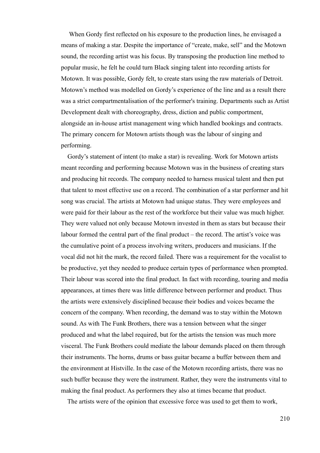When Gordy first reflected on his exposure to the production lines, he envisaged a means of making a star. Despite the importance of "create, make, sell" and the Motown sound, the recording artist was his focus. By transposing the production line method to popular music, he felt he could turn Black singing talent into recording artists for Motown. It was possible, Gordy felt, to create stars using the raw materials of Detroit. Motown's method was modelled on Gordy's experience of the line and as a result there was a strict compartmentalisation of the performer's training. Departments such as Artist Development dealt with choreography, dress, diction and public comportment, alongside an in-house artist management wing which handled bookings and contracts. The primary concern for Motown artists though was the labour of singing and performing.

 Gordy's statement of intent (to make a star) is revealing. Work for Motown artists meant recording and performing because Motown was in the business of creating stars and producing hit records. The company needed to harness musical talent and then put that talent to most effective use on a record. The combination of a star performer and hit song was crucial. The artists at Motown had unique status. They were employees and were paid for their labour as the rest of the workforce but their value was much higher. They were valued not only because Motown invested in them as stars but because their labour formed the central part of the final product – the record. The artist's voice was the cumulative point of a process involving writers, producers and musicians. If the vocal did not hit the mark, the record failed. There was a requirement for the vocalist to be productive, yet they needed to produce certain types of performance when prompted. Their labour was scored into the final product. In fact with recording, touring and media appearances, at times there was little difference between performer and product. Thus the artists were extensively disciplined because their bodies and voices became the concern of the company. When recording, the demand was to stay within the Motown sound. As with The Funk Brothers, there was a tension between what the singer produced and what the label required, but for the artists the tension was much more visceral. The Funk Brothers could mediate the labour demands placed on them through their instruments. The horns, drums or bass guitar became a buffer between them and the environment at Histville. In the case of the Motown recording artists, there was no such buffer because they were the instrument. Rather, they were the instruments vital to making the final product. As performers they also at times became that product.

The artists were of the opinion that excessive force was used to get them to work,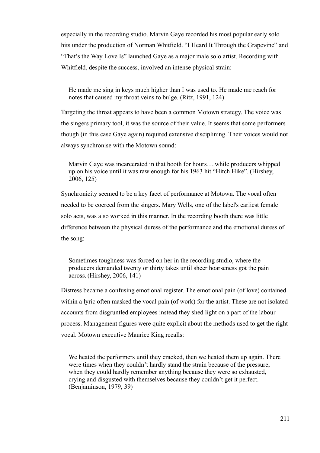especially in the recording studio. Marvin Gaye recorded his most popular early solo hits under the production of Norman Whitfield. "I Heard It Through the Grapevine" and "That's the Way Love Is" launched Gaye as a major male solo artist. Recording with Whitfield, despite the success, involved an intense physical strain:

He made me sing in keys much higher than I was used to. He made me reach for notes that caused my throat veins to bulge. (Ritz, 1991, 124)

Targeting the throat appears to have been a common Motown strategy. The voice was the singers primary tool, it was the source of their value. It seems that some performers though (in this case Gaye again) required extensive disciplining. Their voices would not always synchronise with the Motown sound:

Marvin Gaye was incarcerated in that booth for hours….while producers whipped up on his voice until it was raw enough for his 1963 hit "Hitch Hike". (Hirshey, 2006, 125)

Synchronicity seemed to be a key facet of performance at Motown. The vocal often needed to be coerced from the singers. Mary Wells, one of the label's earliest female solo acts, was also worked in this manner. In the recording booth there was little difference between the physical duress of the performance and the emotional duress of the song:

Sometimes toughness was forced on her in the recording studio, where the producers demanded twenty or thirty takes until sheer hoarseness got the pain across. (Hirshey, 2006, 141)

Distress became a confusing emotional register. The emotional pain (of love) contained within a lyric often masked the vocal pain (of work) for the artist. These are not isolated accounts from disgruntled employees instead they shed light on a part of the labour process. Management figures were quite explicit about the methods used to get the right vocal. Motown executive Maurice King recalls:

We heated the performers until they cracked, then we heated them up again. There were times when they couldn't hardly stand the strain because of the pressure, when they could hardly remember anything because they were so exhausted, crying and disgusted with themselves because they couldn't get it perfect. (Benjaminson, 1979, 39)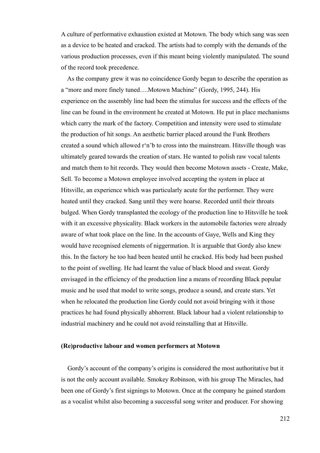A culture of performative exhaustion existed at Motown. The body which sang was seen as a device to be heated and cracked. The artists had to comply with the demands of the various production processes, even if this meant being violently manipulated. The sound of the record took precedence.

 As the company grew it was no coincidence Gordy began to describe the operation as a "more and more finely tuned….Motown Machine" (Gordy, 1995, 244). His experience on the assembly line had been the stimulus for success and the effects of the line can be found in the environment he created at Motown. He put in place mechanisms which carry the mark of the factory. Competition and intensity were used to stimulate the production of hit songs. An aesthetic barrier placed around the Funk Brothers created a sound which allowed r'n'b to cross into the mainstream. Hitsville though was ultimately geared towards the creation of stars. He wanted to polish raw vocal talents and match them to hit records. They would then become Motown assets - Create, Make, Sell. To become a Motown employee involved accepting the system in place at Hitsville, an experience which was particularly acute for the performer. They were heated until they cracked. Sang until they were hoarse. Recorded until their throats bulged. When Gordy transplanted the ecology of the production line to Hitsville he took with it an excessive physicality. Black workers in the automobile factories were already aware of what took place on the line. In the accounts of Gaye, Wells and King they would have recognised elements of niggermation. It is arguable that Gordy also knew this. In the factory he too had been heated until he cracked. His body had been pushed to the point of swelling. He had learnt the value of black blood and sweat. Gordy envisaged in the efficiency of the production line a means of recording Black popular music and he used that model to write songs, produce a sound, and create stars. Yet when he relocated the production line Gordy could not avoid bringing with it those practices he had found physically abhorrent. Black labour had a violent relationship to industrial machinery and he could not avoid reinstalling that at Hitsville.

### **(Re)productive labour and women performers at Motown**

 Gordy's account of the company's origins is considered the most authoritative but it is not the only account available. Smokey Robinson, with his group The Miracles, had been one of Gordy's first signings to Motown. Once at the company he gained stardom as a vocalist whilst also becoming a successful song writer and producer. For showing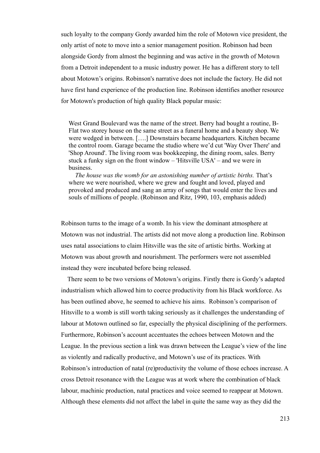such loyalty to the company Gordy awarded him the role of Motown vice president, the only artist of note to move into a senior management position. Robinson had been alongside Gordy from almost the beginning and was active in the growth of Motown from a Detroit independent to a music industry power. He has a different story to tell about Motown's origins. Robinson's narrative does not include the factory. He did not have first hand experience of the production line. Robinson identifies another resource for Motown's production of high quality Black popular music:

West Grand Boulevard was the name of the street. Berry had bought a routine, B-Flat two storey house on the same street as a funeral home and a beauty shop. We were wedged in between. [….] Downstairs became headquarters. Kitchen became the control room. Garage became the studio where we'd cut 'Way Over There' and 'Shop Around'. The living room was bookkeeping, the dining room, sales. Berry stuck a funky sign on the front window – 'Hitsville USA' – and we were in business.

 *The house was the womb for an astonishing number of artistic births.* That's where we were nourished, where we grew and fought and loved, played and provoked and produced and sang an array of songs that would enter the lives and souls of millions of people. (Robinson and Ritz, 1990, 103, emphasis added)

Robinson turns to the image of a womb. In his view the dominant atmosphere at Motown was not industrial. The artists did not move along a production line. Robinson uses natal associations to claim Hitsville was the site of artistic births. Working at Motown was about growth and nourishment. The performers were not assembled instead they were incubated before being released.

 There seem to be two versions of Motown's origins. Firstly there is Gordy's adapted industrialism which allowed him to coerce productivity from his Black workforce. As has been outlined above, he seemed to achieve his aims. Robinson's comparison of Hitsville to a womb is still worth taking seriously as it challenges the understanding of labour at Motown outlined so far, especially the physical disciplining of the performers. Furthermore, Robinson's account accentuates the echoes between Motown and the League. In the previous section a link was drawn between the League's view of the line as violently and radically productive, and Motown's use of its practices. With Robinson's introduction of natal (re)productivity the volume of those echoes increase. A cross Detroit resonance with the League was at work where the combination of black labour, machinic production, natal practices and voice seemed to reappear at Motown. Although these elements did not affect the label in quite the same way as they did the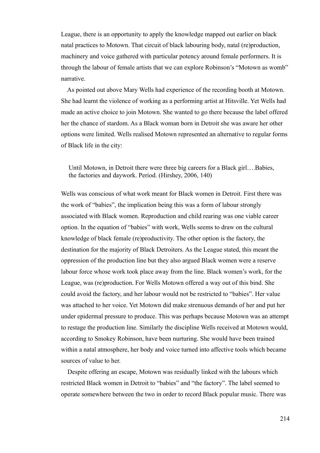League, there is an opportunity to apply the knowledge mapped out earlier on black natal practices to Motown. That circuit of black labouring body, natal (re)production, machinery and voice gathered with particular potency around female performers. It is through the labour of female artists that we can explore Robinson's "Motown as womb" narrative.

 As pointed out above Mary Wells had experience of the recording booth at Motown. She had learnt the violence of working as a performing artist at Hitsville. Yet Wells had made an active choice to join Motown. She wanted to go there because the label offered her the chance of stardom. As a Black woman born in Detroit she was aware her other options were limited. Wells realised Motown represented an alternative to regular forms of Black life in the city:

Until Motown, in Detroit there were three big careers for a Black girl….Babies, the factories and daywork. Period. (Hirshey, 2006, 140)

Wells was conscious of what work meant for Black women in Detroit. First there was the work of "babies", the implication being this was a form of labour strongly associated with Black women. Reproduction and child rearing was one viable career option. In the equation of "babies" with work, Wells seems to draw on the cultural knowledge of black female (re)productivity. The other option is the factory, the destination for the majority of Black Detroiters. As the League stated, this meant the oppression of the production line but they also argued Black women were a reserve labour force whose work took place away from the line. Black women's work, for the League, was (re)production. For Wells Motown offered a way out of this bind. She could avoid the factory, and her labour would not be restricted to "babies". Her value was attached to her voice. Yet Motown did make strenuous demands of her and put her under epidermal pressure to produce. This was perhaps because Motown was an attempt to restage the production line. Similarly the discipline Wells received at Motown would, according to Smokey Robinson, have been nurturing. She would have been trained within a natal atmosphere, her body and voice turned into affective tools which became sources of value to her.

 Despite offering an escape, Motown was residually linked with the labours which restricted Black women in Detroit to "babies" and "the factory". The label seemed to operate somewhere between the two in order to record Black popular music. There was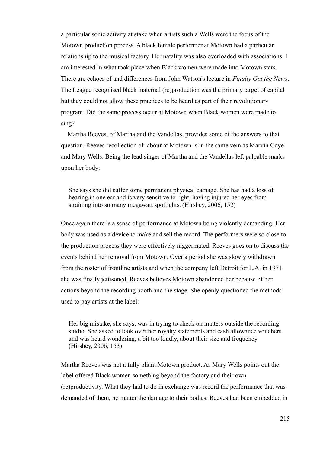a particular sonic activity at stake when artists such a Wells were the focus of the Motown production process. A black female performer at Motown had a particular relationship to the musical factory. Her natality was also overloaded with associations. I am interested in what took place when Black women were made into Motown stars. There are echoes of and differences from John Watson's lecture in *Finally Got the News*. The League recognised black maternal (re)production was the primary target of capital but they could not allow these practices to be heard as part of their revolutionary program. Did the same process occur at Motown when Black women were made to sing?

 Martha Reeves, of Martha and the Vandellas, provides some of the answers to that question. Reeves recollection of labour at Motown is in the same vein as Marvin Gaye and Mary Wells. Being the lead singer of Martha and the Vandellas left palpable marks upon her body:

She says she did suffer some permanent physical damage. She has had a loss of hearing in one ear and is very sensitive to light, having injured her eyes from straining into so many megawatt spotlights. (Hirshey, 2006, 152)

Once again there is a sense of performance at Motown being violently demanding. Her body was used as a device to make and sell the record. The performers were so close to the production process they were effectively niggermated. Reeves goes on to discuss the events behind her removal from Motown. Over a period she was slowly withdrawn from the roster of frontline artists and when the company left Detroit for L.A. in 1971 she was finally jettisoned. Reeves believes Motown abandoned her because of her actions beyond the recording booth and the stage. She openly questioned the methods used to pay artists at the label:

Her big mistake, she says, was in trying to check on matters outside the recording studio. She asked to look over her royalty statements and cash allowance vouchers and was heard wondering, a bit too loudly, about their size and frequency. (Hirshey, 2006, 153)

Martha Reeves was not a fully pliant Motown product. As Mary Wells points out the label offered Black women something beyond the factory and their own (re)productivity. What they had to do in exchange was record the performance that was demanded of them, no matter the damage to their bodies. Reeves had been embedded in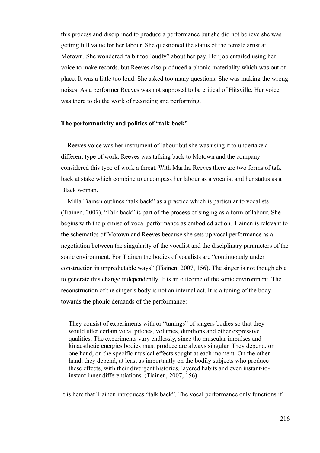this process and disciplined to produce a performance but she did not believe she was getting full value for her labour. She questioned the status of the female artist at Motown. She wondered "a bit too loudly" about her pay. Her job entailed using her voice to make records, but Reeves also produced a phonic materiality which was out of place. It was a little too loud. She asked too many questions. She was making the wrong noises. As a performer Reeves was not supposed to be critical of Hitsville. Her voice was there to do the work of recording and performing.

#### **The performativity and politics of "talk back"**

 Reeves voice was her instrument of labour but she was using it to undertake a different type of work. Reeves was talking back to Motown and the company considered this type of work a threat. With Martha Reeves there are two forms of talk back at stake which combine to encompass her labour as a vocalist and her status as a Black woman.

 Milla Tiainen outlines "talk back" as a practice which is particular to vocalists (Tiainen, 2007). "Talk back" is part of the process of singing as a form of labour. She begins with the premise of vocal performance as embodied action. Tiainen is relevant to the schematics of Motown and Reeves because she sets up vocal performance as a negotiation between the singularity of the vocalist and the disciplinary parameters of the sonic environment. For Tiainen the bodies of vocalists are "continuously under construction in unpredictable ways" (Tiainen, 2007, 156). The singer is not though able to generate this change independently. It is an outcome of the sonic environment. The reconstruction of the singer's body is not an internal act. It is a tuning of the body towards the phonic demands of the performance:

They consist of experiments with or "tunings" of singers bodies so that they would utter certain vocal pitches, volumes, durations and other expressive qualities. The experiments vary endlessly, since the muscular impulses and kinaesthetic energies bodies must produce are always singular. They depend, on one hand, on the specific musical effects sought at each moment. On the other hand, they depend, at least as importantly on the bodily subjects who produce these effects, with their divergent histories, layered habits and even instant-toinstant inner differentiations. (Tiainen, 2007, 156)

It is here that Tiainen introduces "talk back". The vocal performance only functions if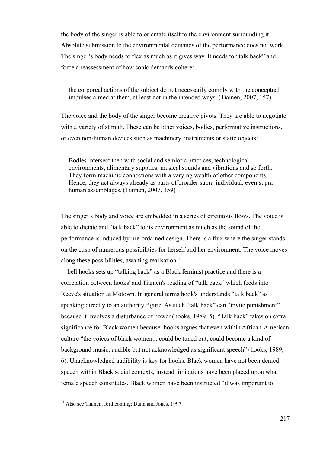the body of the singer is able to orientate itself to the environment surrounding it. Absolute submission to the environmental demands of the performance does not work. The singer's body needs to flex as much as it gives way. It needs to "talk back" and force a reassessment of how sonic demands cohere:

the corporeal actions of the subject do not necessarily comply with the conceptual impulses aimed at them, at least not in the intended ways. (Tiainen, 2007, 157)

The voice and the body of the singer become creative pivots. They are able to negotiate with a variety of stimuli. These can be other voices, bodies, performative instructions, or even non-human devices such as machinery, instruments or static objects:

Bodies intersect then with social and semiotic practices, technological environments, alimentary supplies, musical sounds and vibrations and so forth. They form machinic connections with a varying wealth of other components. Hence, they act always already as parts of broader supra-individual, even suprahuman assemblages. (Tiainen, 2007, 159)

The singer's body and voice are embedded in a series of circuitous flows. The voice is able to dictate and "talk back" to its environment as much as the sound of the performance is induced by pre-ordained design. There is a flux where the singer stands on the cusp of numerous possibilities for herself and her environment. The voice moves along these possibilities, awaiting realisation.<sup>[11](#page-216-0)</sup>

 bell hooks sets up "talking back" as a Black feminist practice and there is a correlation between hooks' and Tianien's reading of "talk back" which feeds into Reeve's situation at Motown. In general terms hook's understands "talk back" as speaking directly to an authority figure. As such "talk back" can "invite punishment" because it involves a disturbance of power (hooks, 1989, 5). "Talk back" takes on extra significance for Black women because hooks argues that even within African-American culture "the voices of black women....could be tuned out, could become a kind of background music, audible but not acknowledged as significant speech" (hooks, 1989, 6). Unacknowledged audibility is key for hooks. Black women have not been denied speech within Black social contexts, instead limitations have been placed upon what female speech constitutes. Black women have been instructed "it was important to

<span id="page-216-0"></span><sup>&</sup>lt;sup>11</sup> Also see Tiainen, forthcoming; Dunn and Jones, 1997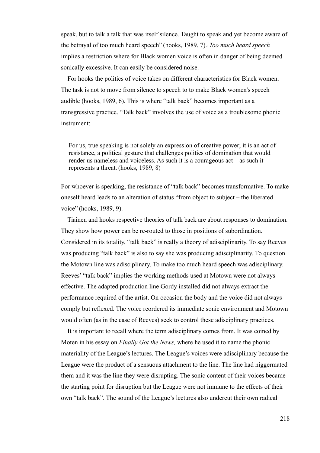speak, but to talk a talk that was itself silence. Taught to speak and yet become aware of the betrayal of too much heard speech" (hooks, 1989, 7).. *Too much heard speech* implies a restriction where for Black women voice is often in danger of being deemed sonically excessive. It can easily be considered noise.

 For hooks the politics of voice takes on different characteristics for Black women. The task is not to move from silence to speech to to make Black women's speech audible (hooks, 1989, 6). This is where "talk back" becomes important as a transgressive practice. "Talk back" involves the use of voice as a troublesome phonic instrument:

For us, true speaking is not solely an expression of creative power; it is an act of resistance, a political gesture that challenges politics of domination that would render us nameless and voiceless. As such it is a courageous act – as such it represents a threat. (hooks, 1989, 8)

For whoever is speaking, the resistance of "talk back" becomes transformative. To make oneself heard leads to an alteration of status "from object to subject – the liberated voice" (hooks, 1989, 9).

 Tiainen and hooks respective theories of talk back are about responses to domination. They show how power can be re-routed to those in positions of subordination. Considered in its totality, "talk back" is really a theory of adisciplinarity. To say Reeves was producing "talk back" is also to say she was producing adisciplinarity. To question the Motown line was adisciplinary. To make too much heard speech was adisciplinary. Reeves' "talk back" implies the working methods used at Motown were not always effective. The adapted production line Gordy installed did not always extract the performance required of the artist. On occasion the body and the voice did not always comply but reflexed. The voice reordered its immediate sonic environment and Motown would often (as in the case of Reeves) seek to control these adisciplinary practices.

 It is important to recall where the term adisciplinary comes from. It was coined by Moten in his essay on *Finally Got the News,* where he used it to name the phonic materiality of the League's lectures. The League's voices were adisciplinary because the League were the product of a sensuous attachment to the line. The line had niggermated them and it was the line they were disrupting. The sonic content of their voices became the starting point for disruption but the League were not immune to the effects of their own "talk back". The sound of the League's lectures also undercut their own radical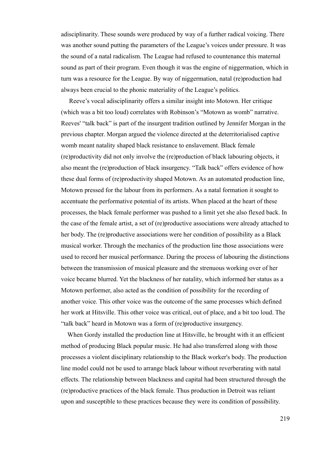adisciplinarity. These sounds were produced by way of a further radical voicing. There was another sound putting the parameters of the League's voices under pressure. It was the sound of a natal radicalism. The League had refused to countenance this maternal sound as part of their program. Even though it was the engine of niggermation, which in turn was a resource for the League. By way of niggermation, natal (re)production had always been crucial to the phonic materiality of the League's politics.

 Reeve's vocal adisciplinarity offers a similar insight into Motown. Her critique (which was a bit too loud) correlates with Robinson's "Motown as womb" narrative. Reeves' "talk back" is part of the insurgent tradition outlined by Jennifer Morgan in the previous chapter. Morgan argued the violence directed at the deterritorialised captive womb meant natality shaped black resistance to enslavement. Black female (re)productivity did not only involve the (re)production of black labouring objects, it also meant the (re)production of black insurgency. "Talk back" offers evidence of how these dual forms of (re)productivity shaped Motown. As an automated production line, Motown pressed for the labour from its performers. As a natal formation it sought to accentuate the performative potential of its artists. When placed at the heart of these processes, the black female performer was pushed to a limit yet she also flexed back. In the case of the female artist, a set of (re)productive associations were already attached to her body. The (re)productive associations were her condition of possibility as a Black musical worker. Through the mechanics of the production line those associations were used to record her musical performance. During the process of labouring the distinctions between the transmission of musical pleasure and the strenuous working over of her voice became blurred. Yet the blackness of her natality, which informed her status as a Motown performer, also acted as the condition of possibility for the recording of another voice. This other voice was the outcome of the same processes which defined her work at Hitsville. This other voice was critical, out of place, and a bit too loud. The "talk back" heard in Motown was a form of (re)productive insurgency.

 When Gordy installed the production line at Hitsville, he brought with it an efficient method of producing Black popular music. He had also transferred along with those processes a violent disciplinary relationship to the Black worker's body. The production line model could not be used to arrange black labour without reverberating with natal effects. The relationship between blackness and capital had been structured through the (re)productive practices of the black female. Thus production in Detroit was reliant upon and susceptible to these practices because they were its condition of possibility.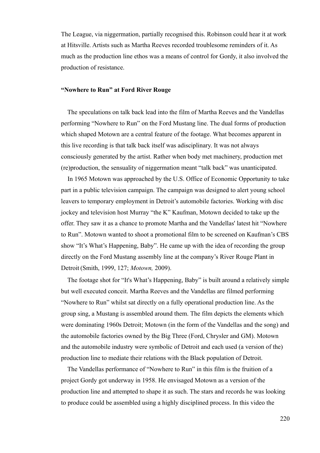The League, via niggermation, partially recognised this. Robinson could hear it at work at Hitsville. Artists such as Martha Reeves recorded troublesome reminders of it. As much as the production line ethos was a means of control for Gordy, it also involved the production of resistance.

## **"Nowhere to Run" at Ford River Rouge**

 The speculations on talk back lead into the film of Martha Reeves and the Vandellas performing "Nowhere to Run" on the Ford Mustang line. The dual forms of production which shaped Motown are a central feature of the footage. What becomes apparent in this live recording is that talk back itself was adisciplinary. It was not always consciously generated by the artist. Rather when body met machinery, production met (re)production, the sensuality of niggermation meant "talk back" was unanticipated.

 In 1965 Motown was approached by the U.S. Office of Economic Opportunity to take part in a public television campaign. The campaign was designed to alert young school leavers to temporary employment in Detroit's automobile factories. Working with disc jockey and television host Murray "the K" Kaufman, Motown decided to take up the offer. They saw it as a chance to promote Martha and the Vandellas' latest hit "Nowhere to Run". Motown wanted to shoot a promotional film to be screened on Kaufman's CBS show "It's What's Happening, Baby". He came up with the idea of recording the group directly on the Ford Mustang assembly line at the company's River Rouge Plant in Detroit (Smith, 1999, 127; *Motown,* 2009).

 The footage shot for "It's What's Happening, Baby" is built around a relatively simple but well executed conceit. Martha Reeves and the Vandellas are filmed performing "Nowhere to Run" whilst sat directly on a fully operational production line. As the group sing, a Mustang is assembled around them. The film depicts the elements which were dominating 1960s Detroit; Motown (in the form of the Vandellas and the song) and the automobile factories owned by the Big Three (Ford, Chrysler and GM). Motown and the automobile industry were symbolic of Detroit and each used (a version of the) production line to mediate their relations with the Black population of Detroit.

 The Vandellas performance of "Nowhere to Run" in this film is the fruition of a project Gordy got underway in 1958. He envisaged Motown as a version of the production line and attempted to shape it as such. The stars and records he was looking to produce could be assembled using a highly disciplined process. In this video the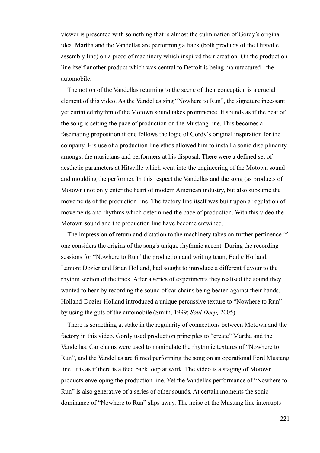viewer is presented with something that is almost the culmination of Gordy's original idea. Martha and the Vandellas are performing a track (both products of the Hitsville assembly line) on a piece of machinery which inspired their creation. On the production line itself another product which was central to Detroit is being manufactured - the automobile.

 The notion of the Vandellas returning to the scene of their conception is a crucial element of this video. As the Vandellas sing "Nowhere to Run", the signature incessant yet curtailed rhythm of the Motown sound takes prominence. It sounds as if the beat of the song is setting the pace of production on the Mustang line. This becomes a fascinating proposition if one follows the logic of Gordy's original inspiration for the company. His use of a production line ethos allowed him to install a sonic disciplinarity amongst the musicians and performers at his disposal. There were a defined set of aesthetic parameters at Hitsville which went into the engineering of the Motown sound and moulding the performer. In this respect the Vandellas and the song (as products of Motown) not only enter the heart of modern American industry, but also subsume the movements of the production line. The factory line itself was built upon a regulation of movements and rhythms which determined the pace of production. With this video the Motown sound and the production line have become entwined.

 The impression of return and dictation to the machinery takes on further pertinence if one considers the origins of the song's unique rhythmic accent. During the recording sessions for "Nowhere to Run" the production and writing team, Eddie Holland, Lamont Dozier and Brian Holland, had sought to introduce a different flavour to the rhythm section of the track. After a series of experiments they realised the sound they wanted to hear by recording the sound of car chains being beaten against their hands. Holland-Dozier-Holland introduced a unique percussive texture to "Nowhere to Run" by using the guts of the automobile (Smith, 1999; *Soul Deep,* 2005).

 There is something at stake in the regularity of connections between Motown and the factory in this video. Gordy used production principles to "create" Martha and the Vandellas. Car chains were used to manipulate the rhythmic textures of "Nowhere to Run", and the Vandellas are filmed performing the song on an operational Ford Mustang line. It is as if there is a feed back loop at work. The video is a staging of Motown products enveloping the production line. Yet the Vandellas performance of "Nowhere to Run" is also generative of a series of other sounds. At certain moments the sonic dominance of "Nowhere to Run" slips away. The noise of the Mustang line interrupts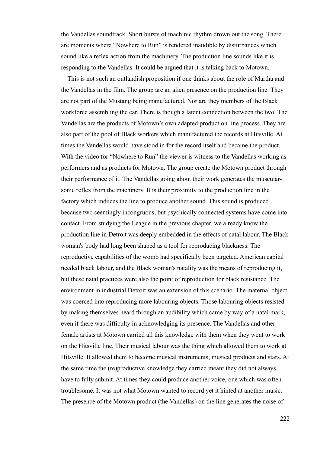the Vandellas soundtrack. Short bursts of machinic rhythm drown out the song. There are moments where "Nowhere to Run" is rendered inaudible by disturbances which sound like a reflex action from the machinery. The production line sounds like it is responding to the Vandellas. It could be argued that it is talking back to Motown.

 This is not such an outlandish proposition if one thinks about the role of Martha and the Vandellas in the film. The group are an alien presence on the production line. They are not part of the Mustang being manufactured. Nor are they members of the Black workforce assembling the car. There is though a latent connection between the two. The Vandellas are the products of Motown's own adapted production line process. They are also part of the pool of Black workers which manufactured the records at Hitsville. At times the Vandellas would have stood in for the record itself and became the product. With the video for "Nowhere to Run" the viewer is witness to the Vandellas working as performers and as products for Motown. The group create the Motown product through their performance of it. The Vandellas going about their work generates the muscularsonic reflex from the machinery. It is their proximity to the production line in the factory which induces the line to produce another sound. This sound is produced because two seemingly incongruous, but psychically connected systems have come into contact. From studying the League in the previous chapter, we already know the production line in Detroit was deeply embedded in the effects of natal labour. The Black woman's body had long been shaped as a tool for reproducing blackness. The reproductive capabilities of the womb had specifically been targeted. American capital needed black labour, and the Black woman's natality was the means of reproducing it, but these natal practices were also the point of reproduction for black resistance. The environment in industrial Detroit was an extension of this scenario. The maternal object was coerced into reproducing more labouring objects. Those labouring objects resisted by making themselves heard through an audibility which came by way of a natal mark, even if there was difficulty in acknowledging its presence. The Vandellas and other female artists at Motown carried all this knowledge with them when they went to work on the Hitsville line. Their musical labour was the thing which allowed them to work at Hitsville. It allowed them to become musical instruments, musical products and stars. At the same time the (re)productive knowledge they carried meant they did not always have to fully submit. At times they could produce another voice, one which was often troublesome. It was not what Motown wanted to record yet it hinted at another music. The presence of the Motown product (the Vandellas) on the line generates the noise of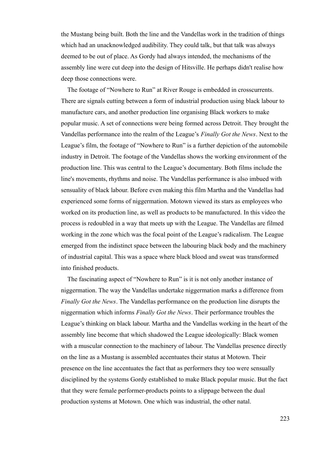the Mustang being built. Both the line and the Vandellas work in the tradition of things which had an unacknowledged audibility. They could talk, but that talk was always deemed to be out of place. As Gordy had always intended, the mechanisms of the assembly line were cut deep into the design of Hitsville. He perhaps didn't realise how deep those connections were.

 The footage of "Nowhere to Run" at River Rouge is embedded in crosscurrents. There are signals cutting between a form of industrial production using black labour to manufacture cars, and another production line organising Black workers to make popular music. A set of connections were being formed across Detroit. They brought the Vandellas performance into the realm of the League's *Finally Got the News*. Next to the League's film, the footage of "Nowhere to Run" is a further depiction of the automobile industry in Detroit. The footage of the Vandellas shows the working environment of the production line. This was central to the League's documentary. Both films include the line's movements, rhythms and noise. The Vandellas performance is also imbued with sensuality of black labour. Before even making this film Martha and the Vandellas had experienced some forms of niggermation. Motown viewed its stars as employees who worked on its production line, as well as products to be manufactured. In this video the process is redoubled in a way that meets up with the League. The Vandellas are filmed working in the zone which was the focal point of the League's radicalism. The League emerged from the indistinct space between the labouring black body and the machinery of industrial capital. This was a space where black blood and sweat was transformed into finished products.

 The fascinating aspect of "Nowhere to Run" is it is not only another instance of niggermation. The way the Vandellas undertake niggermation marks a difference from *Finally Got the News*. The Vandellas performance on the production line disrupts the niggermation which informs *Finally Got the News*. Their performance troubles the League's thinking on black labour. Martha and the Vandellas working in the heart of the assembly line become that which shadowed the League ideologically: Black women with a muscular connection to the machinery of labour. The Vandellas presence directly on the line as a Mustang is assembled accentuates their status at Motown. Their presence on the line accentuates the fact that as performers they too were sensually disciplined by the systems Gordy established to make Black popular music. But the fact that they were female performer-products points to a slippage between the dual production systems at Motown. One which was industrial, the other natal.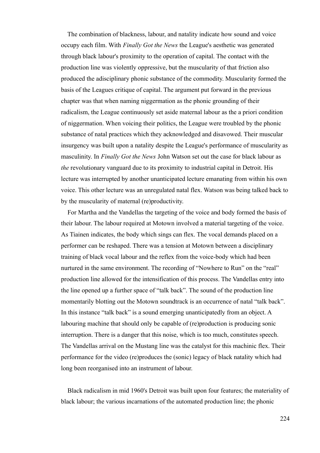The combination of blackness, labour, and natality indicate how sound and voice occupy each film. With *Finally Got the News* the League's aesthetic was generated through black labour's proximity to the operation of capital. The contact with the production line was violently oppressive, but the muscularity of that friction also produced the adisciplinary phonic substance of the commodity. Muscularity formed the basis of the Leagues critique of capital. The argument put forward in the previous chapter was that when naming niggermation as the phonic grounding of their radicalism, the League continuously set aside maternal labour as the a priori condition of niggermation. When voicing their politics, the League were troubled by the phonic substance of natal practices which they acknowledged and disavowed. Their muscular insurgency was built upon a natality despite the League's performance of muscularity as masculinity. In *Finally Got the News* John Watson set out the case for black labour as *the* revolutionary vanguard due to its proximity to industrial capital in Detroit. His lecture was interrupted by another unanticipated lecture emanating from within his own voice. This other lecture was an unregulated natal flex. Watson was being talked back to by the muscularity of maternal (re)productivity.

 For Martha and the Vandellas the targeting of the voice and body formed the basis of their labour. The labour required at Motown involved a material targeting of the voice. As Tiainen indicates, the body which sings can flex. The vocal demands placed on a performer can be reshaped. There was a tension at Motown between a disciplinary training of black vocal labour and the reflex from the voice-body which had been nurtured in the same environment. The recording of "Nowhere to Run" on the "real" production line allowed for the intensification of this process. The Vandellas entry into the line opened up a further space of "talk back". The sound of the production line momentarily blotting out the Motown soundtrack is an occurrence of natal "talk back". In this instance "talk back" is a sound emerging unanticipatedly from an object. A labouring machine that should only be capable of (re)production is producing sonic interruption. There is a danger that this noise, which is too much, constitutes speech. The Vandellas arrival on the Mustang line was the catalyst for this machinic flex. Their performance for the video (re)produces the (sonic) legacy of black natality which had long been reorganised into an instrument of labour.

 Black radicalism in mid 1960's Detroit was built upon four features; the materiality of black labour; the various incarnations of the automated production line; the phonic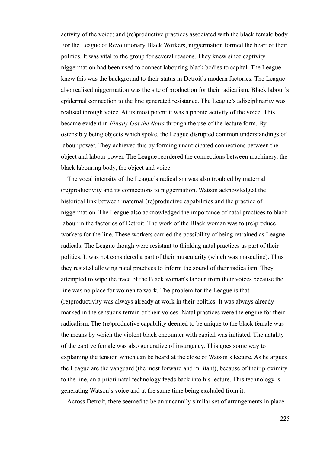activity of the voice; and (re)productive practices associated with the black female body. For the League of Revolutionary Black Workers, niggermation formed the heart of their politics. It was vital to the group for several reasons. They knew since captivity niggermation had been used to connect labouring black bodies to capital. The League knew this was the background to their status in Detroit's modern factories. The League also realised niggermation was the site of production for their radicalism. Black labour's epidermal connection to the line generated resistance. The League's adisciplinarity was realised through voice. At its most potent it was a phonic activity of the voice. This became evident in *Finally Got the News* through the use of the lecture form. By ostensibly being objects which spoke, the League disrupted common understandings of labour power. They achieved this by forming unanticipated connections between the object and labour power. The League reordered the connections between machinery, the black labouring body, the object and voice.

 The vocal intensity of the League's radicalism was also troubled by maternal (re)productivity and its connections to niggermation. Watson acknowledged the historical link between maternal (re)productive capabilities and the practice of niggermation. The League also acknowledged the importance of natal practices to black labour in the factories of Detroit. The work of the Black woman was to (re)produce workers for the line. These workers carried the possibility of being retrained as League radicals. The League though were resistant to thinking natal practices as part of their politics. It was not considered a part of their muscularity (which was masculine). Thus they resisted allowing natal practices to inform the sound of their radicalism. They attempted to wipe the trace of the Black woman's labour from their voices because the line was no place for women to work. The problem for the League is that (re)productivity was always already at work in their politics. It was always already marked in the sensuous terrain of their voices. Natal practices were the engine for their radicalism. The (re)productive capability deemed to be unique to the black female was the means by which the violent black encounter with capital was initiated. The natality of the captive female was also generative of insurgency. This goes some way to explaining the tension which can be heard at the close of Watson's lecture. As he argues the League are the vanguard (the most forward and militant), because of their proximity to the line, an a priori natal technology feeds back into his lecture. This technology is generating Watson's voice and at the same time being excluded from it.

Across Detroit, there seemed to be an uncannily similar set of arrangements in place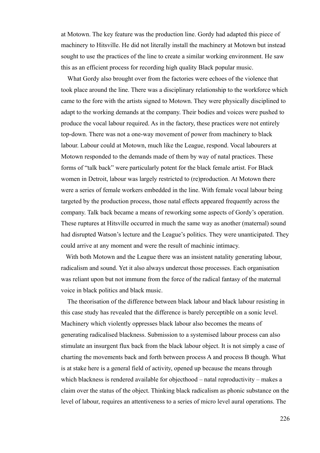at Motown. The key feature was the production line. Gordy had adapted this piece of machinery to Hitsville. He did not literally install the machinery at Motown but instead sought to use the practices of the line to create a similar working environment. He saw this as an efficient process for recording high quality Black popular music.

 What Gordy also brought over from the factories were echoes of the violence that took place around the line. There was a disciplinary relationship to the workforce which came to the fore with the artists signed to Motown. They were physically disciplined to adapt to the working demands at the company. Their bodies and voices were pushed to produce the vocal labour required. As in the factory, these practices were not entirely top-down. There was not a one-way movement of power from machinery to black labour. Labour could at Motown, much like the League, respond. Vocal labourers at Motown responded to the demands made of them by way of natal practices. These forms of "talk back" were particularly potent for the black female artist. For Black women in Detroit, labour was largely restricted to (re)production. At Motown there were a series of female workers embedded in the line. With female vocal labour being targeted by the production process, those natal effects appeared frequently across the company. Talk back became a means of reworking some aspects of Gordy's operation. These ruptures at Hitsville occurred in much the same way as another (maternal) sound had disrupted Watson's lecture and the League's politics. They were unanticipated. They could arrive at any moment and were the result of machinic intimacy.

 With both Motown and the League there was an insistent natality generating labour, radicalism and sound. Yet it also always undercut those processes. Each organisation was reliant upon but not immune from the force of the radical fantasy of the maternal voice in black politics and black music.

 The theorisation of the difference between black labour and black labour resisting in this case study has revealed that the difference is barely perceptible on a sonic level. Machinery which violently oppresses black labour also becomes the means of generating radicalised blackness. Submission to a systemised labour process can also stimulate an insurgent flux back from the black labour object. It is not simply a case of charting the movements back and forth between process A and process B though. What is at stake here is a general field of activity, opened up because the means through which blackness is rendered available for objecthood – natal reproductivity – makes a claim over the status of the object. Thinking black radicalism as phonic substance on the level of labour, requires an attentiveness to a series of micro level aural operations. The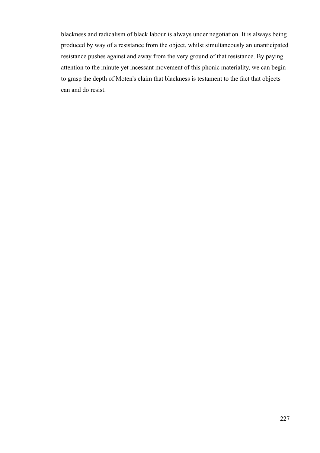blackness and radicalism of black labour is always under negotiation. It is always being produced by way of a resistance from the object, whilst simultaneously an unanticipated resistance pushes against and away from the very ground of that resistance. By paying attention to the minute yet incessant movement of this phonic materiality, we can begin to grasp the depth of Moten's claim that blackness is testament to the fact that objects can and do resist.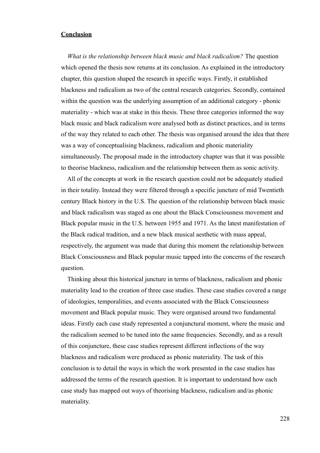## **Conclusion**

 *What is the relationship between black music and black radicalism?* The question which opened the thesis now returns at its conclusion. As explained in the introductory chapter, this question shaped the research in specific ways. Firstly, it established blackness and radicalism as two of the central research categories. Secondly, contained within the question was the underlying assumption of an additional category - phonic materiality - which was at stake in this thesis. These three categories informed the way black music and black radicalism were analysed both as distinct practices, and in terms of the way they related to each other. The thesis was organised around the idea that there was a way of conceptualising blackness, radicalism and phonic materiality simultaneously. The proposal made in the introductory chapter was that it was possible to theorise blackness, radicalism and the relationship between them as sonic activity.

 All of the concepts at work in the research question could not be adequately studied in their totality. Instead they were filtered through a specific juncture of mid Twentieth century Black history in the U.S. The question of the relationship between black music and black radicalism was staged as one about the Black Consciousness movement and Black popular music in the U.S. between 1955 and 1971. As the latest manifestation of the Black radical tradition, and a new black musical aesthetic with mass appeal, respectively, the argument was made that during this moment the relationship between Black Consciousness and Black popular music tapped into the concerns of the research question.

 Thinking about this historical juncture in terms of blackness, radicalism and phonic materiality lead to the creation of three case studies. These case studies covered a range of ideologies, temporalities, and events associated with the Black Consciousness movement and Black popular music. They were organised around two fundamental ideas. Firstly each case study represented a conjunctural moment, where the music and the radicalism seemed to be tuned into the same frequencies. Secondly, and as a result of this conjuncture, these case studies represent different inflections of the way blackness and radicalism were produced as phonic materiality. The task of this conclusion is to detail the ways in which the work presented in the case studies has addressed the terms of the research question. It is important to understand how each case study has mapped out ways of theorising blackness, radicalism and/as phonic materiality.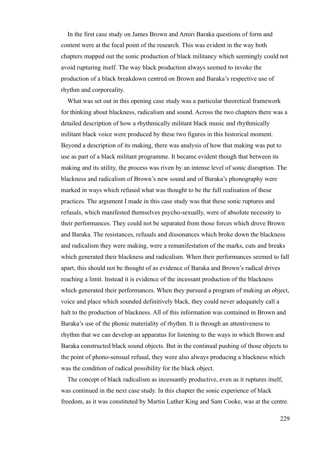In the first case study on James Brown and Amiri Baraka questions of form and content were at the focal point of the research. This was evident in the way both chapters mapped out the sonic production of black militancy which seemingly could not avoid rupturing itself. The way black production always seemed to invoke the production of a black breakdown centred on Brown and Baraka's respective use of rhythm and corporeality.

 What was set out in this opening case study was a particular theoretical framework for thinking about blackness, radicalism and sound. Across the two chapters there was a detailed description of how a rhythmically militant black music and rhythmically militant black voice were produced by these two figures in this historical moment. Beyond a description of its making, there was analysis of how that making was put to use as part of a black militant programme. It became evident though that between its making and its utility, the process was riven by an intense level of sonic disruption. The blackness and radicalism of Brown's new sound and of Baraka's phonography were marked in ways which refused what was thought to be the full realisation of these practices. The argument I made in this case study was that these sonic ruptures and refusals, which manifested themselves psycho-sexually, were of absolute necessity to their performances. They could not be separated from those forces which drove Brown and Baraka. The resistances, refusals and dissonances which broke down the blackness and radicalism they were making, were a remanifestation of the marks, cuts and breaks which generated their blackness and radicalism. When their performances seemed to fall apart, this should not be thought of as evidence of Baraka and Brown's radical drives reaching a limit. Instead it is evidence of the incessant production of the blackness which generated their performances. When they pursued a program of making an object, voice and place which sounded definitively black, they could never adequately call a halt to the production of blackness. All of this information was contained in Brown and Baraka's use of the phonic materiality of rhythm. It is through an attentiveness to rhythm that we can develop an apparatus for listening to the ways in which Brown and Baraka constructed black sound objects. But in the continual pushing of those objects to the point of phono-sensual refusal, they were also always producing a blackness which was the condition of radical possibility for the black object.

 The concept of black radicalism as incessantly productive, even as it ruptures itself, was continued in the next case study. In this chapter the sonic experience of black freedom, as it was constituted by Martin Luther King and Sam Cooke, was at the centre.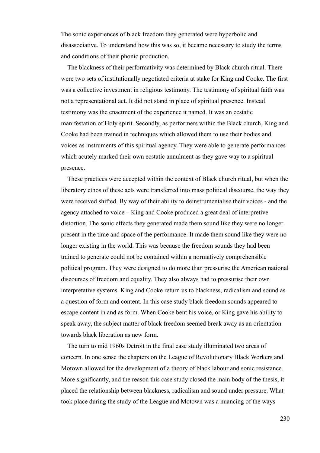The sonic experiences of black freedom they generated were hyperbolic and disassociative. To understand how this was so, it became necessary to study the terms and conditions of their phonic production.

 The blackness of their performativity was determined by Black church ritual. There were two sets of institutionally negotiated criteria at stake for King and Cooke. The first was a collective investment in religious testimony. The testimony of spiritual faith was not a representational act. It did not stand in place of spiritual presence. Instead testimony was the enactment of the experience it named. It was an ecstatic manifestation of Holy spirit. Secondly, as performers within the Black church, King and Cooke had been trained in techniques which allowed them to use their bodies and voices as instruments of this spiritual agency. They were able to generate performances which acutely marked their own ecstatic annulment as they gave way to a spiritual presence.

 These practices were accepted within the context of Black church ritual, but when the liberatory ethos of these acts were transferred into mass political discourse, the way they were received shifted. By way of their ability to deinstrumentalise their voices - and the agency attached to voice – King and Cooke produced a great deal of interpretive distortion. The sonic effects they generated made them sound like they were no longer present in the time and space of the performance. It made them sound like they were no longer existing in the world. This was because the freedom sounds they had been trained to generate could not be contained within a normatively comprehensible political program. They were designed to do more than pressurise the American national discourses of freedom and equality. They also always had to pressurise their own interpretative systems. King and Cooke return us to blackness, radicalism and sound as a question of form and content. In this case study black freedom sounds appeared to escape content in and as form. When Cooke bent his voice, or King gave his ability to speak away, the subject matter of black freedom seemed break away as an orientation towards black liberation as new form.

 The turn to mid 1960s Detroit in the final case study illuminated two areas of concern. In one sense the chapters on the League of Revolutionary Black Workers and Motown allowed for the development of a theory of black labour and sonic resistance. More significantly, and the reason this case study closed the main body of the thesis, it placed the relationship between blackness, radicalism and sound under pressure. What took place during the study of the League and Motown was a nuancing of the ways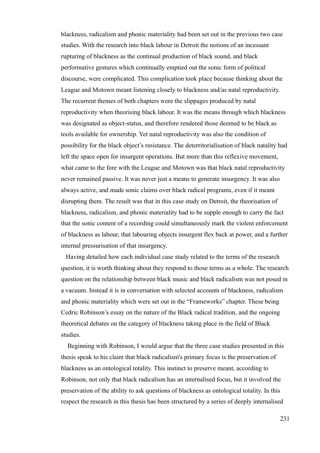blackness, radicalism and phonic materiality had been set out in the previous two case studies. With the research into black labour in Detroit the notions of an incessant rupturing of blackness as the continual production of black sound, and black performative gestures which continually emptied out the sonic form of political discourse, were complicated. This complication took place because thinking about the League and Motown meant listening closely to blackness and/as natal reproductivity. The recurrent themes of both chapters were the slippages produced by natal reproductivity when theorising black labour. It was the means through which blackness was designated as object-status, and therefore rendered those deemed to be black as tools available for ownership. Yet natal reproductivity was also the condition of possibility for the black object's resistance. The deterritorialisation of black natality had left the space open for insurgent operations. But more than this reflexive movement, what came to the fore with the League and Motown was that black natal reproductivity never remained passive. It was never just a means to generate insurgency. It was also always active, and made sonic claims over black radical programs, even if it meant disrupting them. The result was that in this case study on Detroit, the theorisation of blackness, radicalism, and phonic materiality had to be supple enough to carry the fact that the sonic content of a recording could simultaneously mark the violent enforcement of blackness as labour, that labouring objects insurgent flex back at power, and a further internal pressurisation of that insurgency.

 Having detailed how each individual case study related to the terms of the research question, it is worth thinking about they respond to those terms as a whole. The research question on the relationship between black music and black radicalism was not posed in a vacuum. Instead it is in conversation with selected accounts of blackness, radicalism and phonic materiality which were set out in the "Frameworks" chapter. These being Cedric Robinson's essay on the nature of the Black radical tradition, and the ongoing theoretical debates on the category of blackness taking place in the field of Black studies.

 Beginning with Robinson, I would argue that the three case studies presented in this thesis speak to his claim that black radicalism's primary focus is the preservation of blackness as an ontological totality. This instinct to preserve meant, according to Robinson, not only that black radicalism has an internalised focus, but it involved the preservation of the ability to ask questions of blackness as ontological totality. In this respect the research in this thesis has been structured by a series of deeply internalised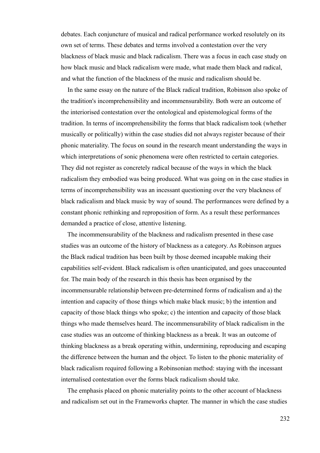debates. Each conjuncture of musical and radical performance worked resolutely on its own set of terms. These debates and terms involved a contestation over the very blackness of black music and black radicalism. There was a focus in each case study on how black music and black radicalism were made, what made them black and radical, and what the function of the blackness of the music and radicalism should be.

 In the same essay on the nature of the Black radical tradition, Robinson also spoke of the tradition's incomprehensibility and incommensurability. Both were an outcome of the interiorised contestation over the ontological and epistemological forms of the tradition. In terms of incomprehensibility the forms that black radicalism took (whether musically or politically) within the case studies did not always register because of their phonic materiality. The focus on sound in the research meant understanding the ways in which interpretations of sonic phenomena were often restricted to certain categories. They did not register as concretely radical because of the ways in which the black radicalism they embodied was being produced. What was going on in the case studies in terms of incomprehensibility was an incessant questioning over the very blackness of black radicalism and black music by way of sound. The performances were defined by a constant phonic rethinking and reproposition of form. As a result these performances demanded a practice of close, attentive listening.

 The incommensurability of the blackness and radicalism presented in these case studies was an outcome of the history of blackness as a category. As Robinson argues the Black radical tradition has been built by those deemed incapable making their capabilities self-evident. Black radicalism is often unanticipated, and goes unaccounted for. The main body of the research in this thesis has been organised by the incommensurable relationship between pre-determined forms of radicalism and a) the intention and capacity of those things which make black music; b) the intention and capacity of those black things who spoke; c) the intention and capacity of those black things who made themselves heard. The incommensurability of black radicalism in the case studies was an outcome of thinking blackness as a break. It was an outcome of thinking blackness as a break operating within, undermining, reproducing and escaping the difference between the human and the object. To listen to the phonic materiality of black radicalism required following a Robinsonian method: staying with the incessant internalised contestation over the forms black radicalism should take.

 The emphasis placed on phonic materiality points to the other account of blackness and radicalism set out in the Frameworks chapter. The manner in which the case studies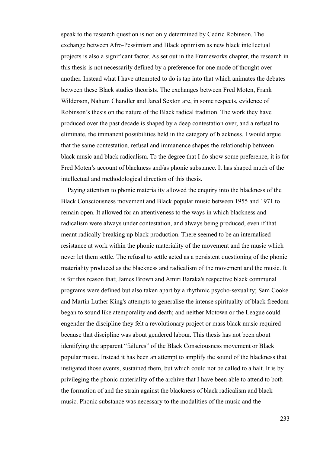speak to the research question is not only determined by Cedric Robinson. The exchange between Afro-Pessimism and Black optimism as new black intellectual projects is also a significant factor. As set out in the Frameworks chapter, the research in this thesis is not necessarily defined by a preference for one mode of thought over another. Instead what I have attempted to do is tap into that which animates the debates between these Black studies theorists. The exchanges between Fred Moten, Frank Wilderson, Nahum Chandler and Jared Sexton are, in some respects, evidence of Robinson's thesis on the nature of the Black radical tradition. The work they have produced over the past decade is shaped by a deep contestation over, and a refusal to eliminate, the immanent possibilities held in the category of blackness. I would argue that the same contestation, refusal and immanence shapes the relationship between black music and black radicalism. To the degree that I do show some preference, it is for Fred Moten's account of blackness and/as phonic substance. It has shaped much of the intellectual and methodological direction of this thesis.

 Paying attention to phonic materiality allowed the enquiry into the blackness of the Black Consciousness movement and Black popular music between 1955 and 1971 to remain open. It allowed for an attentiveness to the ways in which blackness and radicalism were always under contestation, and always being produced, even if that meant radically breaking up black production. There seemed to be an internalised resistance at work within the phonic materiality of the movement and the music which never let them settle. The refusal to settle acted as a persistent questioning of the phonic materiality produced as the blackness and radicalism of the movement and the music. It is for this reason that; James Brown and Amiri Baraka's respective black communal programs were defined but also taken apart by a rhythmic psycho-sexuality; Sam Cooke and Martin Luther King's attempts to generalise the intense spirituality of black freedom began to sound like atemporality and death; and neither Motown or the League could engender the discipline they felt a revolutionary project or mass black music required because that discipline was about gendered labour. This thesis has not been about identifying the apparent "failures" of the Black Consciousness movement or Black popular music. Instead it has been an attempt to amplify the sound of the blackness that instigated those events, sustained them, but which could not be called to a halt. It is by privileging the phonic materiality of the archive that I have been able to attend to both the formation of and the strain against the blackness of black radicalism and black music. Phonic substance was necessary to the modalities of the music and the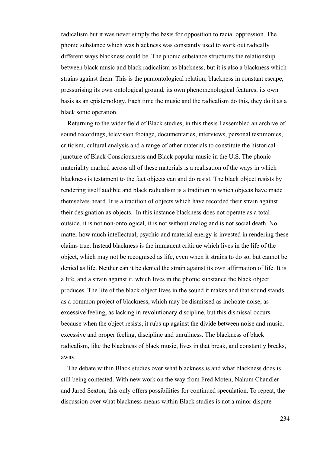radicalism but it was never simply the basis for opposition to racial oppression. The phonic substance which was blackness was constantly used to work out radically different ways blackness could be. The phonic substance structures the relationship between black music and black radicalism as blackness, but it is also a blackness which strains against them. This is the paraontological relation; blackness in constant escape, pressurising its own ontological ground, its own phenomenological features, its own basis as an epistemology. Each time the music and the radicalism do this, they do it as a black sonic operation.

 Returning to the wider field of Black studies, in this thesis I assembled an archive of sound recordings, television footage, documentaries, interviews, personal testimonies, criticism, cultural analysis and a range of other materials to constitute the historical juncture of Black Consciousness and Black popular music in the U.S. The phonic materiality marked across all of these materials is a realisation of the ways in which blackness is testament to the fact objects can and do resist. The black object resists by rendering itself audible and black radicalism is a tradition in which objects have made themselves heard. It is a tradition of objects which have recorded their strain against their designation as objects. In this instance blackness does not operate as a total outside, it is not non-ontological, it is not without analog and is not social death. No matter how much intellectual, psychic and material energy is invested in rendering these claims true. Instead blackness is the immanent critique which lives in the life of the object, which may not be recognised as life, even when it strains to do so, but cannot be denied as life. Neither can it be denied the strain against its own affirmation of life. It is a life, and a strain against it, which lives in the phonic substance the black object produces. The life of the black object lives in the sound it makes and that sound stands as a common project of blackness, which may be dismissed as inchoate noise, as excessive feeling, as lacking in revolutionary discipline, but this dismissal occurs because when the object resists, it rubs up against the divide between noise and music, excessive and proper feeling, discipline and unruliness. The blackness of black radicalism, like the blackness of black music, lives in that break, and constantly breaks, away.

 The debate within Black studies over what blackness is and what blackness does is still being contested. With new work on the way from Fred Moten, Nahum Chandler and Jared Sexton, this only offers possibilities for continued speculation. To repeat, the discussion over what blackness means within Black studies is not a minor dispute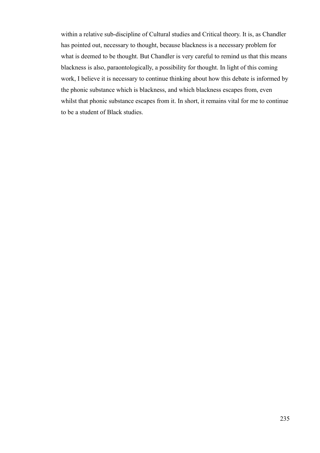within a relative sub-discipline of Cultural studies and Critical theory. It is, as Chandler has pointed out, necessary to thought, because blackness is a necessary problem for what is deemed to be thought. But Chandler is very careful to remind us that this means blackness is also, paraontologically, a possibility for thought. In light of this coming work, I believe it is necessary to continue thinking about how this debate is informed by the phonic substance which is blackness, and which blackness escapes from, even whilst that phonic substance escapes from it. In short, it remains vital for me to continue to be a student of Black studies.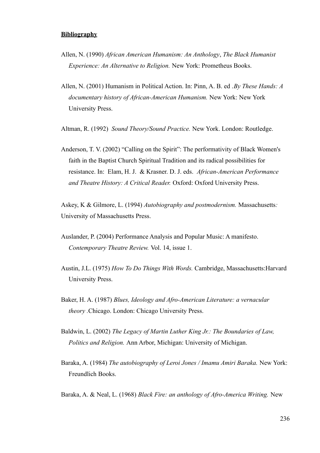## **Bibliography**

- Allen, N. (1990) *African American Humanism: An Anthology*, *The Black Humanist Experience: An Alternative to Religion.* New York: Prometheus Books.
- Allen, N. (2001) Humanism in Political Action. In: Pinn, A. B. ed .*By These Hands: A documentary history of African-American Humanism.* New York: New York University Press.

Altman, R. (1992) *Sound Theory/Sound Practice.* New York. London: Routledge.

Anderson, T. V. (2002) "Calling on the Spirit": The performativity of Black Women's faith in the Baptist Church Spiritual Tradition and its radical possibilities for resistance. In: Elam, H. J. & Krasner. D. J. eds. *African-American Performance and Theatre History: A Critical Reader.* Oxford: Oxford University Press.

Askey, K & Gilmore, L. (1994) *Autobiography and postmodernism.* Massachusetts*:* University of Massachusetts Press.

- Auslander, P. (2004) Performance Analysis and Popular Music: A manifesto. *Contemporary Theatre Review.* Vol. 14, issue 1.
- Austin, J.L. (1975) *How To Do Things With Words.* Cambridge, Massachusetts:Harvard University Press.
- Baker, H. A. (1987) *Blues, Ideology and Afro-American Literature: a vernacular theory .*Chicago. London: Chicago University Press.
- Baldwin, L. (2002) *The Legacy of Martin Luther King Jr.: The Boundaries of Law, Politics and Religion.* Ann Arbor, Michigan: University of Michigan.
- Baraka, A. (1984) *The autobiography of Leroi Jones / Imamu Amiri Baraka.* New York: Freundlich Books.

Baraka, A. & Neal, L. (1968) *Black Fire: an anthology of Afro-America Writing.* New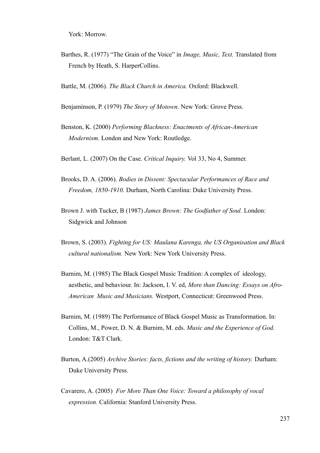York: Morrow.

Barthes, R. (1977) "The Grain of the Voice" in *Image, Music, Text.* Translated from French by Heath, S. HarperCollins.

Battle, M. (2006). *The Black Church in America.* Oxford: Blackwell.

Benjaminson, P. (1979) *The Story of Motown.* New York: Grove Press.

- Benston, K. (2000) *Performing Blackness: Enactments of African-American Modernism.* London and New York: Routledge.
- Berlant, L. (2007) On the Case. *Critical Inquiry.* Vol 33, No 4, Summer.
- Brooks, D. A. (2006). *Bodies in Dissent: Spectacular Performances of Race and Freedom, 1850-1910.* Durham, North Carolina: Duke University Press.
- Brown J. with Tucker, B (1987) *James Brown: The Godfather of Soul.* London: Sidgwick and Johnson
- Brown, S. (2003). *Fighting for US: Maulana Karenga, the US Organisation and Black cultural nationalism.* New York: New York University Press.
- Burnim, M. (1985) The Black Gospel Music Tradition: A complex of ideology, aesthetic, and behaviour. In: Jackson, I. V. ed, *More than Dancing: Essays on Afro-American Music and Musicians.* Westport, Connecticut: Greenwood Press.
- Burnim, M. (1989) The Performance of Black Gospel Music as Transformation. In: Collins, M., Power, D. N. & Burnim, M. eds. *Music and the Experience of God.* London: T&T Clark.
- Burton, A.(2005) *Archive Stories: facts, fictions and the writing of history*. Durham: Duke University Press.
- Cavarero, A. (2005) *For More Than One Voice: Toward a philosophy of vocal expression.* California: Stanford University Press.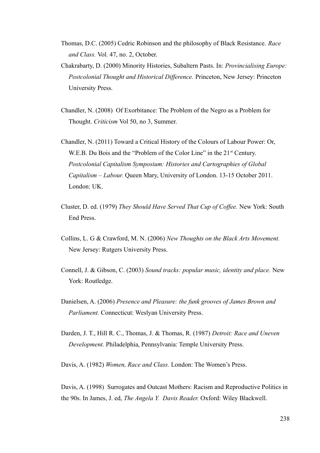- Thomas, D.C. (2005) Cedric Robinson and the philosophy of Black Resistance. *Race and Class.* Vol. 47, no. 2, October.
- Chakrabarty, D. (2000) Minority Histories, Subaltern Pasts. In: *Provincialising Europe: Postcolonial Thought and Historical Difference.* Princeton, New Jersey: Princeton University Press.
- Chandler, N. (2008) Of Exorbitance: The Problem of the Negro as a Problem for Thought. *Criticism* Vol 50, no 3, Summer.
- Chandler, N. (2011) Toward a Critical History of the Colours of Labour Power: Or, W.E.B. Du Bois and the "Problem of the Color Line" in the 21<sup>st</sup> Century. *Postcolonial Capitalism Symposium: Histories and Cartographies of Global Capitalism – Labour.* Queen Mary, University of London. 13-15 October 2011. London: UK.
- Cluster, D. ed. (1979) *They Should Have Served That Cup of Coffee.* New York: South End Press.
- Collins, L. G & Crawford, M. N. (2006) *New Thoughts on the Black Arts Movement.* New Jersey: Rutgers University Press.
- Connell, J. & Gibson, C. (2003) *Sound tracks: popular music, identity and place.* New York: Routledge.
- Danielsen, A. (2006) *Presence and Pleasure: the funk grooves of James Brown and Parliament.* Connecticut: Weslyan University Press.
- Darden, J. T., Hill R. C., Thomas, J. & Thomas, R. (1987) *Detroit: Race and Uneven Development.* Philadelphia, Pennsylvania: Temple University Press.

Davis, A. (1982) *Women, Race and Class.* London: The Women's Press.

Davis, A. (1998) Surrogates and Outcast Mothers: Racism and Reproductive Politics in the 90s. In James, J. ed, *The Angela Y. Davis Reader.* Oxford: Wiley Blackwell.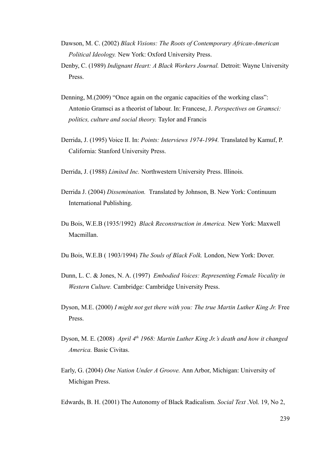- Dawson, M. C. (2002) *Black Visions: The Roots of Contemporary African-American Political Ideology.* New York: Oxford University Press.
- Denby, C. (1989) *Indignant Heart: A Black Workers Journal.* Detroit: Wayne University Press.
- Denning, M.(2009) "Once again on the organic capacities of the working class": Antonio Gramsci as a theorist of labour. In: Francese, J. *Perspectives on Gramsci: politics, culture and social theory.* Taylor and Francis
- Derrida, J. (1995) Voice II. In: *Points: Interviews 1974-1994.* Translated by Kamuf, P. California: Stanford University Press.

Derrida, J. (1988) *Limited Inc.* Northwestern University Press. Illinois.

- Derrida J. (2004) *Dissemination.* Translated by Johnson, B. New York: Continuum International Publishing.
- Du Bois, W.E.B (1935/1992) *Black Reconstruction in America.* New York: Maxwell Macmillan.

Du Bois, W.E.B ( 1903/1994) *The Souls of Black Folk.* London, New York: Dover.

- Dunn, L. C. & Jones, N. A. (1997) *Embodied Voices: Representing Female Vocality in Western Culture.* Cambridge: Cambridge University Press.
- Dyson, M.E. (2000) *I might not get there with you: The true Martin Luther King Jr.* Free Press.
- Dyson, M. E. (2008) *April 4th 1968: Martin Luther King Jr.'s death and how it changed America.* Basic Civitas.
- Early, G. (2004) *One Nation Under A Groove.* Ann Arbor, Michigan: University of Michigan Press.

Edwards, B. H. (2001) The Autonomy of Black Radicalism. *Social Text* .Vol. 19, No 2,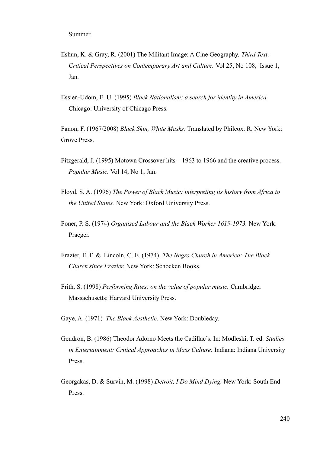Summer.

- Eshun, K. & Gray, R. (2001) The Militant Image: A Cine Geography. *Third Text: Critical Perspectives on Contemporary Art and Culture.* Vol 25, No 108, Issue 1, Jan.
- Essien-Udom, E. U. (1995) *Black Nationalism: a search for identity in America.* Chicago: University of Chicago Press.

Fanon, F. (1967/2008) *Black Skin, White Masks*. Translated by Philcox. R. New York: Grove Press.

- Fitzgerald, J. (1995) Motown Crossover hits 1963 to 1966 and the creative process. *Popular Music.* Vol 14, No 1, Jan.
- Floyd, S. A. (1996) *The Power of Black Music: interpreting its history from Africa to the United States.* New York: Oxford University Press.
- Foner, P. S. (1974) *Organised Labour and the Black Worker 1619-1973.* New York: Praeger.
- Frazier, E. F. & Lincoln, C. E. (1974). *The Negro Church in America: The Black Church since Frazier.* New York: Schocken Books.
- Frith. S. (1998) *Performing Rites: on the value of popular music.* Cambridge, Massachusetts: Harvard University Press.

Gaye, A. (1971) *The Black Aesthetic.* New York: Doubleday.

- Gendron, B. (1986) Theodor Adorno Meets the Cadillac's. In: Modleski, T. ed. *Studies in Entertainment: Critical Approaches in Mass Culture.* Indiana: Indiana University Press.
- Georgakas, D. & Survin, M. (1998) *Detroit, I Do Mind Dying.* New York: South End Press.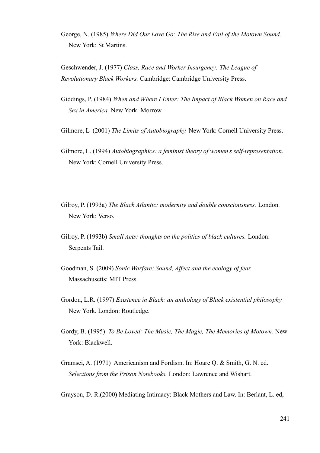George, N. (1985) *Where Did Our Love Go: The Rise and Fall of the Motown Sound.* New York: St Martins.

Geschwender, J. (1977) *Class, Race and Worker Insurgency: The League of Revolutionary Black Workers.* Cambridge: Cambridge University Press.

- Giddings, P. (1984) *When and Where I Enter: The Impact of Black Women on Race and Sex in America.* New York: Morrow
- Gilmore, L (2001) *The Limits of Autobiography.* New York: Cornell University Press.
- Gilmore, L. (1994) *Autobiographics: a feminist theory of women's self-representation.* New York: Cornell University Press.
- Gilroy, P. (1993a) *The Black Atlantic: modernity and double consciousness.* London. New York: Verso.
- Gilroy, P. (1993b) *Small Acts: thoughts on the politics of black cultures.* London: Serpents Tail.
- Goodman, S. (2009) *Sonic Warfare: Sound, Affect and the ecology of fear.* Massachusetts: MIT Press.
- Gordon, L.R. (1997) *Existence in Black: an anthology of Black existential philosophy.* New York. London: Routledge.
- Gordy, B. (1995) *To Be Loved: The Music, The Magic, The Memories of Motown.* New York: Blackwell.
- Gramsci, A. (1971) Americanism and Fordism. In: Hoare Q. & Smith, G. N. ed. *Selections from the Prison Notebooks.* London: Lawrence and Wishart.

Grayson, D. R.(2000) Mediating Intimacy: Black Mothers and Law. In: Berlant, L. ed,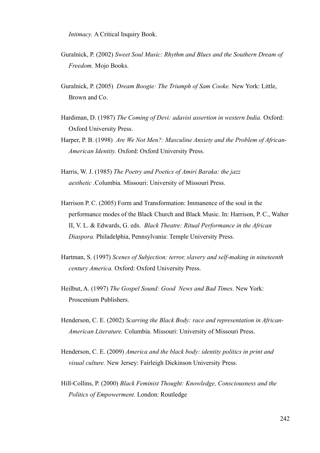*Intimacy.* A Critical Inquiry Book.

- Guralnick, P. (2002) *Sweet Soul Music: Rhythm and Blues and the Southern Dream of Freedom.* Mojo Books.
- Guralnick, P. (2005) *Dream Boogie: The Triumph of Sam Cooke.* New York: Little, Brown and Co.
- Hardiman, D. (1987) *The Coming of Devi: adavisi assertion in western India.* Oxford: Oxford University Press.
- Harper, P. B. (1998) *Are We Not Men?: Masculine Anxiety and the Problem of African-American Identity.* Oxford: Oxford University Press.
- Harris, W. J. (1985) *The Poetry and Poetics of Amiri Baraka: the jazz aesthetic .*Columbia. Missouri: University of Missouri Press.
- Harrison P. C. (2005) Form and Transformation: Immanence of the soul in the performance modes of the Black Church and Black Music. In: Harrison, P. C., Walter II, V. L. & Edwards, G. eds. *Black Theatre: Ritual Performance in the African Diaspora.* Philadelphia, Pennsylvania: Temple University Press.
- Hartman, S. (1997) *Scenes of Subjection: terror, slavery and self-making in nineteenth century America.* Oxford: Oxford University Press.
- Heilbut, A. (1997) *The Gospel Sound: Good News and Bad Times.* New York: Proscenium Publishers.
- Henderson, C. E. (2002) *Scarring the Black Body: race and representation in African-American Literature.* Columbia. Missouri: University of Missouri Press.
- Henderson, C. E. (2009) *America and the black body: identity politics in print and visual culture.* New Jersey: Fairleigh Dickinson University Press.
- Hill-Collins, P. (2000) *Black Feminist Thought: Knowledge, Consciousness and the Politics of Empowerment.* London: Routledge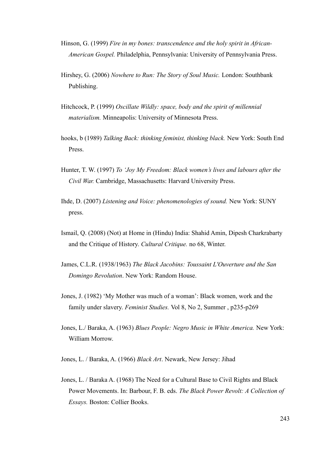- Hinson, G. (1999) *Fire in my bones: transcendence and the holy spirit in African-American Gospel.* Philadelphia, Pennsylvania: University of Pennsylvania Press.
- Hirshey, G. (2006) *Nowhere to Run: The Story of Soul Music.* London: Southbank Publishing.
- Hitchcock, P. (1999) *Oscillate Wildly: space, body and the spirit of millennial materialism.* Minneapolis: University of Minnesota Press.
- hooks, b (1989) *Talking Back: thinking feminist, thinking black.* New York: South End Press.
- Hunter, T. W. (1997) *To 'Joy My Freedom: Black women's lives and labours after the Civil War.* Cambridge, Massachusetts: Harvard University Press.
- Ihde, D. (2007) *Listening and Voice: phenomenologies of sound.* New York: SUNY press.
- Ismail, Q. (2008) (Not) at Home in (Hindu) India: Shahid Amin, Dipesh Charkrabarty and the Critique of History. *Cultural Critique.* no 68, Winter.
- James, C.L.R. (1938/1963) *The Black Jacobins: Toussaint L'Ouverture and the San Domingo Revolution*. New York: Random House.
- Jones, J. (1982) 'My Mother was much of a woman': Black women, work and the family under slavery. *Feminist Studies.* Vol 8, No 2, Summer , p235-p269
- Jones, L./ Baraka, A. (1963) *Blues People: Negro Music in White America.* New York: William Morrow.
- Jones, L. / Baraka, A. (1966) *Black Art*. Newark, New Jersey: Jihad
- Jones, L. / Baraka A. (1968) The Need for a Cultural Base to Civil Rights and Black Power Movements. In: Barbour, F. B. eds. *The Black Power Revolt: A Collection of Essays.* Boston: Collier Books.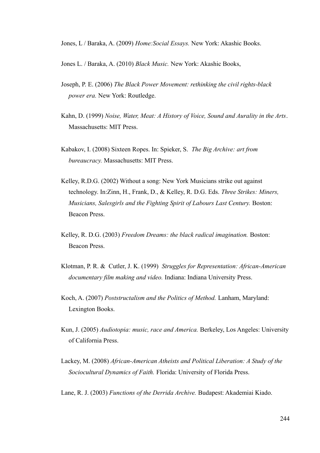Jones, L / Baraka, A. (2009) *Home:Social Essays.* New York: Akashic Books.

- Jones L. / Baraka, A. (2010) *Black Music.* New York: Akashic Books,
- Joseph, P. E. (2006) *The Black Power Movement: rethinking the civil rights-black power era.* New York: Routledge.
- Kahn, D. (1999) *Noise, Water, Meat: A History of Voice, Sound and Aurality in the Arts*. Massachusetts: MIT Press.
- Kabakov, I. (2008) Sixteen Ropes. In: Spieker, S. *The Big Archive: art from bureaucracy.* Massachusetts: MIT Press.
- Kelley, R.D.G. (2002) Without a song: New York Musicians strike out against technology. In:Zinn, H., Frank, D., & Kelley, R. D.G. Eds. *Three Strikes: Miners, Musicians, Salesgirls and the Fighting Spirit of Labours Last Century. Boston:* Beacon Press.
- Kelley, R. D.G. (2003) *Freedom Dreams: the black radical imagination.* Boston: Beacon Press.
- Klotman, P. R. & Cutler, J. K. (1999) *Struggles for Representation: African-American documentary film making and video.* Indiana: Indiana University Press.
- Koch, A. (2007) *Poststructalism and the Politics of Method.* Lanham, Maryland: Lexington Books.
- Kun, J. (2005) *Audiotopia: music, race and America.* Berkeley, Los Angeles: University of California Press.
- Lackey, M. (2008) *African-American Atheists and Political Liberation: A Study of the Sociocultural Dynamics of Faith.* Florida: University of Florida Press.

Lane, R. J. (2003) *Functions of the Derrida Archive.* Budapest: Akademiai Kiado.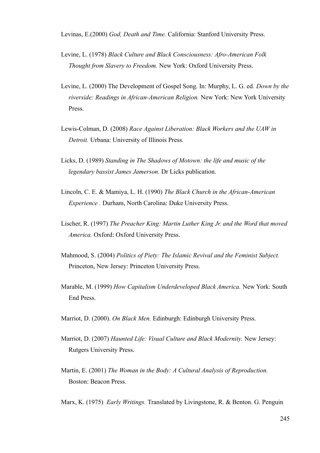Levinas, E.(2000) *God, Death and Time.* California: Stanford University Press.

- Levine, L. (1978) *Black Culture and Black Consciousness: Afro-American Folk Thought from Slavery to Freedom.* New York: Oxford University Press.
- Levine, L. (2000) The Development of Gospel Song. In: Murphy, L. G. ed. *Down by the riverside: Readings in African-American Religion.* New York: New York University Press.
- Lewis-Colman, D. (2008) *Race Against Liberation: Black Workers and the UAW in Detroit.* Urbana: University of Illinois Press.
- Licks, D. (1989) *Standing in The Shadows of Motown: the life and music of the legendary bassist James Jamerson.* Dr Licks publication.
- Lincoln, C. E. & Mamiya, L. H. (1990) *The Black Church in the African-American Experience .* Durham, North Carolina: Duke University Press.
- Lischer, R. (1997) *The Preacher King: Martin Luther King Jr. and the Word that moved America.* Oxford: Oxford University Press.
- Mahmood, S. (2004) *Politics of Piety: The Islamic Revival and the Feminist Subject.* Princeton, New Jersey: Princeton University Press.
- Marable, M. (1999) *How Capitalism Underdeveloped Black America.* New York: South End Press.
- Marriot, D. (2000). *On Black Men.* Edinburgh: Edinburgh University Press.
- Marriot, D. (2007) *Haunted Life: Visual Culture and Black Modernity.* New Jersey: Rutgers University Press.
- Martin, E. (2001) *The Woman in the Body: A Cultural Analysis of Reproduction.* Boston: Beacon Press.

Marx, K. (1975) *Early Writings.* Translated by Livingstone, R. & Benton. G. Penguin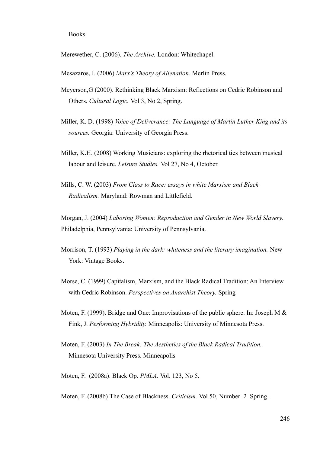Books.

- Merewether, C. (2006). *The Archive.* London: Whitechapel.
- Mesazaros, I. (2006) *Marx's Theory of Alienation.* Merlin Press.
- Meyerson,G (2000). Rethinking Black Marxism: Reflections on Cedric Robinson and Others. *Cultural Logic.* Vol 3, No 2, Spring.
- Miller, K. D. (1998) *Voice of Deliverance: The Language of Martin Luther King and its sources.* Georgia: University of Georgia Press.
- Miller, K.H. (2008) Working Musicians: exploring the rhetorical ties between musical labour and leisure. *Leisure Studies.* Vol 27, No 4, October.
- Mills, C. W. (2003) *From Class to Race: essays in white Marxism and Black Radicalism.* Maryland: Rowman and Littlefield.

Morgan, J. (2004) *Laboring Women: Reproduction and Gender in New World Slavery.* Philadelphia, Pennsylvania: University of Pennsylvania.

- Morrison, T. (1993) *Playing in the dark: whiteness and the literary imagination.* New York: Vintage Books.
- Morse, C. (1999) Capitalism, Marxism, and the Black Radical Tradition: An Interview with Cedric Robinson. *Perspectives on Anarchist Theory.* Spring
- Moten, F. (1999). Bridge and One: Improvisations of the public sphere. In: Joseph M & Fink, J. *Performing Hybridity.* Minneapolis: University of Minnesota Press.
- Moten, F. (2003) *In The Break: The Aesthetics of the Black Radical Tradition.* Minnesota University Press. Minneapolis
- Moten, F. (2008a). Black Op. *PMLA.* Vol. 123, No 5.
- Moten, F. (2008b) The Case of Blackness. *Criticism.* Vol 50, Number 2 Spring.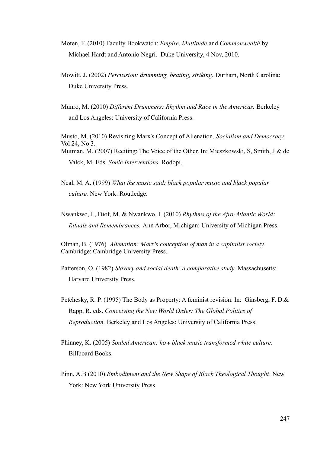- Moten, F. (2010) Faculty Bookwatch: *Empire, Multitude* and *Commonwealth* by Michael Hardt and Antonio Negri. Duke University, 4 Nov, 2010.
- Mowitt, J. (2002) *Percussion: drumming, beating, striking.* Durham, North Carolina: Duke University Press.
- Munro, M. (2010) *Different Drummers: Rhythm and Race in the Americas.* Berkeley and Los Angeles: University of California Press.

Musto, M. (2010) Revisiting Marx's Concept of Alienation. *Socialism and Democracy.* Vol 24, No 3.

- Mutman, M. (2007) Reciting: The Voice of the Other. In: Mieszkowski, S, Smith, J & de Valck, M. Eds. *Sonic Interventions.* Rodopi,.
- Neal, M. A. (1999) *What the music said: black popular music and black popular culture.* New York: Routledge.
- Nwankwo, I., Diof, M. & Nwankwo, I. (2010) *Rhythms of the Afro-Atlantic World: Rituals and Remembrances.* Ann Arbor, Michigan: University of Michigan Press.

Olman, B. (1976) *Alienation: Marx's conception of man in a capitalist society.* Cambridge: Cambridge University Press.

- Patterson, O. (1982) *Slavery and social death: a comparative study.* Massachusetts: Harvard University Press.
- Petchesky, R. P. (1995) The Body as Property: A feminist revision. In: Ginsberg, F. D.& Rapp, R. eds. *Conceiving the New World Order: The Global Politics of Reproduction.* Berkeley and Los Angeles: University of California Press.
- Phinney, K. (2005) *Souled American: how black music transformed white culture.* Billboard Books.
- Pinn, A.B (2010) *Embodiment and the New Shape of Black Theological Thought*. New York: New York University Press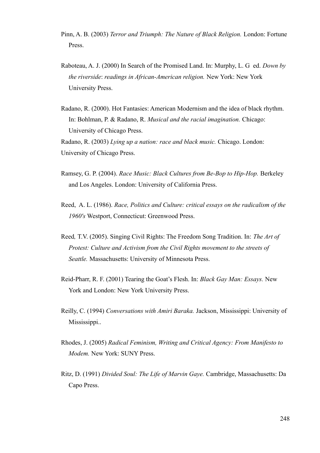- Pinn, A. B. (2003) *Terror and Triumph: The Nature of Black Religion.* London: Fortune Press.
- Raboteau, A. J. (2000) In Search of the Promised Land. In: Murphy, L. G ed. *Down by the riverside*: *readings in African-American religion.* New York: New York University Press.
- Radano, R. (2000). Hot Fantasies: American Modernism and the idea of black rhythm. In: Bohlman, P. & Radano, R. *Musical and the racial imagination.* Chicago: University of Chicago Press.

Radano, R. (2003) *Lying up a nation: race and black music.* Chicago. London: University of Chicago Press.

- Ramsey, G. P. (2004). *Race Music: Black Cultures from Be-Bop to Hip-Hop.* Berkeley and Los Angeles. London: University of California Press.
- Reed, A. L. (1986). *Race, Politics and Culture: critical essays on the radicalism of the 1960's* Westport, Connecticut: Greenwood Press.
- Reed*,* T.V. (2005). Singing Civil Rights: The Freedom Song Tradition. In: *The Art of Protest: Culture and Activism from the Civil Rights movement to the streets of Seattle.* Massachusetts: University of Minnesota Press.
- Reid-Pharr, R. F. (2001) Tearing the Goat's Flesh. In: *Black Gay Man: Essays.* New York and London: New York University Press.
- Reilly, C. (1994) *Conversations with Amiri Baraka.* Jackson, Mississippi: University of Mississippi..
- Rhodes, J. (2005) *Radical Feminism, Writing and Critical Agency: From Manifesto to Modem.* New York: SUNY Press.
- Ritz, D. (1991) *Divided Soul: The Life of Marvin Gaye.* Cambridge, Massachusetts: Da Capo Press.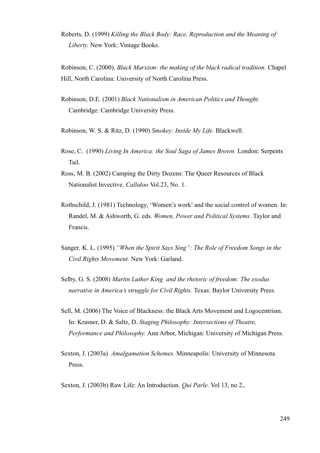Roberts, D. (1999) *Killing the Black Body: Race, Reproduction and the Meaning of Liberty.* New York: Vintage Books.

Robinson, C. (2000). *Black Marxism: the making of the black radical tradition.* Chapel Hill, North Carolina: University of North Carolina Press.

Robinson, D.E. (2001) *Black Nationalism in American Politics and Thought.* Cambridge: Cambridge University Press.

Robinson, W. S. & Ritz, D. (1990) *Smokey: Inside My Life.* Blackwell.

- Rose, C. (1990) *Living In America: the Soul Saga of James Brown.* London: Serpents Tail.
- Ross, M. B. (2002) Camping the Dirty Dozens: The Queer Resources of Black Nationalist Invective. *Callaloo* Vol.23, No. 1.
- Rothschild, J. (1981) Technology, 'Women's work' and the social control of women. In: Randel, M. & Ashworth, G. eds. *Women, Power and Political Systems.* Taylor and Francis.
- Sanger*,* K. L. (1995).*"When the Spirit Says Sing": The Role of Freedom Songs in the Civil Rights Movement.* New York: Garland.
- Selby, G. S. (2008) *Martin Luther King and the rhetoric of freedom: The exodus narrative in America's struggle for Civil Rights.* Texas: Baylor University Press.
- Sell, M. (2006) The Voice of Blackness: the Black Arts Movement and Logocentrism. In: Krasner, D. & Saltz, D. *Staging Philosophy: Intersections of Theatre, Performance and Philosophy.* Ann Arbor, Michigan: University of Michigan Press.
- Sexton, J. (2003a) *Amalgamation Schemes.* Minneapolis: University of Minnesota Press.

Sexton, J. (2003b) Raw Life: An Introduction. *Qui Parle.* Vol 13, no 2,.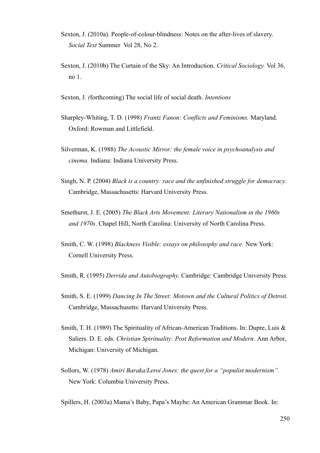- Sexton, J. (2010a). People-of-colour-blindness: Notes on the after-lives of slavery. *Social Text* Summer Vol 28, No 2.
- Sexton, J. (2010b) The Curtain of the Sky: An Introduction. *Critical Sociology.* Vol 36, no 1.
- Sexton, J. *(*forthcoming) The social life of social death. *Intentions*
- Sharpley-Whiting, T. D. (1998) *Frantz Fanon: Conflicts and Feminisms.* Maryland. Oxford: Rowman and Littlefield.
- Silverman, K. (1988) *The Acoustic Mirror: the female voice in psychoanalysis and cinema.* Indiana: Indiana University Press.
- Singh, N. P. (2004) *Black is a country: race and the unfinished struggle for democracy.* Cambridge, Massachusetts: Harvard University Press.
- Smethurst, J. E. (2005) *The Black Arts Movement: Literary Nationalism in the 1960s and 1970s*. Chapel Hill, North Carolina: University of North Carolina Press.
- Smith, C. W. (1998) *Blackness Visible: essays on philosophy and race.* New York: Cornell University Press.
- Smith, R. (1995) *Derrida and Autobiography.* Cambridge: Cambridge University Press.
- Smith, S. E. (1999) *Dancing In The Street: Motown and the Cultural Politics of Detroit.* Cambridge, Massachusetts: Harvard University Press.
- Smith, T. H. (1989) The Spirituality of African-American Traditions. In: Dupre, Luis & Saliers. D. E. eds. *Christian Spirituality: Post Reformation and Modern.* Ann Arbor, Michigan: University of Michigan.
- Sollors, W. (1978) *Amiri Baraka/Leroi Jones: the quest for a "populist modernism".* New York: Columbia University Press.

Spillers, H. (2003a) Mama's Baby, Papa's Maybe: An American Grammar Book. In: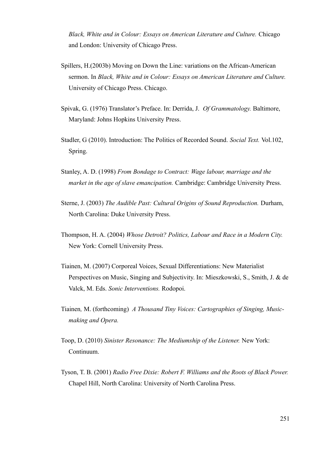*Black, White and in Colour: Essays on American Literature and Culture.* Chicago and London: University of Chicago Press.

- Spillers, H.(2003b) Moving on Down the Line: variations on the African-American sermon. In *Black, White and in Colour: Essays on American Literature and Culture.* University of Chicago Press. Chicago.
- Spivak, G. (1976) Translator's Preface. In: Derrida, J. *Of Grammatology.* Baltimore, Maryland: Johns Hopkins University Press.
- Stadler, G (2010). Introduction: The Politics of Recorded Sound. *Social Text.* Vol.102, Spring.
- Stanley, A. D. (1998) *From Bondage to Contract: Wage labour, marriage and the market in the age of slave emancipation.* Cambridge: Cambridge University Press.
- Sterne, J. (2003) *The Audible Past: Cultural Origins of Sound Reproduction.* Durham, North Carolina: Duke University Press.
- Thompson, H. A. (2004) *Whose Detroit? Politics, Labour and Race in a Modern City.* New York: Cornell University Press.
- Tiainen, M. (2007) Corporeal Voices, Sexual Differentiations: New Materialist Perspectives on Music, Singing and Subjectivity. In: Mieszkowski, S., Smith, J. & de Valck, M. Eds. *Sonic Interventions.* Rodopoi.
- Tiainen*,* M. (forthcoming) *A Thousand Tiny Voices: Cartographies of Singing, Musicmaking and Opera.*
- Toop, D. (2010) *Sinister Resonance: The Mediumship of the Listener.* New York: Continuum.
- Tyson, T. B. (2001) *Radio Free Dixie: Robert F. Williams and the Roots of Black Power.* Chapel Hill, North Carolina: University of North Carolina Press.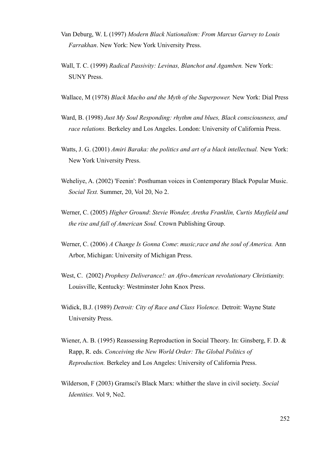- Van Deburg, W. L (1997) *Modern Black Nationalism: From Marcus Garvey to Louis Farrakhan*. New York: New York University Press.
- Wall, T. C. (1999) *Radical Passivity: Levinas, Blanchot and Agamben.* New York: SUNY Press.
- Wallace, M (1978) *Black Macho and the Myth of the Superpower.* New York: Dial Press
- Ward, B. (1998) *Just My Soul Responding: rhythm and blues, Black consciousness, and race relations.* Berkeley and Los Angeles. London: University of California Press.
- Watts, J. G. (2001) *Amiri Baraka: the politics and art of a black intellectual.* New York: New York University Press.
- Weheliye, A. (2002) 'Feenin': Posthuman voices in Contemporary Black Popular Music. *Social Text.* Summer, 20, Vol 20, No 2.
- Werner, C. (2005) *Higher Ground*: *Stevie Wonder, Aretha Franklin, Curtis Mayfield and the rise and fall of American Soul.* Crown Publishing Group.
- Werner, C. (2006) *A Change Is Gonna Come*: *music,race and the soul of America.* Ann Arbor, Michigan: University of Michigan Press.
- West, C. (2002) *Prophesy Deliverance!: an Afro-American revolutionary Christianity.* Louisville, Kentucky: Westminster John Knox Press.
- Widick, B.J. (1989) *Detroit: City of Race and Class Violence.* Detroit: Wayne State University Press.
- Wiener, A. B. (1995) Reassessing Reproduction in Social Theory. In: Ginsberg, F. D. & Rapp, R. eds. *Conceiving the New World Order: The Global Politics of Reproduction.* Berkeley and Los Angeles: University of California Press.
- Wilderson, F (2003) Gramsci's Black Marx: whither the slave in civil society. *Social Identities.* Vol 9, No2.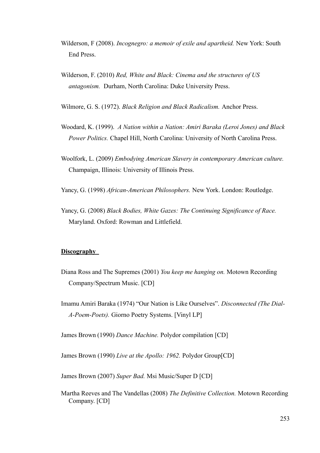- Wilderson, F (2008). *Incognegro: a memoir of exile and apartheid.* New York: South End Press.
- Wilderson, F. (2010) *Red, White and Black: Cinema and the structures of US antagonism.* Durham, North Carolina: Duke University Press.

Wilmore, G. S. (1972). *Black Religion and Black Radicalism.* Anchor Press.

- Woodard, K. (1999). *A Nation within a Nation: Amiri Baraka (Leroi Jones) and Black Power Politics.* Chapel Hill, North Carolina: University of North Carolina Press.
- Woolfork, L. (2009) *Embodying American Slavery in contemporary American culture.* Champaign, Illinois: University of Illinois Press.
- Yancy, G. (1998) *African-American Philosophers.* New York. London: Routledge.
- Yancy, G. (2008) *Black Bodies, White Gazes: The Continuing Significance of Race.* Maryland. Oxford: Rowman and Littlefield.

## **Discography**

- Diana Ross and The Supremes (2001) *You keep me hanging on.* Motown Recording Company/Spectrum Music. [CD]
- Imamu Amiri Baraka (1974) "Our Nation is Like Ourselves". *Disconnected (The Dial-A-Poem-Poets).* Giorno Poetry Systems. [Vinyl LP]

James Brown (1990) *Dance Machine.* Polydor compilation [CD]

James Brown (1990) *Live at the Apollo: 1962.* Polydor Group[CD]

James Brown (2007) *Super Bad.* Msi Music/Super D [CD]

Martha Reeves and The Vandellas (2008) *The Definitive Collection.* Motown Recording Company. [CD]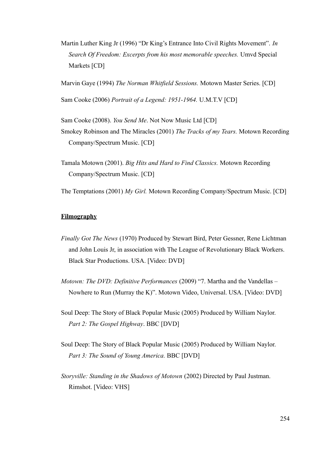Martin Luther King Jr (1996) "Dr King's Entrance Into Civil Rights Movement". *In Search Of Freedom: Excerpts from his most memorable speeches.* Umvd Special Markets [CD]

Marvin Gaye (1994) *The Norman Whitfield Sessions.* Motown Master Series. [CD]

Sam Cooke (2006) *Portrait of a Legend: 1951-1964.* U.M.T.V [CD]

Sam Cooke (2008). *You Send Me*. Not Now Music Ltd [CD] Smokey Robinson and The Miracles (2001) *The Tracks of my Tears.* Motown Recording Company/Spectrum Music. [CD]

Tamala Motown (2001). *Big Hits and Hard to Find Classics.* Motown Recording Company/Spectrum Music. [CD]

The Temptations (2001) *My Girl.* Motown Recording Company/Spectrum Music. [CD]

## **Filmography**

- *Finally Got The News* (1970) Produced by Stewart Bird, Peter Gessner, Rene Lichtman and John Louis Jr, in association with The League of Revolutionary Black Workers. Black Star Productions. USA. [Video: DVD]
- *Motown: The DVD: Definitive Performances* (2009) "7. Martha and the Vandellas Nowhere to Run (Murray the K)". Motown Video, Universal. USA. [Video: DVD]
- Soul Deep: The Story of Black Popular Music (2005) Produced by William Naylor. *Part 2: The Gospel Highway*. BBC [DVD]
- Soul Deep: The Story of Black Popular Music (2005) Produced by William Naylor. *Part 3: The Sound of Young America.* BBC [DVD]
- *Storyville: Standing in the Shadows of Motown* (2002) Directed by Paul Justman. Rimshot. [Video: VHS]